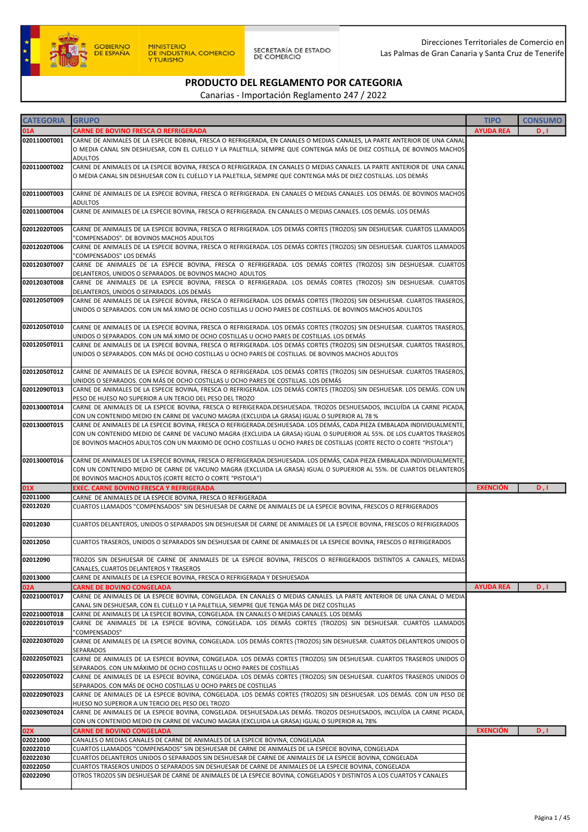

| <b>CATEGORIA</b>             | <b>GRUPO</b>                                                                                                                                                                                                                                                                                                                                                             | <b>TIPO</b>      | <b>CONSUMO</b> |
|------------------------------|--------------------------------------------------------------------------------------------------------------------------------------------------------------------------------------------------------------------------------------------------------------------------------------------------------------------------------------------------------------------------|------------------|----------------|
| 01A                          | <b>CARNE DE BOVINO FRESCA O REFRIGERADA</b>                                                                                                                                                                                                                                                                                                                              | <b>AYUDA REA</b> | D, I           |
| 02011000T001                 | CARNE DE ANIMALES DE LA ESPECIE BOBINA, FRESCA O REFRIGERADA, EN CANALES O MEDIAS CANALES, LA PARTE ANTERIOR DE UNA CANAL<br>O MEDIA CANAL SIN DESHUESAR, CON EL CUELLO Y LA PALETILLA, SIEMPRE QUE CONTENGA MÁS DE DIEZ COSTILLA, DE BOVINOS MACHOS                                                                                                                     |                  |                |
|                              | ADULTOS                                                                                                                                                                                                                                                                                                                                                                  |                  |                |
| 02011000T002                 | CARNE DE ANIMALES DE LA ESPECIE BOVINA, FRESCA O REFRIGERADA. EN CANALES O MEDIAS CANALES. LA PARTE ANTERIOR DE UNA CANAL<br>O MEDIA CANAL SIN DESHUESAR CON EL CUELLO Y LA PALETILLA, SIEMPRE QUE CONTENGA MÁS DE DIEZ COSTILLAS. LOS DEMÁS                                                                                                                             |                  |                |
| 02011000T003                 | CARNE DE ANIMALES DE LA ESPECIE BOVINA, FRESCA O REFRIGERADA. EN CANALES O MEDIAS CANALES. LOS DEMÁS. DE BOVINOS MACHOS<br><b>ADULTOS</b>                                                                                                                                                                                                                                |                  |                |
| 02011000T004                 | CARNE DE ANIMALES DE LA ESPECIE BOVINA, FRESCA O REFRIGERADA. EN CANALES O MEDIAS CANALES. LOS DEMÁS. LOS DEMÁS                                                                                                                                                                                                                                                          |                  |                |
| 02012020T005                 | CARNE DE ANIMALES DE LA ESPECIE BOVINA, FRESCA O REFRIGERADA. LOS DEMÁS CORTES (TROZOS) SIN DESHUESAR. CUARTOS LLAMADOS<br>"COMPENSADOS". DE BOVINOS MACHOS ADULTOS                                                                                                                                                                                                      |                  |                |
| 02012020T006                 | CARNE DE ANIMALES DE LA ESPECIE BOVINA, FRESCA O REFRIGERADA. LOS DEMÁS CORTES (TROZOS) SIN DESHUESAR. CUARTOS LLAMADOS<br>"COMPENSADOS" LOS DEMÁS                                                                                                                                                                                                                       |                  |                |
| 02012030T007                 | CARNE DE ANIMALES DE LA ESPECIE BOVINA, FRESCA O REFRIGERADA. LOS DEMÁS CORTES (TROZOS) SIN DESHUESAR. CUARTOS<br>DELANTEROS, UNIDOS O SEPARADOS. DE BOVINOS MACHO ADULTOS                                                                                                                                                                                               |                  |                |
| 02012030T008                 | CARNE DE ANIMALES DE LA ESPECIE BOVINA, FRESCA O REFRIGERADA. LOS DEMÁS CORTES (TROZOS) SIN DESHUESAR. CUARTOS<br>DELANTEROS, UNIDOS O SEPARADOS. LOS DEMÁS                                                                                                                                                                                                              |                  |                |
| 02012050T009                 | CARNE DE ANIMALES DE LA ESPECIE BOVINA, FRESCA O REFRIGERADA. LOS DEMÁS CORTES (TROZOS) SIN DESHUESAR. CUARTOS TRASEROS,<br>UNIDOS O SEPARADOS. CON UN MÁ XIMO DE OCHO COSTILLAS U OCHO PARES DE COSTILLAS. DE BOVINOS MACHOS ADULTOS                                                                                                                                    |                  |                |
| 02012050T010                 | CARNE DE ANIMALES DE LA ESPECIE BOVINA, FRESCA O REFRIGERADA. LOS DEMÁS CORTES (TROZOS) SIN DESHUESAR. CUARTOS TRASEROS,<br>UNIDOS O SEPARADOS. CON UN MÁ XIMO DE OCHO COSTILLAS U OCHO PARES DE COSTILLAS. LOS DEMÁS                                                                                                                                                    |                  |                |
| 02012050T011                 | CARNE DE ANIMALES DE LA ESPECIE BOVINA, FRESCA O REFRIGERADA. LOS DEMÁS CORTES (TROZOS) SIN DESHUESAR. CUARTOS TRASEROS,<br>UNIDOS O SEPARADOS. CON MÁS DE OCHO COSTILLAS U OCHO PARES DE COSTILLAS. DE BOVINOS MACHOS ADULTOS                                                                                                                                           |                  |                |
| 02012050T012                 | CARNE DE ANIMALES DE LA ESPECIE BOVINA, FRESCA O REFRIGERADA. LOS DEMÁS CORTES (TROZOS) SIN DESHUESAR. CUARTOS TRASEROS,<br>UNIDOS O SEPARADOS. CON MÁS DE OCHO COSTILLAS U OCHO PARES DE COSTILLAS. LOS DEMÁS                                                                                                                                                           |                  |                |
| 02012090T013                 | CARNE DE ANIMALES DE LA ESPECIE BOVINA, FRESCA O REFRIGERADA. LOS DEMÁS CORTES (TROZOS) SIN DESHUESAR. LOS DEMÁS. CON UN<br>PESO DE HUESO NO SUPERIOR A UN TERCIO DEL PESO DEL TROZO                                                                                                                                                                                     |                  |                |
| 02013000T014                 | CARNE DE ANIMALES DE LA ESPECIE BOVINA, FRESCA O REFRIGERADA.DESHUESADA. TROZOS DESHUESADOS, INCLUÍDA LA CARNE PICADA,<br>CON UN CONTENIDO MEDIO EN CARNE DE VACUNO MAGRA (EXCLUIDA LA GRASA) IGUAL O SUPERIOR AL 78 %                                                                                                                                                   |                  |                |
| 02013000T015                 | CARNE DE ANIMALES DE LA ESPECIE BOVINA, FRESCA O REFRIGERADA.DESHUESADA. LOS DEMÁS, CADA PIEZA EMBALADA INDIVIDUALMENTE,<br>CON UN CONTENIDO MEDIO DE CARNE DE VACUNO MAGRA (EXCLUIDA LA GRASA) IGUAL O SUPUERIOR AL 55%. DE LOS CUARTOS TRASEROS<br>DE BOVINOS MACHOS ADULTOS CON UN MAXIMO DE OCHO COSTILLAS U OCHO PARES DE COSTILLAS (CORTE RECTO O CORTE "PISTOLA") |                  |                |
| 02013000T016                 | CARNE DE ANIMALES DE LA ESPECIE BOVINA, FRESCA O REFRIGERADA.DESHUESADA. LOS DEMÁS, CADA PIEZA EMBALADA INDIVIDUALMENTE,<br>CON UN CONTENIDO MEDIO DE CARNE DE VACUNO MAGRA (EXCLUIDA LA GRASA) IGUAL O SUPUERIOR AL 55%. DE CUARTOS DELANTEROS<br>DE BOVINOS MACHOS ADULTOS (CORTE RECTO O CORTE "PISTOLA")                                                             |                  |                |
| 01X                          | <b>EXEC. CARNE BOVINO FRESCA Y REFRIGERADA</b>                                                                                                                                                                                                                                                                                                                           | <b>EXENCIÓN</b>  | D, I           |
| 02011000                     | CARNE DE ANIMALES DE LA ESPECIE BOVINA, FRESCA O REFRIGERADA                                                                                                                                                                                                                                                                                                             |                  |                |
| 02012020                     | CUARTOS LLAMADOS "COMPENSADOS" SIN DESHUESAR DE CARNE DE ANIMALES DE LA ESPECIE BOVINA, FRESCOS O REFRIGERADOS                                                                                                                                                                                                                                                           |                  |                |
| 02012030                     | CUARTOS DELANTEROS, UNIDOS O SEPARADOS SIN DESHUESAR DE CARNE DE ANIMALES DE LA ESPECIE BOVINA, FRESCOS O REFRIGERADOS                                                                                                                                                                                                                                                   |                  |                |
| 02012050                     | CUARTOS TRASEROS, UNIDOS O SEPARADOS SIN DESHUESAR DE CARNE DE ANIMALES DE LA ESPECIE BOVINA, FRESCOS O REFRIGERADOS                                                                                                                                                                                                                                                     |                  |                |
| 02012090                     | TROZOS SIN DESHUESAR DE CARNE DE ANIMALES DE LA ESPECIE BOVINA, FRESCOS O REFRIGERADOS DISTINTOS A CANALES, MEDIAS<br>CANALES, CUARTOS DELANTEROS Y TRASEROS                                                                                                                                                                                                             |                  |                |
| 02013000                     | CARNE DE ANIMALES DE LA ESPECIE BOVINA, FRESCA O REFRIGERADA Y DESHUESADA                                                                                                                                                                                                                                                                                                |                  |                |
| 02A                          | <b>CARNE DE BOVINO CONGELADA</b>                                                                                                                                                                                                                                                                                                                                         | <b>AYUDA REA</b> | D, I           |
| 02021000T017<br>02021000T018 | CARNE DE ANIMALES DE LA ESPECIE BOVINA, CONGELADA. EN CANALES O MEDIAS CANALES. LA PARTE ANTERIOR DE UNA CANAL O MEDIA<br>CANAL SIN DESHUESAR, CON EL CUELLO Y LA PALETILLA, SIEMPRE QUE TENGA MÁS DE DIEZ COSTILLAS<br>CARNE DE ANIMALES DE LA ESPECIE BOVINA, CONGELADA. EN CANALES O MEDIAS CANALES. LOS DEMÁS                                                        |                  |                |
| 02022010T019                 | CARNE DE ANIMALES DE LA ESPECIE BOVINA, CONGELADA. LOS DEMÁS CORTES (TROZOS) SIN DESHUESAR. CUARTOS LLAMADOS<br>"COMPENSADOS"                                                                                                                                                                                                                                            |                  |                |
| 02022030T020                 | CARNE DE ANIMALES DE LA ESPECIE BOVINA, CONGELADA. LOS DEMÁS CORTES (TROZOS) SIN DESHUESAR. CUARTOS DELANTEROS UNIDOS O<br>SEPARADOS                                                                                                                                                                                                                                     |                  |                |
| 02022050T021                 | CARNE DE ANIMALES DE LA ESPECIE BOVINA, CONGELADA. LOS DEMÁS CORTES (TROZOS) SIN DESHUESAR. CUARTOS TRASEROS UNIDOS O<br>SEPARADOS. CON UN MÁXIMO DE OCHO COSTILLAS U OCHO PARES DE COSTILLAS                                                                                                                                                                            |                  |                |
| 02022050T022                 | CARNE DE ANIMALES DE LA ESPECIE BOVINA, CONGELADA. LOS DEMÁS CORTES (TROZOS) SIN DESHUESAR. CUARTOS TRASEROS UNIDOS O<br>SEPARADOS. CON MÁS DE OCHO COSTILLAS U OCHO PARES DE COSTILLAS                                                                                                                                                                                  |                  |                |
| 02022090T023                 | CARNE DE ANIMALES DE LA ESPECIE BOVINA, CONGELADA. LOS DEMÁS CORTES (TROZOS) SIN DESHUESAR. LOS DEMÁS. CON UN PESO DE<br>HUESO NO SUPERIOR A UN TERCIO DEL PESO DEL TROZO                                                                                                                                                                                                |                  |                |
| 02023090T024                 | CARNE DE ANIMALES DE LA ESPECIE BOVINA, CONGELADA. DESHUESADA.LAS DEMÁS. TROZOS DESHUESADOS, INCLUÍDA LA CARNE PICADA,<br>CON UN CONTENIDO MEDIO EN CARNE DE VACUNO MAGRA (EXCLUIDA LA GRASA) IGUAL O SUPERIOR AL 78%                                                                                                                                                    |                  |                |
| 02X                          | <b>CARNE DE BOVINO CONGELADA</b>                                                                                                                                                                                                                                                                                                                                         | <b>EXENCIÓN</b>  | D, I           |
| 02021000                     | CANALES O MEDIAS CANALES DE CARNE DE ANIMALES DE LA ESPECIE BOVINA, CONGELADA                                                                                                                                                                                                                                                                                            |                  |                |
| 02022010                     | CUARTOS LLAMADOS "COMPENSADOS" SIN DESHUESAR DE CARNE DE ANIMALES DE LA ESPECIE BOVINA, CONGELADA                                                                                                                                                                                                                                                                        |                  |                |
| 02022030                     | CUARTOS DELANTEROS UNIDOS O SEPARADOS SIN DESHUESAR DE CARNE DE ANIMALES DE LA ESPECIE BOVINA, CONGELADA                                                                                                                                                                                                                                                                 |                  |                |
| 02022050                     | CUARTOS TRASEROS UNIDOS O SEPARADOS SIN DESHUESAR DE CARNE DE ANIMALES DE LA ESPECIE BOVINA, CONGELADA                                                                                                                                                                                                                                                                   |                  |                |
| 02022090                     | OTROS TROZOS SIN DESHUESAR DE CARNE DE ANIMALES DE LA ESPECIE BOVINA, CONGELADOS Y DISTINTOS A LOS CUARTOS Y CANALES                                                                                                                                                                                                                                                     |                  |                |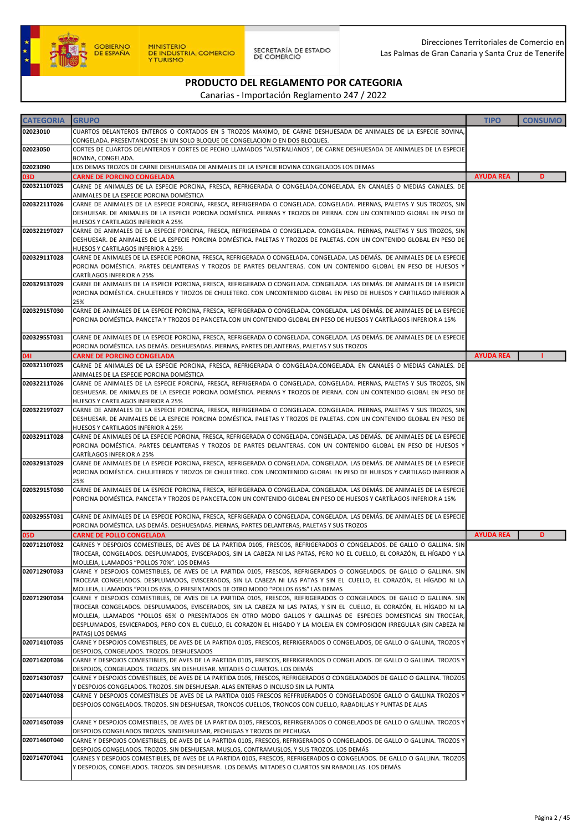

| <b>CATEGORIA</b> | <b>GRUPO</b>                                                                                                                                                                                                                                                                                                                                                                                                                                                                                                    | <b>TIPO</b>      | <b>CONSUMO</b> |
|------------------|-----------------------------------------------------------------------------------------------------------------------------------------------------------------------------------------------------------------------------------------------------------------------------------------------------------------------------------------------------------------------------------------------------------------------------------------------------------------------------------------------------------------|------------------|----------------|
| 02023010         | CUARTOS DELANTEROS ENTEROS O CORTADOS EN 5 TROZOS MAXIMO, DE CARNE DESHUESADA DE ANIMALES DE LA ESPECIE BOVINA,<br>CONGELADA. PRESENTANDOSE EN UN SOLO BLOQUE DE CONGELACION O EN DOS BLOQUES.                                                                                                                                                                                                                                                                                                                  |                  |                |
| 02023050         | CORTES DE CUARTOS DELANTEROS Y CORTES DE PECHO LLAMADOS "AUSTRALIANOS", DE CARNE DESHUESADA DE ANIMALES DE LA ESPECIE<br>BOVINA, CONGELADA.                                                                                                                                                                                                                                                                                                                                                                     |                  |                |
| 02023090         | LOS DEMAS TROZOS DE CARNE DESHUESADA DE ANIMALES DE LA ESPECIE BOVINA CONGELADOS LOS DEMAS                                                                                                                                                                                                                                                                                                                                                                                                                      |                  |                |
| 03D              | <b>CARNE DE PORCINO CONGELADA</b>                                                                                                                                                                                                                                                                                                                                                                                                                                                                               | <b>AYUDA REA</b> | D              |
| 02032110T025     | CARNE DE ANIMALES DE LA ESPECIE PORCINA, FRESCA, REFRIGERADA O CONGELADA.CONGELADA. EN CANALES O MEDIAS CANALES. DE<br>ANIMALES DE LA ESPECIE PORCINA DOMÉSTICA                                                                                                                                                                                                                                                                                                                                                 |                  |                |
| 02032211T026     | CARNE DE ANIMALES DE LA ESPECIE PORCINA, FRESCA, REFRIGERADA O CONGELADA. CONGELADA. PIERNAS, PALETAS Y SUS TROZOS, SIN<br>DESHUESAR. DE ANIMALES DE LA ESPECIE PORCINA DOMÉSTICA. PIERNAS Y TROZOS DE PIERNA. CON UN CONTENIDO GLOBAL EN PESO DE<br>HUESOS Y CARTILAGOS INFERIOR A 25%                                                                                                                                                                                                                         |                  |                |
| 02032219T027     | CARNE DE ANIMALES DE LA ESPECIE PORCINA, FRESCA, REFRIGERADA O CONGELADA. CONGELADA. PIERNAS, PALETAS Y SUS TROZOS, SIN<br>DESHUESAR. DE ANIMALES DE LA ESPECIE PORCINA DOMÉSTICA. PALETAS Y TROZOS DE PALETAS. CON UN CONTENIDO GLOBAL EN PESO DE<br>HUESOS Y CARTILAGOS INFERIOR A 25%                                                                                                                                                                                                                        |                  |                |
| 02032911T028     | CARNE DE ANIMALES DE LA ESPECIE PORCINA, FRESCA, REFRIGERADA O CONGELADA. CONGELADA. LAS DEMÁS. DE ANIMALES DE LA ESPECIE<br>PORCINA DOMÉSTICA. PARTES DELANTERAS Y TROZOS DE PARTES DELANTERAS. CON UN CONTENIDO GLOBAL EN PESO DE HUESOS Y<br>CARTÍLAGOS INFERIOR A 25%                                                                                                                                                                                                                                       |                  |                |
| 02032913T029     | CARNE DE ANIMALES DE LA ESPECIE PORCINA, FRESCA, REFRIGERADA O CONGELADA. CONGELADA. LAS DEMÁS. DE ANIMALES DE LA ESPECIE<br>PORCINA DOMÉSTICA. CHULETEROS Y TROZOS DE CHULETERO. CON UNCONTENIDO GLOBAL EN PESO DE HUESOS Y CARTILAGO INFERIOR A<br>25%                                                                                                                                                                                                                                                        |                  |                |
| 02032915T030     | CARNE DE ANIMALES DE LA ESPECIE PORCINA, FRESCA, REFRIGERADA O CONGELADA. CONGELADA. LAS DEMÁS. DE ANIMALES DE LA ESPECIE<br>PORCINA DOMÉSTICA. PANCETA Y TROZOS DE PANCETA.CON UN CONTENIDO GLOBAL EN PESO DE HUESOS Y CARTÍLAGOS INFERIOR A 15%                                                                                                                                                                                                                                                               |                  |                |
| 02032955T031     | CARNE DE ANIMALES DE LA ESPECIE PORCINA, FRESCA, REFRIGERADA O CONGELADA. CONGELADA. LAS DEMÁS. DE ANIMALES DE LA ESPECIE<br>PORCINA DOMÉSTICA. LAS DEMÁS. DESHUESADAS. PIERNAS, PARTES DELANTERAS, PALETAS Y SUS TROZOS                                                                                                                                                                                                                                                                                        |                  |                |
| 041              | <b>CARNE DE PORCINO CONGELADA</b>                                                                                                                                                                                                                                                                                                                                                                                                                                                                               | <b>AYUDA REA</b> |                |
| 02032110T025     | CARNE DE ANIMALES DE LA ESPECIE PORCINA, FRESCA, REFRIGERADA O CONGELADA.CONGELADA. EN CANALES O MEDIAS CANALES. DE<br>ANIMALES DE LA ESPECIE PORCINA DOMÉSTICA                                                                                                                                                                                                                                                                                                                                                 |                  |                |
| 02032211T026     | CARNE DE ANIMALES DE LA ESPECIE PORCINA, FRESCA, REFRIGERADA O CONGELADA. CONGELADA. PIERNAS, PALETAS Y SUS TROZOS, SIN<br>DESHUESAR. DE ANIMALES DE LA ESPECIE PORCINA DOMÉSTICA. PIERNAS Y TROZOS DE PIERNA. CON UN CONTENIDO GLOBAL EN PESO DE                                                                                                                                                                                                                                                               |                  |                |
| 02032219T027     | HUESOS Y CARTILAGOS INFERIOR A 25%<br>CARNE DE ANIMALES DE LA ESPECIE PORCINA, FRESCA, REFRIGERADA O CONGELADA. CONGELADA. PIERNAS, PALETAS Y SUS TROZOS, SIN<br>DESHUESAR. DE ANIMALES DE LA ESPECIE PORCINA DOMÉSTICA. PALETAS Y TROZOS DE PALETAS. CON UN CONTENIDO GLOBAL EN PESO DE<br>HUESOS Y CARTILAGOS INFERIOR A 25%                                                                                                                                                                                  |                  |                |
| 02032911T028     | CARNE DE ANIMALES DE LA ESPECIE PORCINA, FRESCA, REFRIGERADA O CONGELADA. CONGELADA. LAS DEMÁS. DE ANIMALES DE LA ESPECIE<br>PORCINA DOMÉSTICA. PARTES DELANTERAS Y TROZOS DE PARTES DELANTERAS. CON UN CONTENIDO GLOBAL EN PESO DE HUESOS Y                                                                                                                                                                                                                                                                    |                  |                |
| 02032913T029     | CARTÍLAGOS INFERIOR A 25%<br>CARNE DE ANIMALES DE LA ESPECIE PORCINA, FRESCA, REFRIGERADA O CONGELADA. CONGELADA. LAS DEMÁS. DE ANIMALES DE LA ESPECIE<br>PORCINA DOMÉSTICA. CHULETEROS Y TROZOS DE CHULETERO. CON UNCONTENIDO GLOBAL EN PESO DE HUESOS Y CARTILAGO INFERIOR A<br>25%                                                                                                                                                                                                                           |                  |                |
| 02032915T030     | CARNE DE ANIMALES DE LA ESPECIE PORCINA, FRESCA, REFRIGERADA O CONGELADA. CONGELADA. LAS DEMÁS. DE ANIMALES DE LA ESPECIE<br>PORCINA DOMÉSTICA. PANCETA Y TROZOS DE PANCETA.CON UN CONTENIDO GLOBAL EN PESO DE HUESOS Y CARTÍLAGOS INFERIOR A 15%                                                                                                                                                                                                                                                               |                  |                |
| 02032955T031     | CARNE DE ANIMALES DE LA ESPECIE PORCINA, FRESCA, REFRIGERADA O CONGELADA. CONGELADA. LAS DEMÁS. DE ANIMALES DE LA ESPECIE<br>PORCINA DOMÉSTICA. LAS DEMÁS. DESHUESADAS. PIERNAS, PARTES DELANTERAS, PALETAS Y SUS TROZOS                                                                                                                                                                                                                                                                                        |                  |                |
| 05D              | <b>CARNE DE POLLO CONGELADA</b>                                                                                                                                                                                                                                                                                                                                                                                                                                                                                 | <b>AYUDA REA</b> | D              |
| 02071210T032     | CARNES Y DESPOJOS COMESTIBLES, DE AVES DE LA PARTIDA 0105, FRESCOS, REFRIGERADOS O CONGELADOS. DE GALLO O GALLINA. SIN<br>TROCEAR, CONGELADOS. DESPLUMADOS, EVISCERADOS, SIN LA CABEZA NI LAS PATAS, PERO NO EL CUELLO, EL CORAZÓN, EL HÍGADO Y LA<br>MOLLEJA, LLAMADOS "POLLOS 70%". LOS DEMAS                                                                                                                                                                                                                 |                  |                |
| 02071290T033     | CARNE Y DESPOJOS COMESTIBLES, DE AVES DE LA PARTIDA 0105, FRESCOS, REFRIGERADOS O CONGELADOS. DE GALLO O GALLINA. SIN<br>TROCEAR CONGELADOS. DESPLUMADOS, EVISCERADOS, SIN LA CABEZA NI LAS PATAS Y SIN EL CUELLO, EL CORAZÓN, EL HÍGADO NI LA<br>MOLLEJA, LLAMADOS "POLLOS 65%, O PRESENTADOS DE OTRO MODO "POLLOS 65%" LAS DEMAS                                                                                                                                                                              |                  |                |
| 02071290T034     | CARNE Y DESPOJOS COMESTIBLES, DE AVES DE LA PARTIDA 0105, FRESCOS, REFRIGERADOS O CONGELADOS. DE GALLO O GALLINA. SIN<br>TROCEAR CONGELADOS. DESPLUMADOS, EVISCERADOS, SIN LA CABEZA NI LAS PATAS, Y SIN EL CUELLO, EL CORAZÓN, EL HÍGADO NI LA<br>MOLLEJA, LLAMADOS "POLLOS 65% O PRESENTADOS EN OTRO MODO GALLOS Y GALLINAS DE ESPECIES DOMESTICAS SIN TROCEAR,<br>DESPLUMADOS, ESVICERADOS, PERO CON EL CUELLO, EL CORAZON EL HIGADO Y LA MOLEJA EN COMPOSICION IRREGULAR (SIN CABEZA NI<br>PATAS) LOS DEMAS |                  |                |
| 02071410T035     | CARNE Y DESPOJOS COMESTIBLES, DE AVES DE LA PARTIDA 0105, FRESCOS, REFRIGERADOS O CONGELADOS, DE GALLO O GALLINA, TROZOS Y<br>DESPOJOS, CONGELADOS. TROZOS. DESHUESADOS                                                                                                                                                                                                                                                                                                                                         |                  |                |
| 02071420T036     | CARNE Y DESPOJOS COMESTIBLES, DE AVES DE LA PARTIDA 0105, FRESCOS, REFRIGERADOS O CONGELADOS. DE GALLO O GALLINA. TROZOS Y<br>DESPOJOS, CONGELADOS. TROZOS. SIN DESHUESAR. MITADES O CUARTOS. LOS DEMÁS                                                                                                                                                                                                                                                                                                         |                  |                |
| 02071430T037     | CARNE Y DESPOJOS COMESTIBLES, DE AVES DE LA PARTIDA 0105, FRESCOS, REFRIGERADOS O CONGELADADOS DE GALLO O GALLINA. TROZOS<br>Y DESPOJOS CONGELADOS. TROZOS. SIN DESHUESAR. ALAS ENTERAS O INCLUSO SIN LA PUNTA                                                                                                                                                                                                                                                                                                  |                  |                |
| 02071440T038     | CARNE Y DESPOJOS COMESTIBLES DE AVES DE LA PARTIDA 0105 FRESCOS REFFRIJERADOS O CONGELADOSDE GALLO O GALLINA TROZOS Y<br>DESPOJOS CONGELADOS. TROZOS. SIN DESHUESAR, TRONCOS CUELLOS, TRONCOS CON CUELLO, RABADILLAS Y PUNTAS DE ALAS                                                                                                                                                                                                                                                                           |                  |                |
| 02071450T039     | CARNE Y DESPOJOS COMESTIBLES, DE AVES DE LA PARTIDA 0105, FRESCOS, REFIRGERADOS O CONGELADOS DE GALLO O GALLINA. TROZOS Y<br>DESPOJOS CONGELADOS TROZOS. SINDESHUESAR, PECHUGAS Y TROZOS DE PECHUGA                                                                                                                                                                                                                                                                                                             |                  |                |
| 02071460T040     | CARNE Y DESPOJOS COMESTIBLES, DE AVES DE LA PARTIDA 0105, FRESCOS, REFRIGERADOS O CONGELADOS. DE GALLO O GALLINA. TROZOS Y<br>DESPOJOS CONGELADOS. TROZOS. SIN DESHUESAR. MUSLOS, CONTRAMUSLOS, Y SUS TROZOS. LOS DEMÁS                                                                                                                                                                                                                                                                                         |                  |                |
| 02071470T041     | CARNES Y DESPOJOS COMESTIBLES, DE AVES DE LA PARTIDA 0105, FRESCOS, REFRIGERADOS O CONGELADOS. DE GALLO O GALLINA. TROZOS<br>Y DESPOJOS, CONGELADOS. TROZOS. SIN DESHUESAR. LOS DEMÁS. MITADES O CUARTOS SIN RABADILLAS. LOS DEMÁS                                                                                                                                                                                                                                                                              |                  |                |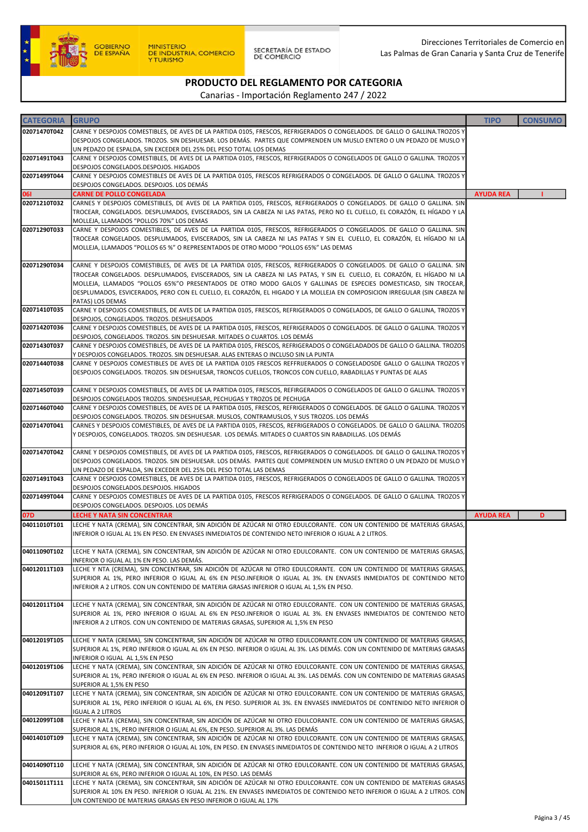

#### PRODUCTO DEL REGLAMENTO POR CATEGORIA Canarias - Importación Reglamento 247 / 2022

| <b>CATEGORIA</b> | <b>GRUPO</b>                                                                                                                                                                                                                                                                                                                                                                                                                                                                                                       | <b>TIPO</b>      | <b>CONSUMO</b> |
|------------------|--------------------------------------------------------------------------------------------------------------------------------------------------------------------------------------------------------------------------------------------------------------------------------------------------------------------------------------------------------------------------------------------------------------------------------------------------------------------------------------------------------------------|------------------|----------------|
| 02071470T042     | CARNE Y DESPOJOS COMESTIBLES, DE AVES DE LA PARTIDA 0105, FRESCOS, REFRIGERADOS O CONGELADOS. DE GALLO O GALLINA TROZOS Y<br>DESPOJOS CONGELADOS. TROZOS. SIN DESHUESAR. LOS DEMÁS. PARTES QUE COMPRENDEN UN MUSLO ENTERO O UN PEDAZO DE MUSLO Y<br>UN PEDAZO DE ESPALDA, SIN EXCEDER DEL 25% DEL PESO TOTAL LOS DEMAS                                                                                                                                                                                             |                  |                |
| 02071491T043     | CARNE Y DESPOJOS COMESTIBLES, DE AVES DE LA PARTIDA 0105, FRESCOS, REFRIGERADOS O CONGELADOS DE GALLO O GALLINA. TROZOS Y<br>DESPOJOS CONGELADOS.DESPOJOS. HIGADOS                                                                                                                                                                                                                                                                                                                                                 |                  |                |
| 02071499T044     | CARNE Y DESPOJOS COMESTIBLES DE AVES DE LA PARTIDA 0105, FRESCOS REFRIGERADOS O CONGELADOS. DE GALLO O GALLINA. TROZOS Y<br>DESPOJOS CONGELADOS. DESPOJOS. LOS DEMÁS                                                                                                                                                                                                                                                                                                                                               |                  |                |
| 061              | <b>CARNE DE POLLO CONGELADA</b>                                                                                                                                                                                                                                                                                                                                                                                                                                                                                    | <b>AYUDA REA</b> |                |
| 02071210T032     | CARNES Y DESPOJOS COMESTIBLES, DE AVES DE LA PARTIDA 0105, FRESCOS, REFRIGERADOS O CONGELADOS. DE GALLO O GALLINA. SIN<br>TROCEAR, CONGELADOS. DESPLUMADOS, EVISCERADOS, SIN LA CABEZA NI LAS PATAS, PERO NO EL CUELLO, EL CORAZÓN, EL HÍGADO Y LA<br>MOLLEJA, LLAMADOS "POLLOS 70%" LOS DEMAS                                                                                                                                                                                                                     |                  |                |
| 02071290T033     | CARNE Y DESPOJOS COMESTIBLES, DE AVES DE LA PARTIDA 0105, FRESCOS, REFRIGERADOS O CONGELADOS. DE GALLO O GALLINA. SIN<br>TROCEAR CONGELADOS. DESPLUMADOS, EVISCERADOS, SIN LA CABEZA NI LAS PATAS Y SIN EL CUELLO, EL CORAZÓN, EL HÍGADO NI LA<br>MOLLEJA, LLAMADOS "POLLOS 65 %" O REPRESENTADOS DE OTRO MODO "POLLOS 65%" LAS DEMAS                                                                                                                                                                              |                  |                |
| 02071290T034     | CARNE Y DESPOJOS COMESTIBLES, DE AVES DE LA PARTIDA 0105, FRESCOS, REFRIGERADOS O CONGELADOS. DE GALLO O GALLINA. SIN<br>TROCEAR CONGELADOS. DESPLUMADOS, EVISCERADOS, SIN LA CABEZA NI LAS PATAS, Y SIN EL CUELLO, EL CORAZÓN, EL HÍGADO NI LA<br>MOLLEJA, LLAMADOS "POLLOS 65%"O PRESENTADOS DE OTRO MODO GALOS Y GALLINAS DE ESPECIES DOMESTICASD, SIN TROCEAR,<br>DESPLUMADOS, ESVICERADOS, PERO CON EL CUELLO, EL CORAZÓN, EL HIGADO Y LA MOLLEJA EN COMPOSICION IRREGULAR (SIN CABEZA NI<br>PATAS) LOS DEMAS |                  |                |
| 02071410T035     | CARNE Y DESPOJOS COMESTIBLES, DE AVES DE LA PARTIDA 0105, FRESCOS, REFRIGERADOS O CONGELADOS, DE GALLO O GALLINA, TROZOS Y<br>DESPOJOS, CONGELADOS. TROZOS. DESHUESADOS                                                                                                                                                                                                                                                                                                                                            |                  |                |
| 02071420T036     | CARNE Y DESPOJOS COMESTIBLES, DE AVES DE LA PARTIDA 0105, FRESCOS, REFRIGERADOS O CONGELADOS. DE GALLO O GALLINA. TROZOS Y<br>DESPOJOS, CONGELADOS. TROZOS. SIN DESHUESAR. MITADES O CUARTOS. LOS DEMÁS                                                                                                                                                                                                                                                                                                            |                  |                |
| 02071430T037     | CARNE Y DESPOJOS COMESTIBLES, DE AVES DE LA PARTIDA 0105, FRESCOS, REFRIGERADOS O CONGELADADOS DE GALLO O GALLINA. TROZOS<br>Y DESPOJOS CONGELADOS. TROZOS. SIN DESHUESAR. ALAS ENTERAS O INCLUSO SIN LA PUNTA                                                                                                                                                                                                                                                                                                     |                  |                |
| 02071440T038     | CARNE Y DESPOJOS COMESTIBLES DE AVES DE LA PARTIDA 0105 FRESCOS REFFRIJERADOS O CONGELADOSDE GALLO O GALLINA TROZOS Y<br>DESPOJOS CONGELADOS. TROZOS. SIN DESHUESAR, TRONCOS CUELLOS, TRONCOS CON CUELLO, RABADILLAS Y PUNTAS DE ALAS                                                                                                                                                                                                                                                                              |                  |                |
| 02071450T039     | CARNE Y DESPOJOS COMESTIBLES, DE AVES DE LA PARTIDA 0105, FRESCOS, REFIRGERADOS O CONGELADOS DE GALLO O GALLINA. TROZOS Y<br>DESPOJOS CONGELADOS TROZOS. SINDESHUESAR, PECHUGAS Y TROZOS DE PECHUGA                                                                                                                                                                                                                                                                                                                |                  |                |
| 02071460T040     | CARNE Y DESPOJOS COMESTIBLES, DE AVES DE LA PARTIDA 0105, FRESCOS, REFRIGERADOS O CONGELADOS. DE GALLO O GALLINA. TROZOS Y<br>DESPOJOS CONGELADOS. TROZOS. SIN DESHUESAR. MUSLOS, CONTRAMUSLOS, Y SUS TROZOS. LOS DEMÁS                                                                                                                                                                                                                                                                                            |                  |                |
| 02071470T041     | CARNES Y DESPOJOS COMESTIBLES, DE AVES DE LA PARTIDA 0105, FRESCOS, REFRIGERADOS O CONGELADOS. DE GALLO O GALLINA. TROZOS<br>Y DESPOJOS, CONGELADOS. TROZOS. SIN DESHUESAR. LOS DEMÁS. MITADES O CUARTOS SIN RABADILLAS. LOS DEMÁS                                                                                                                                                                                                                                                                                 |                  |                |
| 02071470T042     | CARNE Y DESPOJOS COMESTIBLES, DE AVES DE LA PARTIDA 0105, FRESCOS, REFRIGERADOS O CONGELADOS. DE GALLO O GALLINA TROZOS Y<br>DESPOJOS CONGELADOS. TROZOS. SIN DESHUESAR. LOS DEMÁS. PARTES QUE COMPRENDEN UN MUSLO ENTERO O UN PEDAZO DE MUSLO Y<br>UN PEDAZO DE ESPALDA, SIN EXCEDER DEL 25% DEL PESO TOTAL LAS DEMAS                                                                                                                                                                                             |                  |                |
| 02071491T043     | CARNE Y DESPOJOS COMESTIBLES, DE AVES DE LA PARTIDA 0105, FRESCOS, REFRIGERADOS O CONGELADOS DE GALLO O GALLINA. TROZOS Y<br>DESPOJOS CONGELADOS.DESPOJOS. HIGADOS                                                                                                                                                                                                                                                                                                                                                 |                  |                |
| 02071499T044     | CARNE Y DESPOJOS COMESTIBLES DE AVES DE LA PARTIDA 0105, FRESCOS REFRIGERADOS O CONGELADOS. DE GALLO O GALLINA. TROZOS Y<br>DESPOJOS CONGELADOS. DESPOJOS. LOS DEMÁS                                                                                                                                                                                                                                                                                                                                               |                  |                |
| 07D              | <b>LECHE Y NATA SIN CONCENTRAR</b>                                                                                                                                                                                                                                                                                                                                                                                                                                                                                 | <b>AYUDA REA</b> | D              |
| 04011010T101     | LECHE Y NATA (CREMA), SIN CONCENTRAR, SIN ADICIÓN DE AZÚCAR NI OTRO EDULCORANTE. CON UN CONTENIDO DE MATERIAS GRASAS,<br>INFERIOR O IGUAL AL 1% EN PESO. EN ENVASES INMEDIATOS DE CONTENIDO NETO INFERIOR O IGUAL A 2 LITROS.                                                                                                                                                                                                                                                                                      |                  |                |
| 04011090T102     | LECHE Y NATA (CREMA), SIN CONCENTRAR, SIN ADICIÓN DE AZÚCAR NI OTRO EDULCORANTE. CON UN CONTENIDO DE MATERIAS GRASAS,<br>INFERIOR O IGUAL AL 1% EN PESO. LAS DEMÁS.                                                                                                                                                                                                                                                                                                                                                |                  |                |
| 04012011T103     | LECHE Y NTA (CREMA), SIN CONCENTRAR, SIN ADICIÓN DE AZÚCAR NI OTRO EDULCORANTE. CON UN CONTENIDO DE MATERIAS GRASAS,<br>SUPERIOR AL 1%, PERO INFERIOR O IGUAL AL 6% EN PESO.INFERIOR O IGUAL AL 3%. EN ENVASES INMEDIATOS DE CONTENIDO NETO<br>INFERIOR A 2 LITROS. CON UN CONTENIDO DE MATERIA GRASAS INFERIOR O IGUAL AL 1,5% EN PESO.                                                                                                                                                                           |                  |                |
| 04012011T104     | LECHE Y NATA (CREMA), SIN CONCENTRAR, SIN ADICIÓN DE AZÚCAR NI OTRO EDULCORANTE. CON UN CONTENIDO DE MATERIAS GRASAS,<br>SUPERIOR AL 1%, PERO INFERIOR O IGUAL AL 6% EN PESO.INFERIOR O IGUAL AL 3%. EN ENVASES INMEDIATOS DE CONTENIDO NETO<br>INFERIOR A 2 LITROS. CON UN CONTENIDO DE MATERIAS GRASAS, SUPERIOR AL 1,5% EN PESO                                                                                                                                                                                 |                  |                |
| 04012019T105     | LECHE Y NATA (CREMA), SIN CONCENTRAR, SIN ADICIÓN DE AZÚCAR NI OTRO EDULCORANTE.CON UN CONTENIDO DE MATERIAS GRASAS,<br>SUPERIOR AL 1%, PERO INFERIOR O IGUAL AL 6% EN PESO. INFERIOR O IGUAL AL 3%. LAS DEMÁS. CON UN CONTENIDO DE MATERIAS GRASAS<br>INFERIOR O IGUAL AL 1,5% EN PESO                                                                                                                                                                                                                            |                  |                |
| 04012019T106     | LECHE Y NATA (CREMA), SIN CONCENTRAR, SIN ADICIÓN DE AZÚCAR NI OTRO EDULCORANTE. CON UN CONTENIDO DE MATERIAS GRASAS,<br>SUPERIOR AL 1%, PERO INFERIOR O IGUAL AL 6% EN PESO. INFERIOR O IGUAL AL 3%. LAS DEMÁS. CON UN CONTENIDO DE MATERIAS GRASAS<br>SUPERIOR AL 1,5% EN PESO                                                                                                                                                                                                                                   |                  |                |
| 04012091T107     | LECHE Y NATA (CREMA), SIN CONCENTRAR, SIN ADICIÓN DE AZÚCAR NI OTRO EDULCORANTE. CON UN CONTENIDO DE MATERIAS GRASAS,<br>SUPERIOR AL 1%, PERO INFERIOR O IGUAL AL 6%, EN PESO. SUPERIOR AL 3%. EN ENVASES INMEDIATOS DE CONTENIDO NETO INFERIOR O<br><b>IGUAL A 2 LITROS</b>                                                                                                                                                                                                                                       |                  |                |
| 04012099T108     | LECHE Y NATA (CREMA), SIN CONCENTRAR, SIN ADICIÓN DE AZÚCAR NI OTRO EDULCORANTE. CON UN CONTENIDO DE MATERIAS GRASAS,<br>SUPERIOR AL 1%, PERO INFERIOR O IGUAL AL 6%, EN PESO. SUPERIOR AL 3%. LAS DEMÁS                                                                                                                                                                                                                                                                                                           |                  |                |
| 04014010T109     | LECHE Y NATA (CREMA), SIN CONCENTRAR, SIN ADICIÓN DE AZÚCAR NI OTRO EDULCORANTE. CON UN CONTENIDO DE MATERIAS GRASAS,<br>SUPERIOR AL 6%, PERO INFERIOR O IGUAL AL 10%, EN PESO. EN ENVASES INMEDIATOS DE CONTENIDO NETO INFERIOR O IGUAL A 2 LITROS                                                                                                                                                                                                                                                                |                  |                |
| 04014090T110     | LECHE Y NATA (CREMA), SIN CONCENTRAR, SIN ADICIÓN DE AZÚCAR NI OTRO EDULCORANTE. CON UN CONTENIDO DE MATERIAS GRASAS,<br>SUPERIOR AL 6%, PERO INFERIOR O IGUAL AL 10%, EN PESO. LAS DEMÁS                                                                                                                                                                                                                                                                                                                          |                  |                |
| 04015011T111     | LECHE Y NATA (CREMA), SIN CONCENTRAR, SIN ADICIÓN DE AZÚCAR NI OTRO EDULCORANTE. CON UN CONTENIDO DE MATERIAS GRASAS<br>SUPERIOR AL 10% EN PESO. INFERIOR O IGUAL AL 21%. EN ENVASES INMEDIATOS DE CONTENIDO NETO INFERIOR O IGUAL A 2 LITROS. CON<br>UN CONTENIDO DE MATERIAS GRASAS EN PESO INFERIOR O IGUAL AL 17%                                                                                                                                                                                              |                  |                |
|                  |                                                                                                                                                                                                                                                                                                                                                                                                                                                                                                                    |                  |                |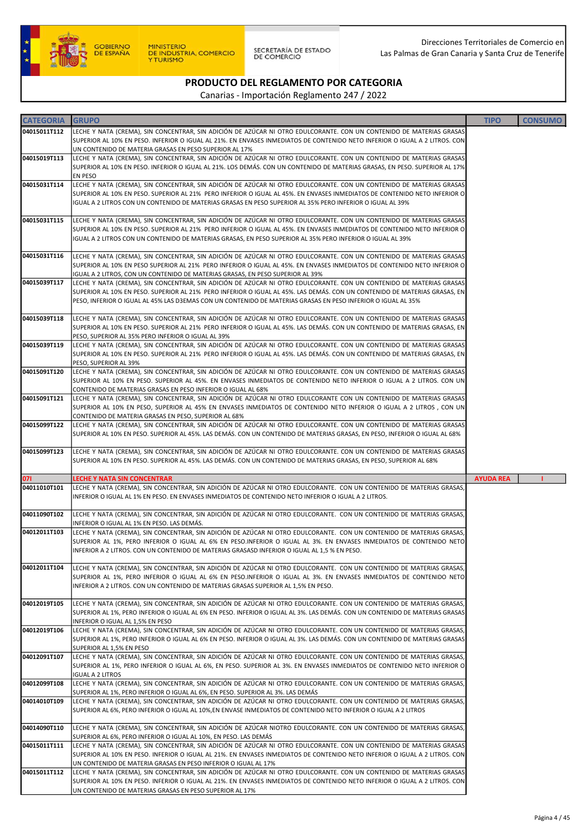

| <b>CATEGORIA</b> | <b>GRUPO</b>                                                                                                                                                                                                                                      | <b>TIPO</b>      | <b>CONSUMO</b> |
|------------------|---------------------------------------------------------------------------------------------------------------------------------------------------------------------------------------------------------------------------------------------------|------------------|----------------|
| 04015011T112     | LECHE Y NATA (CREMA), SIN CONCENTRAR, SIN ADICIÓN DE AZÚCAR NI OTRO EDULCORANTE. CON UN CONTENIDO DE MATERIAS GRASAS                                                                                                                              |                  |                |
|                  | SUPERIOR AL 10% EN PESO. INFERIOR O IGUAL AL 21%. EN ENVASES INMEDIATOS DE CONTENIDO NETO INFERIOR O IGUAL A 2 LITROS. CON                                                                                                                        |                  |                |
| 04015019T113     | UN CONTENIDO DE MATERIA GRASAS EN PESO SUPERIOR AL 17%<br>LECHE Y NATA (CREMA), SIN CONCENTRAR, SIN ADICIÓN DE AZÚCAR NI OTRO EDULCORANTE. CON UN CONTENIDO DE MATERIAS GRASAS                                                                    |                  |                |
|                  | SUPERIOR AL 10% EN PESO. INFERIOR O IGUAL AL 21%. LOS DEMÁS. CON UN CONTENIDO DE MATERIAS GRASAS, EN PESO. SUPERIOR AL 17%                                                                                                                        |                  |                |
| 04015031T114     | EN PESO                                                                                                                                                                                                                                           |                  |                |
|                  | LECHE Y NATA (CREMA), SIN CONCENTRAR, SIN ADICIÓN DE AZÚCAR NI OTRO EDULCORANTE. CON UN CONTENIDO DE MATERIAS GRASAS<br>SUPERIOR AL 10% EN PESO. SUPERIOR AL 21% PERO INFERIOR O IGUAL AL 45%. EN ENVASES INMEDIATOS DE CONTENIDO NETO INFERIOR O |                  |                |
|                  | IGUAL A 2 LITROS CON UN CONTENIDO DE MATERIAS GRASAS EN PESO SUPERIOR AL 35% PERO INFERIOR O IGUAL AL 39%                                                                                                                                         |                  |                |
| 04015031T115     | LECHE Y NATA (CREMA), SIN CONCENTRAR, SIN ADICIÓN DE AZÚCAR NI OTRO EDULCORANTE. CON UN CONTENIDO DE MATERIAS GRASAS                                                                                                                              |                  |                |
|                  | SUPERIOR AL 10% EN PESO. SUPERIOR AL 21% PERO INFERIOR O IGUAL AL 45%. EN ENVASES INMEDIATOS DE CONTENIDO NETO INFERIOR O                                                                                                                         |                  |                |
|                  | IGUAL A 2 LITROS CON UN CONTENIDO DE MATERIAS GRASAS, EN PESO SUPERIOR AL 35% PERO INFERIOR O IGUAL AL 39%                                                                                                                                        |                  |                |
| 04015031T116     | LECHE Y NATA (CREMA), SIN CONCENTRAR, SIN ADICIÓN DE AZÚCAR NI OTRO EDULCORANTE. CON UN CONTENIDO DE MATERIAS GRASAS                                                                                                                              |                  |                |
|                  | SUPERIOR AL 10% EN PESO SUPERIOR AL 21% PERO INFERIOR O IGUAL AL 45%. EN ENVASES INMEDIATOS DE CONTENIDO NETO INFERIOR O                                                                                                                          |                  |                |
|                  | IGUAL A 2 LITROS, CON UN CONTENIDO DE MATERIAS GRASAS, EN PESO SUPERIOR AL 39%                                                                                                                                                                    |                  |                |
| 04015039T117     | LECHE Y NATA (CREMA), SIN CONCENTRAR, SIN ADICIÓN DE AZÚCAR NI OTRO EDULCORANTE. CON UN CONTENIDO DE MATERIAS GRASAS<br>SUPERIOR AL 10% EN PESO. SUPERIOR AL 21% PERO INFERIOR O IGUAL AL 45%. LAS DEMÁS. CON UN CONTENIDO DE MATERIAS GRASAS, EN |                  |                |
|                  | PESO, INFERIOR O IGUAL AL 45% LAS D3EMAS CON UN CONTENIDO DE MATERIAS GRASAS EN PESO INFERIOR O IGUAL AL 35%                                                                                                                                      |                  |                |
|                  |                                                                                                                                                                                                                                                   |                  |                |
| 04015039T118     | LECHE Y NATA (CREMA), SIN CONCENTRAR, SIN ADICIÓN DE AZÚCAR NI OTRO EDULCORANTE. CON UN CONTENIDO DE MATERIAS GRASAS<br>SUPERIOR AL 10% EN PESO. SUPERIOR AL 21% PERO INFERIOR O IGUAL AL 45%. LAS DEMÁS. CON UN CONTENIDO DE MATERIAS GRASAS, EN |                  |                |
|                  | PESO, SUPERIOR AL 35% PERO INFERIOR O IGUAL AL 39%                                                                                                                                                                                                |                  |                |
| 04015039T119     | LECHE Y NATA (CREMA), SIN CONCENTRAR, SIN ADICIÓN DE AZÚCAR NI OTRO EDULCORANTE. CON UN CONTENIDO DE MATERIAS GRASAS                                                                                                                              |                  |                |
|                  | SUPERIOR AL 10% EN PESO. SUPERIOR AL 21% PERO INFERIOR O IGUAL AL 45%. LAS DEMÁS. CON UN CONTENIDO DE MATERIAS GRASAS, EN                                                                                                                         |                  |                |
| 04015091T120     | PESO, SUPERIOR AL 39%<br>LECHE Y NATA (CREMA), SIN CONCENTRAR, SIN ADICIÓN DE AZÚCAR NI OTRO EDULCORANTE. CON UN CONTENIDO DE MATERIAS GRASAS                                                                                                     |                  |                |
|                  | SUPERIOR AL 10% EN PESO. SUPERIOR AL 45%. EN ENVASES INMEDIATOS DE CONTENIDO NETO INFERIOR O IGUAL A 2 LITROS. CON UN                                                                                                                             |                  |                |
|                  | CONTENIDO DE MATERIAS GRASAS EN PESO INFERIOR O IGUAL AL 68%                                                                                                                                                                                      |                  |                |
| 04015091T121     | LECHE Y NATA (CREMA), SIN CONCENTRAR, SIN ADICIÓN DE AZÚCAR NI OTRO EDULCORANTE CON UN CONTENIDO DE MATERIAS GRASAS<br>SUPERIOR AL 10% EN PESO, SUPERIOR AL 45% EN ENVASES INMEDIATOS DE CONTENIDO NETO INFERIOR O IGUAL A 2 LITROS , CON UN      |                  |                |
|                  | CONTENIDO DE MATERIA GRASAS EN PESO, SUPERIOR AL 68%                                                                                                                                                                                              |                  |                |
| 04015099T122     | LECHE Y NATA (CREMA), SIN CONCENTRAR, SIN ADICIÓN DE AZÚCAR NI OTRO EDULCORANTE. CON UN CONTENIDO DE MATERIAS GRASAS                                                                                                                              |                  |                |
|                  | SUPERIOR AL 10% EN PESO. SUPERIOR AL 45%. LAS DEMÁS. CON UN CONTENIDO DE MATERIAS GRASAS, EN PESO, INFERIOR O IGUAL AL 68%                                                                                                                        |                  |                |
| 04015099T123     | LECHE Y NATA (CREMA), SIN CONCENTRAR, SIN ADICIÓN DE AZÚCAR NI OTRO EDULCORANTE. CON UN CONTENIDO DE MATERIAS GRASAS                                                                                                                              |                  |                |
|                  | SUPERIOR AL 10% EN PESO. SUPERIOR AL 45%. LAS DEMÁS. CON UN CONTENIDO DE MATERIAS GRASAS, EN PESO, SUPERIOR AL 68%                                                                                                                                |                  |                |
| 071              | <b>LECHE Y NATA SIN CONCENTRAR</b>                                                                                                                                                                                                                | <b>AYUDA REA</b> |                |
| 04011010T101     | LECHE Y NATA (CREMA), SIN CONCENTRAR, SIN ADICIÓN DE AZÚCAR NI OTRO EDULCORANTE. CON UN CONTENIDO DE MATERIAS GRASAS,<br>INFERIOR O IGUAL AL 1% EN PESO. EN ENVASES INMEDIATOS DE CONTENIDO NETO INFERIOR O IGUAL A 2 LITROS.                     |                  |                |
|                  |                                                                                                                                                                                                                                                   |                  |                |
| 04011090T102     | LECHE Y NATA (CREMA), SIN CONCENTRAR, SIN ADICIÓN DE AZÚCAR NI OTRO EDULCORANTE. CON UN CONTENIDO DE MATERIAS GRASAS,<br>INFERIOR O IGUAL AL 1% EN PESO. LAS DEMÁS.                                                                               |                  |                |
| 04012011T103     | LECHE Y NATA (CREMA), SIN CONCENTRAR, SIN ADICIÓN DE AZÚCAR NI OTRO EDULCORANTE. CON UN CONTENIDO DE MATERIAS GRASAS,                                                                                                                             |                  |                |
|                  | SUPERIOR AL 1%, PERO INFERIOR O IGUAL AL 6% EN PESO.INFERIOR O IGUAL AL 3%. EN ENVASES INMEDIATOS DE CONTENIDO NETO                                                                                                                               |                  |                |
|                  | INFERIOR A 2 LITROS. CON UN CONTENIDO DE MATERIAS GRASASD INFERIOR O IGUAL AL 1,5 % EN PESO.                                                                                                                                                      |                  |                |
| 04012011T104     | LECHE Y NATA (CREMA), SIN CONCENTRAR, SIN ADICIÓN DE AZÚCAR NI OTRO EDULCORANTE. CON UN CONTENIDO DE MATERIAS GRASAS                                                                                                                              |                  |                |
|                  | SUPERIOR AL 1%, PERO INFERIOR O IGUAL AL 6% EN PESO.INFERIOR O IGUAL AL 3%. EN ENVASES INMEDIATOS DE CONTENIDO NETO                                                                                                                               |                  |                |
|                  | INFERIOR A 2 LITROS. CON UN CONTENIDO DE MATERIAS GRASAS SUPERIOR AL 1,5% EN PESO.                                                                                                                                                                |                  |                |
| 04012019T105     | LECHE Y NATA (CREMA), SIN CONCENTRAR, SIN ADICIÓN DE AZÚCAR NI OTRO EDULCORANTE. CON UN CONTENIDO DE MATERIAS GRASAS                                                                                                                              |                  |                |
|                  | SUPERIOR AL 1%, PERO INFERIOR O IGUAL AL 6% EN PESO. INFERIOR O IGUAL AL 3%. LAS DEMÁS. CON UN CONTENIDO DE MATERIAS GRASAS<br>INFERIOR O IGUAL AL 1,5% EN PESO                                                                                   |                  |                |
| 04012019T106     | LECHE Y NATA (CREMA), SIN CONCENTRAR, SIN ADICIÓN DE AZÚCAR NI OTRO EDULCORANTE. CON UN CONTENIDO DE MATERIAS GRASAS                                                                                                                              |                  |                |
|                  | SUPERIOR AL 1%, PERO INFERIOR O IGUAL AL 6% EN PESO. INFERIOR O IGUAL AL 3%. LAS DEMÁS. CON UN CONTENIDO DE MATERIAS GRASAS                                                                                                                       |                  |                |
| 04012091T107     | SUPERIOR AL 1,5% EN PESO<br>LECHE Y NATA (CREMA), SIN CONCENTRAR, SIN ADICIÓN DE AZÚCAR NI OTRO EDULCORANTE. CON UN CONTENIDO DE MATERIAS GRASAS,                                                                                                 |                  |                |
|                  | SUPERIOR AL 1%, PERO INFERIOR O IGUAL AL 6%, EN PESO. SUPERIOR AL 3%. EN ENVASES INMEDIATOS DE CONTENIDO NETO INFERIOR O                                                                                                                          |                  |                |
|                  | <b>IGUAL A 2 LITROS</b>                                                                                                                                                                                                                           |                  |                |
| 04012099T108     | LECHE Y NATA (CREMA), SIN CONCENTRAR, SIN ADICIÓN DE AZÚCAR NI OTRO EDULCORANTE. CON UN CONTENIDO DE MATERIAS GRASAS,<br>SUPERIOR AL 1%, PERO INFERIOR O IGUAL AL 6%, EN PESO. SUPERIOR AL 3%. LAS DEMÁS                                          |                  |                |
| 04014010T109     | LECHE Y NATA (CREMA), SIN CONCENTRAR, SIN ADICIÓN DE AZÚCAR NI OTRO EDULCORANTE. CON UN CONTENIDO DE MATERIAS GRASAS,                                                                                                                             |                  |                |
|                  | SUPERIOR AL 6%, PERO INFERIOR O IGUAL AL 10%,EN ENVASE INMEDIATOS DE CONTENIDO NETO INFERIOR O IGUAL A 2 LITROS                                                                                                                                   |                  |                |
| 04014090T110     | LECHE Y NATA (CREMA), SIN CONCENTRAR, SIN ADICIÓN DE AZÚCAR NIOTRO EDULCORANTE. CON UN CONTENIDO DE MATERIAS GRASAS,                                                                                                                              |                  |                |
|                  | SUPERIOR AL 6%, PERO INFERIOR O IGUAL AL 10%, EN PESO. LAS DEMÁS                                                                                                                                                                                  |                  |                |
| 04015011T111     | LECHE Y NATA (CREMA), SIN CONCENTRAR, SIN ADICIÓN DE AZÚCAR NI OTRO EDULCORANTE. CON UN CONTENIDO DE MATERIAS GRASAS                                                                                                                              |                  |                |
|                  | SUPERIOR AL 10% EN PESO. INFERIOR O IGUAL AL 21%. EN ENVASES INMEDIATOS DE CONTENIDO NETO INFERIOR O IGUAL A 2 LITROS. CON<br>UN CONTENIDO DE MATERIA GRASAS EN PESO INFERIOR O IGUAL AL 17%                                                      |                  |                |
| 04015011T112     | LECHE Y NATA (CREMA), SIN CONCENTRAR, SIN ADICIÓN DE AZÚCAR NI OTRO EDULCORANTE. CON UN CONTENIDO DE MATERIAS GRASAS                                                                                                                              |                  |                |
|                  | SUPERIOR AL 10% EN PESO. INFERIOR O IGUAL AL 21%. EN ENVASES INMEDIATOS DE CONTENIDO NETO INFERIOR O IGUAL A 2 LITROS. CON<br>UN CONTENIDO DE MATERIAS GRASAS EN PESO SUPERIOR AL 17%                                                             |                  |                |
|                  |                                                                                                                                                                                                                                                   |                  |                |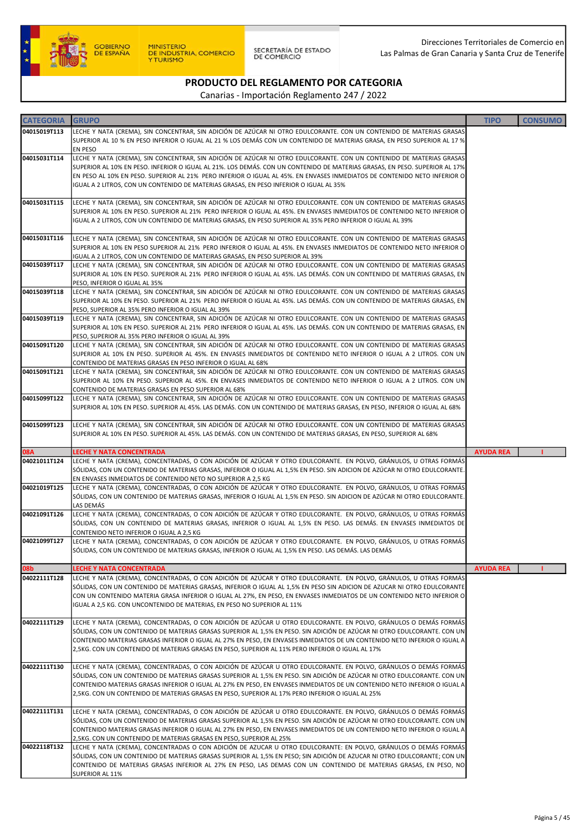

| <b>CATEGORIA</b> | <b>GRUPO</b>                                                                                                                                                                                                                                                                                                                                                                                                                                                                  | <b>TIPO</b>      | <b>CONSUMO</b> |
|------------------|-------------------------------------------------------------------------------------------------------------------------------------------------------------------------------------------------------------------------------------------------------------------------------------------------------------------------------------------------------------------------------------------------------------------------------------------------------------------------------|------------------|----------------|
| 04015019T113     | LECHE Y NATA (CREMA), SIN CONCENTRAR, SIN ADICIÓN DE AZÚCAR NI OTRO EDULCORANTE. CON UN CONTENIDO DE MATERIAS GRASAS<br>SUPERIOR AL 10 % EN PESO INFERIOR O IGUAL AL 21 % LOS DEMÁS CON UN CONTENIDO DE MATERIAS GRASA, EN PESO SUPERIOR AL 17 %<br>EN PESO                                                                                                                                                                                                                   |                  |                |
| 04015031T114     | LECHE Y NATA (CREMA), SIN CONCENTRAR, SIN ADICIÓN DE AZÚCAR NI OTRO EDULCORANTE. CON UN CONTENIDO DE MATERIAS GRASAS<br>SUPERIOR AL 10% EN PESO. INFERIOR O IGUAL AL 21%. LOS DEMÁS. CON UN CONTENIDO DE MATERIAS GRASAS, EN PESO. SUPERIOR AL 17%<br>EN PESO AL 10% EN PESO. SUPERIOR AL 21% PERO INFERIOR O IGUAL AL 45%. EN ENVASES INMEDIATOS DE CONTENIDO NETO INFERIOR O<br>IGUAL A 2 LITROS, CON UN CONTENIDO DE MATERIAS GRASAS, EN PESO INFERIOR O IGUAL AL 35%      |                  |                |
| 04015031T115     | LECHE Y NATA (CREMA), SIN CONCENTRAR, SIN ADICIÓN DE AZÚCAR NI OTRO EDULCORANTE. CON UN CONTENIDO DE MATERIAS GRASAS<br>SUPERIOR AL 10% EN PESO. SUPERIOR AL 21% PERO INFERIOR O IGUAL AL 45%. EN ENVASES INMEDIATOS DE CONTENIDO NETO INFERIOR O<br>IGUAL A 2 LITROS, CON UN CONTENIDO DE MATERIAS GRASAS, EN PESO SUPERIOR AL 35% PERO INFERIOR O IGUAL AL 39%                                                                                                              |                  |                |
| 04015031T116     | LECHE Y NATA (CREMA), SIN CONCENTRAR, SIN ADICIÓN DE AZÚCAR NI OTRO EDULCORANTE. CON UN CONTENIDO DE MATERIAS GRASAS<br>SUPERIOR AL 10% EN PESO SUPERIOR AL 21% PERO INFERIOR O IGUAL AL 45%. EN ENVASES INMEDIATOS DE CONTENIDO NETO INFERIOR O<br>IGUAL A 2 LITROS, CON UN CONTENIDO DE MATEIRAS GRASAS, EN PESO SUPERIOR AL 39%                                                                                                                                            |                  |                |
| 04015039T117     | LECHE Y NATA (CREMA), SIN CONCENTRAR, SIN ADICIÓN DE AZÚCAR NI OTRO EDULCORANTE. CON UN CONTENIDO DE MATERIAS GRASAS<br>SUPERIOR AL 10% EN PESO. SUPERIOR AL 21% PERO INFERIOR O IGUAL AL 45%. LAS DEMÁS. CON UN CONTENIDO DE MATERIAS GRASAS, EN<br>PESO, INFERIOR O IGUAL AL 35%                                                                                                                                                                                            |                  |                |
| 04015039T118     | LECHE Y NATA (CREMA), SIN CONCENTRAR, SIN ADICIÓN DE AZÚCAR NI OTRO EDULCORANTE. CON UN CONTENIDO DE MATERIAS GRASAS<br>SUPERIOR AL 10% EN PESO. SUPERIOR AL 21% PERO INFERIOR O IGUAL AL 45%. LAS DEMÁS. CON UN CONTENIDO DE MATERIAS GRASAS, EN<br>PESO, SUPERIOR AL 35% PERO INFERIOR O IGUAL AL 39%                                                                                                                                                                       |                  |                |
| 04015039T119     | LECHE Y NATA (CREMA), SIN CONCENTRAR, SIN ADICIÓN DE AZÚCAR NI OTRO EDULCORANTE. CON UN CONTENIDO DE MATERIAS GRASAS<br>SUPERIOR AL 10% EN PESO. SUPERIOR AL 21% PERO INFERIOR O IGUAL AL 45%. LAS DEMÁS. CON UN CONTENIDO DE MATERIAS GRASAS, EN<br>PESO, SUPERIOR AL 35% PERO INFERIOR O IGUAL AL 39%                                                                                                                                                                       |                  |                |
| 04015091T120     | LECHE Y NATA (CREMA), SIN CONCENTRAR, SIN ADICIÓN DE AZÚCAR NI OTRO EDULCORANTE. CON UN CONTENIDO DE MATERIAS GRASAS<br>SUPERIOR AL 10% EN PESO. SUPERIOR AL 45%. EN ENVASES INMEDIATOS DE CONTENIDO NETO INFERIOR O IGUAL A 2 LITROS. CON UN<br>CONTENIDO DE MATERIAS GRASAS EN PESO INFERIOR O IGUAL AL 68%                                                                                                                                                                 |                  |                |
| 04015091T121     | LECHE Y NATA (CREMA), SIN CONCENTRAR, SIN ADICIÓN DE AZÚCAR NI OTRO EDULCORANTE. CON UN CONTENIDO DE MATERIAS GRASAS<br>SUPERIOR AL 10% EN PESO. SUPERIOR AL 45%. EN ENVASES INMEDIATOS DE CONTENIDO NETO INFERIOR O IGUAL A 2 LITROS. CON UN<br>CONTENIDO DE MATERIAS GRASAS EN PESO SUPERIOR AL 68%                                                                                                                                                                         |                  |                |
| 04015099T122     | LECHE Y NATA (CREMA), SIN CONCENTRAR, SIN ADICIÓN DE AZÚCAR NI OTRO EDULCORANTE. CON UN CONTENIDO DE MATERIAS GRASAS<br>SUPERIOR AL 10% EN PESO. SUPERIOR AL 45%. LAS DEMÁS. CON UN CONTENIDO DE MATERIAS GRASAS, EN PESO, INFERIOR O IGUAL AL 68%                                                                                                                                                                                                                            |                  |                |
| 04015099T123     | LECHE Y NATA (CREMA), SIN CONCENTRAR, SIN ADICIÓN DE AZÚCAR NI OTRO EDULCORANTE. CON UN CONTENIDO DE MATERIAS GRASAS<br>SUPERIOR AL 10% EN PESO. SUPERIOR AL 45%. LAS DEMÁS. CON UN CONTENIDO DE MATERIAS GRASAS, EN PESO, SUPERIOR AL 68%                                                                                                                                                                                                                                    |                  |                |
| <b>08A</b>       | <b>LECHE Y NATA CONCENTRADA</b>                                                                                                                                                                                                                                                                                                                                                                                                                                               | <b>AYUDA REA</b> |                |
| 04021011T124     | LECHE Y NATA (CREMA), CONCENTRADAS, O CON ADICIÓN DE AZÚCAR Y OTRO EDULCORANTE.  EN POLVO, GRÁNULOS, U OTRAS FORMÁS<br>SÓLIDAS, CON UN CONTENIDO DE MATERIAS GRASAS, INFERIOR O IGUAL AL 1,5% EN PESO. SIN ADICION DE AZÚCAR NI OTRO EDULCORANTE.<br>EN ENVASES INMEDIATOS DE CONTENIDO NETO NO SUPERIOR A 2,5 KG                                                                                                                                                             |                  |                |
| 04021019T125     | LECHE Y NATA (CREMA), CONCENTRADAS, O CON ADICIÓN DE AZÚCAR Y OTRO EDULCORANTE. EN POLVO, GRÁNULOS, U OTRAS FORMÁS<br>SÓLIDAS, CON UN CONTENIDO DE MATERIAS GRASAS, INFERIOR O IGUAL AL 1,5% EN PESO. SIN ADICION DE AZÚCAR NI OTRO EDULCORANTE.<br>LAS DEMÁS                                                                                                                                                                                                                 |                  |                |
| 04021091T126     | LECHE Y NATA (CREMA), CONCENTRADAS, O CON ADICIÓN DE AZÚCAR Y OTRO EDULCORANTE. EN POLVO, GRÁNULOS, U OTRAS FORMÁS<br>SÓLIDAS, CON UN CONTENIDO DE MATERIAS GRASAS, INFERIOR O IGUAL AL 1,5% EN PESO. LAS DEMÁS. EN ENVASES INMEDIATOS DE<br>CONTENIDO NETO INFERIOR O IGUAL A 2,5 KG                                                                                                                                                                                         |                  |                |
| 04021099T127     | LECHE Y NATA (CREMA), CONCENTRADAS, O CON ADICIÓN DE AZÚCAR Y OTRO EDULCORANTE. EN POLVO, GRÁNULOS, U OTRAS FORMÁS<br>SÓLIDAS, CON UN CONTENIDO DE MATERIAS GRASAS, INFERIOR O IGUAL AL 1,5% EN PESO. LAS DEMÁS. LAS DEMÁS                                                                                                                                                                                                                                                    |                  |                |
| 08b              | <b>LECHE Y NATA CONCENTRADA</b>                                                                                                                                                                                                                                                                                                                                                                                                                                               | <b>AYUDA REA</b> |                |
| 04022111T128     | LECHE Y NATA (CREMA), CONCENTRADAS, O CON ADICIÓN DE AZÚCAR Y OTRO EDULCORANTE. EN POLVO, GRÁNULOS, U OTRAS FORMÁS<br>SÓLIDAS, CON UN CONTENIDO DE MATERIAS GRASAS, INFERIOR O IGUAL AL 1,5% EN PESO SIN ADICION DE AZUCAR NI OTRO EDULCORANTE<br>CON UN CONTENIDO MATERIA GRASA INFERIOR O IGUAL AL 27%, EN PESO, EN ENVASES INMEDIATOS DE UN CONTENIDO NETO INFERIOR O<br>IGUAL A 2,5 KG. CON UNCONTENIDO DE MATERIAS, EN PESO NO SUPERIOR AL 11%                           |                  |                |
| 04022111T129     | LECHE Y NATA (CREMA), CONCENTRADAS, O CON ADICIÓN DE AZÚCAR U OTRO EDULCORANTE. EN POLVO, GRÁNULOS O DEMÁS FORMÁS<br>SÓLIDAS, CON UN CONTENIDO DE MATERIAS GRASAS SUPERIOR AL 1,5% EN PESO. SIN ADICIÓN DE AZÚCAR NI OTRO EDULCORANTE. CON UN<br>CONTENIDO MATERIAS GRASAS INFERIOR O IGUAL AL 27% EN PESO, EN ENVASES INMEDIATOS DE UN CONTENIDO NETO INFERIOR O IGUAL A<br>2,5KG. CON UN CONTENIDO DE MATERIAS GRASAS EN PESO, SUPERIOR AL 11% PERO INFERIOR O IGUAL AL 17% |                  |                |
| 04022111T130     | LECHE Y NATA (CREMA), CONCENTRADAS, O CON ADICIÓN DE AZÚCAR U OTRO EDULCORANTE. EN POLVO, GRÁNULOS O DEMÁS FORMÁS<br>SÓLIDAS, CON UN CONTENIDO DE MATERIAS GRASAS SUPERIOR AL 1,5% EN PESO. SIN ADICIÓN DE AZÚCAR NI OTRO EDULCORANTE. CON UN<br>CONTENIDO MATERIAS GRASAS INFERIOR O IGUAL AL 27% EN PESO, EN ENVASES INMEDIATOS DE UN CONTENIDO NETO INFERIOR O IGUAL A<br>2,5KG. CON UN CONTENIDO DE MATERIAS GRASAS EN PESO, SUPERIOR AL 17% PERO INFERIOR O IGUAL AL 25% |                  |                |
| 04022111T131     | LECHE Y NATA (CREMA), CONCENTRADAS, O CON ADICIÓN DE AZÚCAR U OTRO EDULCORANTE. EN POLVO, GRÁNULOS O DEMÁS FORMÁS<br>SÓLIDAS, CON UN CONTENIDO DE MATERIAS GRASAS SUPERIOR AL 1,5% EN PESO. SIN ADICIÓN DE AZÚCAR NI OTRO EDULCORANTE. CON UN<br>CONTENIDO MATERIAS GRASAS INFERIOR O IGUAL AL 27% EN PESO, EN ENVASES INMEDIATOS DE UN CONTENIDO NETO INFERIOR O IGUAL A<br>2,5KG. CON UN CONTENIDO DE MATERIAS GRASAS EN PESO, SUPERIOR AL 25%                              |                  |                |
| 04022118T132     | LECHE Y NATA (CREMA), CONCENTRADAS O CON ADICIÓN DE AZUCAR U OTRO EDULCORANTE: EN POLVO, GRÁNULOS O DEMÁS FORMÁS<br>SÓLIDAS, CON UN CONTENIDO DE MATERIAS GRASAS SUPERIOR AL 1,5% EN PESO; SIN ADICIÓN DE AZUCAR NI OTRO EDULCORANTE; CON UN<br>CONTENIDO DE MATERIAS GRASAS INFERIOR AL 27% EN PESO, LAS DEMAS CON UN CONTENIDO DE MATERIAS GRASAS, EN PESO, NO<br>SUPERIOR AL 11%                                                                                           |                  |                |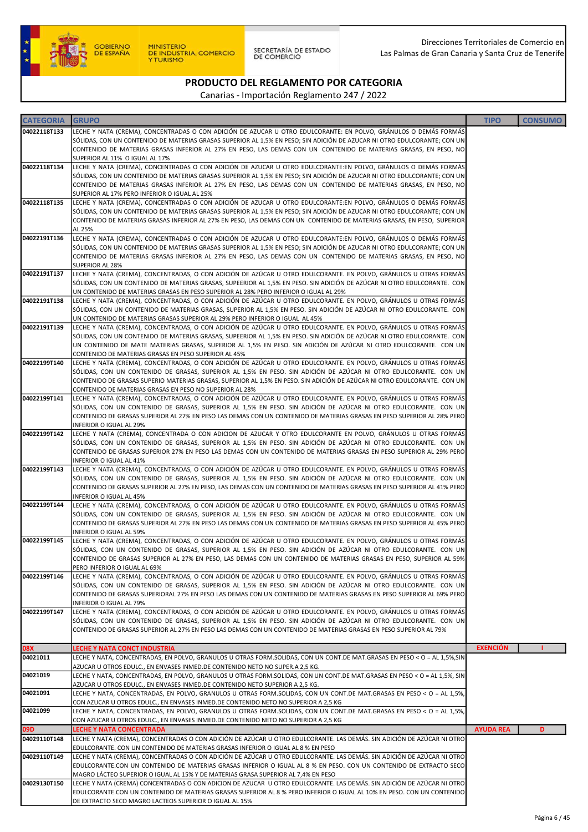

SECRETARÍA DE ESTADO<br>DE COMERCIO

# PRODUCTO DEL REGLAMENTO POR CATEGORIA

| <b>CATEGORIA</b> | <b>GRUPO</b>                                                                                                                                                                                                                                  | <b>TIPO</b>      | <b>CONSUMO</b> |
|------------------|-----------------------------------------------------------------------------------------------------------------------------------------------------------------------------------------------------------------------------------------------|------------------|----------------|
| 04022118T133     | LECHE Y NATA (CREMA), CONCENTRADAS O CON ADICIÓN DE AZUCAR U OTRO EDULCORANTE: EN POLVO, GRÁNULOS O DEMÁS FORMÁS                                                                                                                              |                  |                |
|                  | SÓLIDAS, CON UN CONTENIDO DE MATERIAS GRASAS SUPERIOR AL 1,5% EN PESO; SIN ADICIÓN DE AZUCAR NI OTRO EDULCORANTE; CON UN                                                                                                                      |                  |                |
|                  | CONTENIDO DE MATERIAS GRASAS INFERIOR AL 27% EN PESO, LAS DEMAS CON UN CONTENIDO DE MATERIAS GRASAS, EN PESO, NO                                                                                                                              |                  |                |
| 04022118T134     | SUPERIOR AL 11% O IGUAL AL 17%<br>LECHE Y NATA (CREMA), CONCENTRADAS O CON ADICIÓN DE AZUCAR U OTRO EDULCORANTE:EN POLVO, GRÁNULOS O DEMÁS FORMÁS                                                                                             |                  |                |
|                  | SÓLIDAS, CON UN CONTENIDO DE MATERIAS GRASAS SUPERIOR AL 1,5% EN PESO; SIN ADICIÓN DE AZUCAR NI OTRO EDULCORANTE; CON UN                                                                                                                      |                  |                |
|                  | CONTENIDO DE MATERIAS GRASAS INFERIOR AL 27% EN PESO, LAS DEMAS CON UN CONTENIDO DE MATERIAS GRASAS, EN PESO, NO                                                                                                                              |                  |                |
|                  | SUPERIOR AL 17% PERO INFERIOR O IGUAL AL 25%                                                                                                                                                                                                  |                  |                |
| 04022118T135     | LECHE Y NATA (CREMA), CONCENTRADAS O CON ADICIÓN DE AZUCAR U OTRO EDULCORANTE:EN POLVO, GRÁNULOS O DEMÁS FORMÁS<br>SÓLIDAS, CON UN CONTENIDO DE MATERIAS GRASAS SUPERIOR AL 1,5% EN PESO; SIN ADICIÓN DE AZUCAR NI OTRO EDULCORANTE; CON UN   |                  |                |
|                  | CONTENIDO DE MATERIAS GRASAS INFERIOR AL 27% EN PESO, LAS DEMAS CON UN CONTENIDO DE MATERIAS GRASAS, EN PESO, SUPERIOR                                                                                                                        |                  |                |
|                  | AL 25%                                                                                                                                                                                                                                        |                  |                |
| 04022191T136     | LECHE Y NATA (CREMA), CONCENTRADAS O CON ADICIÓN DE AZUCAR U OTRO EDULCORANTE:EN POLVO, GRÁNULOS O DEMÁS FORMÁS                                                                                                                               |                  |                |
|                  | SÓLIDAS, CON UN CONTENIDO DE MATERIAS GRASAS SUPERIOR AL 1,5% EN PESO; SIN ADICIÓN DE AZUCAR NI OTRO EDULCORANTE; CON UN<br>CONTENIDO DE MATERIAS GRASAS INFERIOR AL 27% EN PESO, LAS DEMAS CON UN CONTENIDO DE MATERIAS GRASAS, EN PESO, NO  |                  |                |
|                  | SUPERIOR AL 28%                                                                                                                                                                                                                               |                  |                |
| 04022191T137     | LECHE Y NATA (CREMA), CONCENTRADAS, O CON ADICIÓN DE AZÚCAR U OTRO EDULCORANTE. EN POLVO, GRÁNULOS U OTRAS FORMÁS                                                                                                                             |                  |                |
|                  | SÓLIDAS, CON UN CONTENIDO DE MATERIAS GRASAS, SUPEERIOR AL 1,5% EN PESO. SIN ADICIÓN DE AZÚCAR NI OTRO EDULCORANTE. CON                                                                                                                       |                  |                |
| 04022191T138     | UN CONTENIDO DE MATERIAS GRASAS EN PESO SUPERIOR AL 28% PERO INFERIOR O IGUAL AL 29%<br>LECHE Y NATA (CREMA), CONCENTRADAS, O CON ADICIÓN DE AZÚCAR U OTRO EDULCORANTE. EN POLVO, GRÁNULOS U OTRAS FORMÁS                                     |                  |                |
|                  | SÓLIDAS, CON UN CONTENIDO DE MATERIAS GRASAS, SUPERIOR AL 1,5% EN PESO. SIN ADICIÓN DE AZÚCAR NI OTRO EDULCORANTE. CON                                                                                                                        |                  |                |
|                  | UN CONTENIDO DE MATERIAS GRASAS SUPERIOR AL 29% PERO INFERIOR O IGUAL AL 45%                                                                                                                                                                  |                  |                |
| 04022191T139     | LECHE Y NATA (CREMA), CONCENTRADAS, O CON ADICIÓN DE AZÚCAR U OTRO EDULCORANTE. EN POLVO, GRÁNULOS U OTRAS FORMÁS                                                                                                                             |                  |                |
|                  | SÓLIDAS, CON UN CONTENIDO DE MATERIAS GRASAS, SUPEERIOR AL 1,5% EN PESO. SIN ADICIÓN DE AZÚCAR NI OTRO EDULCORANTE. CON<br>UN CONTENIDO DE MATE MATERIAS GRASAS, SUPERIOR AL 1,5% EN PESO. SIN ADICIÓN DE AZÚCAR NI OTRO EDULCORANTE. CON UN  |                  |                |
|                  | CONTENIDO DE MATERIAS GRASAS EN PESO SUPERIOR AL 45%                                                                                                                                                                                          |                  |                |
| 04022199T140     | LECHE Y NATA (CREMA), CONCENTRADAS, O CON ADICIÓN DE AZÚCAR U OTRO EDULCORANTE. EN POLVO, GRÁNULOS U OTRAS FORMÁS                                                                                                                             |                  |                |
|                  | SÓLIDAS, CON UN CONTENIDO DE GRASAS, SUPERIOR AL 1,5% EN PESO. SIN ADICIÓN DE AZÚCAR NI OTRO EDULCORANTE. CON UN                                                                                                                              |                  |                |
|                  | CONTENIDO DE GRASAS SUPERIO MATERIAS GRASAS, SUPERIOR AL 1,5% EN PESO. SIN ADICIÓN DE AZÚCAR NI OTRO EDULCORANTE. CON UN<br>CONTENIDO DE MATERIAS GRASAS EN PESO NO SUPERIOR AL 28%                                                           |                  |                |
| 04022199T141     | LECHE Y NATA (CREMA), CONCENTRADAS, O CON ADICIÓN DE AZÚCAR U OTRO EDULCORANTE. EN POLVO, GRÁNULOS U OTRAS FORMÁS                                                                                                                             |                  |                |
|                  | SÓLIDAS, CON UN CONTENIDO DE GRASAS, SUPERIOR AL 1,5% EN PESO. SIN ADICIÓN DE AZÚCAR NI OTRO EDULCORANTE. CON UN                                                                                                                              |                  |                |
|                  | CONTENIDO DE GRASAS SUPERIOR AL 27% EN PESO LAS DEMAS CON UN CONTENIDO DE MATERIAS GRASAS EN PESO SUPERIOR AL 28% PERO<br>INFERIOR O IGUAL AL 29%                                                                                             |                  |                |
| 04022199T142     | LECHE Y NATA (CREMA), CONCENTRADA O CON ADICION DE AZUCAR Y OTRO EDULCORANTE EN POLVO, GRÁNULOS U OTRAS FORMÁS                                                                                                                                |                  |                |
|                  | SÓLIDAS, CON UN CONTENIDO DE GRASAS, SUPERIOR AL 1,5% EN PESO. SIN ADICIÓN DE AZÚCAR NI OTRO EDULCORANTE. CON UN                                                                                                                              |                  |                |
|                  | CONTENIDO DE GRASAS SUPERIOR 27% EN PESO LAS DEMAS CON UN CONTENIDO DE MATERIAS GRASAS EN PESO SUPERIOR AL 29% PERO                                                                                                                           |                  |                |
| 04022199T143     | INFERIOR O IGUAL AL 41%<br>LECHE Y NATA (CREMA), CONCENTRADAS, O CON ADICIÓN DE AZÚCAR U OTRO EDULCORANTE. EN POLVO, GRÁNULOS U OTRAS FORMÁS                                                                                                  |                  |                |
|                  | SÓLIDAS, CON UN CONTENIDO DE GRASAS, SUPERIOR AL 1,5% EN PESO. SIN ADICIÓN DE AZÚCAR NI OTRO EDULCORANTE. CON UN                                                                                                                              |                  |                |
|                  | CONTENIDO DE GRASAS SUPERIOR AL 27% EN PESO, LAS DEMAS CON UN CONTENIDO DE MATERIAS GRASAS EN PESO SUPERIOR AL 41% PERO                                                                                                                       |                  |                |
|                  | INFERIOR O IGUAL AL 45%                                                                                                                                                                                                                       |                  |                |
| 04022199T144     | LECHE Y NATA (CREMA), CONCENTRADAS, O CON ADICIÓN DE AZÚCAR U OTRO EDULCORANTE. EN POLVO, GRÁNULOS U OTRAS FORMÁS<br>SÓLIDAS, CON UN CONTENIDO DE GRASAS, SUPERIOR AL 1,5% EN PESO. SIN ADICIÓN DE AZÚCAR NI OTRO EDULCORANTE. CON UN         |                  |                |
|                  | CONTENIDO DE GRASAS SUPERIOR AL 27% EN PESO LAS DEMAS CON UN CONTENIDO DE MATERIAS GRASAS EN PESO SUPERIOR AL 45% PERO                                                                                                                        |                  |                |
|                  | INFERIOR O IGUAL AL 59%                                                                                                                                                                                                                       |                  |                |
| 04022199T145     | LECHE Y NATA (CREMA), CONCENTRADAS, O CON ADICIÓN DE AZÚCAR U OTRO EDULCORANTE. EN POLVO, GRÁNULOS U OTRAS FORMÁS<br>SÓLIDAS, CON UN CONTENIDO DE GRASAS, SUPERIOR AL 1,5% EN PESO. SIN ADICIÓN DE AZÚCAR NI OTRO EDULCORANTE. CON UN         |                  |                |
|                  | CONTENIDO DE GRASAS SUPERIOR AL 27% EN PESO, LAS DEMAS CON UN CONTENIDO DE MATERIAS GRASAS EN PESO, SUPERIOR AL 59%                                                                                                                           |                  |                |
|                  | PERO INFERIOR O IGUAL AL 69%                                                                                                                                                                                                                  |                  |                |
| 04022199T146     | LECHE Y NATA (CREMA), CONCENTRADAS, O CON ADICIÓN DE AZÚCAR U OTRO EDULCORANTE. EN POLVO, GRÁNULOS U OTRAS FORMÁS<br>SÓLIDAS, CON UN CONTENIDO DE GRASAS, SUPERIOR AL 1,5% EN PESO. SIN ADICIÓN DE AZÚCAR NI OTRO EDULCORANTE. CON UN         |                  |                |
|                  | CONTENIDO DE GRASAS SUPERIORAL 27% EN PESO LAS DEMAS CON UN CONTENIDO DE MATERIAS GRASAS EN PESO SUPERIOR AL 69% PERO                                                                                                                         |                  |                |
|                  | INFERIOR O IGUAL AL 79%                                                                                                                                                                                                                       |                  |                |
| 04022199T147     | LECHE Y NATA (CREMA), CONCENTRADAS, O CON ADICIÓN DE AZÚCAR U OTRO EDULCORANTE. EN POLVO, GRÁNULOS U OTRAS FORMÁS                                                                                                                             |                  |                |
|                  | SÓLIDAS, CON UN CONTENIDO DE GRASAS, SUPERIOR AL 1,5% EN PESO. SIN ADICIÓN DE AZÚCAR NI OTRO EDULCORANTE. CON UN<br>CONTENIDO DE GRASAS SUPERIOR AL 27% EN PESO LAS DEMAS CON UN CONTENIDO DE MATERIAS GRASAS EN PESO SUPERIOR AL 79%         |                  |                |
|                  |                                                                                                                                                                                                                                               |                  |                |
| <b>08X</b>       | LECHE Y NATA CONCT INDUSTRIA                                                                                                                                                                                                                  | <b>EXENCIÓN</b>  |                |
| 04021011         | LECHE Y NATA, CONCENTRADAS, EN POLVO, GRANULOS U OTRAS FORM.SOLIDAS, CON UN CONT.DE MAT.GRASAS EN PESO < 0 = AL 1,5%,SIN                                                                                                                      |                  |                |
| 04021019         | AZUCAR U OTROS EDULC., EN ENVASES INMED.DE CONTENIDO NETO NO SUPER.A 2,5 KG.<br>LECHE Y NATA, CONCENTRADAS, EN POLVO, GRANULOS U OTRAS FORM.SOLIDAS, CON UN CONT.DE MAT.GRASAS EN PESO < O = AL 1,5%, SIN                                     |                  |                |
|                  | AZUCAR U OTROS EDULC., EN ENVASES INMED.DE CONTENIDO NETO SUPERIOR A 2,5 KG.                                                                                                                                                                  |                  |                |
| 04021091         | LECHE Y NATA, CONCENTRADAS, EN POLVO, GRANULOS U OTRAS FORM.SOLIDAS, CON UN CONT.DE MAT.GRASAS EN PESO < O = AL 1,5%,                                                                                                                         |                  |                |
| 04021099         | CON AZUCAR U OTROS EDULC., EN ENVASES INMED.DE CONTENIDO NETO NO SUPERIOR A 2,5 KG<br>LECHE Y NATA, CONCENTRADAS, EN POLVO, GRANULOS U OTRAS FORM.SOLIDAS, CON UN CONT.DE MAT.GRASAS EN PESO < O = AL 1,5%,                                   |                  |                |
|                  | CON AZUCAR U OTROS EDULC., EN ENVASES INMED.DE CONTENIDO NETO NO SUPERIOR A 2,5 KG                                                                                                                                                            |                  |                |
| 09D              | <b>LECHE Y NATA CONCENTRADA</b>                                                                                                                                                                                                               | <b>AYUDA REA</b> | D              |
| 04029110T148     | LECHE Y NATA (CREMA), CONCENTRADAS O CON ADICIÓN DE AZÚCAR U OTRO EDULCORANTE. LAS DEMÁS. SIN ADICIÓN DE AZÚCAR NI OTRO                                                                                                                       |                  |                |
| 04029110T149     | EDULCORANTE. CON UN CONTENIDO DE MATERIAS GRASAS INFERIOR O IGUAL AL 8 % EN PESO                                                                                                                                                              |                  |                |
|                  | LECHE Y NATA (CREMA), CONCENTRADAS O CON ADICIÓN DE AZÚCAR U OTRO EDULCORANTE. LAS DEMÁS. SIN ADICIÓN DE AZÚCAR NI OTRO<br>EDULCORANTE.CON UN CONTENIDO DE MATERIAS GRASAS INFERIOR O IGUAL AL 8 % EN PESO. CON UN CONTENIDO DE EXTRACTO SECO |                  |                |
|                  | MAGRO LÁCTEO SUPERIOR O IGUAL AL 15% Y DE MATERIAS GRASA SUPERIOR AL 7,4% EN PESO                                                                                                                                                             |                  |                |
| 04029130T150     | LECHE Y NATA (CREMA) CONCENTRADAS O CON ADICION DE AZUCAR U OTRO EDULCORANTE. LAS DEMÁS. SIN ADICIÓN DE AZÚCAR NI OTRO                                                                                                                        |                  |                |
|                  | EDULCORANTE.CON UN CONTENIDO DE MATERIAS GRASAS SUPERIOR AL 8 % PERO INFERIOR O IGUAL AL 10% EN PESO. CON UN CONTENIDO<br>DE EXTRACTO SECO MAGRO LACTEOS SUPERIOR O IGUAL AL 15%                                                              |                  |                |
|                  |                                                                                                                                                                                                                                               |                  |                |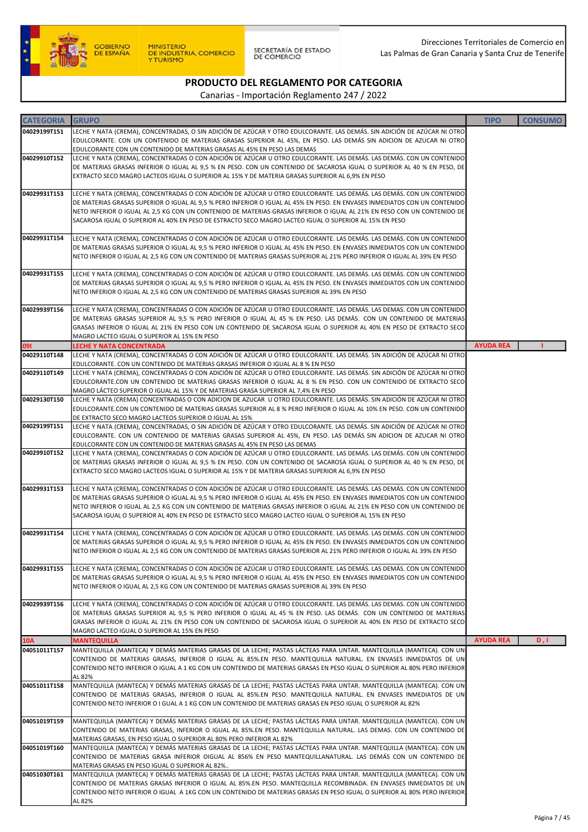

SECRETARÍA DE ESTADO<br>DE COMERCIO

Direcciones Territoriales de Comercio en Las Palmas de Gran Canaria y Santa Cruz de Tenerife

## PRODUCTO DEL REGLAMENTO POR CATEGORIA

| <b>CATEGORIA</b> | <b>GRUPO</b>                                                                                                                                                                                                                                       | <b>TIPO</b>      | <b>CONSUMO</b> |
|------------------|----------------------------------------------------------------------------------------------------------------------------------------------------------------------------------------------------------------------------------------------------|------------------|----------------|
| 04029199T151     | LECHE Y NATA (CREMA), CONCENTRADAS, O SIN ADICIÓN DE AZÚCAR Y OTRO EDULCORANTE. LAS DEMÁS. SIN ADICIÓN DE AZÚCAR NI OTRO                                                                                                                           |                  |                |
|                  | EDULCORANTE. CON UN CONTENIDO DE MATERIAS GRASAS SUPERIOR AL 45%, EN PESO. LAS DEMÁS SIN ADICION DE AZUCAR NI OTRO                                                                                                                                 |                  |                |
| 04029910T152     | EDULCORANTE CON UN CONTENIDO DE MATERIAS GRASAS AL 45% EN PESO LAS DEMAS<br>LECHE Y NATA (CREMA), CONCENTRADAS O CON ADICIÓN DE AZÚCAR U OTRO EDULCORANTE. LAS DEMÁS. LAS DEMÁS. CON UN CONTENIDO                                                  |                  |                |
|                  | DE MATERIAS GRASAS INFERIOR O IGUAL AL 9,5 % EN PESO. CON UN CONTENIDO DE SACAROSA IGUAL O SUPERIOR AL 40 % EN PESO, DE                                                                                                                            |                  |                |
|                  | EXTRACTO SECO MAGRO LACTEOS IGUAL O SUPERIOR AL 15% Y DE MATERIA GRASAS SUPERIOR AL 6,9% EN PESO                                                                                                                                                   |                  |                |
|                  |                                                                                                                                                                                                                                                    |                  |                |
| 04029931T153     | LECHE Y NATA (CREMA), CONCENTRADAS O CON ADICIÓN DE AZÚCAR U OTRO EDULCORANTE. LAS DEMÁS. LAS DEMÁS. CON UN CONTENIDO<br>DE MATERIAS GRASAS SUPERIOR O IGUAL AL 9,5 % PERO INFERIOR O IGUAL AL 45% EN PESO. EN ENVASES INMEDIATOS CON UN CONTENIDO |                  |                |
|                  | NETO INFERIOR O IGUAL AL 2,5 KG CON UN CONTENIDO DE MATERIAS GRASAS INFERIOR O IGUAL AL 21% EN PESO CON UN CONTENIDO DE                                                                                                                            |                  |                |
|                  | SACAROSA IGUAL O SUPERIOR AL 40% EN PESO DE ESTRACTO SECO MAGRO LACTEO IGUAL O SUPERIOR AL 15% EN PESO                                                                                                                                             |                  |                |
|                  |                                                                                                                                                                                                                                                    |                  |                |
| 04029931T154     | LECHE Y NATA (CREMA), CONCENTRADAS O CON ADICIÓN DE AZÚCAR U OTRO EDULCORANTE. LAS DEMÁS. LAS DEMÁS. CON UN CONTENIDO<br>DE MATERIAS GRASAS SUPERIOR O IGUAL AL 9,5 % PERO INFERIOR O IGUAL AL 45% EN PESO. EN ENVASES INMEDIATOS CON UN CONTENIDO |                  |                |
|                  | NETO INFERIOR O IGUAL AL 2,5 KG CON UN CONTENIDO DE MATERIAS GRASAS SUPERIOR AL 21% PERO INFERIOR O IGUAL AL 39% EN PESO                                                                                                                           |                  |                |
|                  |                                                                                                                                                                                                                                                    |                  |                |
| 04029931T155     | LECHE Y NATA (CREMA), CONCENTRADAS O CON ADICIÓN DE AZÚCAR U OTRO EDULCORANTE. LAS DEMÁS. LAS DEMÁS. CON UN CONTENIDO<br>DE MATERIAS GRASAS SUPERIOR O IGUAL AL 9,5 % PERO INFERIOR O IGUAL AL 45% EN PESO. EN ENVASES INMEDIATOS CON UN CONTENIDO |                  |                |
|                  | NETO INFERIOR O IGUAL AL 2,5 KG CON UN CONTENIDO DE MATERIAS GRASAS SUPERIOR AL 39% EN PESO                                                                                                                                                        |                  |                |
|                  |                                                                                                                                                                                                                                                    |                  |                |
| 04029939T156     | LECHE Y NATA (CREMA), CONCENTRADAS O CON ADICIÓN DE AZÚCAR U OTRO EDULCORANTE. LAS DEMÁS. LAS DEMAS. CON UN CONTENIDO                                                                                                                              |                  |                |
|                  | DE MATERIAS GRASAS SUPERIOR AL 9,5 % PERO INFERIOR O IGUAL AL 45 % EN PESO. LAS DEMÁS. CON UN CONTENIDO DE MATERIAS<br>GRASAS INFERIOR O IGUAL AL 21% EN PESO CON UN CONTENIDO DE SACAROSA IGUAL O SUPERIOR AL 40% EN PESO DE EXTRACTO SECO        |                  |                |
|                  | MAGRO LACTEO IGUAL O SUPERIOR AL 15% EN PESO                                                                                                                                                                                                       |                  |                |
| 091              | <b>LECHE Y NATA CONCENTRADA</b>                                                                                                                                                                                                                    | <b>AYUDA REA</b> |                |
| 04029110T148     | LECHE Y NATA (CREMA), CONCENTRADAS O CON ADICIÓN DE AZÚCAR U OTRO EDULCORANTE. LAS DEMÁS. SIN ADICIÓN DE AZÚCAR NI OTRO                                                                                                                            |                  |                |
| 04029110T149     | EDULCORANTE. CON UN CONTENIDO DE MATERIAS GRASAS INFERIOR O IGUAL AL 8 % EN PESO<br>LECHE Y NATA (CREMA), CONCENTRADAS O CON ADICIÓN DE AZÚCAR U OTRO EDULCORANTE. LAS DEMÁS. SIN ADICIÓN DE AZÚCAR NI OTRO                                        |                  |                |
|                  | EDULCORANTE.CON UN CONTENIDO DE MATERIAS GRASAS INFERIOR O IGUAL AL 8 % EN PESO. CON UN CONTENIDO DE EXTRACTO SECO                                                                                                                                 |                  |                |
|                  | MAGRO LÁCTEO SUPERIOR O IGUAL AL 15% Y DE MATERIAS GRASA SUPERIOR AL 7,4% EN PESO                                                                                                                                                                  |                  |                |
| 04029130T150     | LECHE Y NATA (CREMA) CONCENTRADAS O CON ADICION DE AZUCAR U OTRO EDULCORANTE. LAS DEMÁS. SIN ADICIÓN DE AZÚCAR NI OTRO<br>EDULCORANTE.CON UN CONTENIDO DE MATERIAS GRASAS SUPERIOR AL 8 % PERO INFERIOR O IGUAL AL 10% EN PESO. CON UN CONTENIDO   |                  |                |
|                  | DE EXTRACTO SECO MAGRO LACTEOS SUPERIOR O IGUAL AL 15%                                                                                                                                                                                             |                  |                |
| 04029199T151     | LECHE Y NATA (CREMA), CONCENTRADAS, O SIN ADICIÓN DE AZÚCAR Y OTRO EDULCORANTE. LAS DEMÁS. SIN ADICIÓN DE AZÚCAR NI OTRO                                                                                                                           |                  |                |
|                  | EDULCORANTE. CON UN CONTENIDO DE MATERIAS GRASAS SUPERIOR AL 45%, EN PESO. LAS DEMÁS SIN ADICION DE AZUCAR NI OTRO                                                                                                                                 |                  |                |
| 04029910T152     | EDULCORANTE CON UN CONTENIDO DE MATERIAS GRASAS AL 45% EN PESO LAS DEMAS<br>LECHE Y NATA (CREMA), CONCENTRADAS O CON ADICIÓN DE AZÚCAR U OTRO EDULCORANTE. LAS DEMÁS. LAS DEMÁS. CON UN CONTENIDO                                                  |                  |                |
|                  | DE MATERIAS GRASAS INFERIOR O IGUAL AL 9,5 % EN PESO. CON UN CONTENIDO DE SACAROSA IGUAL O SUPERIOR AL 40 % EN PESO, DE                                                                                                                            |                  |                |
|                  | EXTRACTO SECO MAGRO LACTEOS IGUAL O SUPERIOR AL 15% Y DE MATERIA GRASAS SUPERIOR AL 6,9% EN PESO                                                                                                                                                   |                  |                |
| 04029931T153     | LECHE Y NATA (CREMA), CONCENTRADAS O CON ADICIÓN DE AZÚCAR U OTRO EDULCORANTE. LAS DEMÁS. LAS DEMÁS. CON UN CONTENIDO                                                                                                                              |                  |                |
|                  | DE MATERIAS GRASAS SUPERIOR O IGUAL AL 9,5 % PERO INFERIOR O IGUAL AL 45% EN PESO. EN ENVASES INMEDIATOS CON UN CONTENIDO                                                                                                                          |                  |                |
|                  | NETO INFERIOR O IGUAL AL 2,5 KG CON UN CONTENIDO DE MATERIAS GRASAS INFERIOR O IGUAL AL 21% EN PESO CON UN CONTENIDO DE                                                                                                                            |                  |                |
|                  | SACAROSA IGUAL O SUPERIOR AL 40% EN PESO DE ESTRACTO SECO MAGRO LACTEO IGUAL O SUPERIOR AL 15% EN PESO                                                                                                                                             |                  |                |
| 04029931T154     | LECHE Y NATA (CREMA), CONCENTRADAS O CON ADICIÓN DE AZÚCAR U OTRO EDULCORANTE. LAS DEMÁS. LAS DEMÁS. CON UN CONTENIDO                                                                                                                              |                  |                |
|                  | DE MATERIAS GRASAS SUPERIOR O IGUAL AL 9,5 % PERO INFERIOR O IGUAL AL 45% EN PESO. EN ENVASES INMEDIATOS CON UN CONTENIDO                                                                                                                          |                  |                |
|                  | NETO INFERIOR O IGUAL AL 2,5 KG CON UN CONTENIDO DE MATERIAS GRASAS SUPERIOR AL 21% PERO INFERIOR O IGUAL AL 39% EN PESO                                                                                                                           |                  |                |
| 04029931T155     | LECHE Y NATA (CREMA), CONCENTRADAS O CON ADICIÓN DE AZÚCAR U OTRO EDULCORANTE. LAS DEMÁS. LAS DEMÁS. CON UN CONTENIDO                                                                                                                              |                  |                |
|                  | DE MATERIAS GRASAS SUPERIOR O IGUAL AL 9,5 % PERO INFERIOR O IGUAL AL 45% EN PESO. EN ENVASES INMEDIATOS CON UN CONTENIDO                                                                                                                          |                  |                |
|                  | NETO INFERIOR O IGUAL AL 2,5 KG CON UN CONTENIDO DE MATERIAS GRASAS SUPERIOR AL 39% EN PESO                                                                                                                                                        |                  |                |
| 04029939T156     | LECHE Y NATA (CREMA), CONCENTRADAS O CON ADICIÓN DE AZÚCAR U OTRO EDULCORANTE. LAS DEMÁS. LAS DEMAS. CON UN CONTENIDO                                                                                                                              |                  |                |
|                  | DE MATERIAS GRASAS SUPERIOR AL 9,5 % PERO INFERIOR O IGUAL AL 45 % EN PESO. LAS DEMÁS. CON UN CONTENIDO DE MATERIAS                                                                                                                                |                  |                |
|                  | GRASAS INFERIOR O IGUAL AL 21% EN PESO CON UN CONTENIDO DE SACAROSA IGUAL O SUPERIOR AL 40% EN PESO DE EXTRACTO SECO                                                                                                                               |                  |                |
| <b>10A</b>       | MAGRO LACTEO IGUAL O SUPERIOR AL 15% EN PESO<br><b>MANTEQUILLA</b>                                                                                                                                                                                 | <b>AYUDA REA</b> | D, I           |
| 04051011T157     | MANTEQUILLA (MANTECA) Y DEMÁS MATERIAS GRASAS DE LA LECHE; PASTAS LÁCTEAS PARA UNTAR. MANTEQUILLA (MANTECA). CON UN                                                                                                                                |                  |                |
|                  | CONTENIDO DE MATERIAS GRASAS, INFERIOR O IGUAL AL 85%.EN PESO. MANTEQUILLA NATURAL. EN ENVASES INMEDIATOS DE UN                                                                                                                                    |                  |                |
|                  | CONTENIDO NETO INFERIOR O IGUAL A 1 KG CON UN CONTENIDO DE MATERIAS GRASAS EN PESO IGUAL O SUPERIOR AL 80% PERO INFERIOR<br>AL 82%                                                                                                                 |                  |                |
| 04051011T158     | MANTEQUILLA (MANTECA) Y DEMÁS MATERIAS GRASAS DE LA LECHE; PASTAS LÁCTEAS PARA UNTAR. MANTEQUILLA (MANTECA). CON UN                                                                                                                                |                  |                |
|                  | CONTENIDO DE MATERIAS GRASAS, INFERIOR O IGUAL AL 85%.EN PESO. MANTEQUILLA NATURAL. EN ENVASES INMEDIATOS DE UN                                                                                                                                    |                  |                |
|                  | CONTENIDO NETO INFERIOR O I GUAL A 1 KG CON UN CONTENIDO DE MATERIAS GRASAS EN PESO IGUAL O SUPERIOR AL 82%                                                                                                                                        |                  |                |
| 04051019T159     | MANTEQUILLA (MANTECA) Y DEMÁS MATERIAS GRASAS DE LA LECHE; PASTAS LÁCTEAS PARA UNTAR. MANTEQUILLA (MANTECA). CON UN                                                                                                                                |                  |                |
|                  | CONTENIDO DE MATERIAS GRASAS, INFERIOR O IGUAL AL 85% EN PESO. MANTEQUILLA NATURAL. LAS DEMAS. CON UN CONTENIDO DE                                                                                                                                 |                  |                |
|                  | MATERIAS GRASAS, EN PESO IGUAL O SUPERIOR AL 80% PERO INFERIOR AL 82%                                                                                                                                                                              |                  |                |
| 04051019T160     | MANTEQUILLA (MANTECA) Y DEMÁS MATERIAS GRASAS DE LA LECHE; PASTAS LÁCTEAS PARA UNTAR. MANTEQUILLA (MANTECA). CON UN<br>CONTENIDO DE MATERIAS GRASA INFERIOR OIGUAL AL 856% EN PESO MANTEQUILLANATURAL. LAS DEMÁS CON UN CONTENIDO DE               |                  |                |
|                  | MATERIAS GRASAS EN PESO IGUAL O SUPERIOR AL 82%                                                                                                                                                                                                    |                  |                |
| 04051030T161     | MANTEQUILLA (MANTECA) Y DEMÁS MATERIAS GRASAS DE LA LECHE; PASTAS LÁCTEAS PARA UNTAR. MANTEQUILLA (MANTECA). CON UN                                                                                                                                |                  |                |
|                  | CONTENIDO DE MATERIAS GRASAS INFERIOR O IGUAL AL 85%.EN PESO. MANTEQUILLA RECOMBINADA. EN ENVASES INMEDIATOS DE UN                                                                                                                                 |                  |                |
|                  | CONTENIDO NETO INFERIOR O IGUAL A 1KG CON UN CONTENIDO DE MATERIAS GRASAS EN PESO IGUAL O SUPERIOR AL 80% PERO INFERIOR<br>AL 82%                                                                                                                  |                  |                |
|                  |                                                                                                                                                                                                                                                    |                  |                |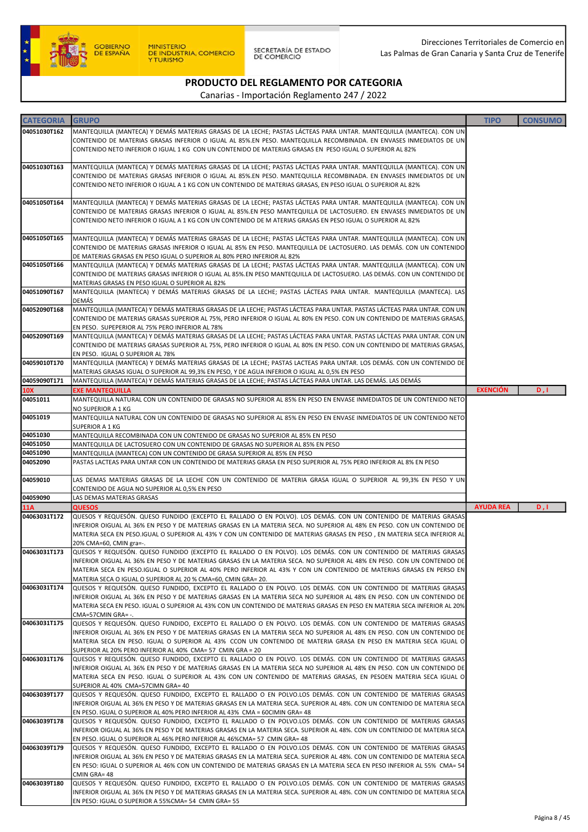

SECRETARÍA DE ESTADO<br>DE COMERCIO

Direcciones Territoriales de Comercio en Las Palmas de Gran Canaria y Santa Cruz de Tenerife

### PRODUCTO DEL REGLAMENTO POR CATEGORIA

| <b>CATEGORIA</b> | <b>GRUPO</b>                                                                                                                                                                                                                                         | <b>TIPO</b>      | <b>CONSUMO</b> |
|------------------|------------------------------------------------------------------------------------------------------------------------------------------------------------------------------------------------------------------------------------------------------|------------------|----------------|
| 04051030T162     |                                                                                                                                                                                                                                                      |                  |                |
|                  | MANTEQUILLA (MANTECA) Y DEMÁS MATERIAS GRASAS DE LA LECHE; PASTAS LÁCTEAS PARA UNTAR. MANTEQUILLA (MANTECA). CON UN<br>CONTENIDO DE MATERIAS GRASAS INFERIOR O IGUAL AL 85%.EN PESO. MANTEQUILLA RECOMBINADA. EN ENVASES INMEDIATOS DE UN            |                  |                |
|                  | CONTENIDO NETO INFERIOR O IGUAL 1 KG CON UN CONTENIDO DE MATERIAS GRASAS EN PESO IGUAL O SUPERIOR AL 82%                                                                                                                                             |                  |                |
|                  |                                                                                                                                                                                                                                                      |                  |                |
| 04051030T163     | MANTEQUILLA (MANTECA) Y DEMÁS MATERIAS GRASAS DE LA LECHE; PASTAS LÁCTEAS PARA UNTAR. MANTEQUILLA (MANTECA). CON UN                                                                                                                                  |                  |                |
|                  | CONTENIDO DE MATERIAS GRASAS INFERIOR O IGUAL AL 85%.EN PESO. MANTEQUILLA RECOMBINADA. EN ENVASES INMEDIATOS DE UN                                                                                                                                   |                  |                |
|                  | CONTENIDO NETO INFERIOR O IGUAL A 1 KG CON UN CONTENIDO DE MATERIAS GRASAS, EN PESO IGUAL O SUPERIOR AL 82%                                                                                                                                          |                  |                |
|                  |                                                                                                                                                                                                                                                      |                  |                |
| 04051050T164     | MANTEQUILLA (MANTECA) Y DEMÁS MATERIAS GRASAS DE LA LECHE; PASTAS LÁCTEAS PARA UNTAR. MANTEQUILLA (MANTECA). CON UN                                                                                                                                  |                  |                |
|                  | CONTENIDO DE MATERIAS GRASAS INFERIOR O IGUAL AL 85%.EN PESO MANTEQUILLA DE LACTOSUERO. EN ENVASES INMEDIATOS DE UN                                                                                                                                  |                  |                |
|                  | CONTENIDO NETO INFERIOR O IGUAL A 1 KG CON UN CONTENIDO DE M ATERIAS GRASAS EN PESO IGUAL O SUPERIOR AL 82%                                                                                                                                          |                  |                |
|                  |                                                                                                                                                                                                                                                      |                  |                |
| 04051050T165     | MANTEQUILLA (MANTECA) Y DEMÁS MATERIAS GRASAS DE LA LECHE; PASTAS LÁCTEAS PARA UNTAR. MANTEQUILLA (MANTECA). CON UN                                                                                                                                  |                  |                |
|                  | CONTENIDO DE MATERIAS GRASAS INFERIOR O IGUAL AL 85% EN PESO. MANTEQUILLA DE LACTOSUERO. LAS DEMÁS. CON UN CONTENIDO                                                                                                                                 |                  |                |
|                  | DE MATERIAS GRASAS EN PESO IGUAL O SUPERIOR AL 80% PERO INFERIOR AL 82%                                                                                                                                                                              |                  |                |
| 04051050T166     | MANTEQUILLA (MANTECA) Y DEMÁS MATERIAS GRASAS DE LA LECHE; PASTAS LÁCTEAS PARA UNTAR. MANTEQUILLA (MANTECA). CON UN                                                                                                                                  |                  |                |
|                  | CONTENIDO DE MATERIAS GRASAS INFERIOR O IGUAL AL 85%.EN PESO MANTEQUILLA DE LACTOSUERO. LAS DEMÁS. CON UN CONTENIDO DE                                                                                                                               |                  |                |
|                  | MATERIAS GRASAS EN PESO IGUAL O SUPERIOR AL 82%                                                                                                                                                                                                      |                  |                |
| 04051090T167     | MANTEQUILLA (MANTECA) Y DEMÁS MATERIAS GRASAS DE LA LECHE; PASTAS LÁCTEAS PARA UNTAR. MANTEQUILLA (MANTECA). LAS                                                                                                                                     |                  |                |
|                  | DEMÁS                                                                                                                                                                                                                                                |                  |                |
| 04052090T168     | MANTEQUILLA (MANTECA) Y DEMÁS MATERIAS GRASAS DE LA LECHE; PASTAS LÁCTEAS PARA UNTAR. PASTAS LÁCTEAS PARA UNTAR. CON UN                                                                                                                              |                  |                |
|                  | CONTENIDO DE MATERIAS GRASAS SUPERIOR AL 75%, PERO INFERIOR O IGUAL AL 80% EN PESO. CON UN CONTENIDO DE MATERIAS GRASAS,                                                                                                                             |                  |                |
|                  | EN PESO. SUPEPERIOR AL 75% PERO INFERIOR AL 78%                                                                                                                                                                                                      |                  |                |
| 04052090T169     | MANTEQUILLA (MANTECA) Y DEMÁS MATERIAS GRASAS DE LA LECHE; PASTAS LÁCTEAS PARA UNTAR. PASTAS LÁCTEAS PARA UNTAR. CON UN                                                                                                                              |                  |                |
|                  | CONTENIDO DE MATERIAS GRASAS SUPERIOR AL 75%, PERO INFERIOR O IGUAL AL 80% EN PESO. CON UN CONTENIDO DE MATERIAS GRASAS,                                                                                                                             |                  |                |
|                  | EN PESO. IGUAL O SUPERIOR AL 78%                                                                                                                                                                                                                     |                  |                |
| 04059010T170     | MANTEQUILLA (MANTECA) Y DEMÁS MATERIAS GRASAS DE LA LECHE; PASTAS LACTEAS PARA UNTAR. LOS DEMÁS. CON UN CONTENIDO DE                                                                                                                                 |                  |                |
|                  | MATERIAS GRASAS IGUAL O SUPERIOR AL 99,3% EN PESO, Y DE AGUA INFERIOR O IGUAL AL 0,5% EN PESO                                                                                                                                                        |                  |                |
| 04059090T171     | MANTEQUILLA (MANTECA) Y DEMÁS MATERIAS GRASAS DE LA LECHE; PASTAS LÁCTEAS PARA UNTAR. LAS DEMÁS. LAS DEMÁS                                                                                                                                           |                  |                |
| <b>10X</b>       | <b>EXE MANTEQUILLA</b>                                                                                                                                                                                                                               | <b>EXENCIÓN</b>  | D, I           |
| 04051011         | MANTEQUILLA NATURAL CON UN CONTENIDO DE GRASAS NO SUPERIOR AL 85% EN PESO EN ENVASE INMEDIATOS DE UN CONTENIDO NETO                                                                                                                                  |                  |                |
|                  | NO SUPERIOR A 1 KG                                                                                                                                                                                                                                   |                  |                |
| 04051019         | MANTEQUILLA NATURAL CON UN CONTENIDO DE GRASAS NO SUPERIOR AL 85% EN PESO EN ENVASE INMEDIATOS DE UN CONTENIDO NETO                                                                                                                                  |                  |                |
|                  | SUPERIOR A 1 KG                                                                                                                                                                                                                                      |                  |                |
| 04051030         | MANTEQUILLA RECOMBINADA CON UN CONTENIDO DE GRASAS NO SUPERIOR AL 85% EN PESO                                                                                                                                                                        |                  |                |
| 04051050         | MANTEQUILLA DE LACTOSUERO CON UN CONTENIDO DE GRASAS NO SUPERIOR AL 85% EN PESO                                                                                                                                                                      |                  |                |
| 04051090         | MANTEQUILLA (MANTECA) CON UN CONTENIDO DE GRASA SUPERIOR AL 85% EN PESO                                                                                                                                                                              |                  |                |
| 04052090         | PASTAS LACTEAS PARA UNTAR CON UN CONTENIDO DE MATERIAS GRASA EN PESO SUPERIOR AL 75% PERO INFERIOR AL 8% EN PESO                                                                                                                                     |                  |                |
|                  |                                                                                                                                                                                                                                                      |                  |                |
| 04059010         | LAS DEMAS MATERIAS GRASAS DE LA LECHE CON UN CONTENIDO DE MATERIA GRASA IGUAL O SUPERIOR AL 99,3% EN PESO Y UN                                                                                                                                       |                  |                |
| 04059090         | CONTENIDO DE AGUA NO SUPERIOR AL 0,5% EN PESO<br>LAS DEMAS MATERIAS GRASAS                                                                                                                                                                           |                  |                |
| <b>11A</b>       | <b>QUESOS</b>                                                                                                                                                                                                                                        | <b>AYUDA REA</b> | D, I           |
| 04063031T172     | QUESOS Y REQUESÓN. QUESO FUNDIDO (EXCEPTO EL RALLADO O EN POLVO). LOS DEMÁS. CON UN CONTENIDO DE MATERIAS GRASAS                                                                                                                                     |                  |                |
|                  | INFERIOR OIGUAL AL 36% EN PESO Y DE MATERIAS GRASAS EN LA MATERIA SECA. NO SUPERIOR AL 48% EN PESO. CON UN CONTENIDO DE                                                                                                                              |                  |                |
|                  | MATERIA SECA EN PESO.IGUAL O SUPERIOR AL 43% Y CON UN CONTENIDO DE MATERIAS GRASAS EN PESO, EN MATERIA SECA INFERIOR AL                                                                                                                              |                  |                |
|                  | 20% CMA=60, CMIN gra=-.                                                                                                                                                                                                                              |                  |                |
| 04063031T173     | QUESOS Y REQUESÓN. QUESO FUNDIDO (EXCEPTO EL RALLADO O EN POLVO). LOS DEMÁS. CON UN CONTENIDO DE MATERIAS GRASAS                                                                                                                                     |                  |                |
|                  | INFERIOR OIGUAL AL 36% EN PESO Y DE MATERIAS GRASAS EN LA MATERIA SECA. NO SUPERIOR AL 48% EN PESO. CON UN CONTENIDO DE                                                                                                                              |                  |                |
|                  | MATERIA SECA EN PESO.IGUAL O SUPERIOR AL 40% PERO INFERIOR AL 43% Y CON UN CONTENIDO DE MATERIAS GRASAS EN PERSO EN                                                                                                                                  |                  |                |
|                  | MATERIA SECA O IGUAL O SUPERIOR AL 20 % CMA=60, CMIN GRA= 20.                                                                                                                                                                                        |                  |                |
| 04063031T174     | QUESOS Y REQUESÓN. QUESO FUNDIDO, EXCEPTO EL RALLADO O EN POLVO. LOS DEMÁS. CON UN CONTENIDO DE MATERIAS GRASAS                                                                                                                                      |                  |                |
|                  | INFERIOR OIGUAL AL 36% EN PESO Y DE MATERIAS GRASAS EN LA MATERIA SECA NO SUPERIOR AL 48% EN PESO. CON UN CONTENIDO DE                                                                                                                               |                  |                |
|                  | MATERIA SECA EN PESO. IGUAL O SUPERIOR AL 43% CON UN CONTENIDO DE MATERIAS GRASAS EN PESO EN MATERIA SECA INFERIOR AL 20%                                                                                                                            |                  |                |
|                  | CMA=57CMIN GRA= -.                                                                                                                                                                                                                                   |                  |                |
| 04063031T175     | QUESOS Y REQUESÓN. QUESO FUNDIDO, EXCEPTO EL RALLADO O EN POLVO. LOS DEMÁS. CON UN CONTENIDO DE MATERIAS GRASAS                                                                                                                                      |                  |                |
|                  | INFERIOR OIGUAL AL 36% EN PESO Y DE MATERIAS GRASAS EN LA MATERIA SECA NO SUPERIOR AL 48% EN PESO. CON UN CONTENIDO DE                                                                                                                               |                  |                |
|                  | MATERIA SECA EN PESO. IGUAL O SUPERIOR AL 43% CCON UN CONTENIDO DE MATERIA GRASA EN PESO EN MATERIA SECA IGUAL O                                                                                                                                     |                  |                |
|                  | SUPERIOR AL 20% PERO INFERIOR AL 40% CMA= 57 CMIN GRA = 20                                                                                                                                                                                           |                  |                |
| 04063031T176     | QUESOS Y REQUESÓN. QUESO FUNDIDO, EXCEPTO EL RALLADO O EN POLVO. LOS DEMÁS. CON UN CONTENIDO DE MATERIAS GRASAS                                                                                                                                      |                  |                |
|                  | INFERIOR OIGUAL AL 36% EN PESO Y DE MATERIAS GRASAS EN LA MATERIA SECA NO SUPERIOR AL 48% EN PESO. CON UN CONTENIDO DE                                                                                                                               |                  |                |
|                  | MATERIA SECA EN PESO. IGUAL O SUPERIOR AL 43% CON UN CONTENIDO DE MATERIAS GRASAS, EN PESOEN MATERIA SECA IGUAL O                                                                                                                                    |                  |                |
|                  | SUPERIOR AL 40% CMA=57CIMN GRA= 40                                                                                                                                                                                                                   |                  |                |
| 04063039T177     | QUESOS Y REQUESÓN. QUESO FUNDIDO, EXCEPTO EL RALLADO O EN POLVO.LOS DEMÁS. CON UN CONTENIDO DE MATERIAS GRASAS                                                                                                                                       |                  |                |
|                  | INFERIOR OIGUAL AL 36% EN PESO Y DE MATERIAS GRASAS EN LA MATERIA SECA. SUPERIOR AL 48%. CON UN CONTENIDO DE MATERIA SECA                                                                                                                            |                  |                |
|                  | EN PESO. IGUAL O SUPERIOR AL 40% PERO INFERIOR AL 43% CMA = 60CIMIN GRA= 48                                                                                                                                                                          |                  |                |
| 04063039T178     | QUESOS Y REQUESÓN. QUESO FUNDIDO, EXCEPTO EL RALLADO O EN POLVO.LOS DEMÁS. CON UN CONTENIDO DE MATERIAS GRASAS                                                                                                                                       |                  |                |
|                  | INFERIOR OIGUAL AL 36% EN PESO Y DE MATERIAS GRASAS EN LA MATERIA SECA. SUPERIOR AL 48%. CON UN CONTENIDO DE MATERIA SECA                                                                                                                            |                  |                |
|                  | EN PESO. IGUAL O SUPERIOR AL 46% PERO INFERIOR AL 46%CMA= 57 CMIN GRA= 48                                                                                                                                                                            |                  |                |
| 04063039T179     | QUESOS Y REQUESÓN. QUESO FUNDIDO, EXCEPTO EL RALLADO O EN POLVO.LOS DEMÁS. CON UN CONTENIDO DE MATERIAS GRASAS                                                                                                                                       |                  |                |
|                  | INFERIOR OIGUAL AL 36% EN PESO Y DE MATERIAS GRASAS EN LA MATERIA SECA. SUPERIOR AL 48%. CON UN CONTENIDO DE MATERIA SECA<br>EN PESO: IGUAL O SUPERIOR AL 46% CON UN CONTENIDO DE MATERIAS GRASAS EN LA MATERIA SECA EN PESO INFERIOR AL 55% CMA= 54 |                  |                |
|                  | CMIN GRA=48                                                                                                                                                                                                                                          |                  |                |
| 04063039T180     | QUESOS Y REQUESÓN. QUESO FUNDIDO, EXCEPTO EL RALLADO O EN POLVO.LOS DEMÁS. CON UN CONTENIDO DE MATERIAS GRASAS                                                                                                                                       |                  |                |
|                  | INFERIOR OIGUAL AL 36% EN PESO Y DE MATERIAS GRASAS EN LA MATERIA SECA. SUPERIOR AL 48%. CON UN CONTENIDO DE MATERIA SECA                                                                                                                            |                  |                |
|                  | EN PESO: IGUAL O SUPERIOR A 55%CMA= 54 CMIN GRA= 55                                                                                                                                                                                                  |                  |                |
|                  |                                                                                                                                                                                                                                                      |                  |                |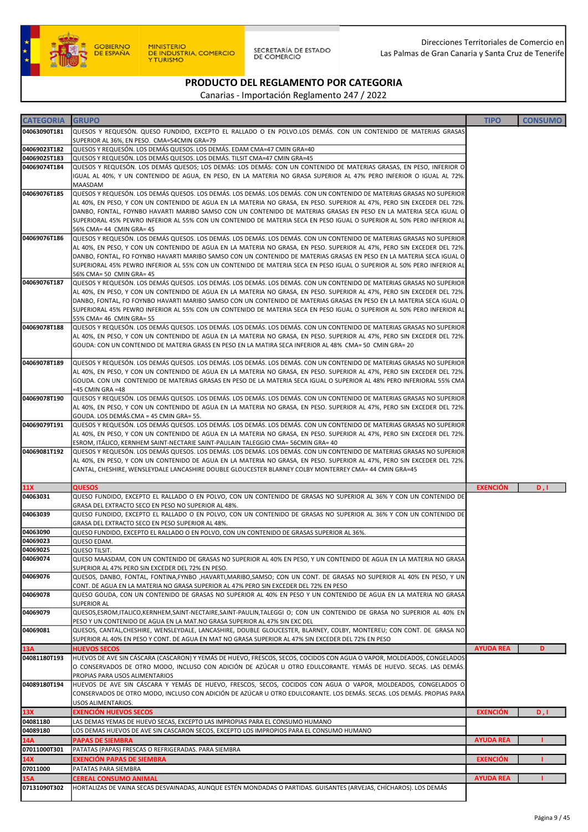

SECRETARÍA DE ESTADO<br>DE COMERCIO

### PRODUCTO DEL REGLAMENTO POR CATEGORIA

| <b>CATEGORIA</b>           | <b>GRUPO</b>                                                                                                                                                                                                                                     | <b>TIPO</b>      | <b>CONSUMO</b> |
|----------------------------|--------------------------------------------------------------------------------------------------------------------------------------------------------------------------------------------------------------------------------------------------|------------------|----------------|
| 04063090T181               | QUESOS Y REQUESÓN. QUESO FUNDIDO, EXCEPTO EL RALLADO O EN POLVO.LOS DEMÁS. CON UN CONTENIDO DE MATERIAS GRASAS                                                                                                                                   |                  |                |
| 04069023T182               | SUPERIOR AL 36%, EN PESO. CMA=54CMIN GRA=79<br>QUESOS Y REQUESÓN. LOS DEMÁS QUESOS. LOS DEMÁS. EDAM CMA=47 CMIN GRA=40                                                                                                                           |                  |                |
| 04069025T183               | QUESOS Y REQUESÓN. LOS DEMÁS QUESOS. LOS DEMÁS. TILSIT CMA=47 CMIN GRA=45                                                                                                                                                                        |                  |                |
| 04069074T184               | QUESOS Y REQUESÓN. LOS DEMÁS QUESOS; LOS DEMÁS: LOS DEMÁS: CON UN CONTENIDO DE MATERIAS GRASAS, EN PESO, INFERIOR O                                                                                                                              |                  |                |
|                            | IGUAL AL 40%, Y UN CONTENIDO DE AGUA, EN PESO, EN LA MATERIA NO GRASA SUPERIOR AL 47% PERO INFERIOR O IGUAL AL 72%.<br>MAASDAM                                                                                                                   |                  |                |
| 04069076T185               | QUESOS Y REQUESÓN. LOS DEMÁS QUESOS. LOS DEMÁS. LOS DEMÁS. LOS DEMÁS. CON UN CONTENIDO DE MATERIAS GRASAS NO SUPERIOR                                                                                                                            |                  |                |
|                            | AL 40%, EN PESO, Y CON UN CONTENIDO DE AGUA EN LA MATERIA NO GRASA, EN PESO. SUPERIOR AL 47%, PERO SIN EXCEDER DEL 72%.                                                                                                                          |                  |                |
|                            | DANBO, FONTAL, FOYNBO HAVARTI MARIBO SAMSO CON UN CONTENIDO DE MATERIAS GRASAS EN PESO EN LA MATERIA SECA IGUAL O                                                                                                                                |                  |                |
|                            | SUPERIORAL 45% PEWRO INFERIOR AL 55% CON UN CONTENIDO DE MATERIA SECA EN PESO IGUAL O SUPERIOR AL 50% PERO INFERIOR AL                                                                                                                           |                  |                |
|                            | 56% CMA= 44 CMIN GRA= 45                                                                                                                                                                                                                         |                  |                |
| 04069076T186               | QUESOS Y REQUESÓN. LOS DEMÁS QUESOS. LOS DEMÁS. LOS DEMÁS. LOS DEMÁS. CON UN CONTENIDO DE MATERIAS GRASAS NO SUPERIOR<br>AL 40%, EN PESO, Y CON UN CONTENIDO DE AGUA EN LA MATERIA NO GRASA, EN PESO. SUPERIOR AL 47%, PERO SIN EXCEDER DEL 72%. |                  |                |
|                            | DANBO, FONTAL, FO FOYNBO HAVARTI MARIBO SAMSO CON UN CONTENIDO DE MATERIAS GRASAS EN PESO EN LA MATERIA SECA IGUAL O                                                                                                                             |                  |                |
|                            | SUPERIORAL 45% PEWRO INFERIOR AL 55% CON UN CONTENIDO DE MATERIA SECA EN PESO IGUAL O SUPERIOR AL 50% PERO INFERIOR AL                                                                                                                           |                  |                |
|                            | 56% CMA= 50 CMIN GRA= 45                                                                                                                                                                                                                         |                  |                |
| 04069076T187               | QUESOS Y REQUESÓN. LOS DEMÁS QUESOS. LOS DEMÁS. LOS DEMÁS. LOS DEMÁS. CON UN CONTENIDO DE MATERIAS GRASAS NO SUPERIOR                                                                                                                            |                  |                |
|                            | AL 40%, EN PESO, Y CON UN CONTENIDO DE AGUA EN LA MATERIA NO GRASA, EN PESO. SUPERIOR AL 47%, PERO SIN EXCEDER DEL 72%.                                                                                                                          |                  |                |
|                            | DANBO, FONTAL, FO FOYNBO HAVARTI MARIBO SAMSO CON UN CONTENIDO DE MATERIAS GRASAS EN PESO EN LA MATERIA SECA IGUAL O                                                                                                                             |                  |                |
|                            | SUPERIORAL 45% PEWRO INFERIOR AL 55% CON UN CONTENIDO DE MATERIA SECA EN PESO IGUAL O SUPERIOR AL 50% PERO INFERIOR AL                                                                                                                           |                  |                |
|                            | 55% CMA= 46 CMIN GRA= 55                                                                                                                                                                                                                         |                  |                |
| 04069078T188               | QUESOS Y REQUESÓN. LOS DEMÁS QUESOS. LOS DEMÁS. LOS DEMÁS. LOS DEMÁS. CON UN CONTENIDO DE MATERIAS GRASAS NO SUPERIOR<br>AL 40%, EN PESO, Y CON UN CONTENIDO DE AGUA EN LA MATERIA NO GRASA, EN PESO. SUPERIOR AL 47%, PERO SIN EXCEDER DEL 72%. |                  |                |
|                            | GOUDA: CON UN CONTENIDO DE MATERIA GRASS EN PESO EN LA MATIRA SECA INFERIOR AL 48% CMA= 50 CMIN GRA= 20                                                                                                                                          |                  |                |
|                            |                                                                                                                                                                                                                                                  |                  |                |
| 04069078T189               | QUESOS Y REQUESÓN. LOS DEMÁS QUESOS. LOS DEMÁS. LOS DEMÁS. LOS DEMÁS. CON UN CONTENIDO DE MATERIAS GRASAS NO SUPERIOR                                                                                                                            |                  |                |
|                            | AL 40%, EN PESO, Y CON UN CONTENIDO DE AGUA EN LA MATERIA NO GRASA, EN PESO. SUPERIOR AL 47%, PERO SIN EXCEDER DEL 72%.                                                                                                                          |                  |                |
|                            | GOUDA. CON UN CONTENIDO DE MATERIAS GRASAS EN PESO DE LA MATERIA SECA IGUAL O SUPERIOR AL 48% PERO INFERIORAL 55% CMA                                                                                                                            |                  |                |
|                            | $=45$ CMIN GRA $=48$                                                                                                                                                                                                                             |                  |                |
| 04069078T190               | QUESOS Y REQUESÓN. LOS DEMÁS QUESOS. LOS DEMÁS. LOS DEMÁS. LOS DEMÁS. CON UN CONTENIDO DE MATERIAS GRASAS NO SUPERIOR<br>AL 40%, EN PESO, Y CON UN CONTENIDO DE AGUA EN LA MATERIA NO GRASA, EN PESO. SUPERIOR AL 47%, PERO SIN EXCEDER DEL 72%. |                  |                |
|                            | GOUDA. LOS DEMÁS.CMA = 45 CMIN GRA= 55.                                                                                                                                                                                                          |                  |                |
| 04069079T191               | QUESOS Y REQUESÓN. LOS DEMÁS QUESOS. LOS DEMÁS. LOS DEMÁS. LOS DEMÁS. CON UN CONTENIDO DE MATERIAS GRASAS NO SUPERIOR                                                                                                                            |                  |                |
|                            | AL 40%, EN PESO, Y CON UN CONTENIDO DE AGUA EN LA MATERIA NO GRASA, EN PESO. SUPERIOR AL 47%, PERO SIN EXCEDER DEL 72%.                                                                                                                          |                  |                |
|                            | ESROM, ITÁLICO, KERNHEM SAINT-NECTARIE SAINT-PAULAIN TALEGGIO CMA= 56CMIN GRA= 40                                                                                                                                                                |                  |                |
| 04069081T192               | QUESOS Y REQUESÓN. LOS DEMÁS QUESOS. LOS DEMÁS. LOS DEMÁS. LOS DEMÁS. CON UN CONTENIDO DE MATERIAS GRASAS NO SUPERIOR                                                                                                                            |                  |                |
|                            | AL 40%, EN PESO, Y CON UN CONTENIDO DE AGUA EN LA MATERIA NO GRASA, EN PESO. SUPERIOR AL 47%, PERO SIN EXCEDER DEL 72%.                                                                                                                          |                  |                |
|                            | CANTAL, CHESHIRE, WENSLEYDALE LANCASHIRE DOUBLE GLOUCESTER BLARNEY COLBY MONTERREY CMA= 44 CMIN GRA=45                                                                                                                                           |                  |                |
| <b>11X</b>                 | <b>QUESOS</b>                                                                                                                                                                                                                                    | <b>EXENCIÓN</b>  | D, I           |
| 04063031                   | QUESO FUNDIDO, EXCEPTO EL RALLADO O EN POLVO, CON UN CONTENIDO DE GRASAS NO SUPERIOR AL 36% Y CON UN CONTENIDO DE                                                                                                                                |                  |                |
|                            | GRASA DEL EXTRACTO SECO EN PESO NO SUPERIOR AL 48%.                                                                                                                                                                                              |                  |                |
| 04063039                   | QUESO FUNDIDO, EXCEPTO EL RALLADO O EN POLVO, CON UN CONTENIDO DE GRASAS NO SUPERIOR AL 36% Y CON UN CONTENIDO DE                                                                                                                                |                  |                |
|                            | GRASA DEL EXTRACTO SECO EN PESO SUPERIOR AL 48%.                                                                                                                                                                                                 |                  |                |
| 04063090<br>04069023       | QUESO FUNDIDO, EXCEPTO EL RALLADO O EN POLVO, CON UN CONTENIDO DE GRASAS SUPERIOR AL 36%.<br>QUESO EDAM.                                                                                                                                         |                  |                |
| 04069025                   | <b>QUESO TILSIT.</b>                                                                                                                                                                                                                             |                  |                |
| 04069074                   | QUESO MAASDAM, CON UN CONTENIDO DE GRASAS NO SUPERIOR AL 40% EN PESO, Y UN CONTENIDO DE AGUA EN LA MATERIA NO GRASA                                                                                                                              |                  |                |
|                            | SUPERIOR AL 47% PERO SIN EXCEDER DEL 72% EN PESO.                                                                                                                                                                                                |                  |                |
| 04069076                   | QUESOS, DANBO, FONTAL, FONTINA,FYNBO ,HAVARTI,MARIBO,SAMSO; CON UN CONT. DE GRASAS NO SUPERIOR AL 40% EN PESO, Y UN                                                                                                                              |                  |                |
| 04069078                   | CONT. DE AGUA EN LA MATERIA NO GRASA SUPERIOR AL 47% PERO SIN EXCEDER DEL 72% EN PESO<br>QUESO GOUDA, CON UN CONTENIDO DE GRASAS NO SUPERIOR AL 40% EN PESO Y UN CONTENIDO DE AGUA EN LA MATERIA NO GRASA                                        |                  |                |
|                            | <b>SUPERIOR AL</b>                                                                                                                                                                                                                               |                  |                |
| 04069079                   | QUESOS, ESROM, ITALICO, KERNHEM, SAINT-NECTAIRE, SAINT-PAULIN, TALEGGI O; CON UN CONTENIDO DE GRASA NO SUPERIOR AL 40% EN                                                                                                                        |                  |                |
|                            | PESO Y UN CONTENIDO DE AGUA EN LA MAT.NO GRASA SUPERIOR AL 47% SIN EXC DEL                                                                                                                                                                       |                  |                |
| 04069081                   | QUESOS, CANTAL, CHESHIRE, WENSLEYDALE, LANCASHIRE, DOUBLE GLOUCESTER, BLARNEY, COLBY, MONTEREU; CON CONT. DE GRASA NO                                                                                                                            |                  |                |
|                            | SUPERIOR AL 40% EN PESO Y CONT. DE AGUA EN MAT NO GRASA SUPERIOR AL 47% SIN EXCEDER DEL 72% EN PESO                                                                                                                                              | <b>AYUDA REA</b> | D              |
| <b>13A</b><br>04081180T193 | <b>HUEVOS SECOS</b><br>HUEVOS DE AVE SIN CÁSCARA (CASCARON) Y YEMÁS DE HUEVO, FRESCOS, SECOS, COCIDOS CON AGUA O VAPOR, MOLDEADOS, CONGELADOS                                                                                                    |                  |                |
|                            | O CONSERVADOS DE OTRO MODO, INCLUSO CON ADICIÓN DE AZÚCAR U OTRO EDULCORANTE. YEMÁS DE HUEVO. SECAS. LAS DEMÁS.                                                                                                                                  |                  |                |
|                            | PROPIAS PARA USOS ALIMENTARIOS                                                                                                                                                                                                                   |                  |                |
| 04089180T194               | HUEVOS DE AVE SIN CÁSCARA Y YEMÁS DE HUEVO, FRESCOS, SECOS, COCIDOS CON AGUA O VAPOR, MOLDEADOS, CONGELADOS O                                                                                                                                    |                  |                |
|                            | CONSERVADOS DE OTRO MODO, INCLUSO CON ADICIÓN DE AZÚCAR U OTRO EDULCORANTE. LOS DEMÁS. SECAS. LOS DEMÁS. PROPIAS PARA                                                                                                                            |                  |                |
|                            | USOS ALIMENTARIOS.                                                                                                                                                                                                                               |                  |                |
| 13X                        | <b>EXENCIÓN HUEVOS SECOS</b>                                                                                                                                                                                                                     | <b>EXENCIÓN</b>  | D, I           |
| 04081180<br>04089180       | LAS DEMAS YEMAS DE HUEVO SECAS, EXCEPTO LAS IMPROPIAS PARA EL CONSUMO HUMANO<br>LOS DEMAS HUEVOS DE AVE SIN CASCARON SECOS, EXCEPTO LOS IMPROPIOS PARA EL CONSUMO HUMANO                                                                         |                  |                |
| 14A                        | <b>PAPAS DE SIEMBRA</b>                                                                                                                                                                                                                          | <b>AYUDA REA</b> |                |
| 07011000T301               | PATATAS (PAPAS) FRESCAS O REFRIGERADAS. PARA SIEMBRA                                                                                                                                                                                             |                  |                |
| 14X                        | EXENCIÓN PAPAS DE SIEMBRA                                                                                                                                                                                                                        | <b>EXENCIÓN</b>  |                |
| 07011000                   | PATATAS PARA SIEMBRA                                                                                                                                                                                                                             |                  |                |
| <b>15A</b>                 | <b>CEREAL CONSUMO ANIMAL</b>                                                                                                                                                                                                                     | <b>AYUDA REA</b> |                |
| 07131090T302               | HORTALIZAS DE VAINA SECAS DESVAINADAS, AUNQUE ESTÉN MONDADAS O PARTIDAS. GUISANTES (ARVEJAS, CHÍCHAROS). LOS DEMÁS                                                                                                                               |                  |                |
|                            |                                                                                                                                                                                                                                                  |                  |                |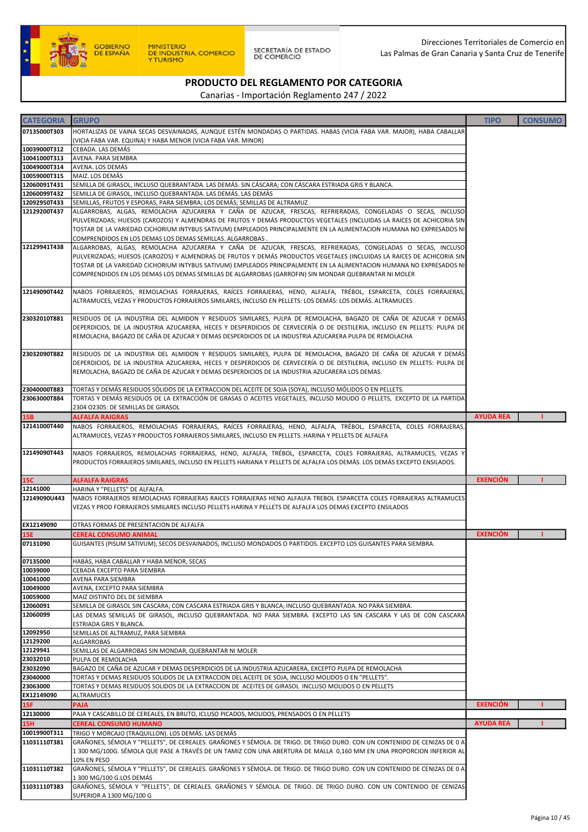

| <b>CATEGORIA</b>             | <b>GRUPO</b>                                                                                                                                                                                                                         | <b>TIPO</b>      | <b>CONSUMO</b> |
|------------------------------|--------------------------------------------------------------------------------------------------------------------------------------------------------------------------------------------------------------------------------------|------------------|----------------|
| 07135000T303                 | HORTALIZAS DE VAINA SECAS DESVAINADAS, AUNQUE ESTÉN MONDADAS O PARTIDAS. HABAS (VICIA FABA VAR. MAJOR), HABA CABALLAR                                                                                                                |                  |                |
|                              | (VICIA FABA VAR. EQUINA) Y HABA MENOR (VICIA FABA VAR. MINOR)                                                                                                                                                                        |                  |                |
| 10039000T312                 | CEBADA. LAS DEMÁS                                                                                                                                                                                                                    |                  |                |
| 10041000T313<br>10049000T314 | AVENA. PARA SIEMBRA<br>AVENA. LOS DEMÁS                                                                                                                                                                                              |                  |                |
| 10059000T315                 | MAIZ. LOS DEMÁS                                                                                                                                                                                                                      |                  |                |
| 12060091T431                 | SEMILLA DE GIRASOL, INCLUSO QUEBRANTADA. LAS DEMÁS. SIN CÁSCARA; CON CÁSCARA ESTRIADA GRIS Y BLANCA.                                                                                                                                 |                  |                |
| 12060099T432                 | SEMILLA DE GIRASOL, INCLUSO QUEBRANTADA. LAS DEMÁS. LAS DEMÁS                                                                                                                                                                        |                  |                |
| 12092950T433<br>12129200T437 | SEMILLAS, FRUTOS Y ESPORAS, PARA SIEMBRA; LOS DEMÁS; SEMILLAS DE ALTRAMUZ<br>ALGARROBAS, ALGAS, REMOLACHA AZUCARERA Y CAÑA DE AZUCAR, FRESCAS, REFRIERADAS, CONGELADAS O SECAS, INCLUSO                                              |                  |                |
|                              | PULVERIZADAS; HUESOS (CAROZOS) Y ALMENDRAS DE FRUTOS Y DEMÁS PRODUCTOS VEGETALES (INCLUIDAS LA RAICES DE ACHICORIA SIN                                                                                                               |                  |                |
|                              | TOSTAR DE LA VARIEDAD CICHORIUM INTYBUS SATIVUM) EMPLEADOS PRINCIPALMENTE EN LA ALIMENTACION HUMANA NO EXPRESADOS NI                                                                                                                 |                  |                |
|                              | COMPRENDIDOS EN LOS DEMAS LOS DEMAS SEMILLAS. ALGARROBAS.                                                                                                                                                                            |                  |                |
| 12129941T438                 | ALGARROBAS, ALGAS, REMOLACHA AZUCARERA Y CAÑA DE AZUCAR, FRESCAS, REFRIERADAS, CONGELADAS O SECAS, INCLUSO<br>PULVERIZADAS; HUESOS (CAROZOS) Y ALMENDRAS DE FRUTOS Y DEMÁS PRODUCTOS VEGETALES (INCLUIDAS LA RAICES DE ACHICORIA SIN |                  |                |
|                              | TOSTAR DE LA VARIEDAD CICHORIUM INTYBUS SATIVUM) EMPLEADOS PRINCIPALMENTE EN LA ALIMENTACION HUMANA NO EXPRESADOS NI                                                                                                                 |                  |                |
|                              | COMPRENDIDOS EN LOS DEMAS LOS DEMAS SEMILLAS DE ALGARROBAS (GARROFIN) SIN MONDAR QUEBRANTAR NI MOLER                                                                                                                                 |                  |                |
|                              |                                                                                                                                                                                                                                      |                  |                |
| 12149090T442                 | NABOS FORRAJEROS, REMOLACHAS FORRAJERAS, RAÍCES FORRAJERAS, HENO, ALFALFA, TRÉBOL, ESPARCETA, COLES FORRAJERAS,<br>ALTRAMUCES, VEZAS Y PRODUCTOS FORRAJEROS SIMILARES, INCLUSO EN PELLETS: LOS DEMÁS: LOS DEMÁS. ALTRAMUCES          |                  |                |
|                              |                                                                                                                                                                                                                                      |                  |                |
| 23032010T881                 | RESIDUOS DE LA INDUSTRIA DEL ALMIDON Y RESIDUOS SIMILARES, PULPA DE REMOLACHA, BAGAZO DE CAÑA DE AZUCAR Y DEMÁS                                                                                                                      |                  |                |
|                              | DEPERDICIOS, DE LA INDUSTRIA AZUCARERA, HECES Y DESPERDICIOS DE CERVECERÍA O DE DESTILERIA, INCLUSO EN PELLETS: PULPA DE                                                                                                             |                  |                |
|                              | REMOLACHA, BAGAZO DE CAÑA DE AZUCAR Y DEMAS DESPERDICIOS DE LA INDUSTRIA AZUCARERA PULPA DE REMOLACHA                                                                                                                                |                  |                |
| 23032090T882                 | RESIDUOS DE LA INDUSTRIA DEL ALMIDON Y RESIDUOS SIMILARES, PULPA DE REMOLACHA, BAGAZO DE CAÑA DE AZUCAR Y DEMÁS                                                                                                                      |                  |                |
|                              | DEPERDICIOS, DE LA INDUSTRIA AZUCARERA, HECES Y DESPERDICIOS DE CERVECERÍA O DE DESTILERIA, INCLUSO EN PELLETS: PULPA DE                                                                                                             |                  |                |
|                              | REMOLACHA, BAGAZO DE CAÑA DE AZUCAR Y DEMAS DESPERDICIOS DE LA INDUSTRIA AZUCARERA LOS DEMAS.                                                                                                                                        |                  |                |
| 23040000T883                 | TORTAS Y DEMÁS RESIDUOS SÓLIDOS DE LA EXTRACCION DEL ACEITE DE SOJA (SOYA), INCLUSO MÓLIDOS O EN PELLETS.                                                                                                                            |                  |                |
| 23063000T884                 | TORTAS Y DEMÁS RESIDUOS DE LA EXTRACCIÓN DE GRASAS O ACEITES VEGETALES, INCLUSO MOLIDO O PELLETS, EXCEPTO DE LA PARTIDA                                                                                                              |                  |                |
|                              | 2304 O2305: DE SEMILLAS DE GIRASOL                                                                                                                                                                                                   |                  |                |
| 15B                          | <b>ALFALFA RAIGRAS</b>                                                                                                                                                                                                               | <b>AYUDA REA</b> |                |
| 12141000T440                 | NABOS FORRAJEROS, REMOLACHAS FORRAJERAS, RAÍCES FORRAJERAS, HENO, ALFALFA, TRÉBOL, ESPARCETA, COLES FORRAJERAS,                                                                                                                      |                  |                |
|                              | ALTRAMUCES, VEZAS Y PRODUCTOS FORRAJEROS SIMILARES, INCLUSO EN PELLETS. HARINA Y PELLETS DE ALFALFA                                                                                                                                  |                  |                |
| 12149090T443                 | NABOS FORRAJEROS, REMOLACHAS FORRAJERAS, HENO, ALFALFA, TRÉBOL, ESPARCETA, COLES FORRAJERAS, ALTRAMUCES, VEZAS Y                                                                                                                     |                  |                |
|                              | PRODUCTOS FORRAJEROS SIMILARES, INCLUSO EN PELLETS HARIANA Y PELLETS DE ALFALFA LOS DEMÁS. LOS DEMÁS EXCEPTO ENSILADOS.                                                                                                              |                  |                |
| <b>15C</b>                   | <b>ALFALFA RAIGRAS</b>                                                                                                                                                                                                               | <b>EXENCIÓN</b>  |                |
| 12141000                     | HARINA Y "PELLETS" DE ALFALFA.                                                                                                                                                                                                       |                  |                |
| 12149090U443                 | NABOS FORRAJEROS REMOLACHAS FORRAJERAS RAICES FORRAJERAS HENO ALFALFA TREBOL ESPARCETA COLES FORRAJERAS ALTRAMUCES                                                                                                                   |                  |                |
|                              | VEZAS Y PROD FORRAJEROS SIMILARES INCLUSO PELLETS HARINA Y PELLETS DE ALFALFA LOS DEMAS EXCEPTO ENSILADOS                                                                                                                            |                  |                |
| EX12149090                   | OTRAS FORMAS DE PRESENTACION DE ALFALFA                                                                                                                                                                                              |                  |                |
| <b>15E</b>                   | <b>CEREAL CONSUMO ANIMAL</b>                                                                                                                                                                                                         | <b>EXENCIÓN</b>  |                |
| 07131090                     | GUISANTES (PISUM SATIVUM), SECOS DESVAINADOS, INCLUSO MONDADOS O PARTIDOS. EXCEPTO LOS GUISANTES PARA SIEMBRA.                                                                                                                       |                  |                |
|                              |                                                                                                                                                                                                                                      |                  |                |
| 07135000<br>10039000         | HABAS, HABA CABALLAR Y HABA MENOR, SECAS<br>CEBADA EXCEPTO PARA SIEMBRA                                                                                                                                                              |                  |                |
| 10041000                     | AVENA PARA SIEMBRA                                                                                                                                                                                                                   |                  |                |
| 10049000                     | AVENA, EXCEPTO PARA SIEMBRA                                                                                                                                                                                                          |                  |                |
| 10059000                     | MAIZ DISTINTO DEL DE SIEMBRA                                                                                                                                                                                                         |                  |                |
| 12060091<br>12060099         | SEMILLA DE GIRASOL SIN CASCARA; CON CASCARA ESTRIADA GRIS Y BLANCA; INCLUSO QUEBRANTADA. NO PARA SIEMBRA.<br>LAS DEMAS SEMILLAS DE GIRASOL, INCLUSO QUEBRANTADA. NO PARA SIEMBRA. EXCEPTO LAS SIN CASCARA Y LAS DE CON CASCARA       |                  |                |
|                              | ESTRIADA GRIS Y BLANCA.                                                                                                                                                                                                              |                  |                |
| 12092950                     | SEMILLAS DE ALTRAMUZ, PARA SIEMBRA                                                                                                                                                                                                   |                  |                |
| 12129200                     | ALGARROBAS                                                                                                                                                                                                                           |                  |                |
| 12129941<br>23032010         | SEMILLAS DE ALGARROBAS SIN MONDAR, QUEBRANTAR NI MOLER<br>PULPA DE REMOLACHA                                                                                                                                                         |                  |                |
| 23032090                     | BAGAZO DE CAÑA DE AZUCAR Y DEMAS DESPERDICIOS DE LA INDUSTRIA AZUCARERA, EXCEPTO PULPA DE REMOLACHA                                                                                                                                  |                  |                |
| 23040000                     | ."TORTAS Y DEMAS RESIDUOS SOLIDOS DE LA EXTRACCION DEL ACEITE DE SOJA, INCLUSO MOLIDOS O EN "PELLETS                                                                                                                                 |                  |                |
| 23063000                     | TORTAS Y DEMAS RESIDUOS SOLIDOS DE LA EXTRACCION DE ACEITES DE GIRASOL INCLUSO MOLIDOS O EN PELLETS                                                                                                                                  |                  |                |
| EX12149090<br><b>15F</b>     | ALTRAMUCES<br><b>PAJA</b>                                                                                                                                                                                                            | <b>EXENCIÓN</b>  |                |
| 12130000                     | PAJA Y CASCABILLO DE CEREALES, EN BRUTO, ICLUSO PICADOS, MOLIDOS, PRENSADOS O EN PELLETS                                                                                                                                             |                  |                |
| <b>15H</b>                   | <b>CEREAL CONSUMO HUMANO</b>                                                                                                                                                                                                         | <b>AYUDA REA</b> |                |
| 10019900T311                 | TRIGO Y MORCAJO (TRAQUILLON). LOS DEMÁS. LAS DEMÁS                                                                                                                                                                                   |                  |                |
| 11031110T381                 | GRAÑONES, SÉMOLA Y "PELLETS", DE CEREALES. GRAÑONES Y SÉMOLA. DE TRIGO. DE TRIGO DURO. CON UN CONTENIDO DE CENIZAS DE 0 A                                                                                                            |                  |                |
|                              | 1 300 MG/100G. SÉMOLA QUE PASE A TRAVÉS DE UN TAMIZ CON UNA ABERTURA DE MALLA 0,160 MM EN UNA PROPORCION INFERIOR AL<br>10% EN PESO                                                                                                  |                  |                |
| 11031110T382                 | GRAÑONES, SÉMOLA Y "PELLETS", DE CEREALES. GRAÑONES Y SÉMOLA. DE TRIGO. DE TRIGO DURO. CON UN CONTENIDO DE CENIZAS DE 0 A                                                                                                            |                  |                |
|                              | 1 300 MG/100 G.LOS DEMÁS                                                                                                                                                                                                             |                  |                |
| 11031110T383                 | GRAÑONES, SÉMOLA Y "PELLETS", DE CEREALES. GRAÑONES Y SÉMOLA. DE TRIGO. DE TRIGO DURO. CON UN CONTENIDO DE CENIZAS                                                                                                                   |                  |                |
|                              | SUPERIOR A 1300 MG/100 G                                                                                                                                                                                                             |                  |                |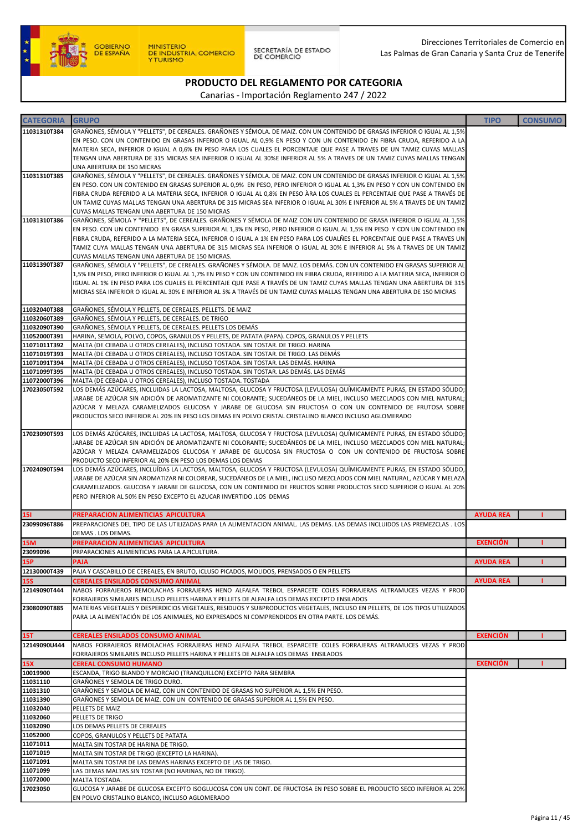

SECRETARÍA DE ESTADO<br>DE COMERCIO

Direcciones Territoriales de Comercio en Las Palmas de Gran Canaria y Santa Cruz de Tenerife

# PRODUCTO DEL REGLAMENTO POR CATEGORIA

| <b>CATEGORIA</b>             | <b>GRUPO</b>                                                                                                                                                                                                                                             | <b>TIPO</b>      | <b>CONSUMO</b> |
|------------------------------|----------------------------------------------------------------------------------------------------------------------------------------------------------------------------------------------------------------------------------------------------------|------------------|----------------|
| 11031310T384                 | GRAÑONES, SÉMOLA Y "PELLETS", DE CEREALES. GRAÑONES Y SÉMOLA. DE MAIZ. CON UN CONTENIDO DE GRASAS INFERIOR O IGUAL AL 1,5%                                                                                                                               |                  |                |
|                              | EN PESO. CON UN CONTENIDO EN GRASAS INFERIOR O IGUAL AL 0,9% EN PESO Y CON UN CONTENIDO EN FIBRA CRUDA, REFERIDO A LA                                                                                                                                    |                  |                |
|                              | MATERIA SECA, INFERIOR O IGUAL A 0,6% EN PESO PARA LOS CUALES EL PORCENTAJE QUE PASE A TRAVES DE UN TAMIZ CUYAS MALLAS                                                                                                                                   |                  |                |
|                              | TENGAN UNA ABERTURA DE 315 MICRAS SEA INFERIOR O IGUAL AL 30%E INFERIOR AL 5% A TRAVES DE UN TAMIZ CUYAS MALLAS TENGAN<br>UNA ABERTURA DE 150 MICRAS                                                                                                     |                  |                |
| 11031310T385                 | GRAÑONES, SÉMOLA Y "PELLETS", DE CEREALES. GRAÑONES Y SÉMOLA. DE MAIZ. CON UN CONTENIDO DE GRASAS INFERIOR O IGUAL AL 1,5%                                                                                                                               |                  |                |
|                              | EN PESO. CON UN CONTENIDO EN GRASAS SUPERIOR AL 0,9% EN PESO, PERO INFERIOR O IGUAL AL 1,3% EN PESO Y CON UN CONTENIDO EN                                                                                                                                |                  |                |
|                              | FIBRA CRUDA REFERIDO A LA MATERIA SECA, INFERIOR O IGUAL AL 0,8% EN PESO ÀRA LOS CUALES EL PERCENTAJE QUE PASE A TRAVÉS DE<br>UN TAMIZ CUYAS MALLAS TENGAN UNA ABERTURA DE 315 MICRAS SEA INFERIOR O IGUAL AL 30% E INFERIOR AL 5% A TRAVES DE UN TAMIZ  |                  |                |
|                              | CUYAS MALLAS TENGAN UNA ABERTURA DE 150 MICRAS                                                                                                                                                                                                           |                  |                |
| 11031310T386                 | GRAÑONES, SÉMOLA Y "PELLETS", DE CEREALES. GRAÑONES Y SÉMOLA DE MAIZ CON UN CONTENIDO DE GRASA INFERIOR O IGUAL AL 1,5%                                                                                                                                  |                  |                |
|                              | EN PESO. CON UN CONTENIDO EN GRASA SUPERIOR AL 1,3% EN PESO, PERO INFERIOR O IGUAL AL 1,5% EN PESO Y CON UN CONTENIDO EN<br>FIBRA CRUDA, REFERIDO A LA MATERIA SECA, INFERIOR O IGUAL A 1% EN PESO PARA LOS CUALÑES EL PORCENTAJE QUE PASE A TRAVES UN   |                  |                |
|                              | TAMIZ CUYA MALLAS TENGAN UNA ABERTURA DE 315 MICRAS SEA INFERIOR O IGUAL AL 30% E INFERIOR AL 5% A TRAVES DE UN TAMIZ                                                                                                                                    |                  |                |
|                              | CUYAS MALLAS TENGAN UNA ABERTURA DE 150 MICRAS.                                                                                                                                                                                                          |                  |                |
| 11031390T387                 | GRAÑONES, SÉMOLA Y "PELLETS", DE CEREALES. GRAÑONES Y SÉMOLA. DE MAIZ. LOS DEMÁS. CON UN CONTENIDO EN GRASAS SUPERIOR AL                                                                                                                                 |                  |                |
|                              | 1,5% EN PESO, PERO INFERIOR O IGUAL AL 1,7% EN PESO Y CON UN CONTENIDO EN FIBRA CRUDA, REFERIDO A LA MATERIA SECA, INFERIOR O<br>IGUAL AL 1% EN PESO PARA LOS CUALES EL PERCENTAJE QUE PASE A TRAVÉS DE UN TAMIZ CUYAS MALLAS TENGAN UNA ABERTURA DE 315 |                  |                |
|                              | MICRAS SEA INFERIOR O IGUAL AL 30% E INFERIOR AL 5% A TRAVÉS DE UN TAMIZ CUYAS MALLAS TENGAN UNA ABERTURA DE 150 MICRAS                                                                                                                                  |                  |                |
|                              |                                                                                                                                                                                                                                                          |                  |                |
| 11032040T388<br>11032060T389 | GRAÑONES, SÉMOLA Y PELLETS, DE CEREALES. PELLETS. DE MAIZ<br>GRAÑONES, SÉMOLA Y PELLETS, DE CEREALES. DE TRIGO                                                                                                                                           |                  |                |
| 11032090T390                 | GRAÑONES, SÉMOLA Y PELLETS, DE CEREALES. PELLETS LOS DEMÁS                                                                                                                                                                                               |                  |                |
| 11052000T391                 | HARINA, SEMOLA, POLVO, COPOS, GRANULOS Y PELLETS, DE PATATA (PAPA). COPOS, GRANULOS Y PELLETS                                                                                                                                                            |                  |                |
| 11071011T392<br>11071019T393 | MALTA (DE CEBADA U OTROS CEREALES), INCLUSO TOSTADA. SIN TOSTAR. DE TRIGO. HARINA<br>MALTA (DE CEBADA U OTROS CEREALES), INCLUSO TOSTADA. SIN TOSTAR. DE TRIGO. LAS DEMÁS                                                                                |                  |                |
| 11071091T394                 | MALTA (DE CEBADA U OTROS CEREALES), INCLUSO TOSTADA. SIN TOSTAR. LAS DEMÁS. HARINA                                                                                                                                                                       |                  |                |
| 11071099T395                 | MALTA (DE CEBADA U OTROS CEREALES), INCLUSO TOSTADA. SIN TOSTAR. LAS DEMÁS. LAS DEMÁS                                                                                                                                                                    |                  |                |
| 11072000T396                 | MALTA (DE CEBADA U OTROS CEREALES), INCLUSO TOSTADA. TOSTADA                                                                                                                                                                                             |                  |                |
| 17023050T592                 | LOS DEMÁS AZÚCARES, INCLUIDAS LA LACTOSA, MALTOSA, GLUCOSA Y FRUCTOSA (LEVULOSA) QUÍMICAMENTE PURAS, EN ESTADO SÓLIDO;<br>JARABE DE AZÚCAR SIN ADICIÓN DE AROMATIZANTE NI COLORANTE; SUCEDÁNEOS DE LA MIEL, INCLUSO MEZCLADOS CON MIEL NATURAL;          |                  |                |
|                              | AZÚCAR Y MELAZA CARAMELIZADOS GLUCOSA Y JARABE DE GLUCOSA SIN FRUCTOSA O CON UN CONTENIDO DE FRUTOSA SOBRE                                                                                                                                               |                  |                |
|                              | PRODUCTOS SECO INFERIOR AL 20% EN PESO LOS DEMAS EN POLVO CRISTAL CRISTALINO BLANCO INCLUSO AGLOMERADO                                                                                                                                                   |                  |                |
| 17023090T593                 | LOS DEMÁS AZÚCARES, INCLUIDAS LA LACTOSA, MALTOSA, GLUCOSA Y FRUCTOSA (LEVULOSA) QUÍMICAMENTE PURAS, EN ESTADO SÓLIDO;                                                                                                                                   |                  |                |
|                              | JARABE DE AZÚCAR SIN ADICIÓN DE AROMATIZANTE NI COLORANTE; SUCEDÁNEOS DE LA MIEL, INCLUSO MEZCLADOS CON MIEL NATURAL;<br>AZÚCAR Y MELAZA CARAMELIZADOS GLUCOSA Y JARABE DE GLUCOSA SIN FRUCTOSA O CON UN CONTENIDO DE FRUCTOSA SOBRE                     |                  |                |
|                              | PRODUCTO SECO INFERIOR AL 20% EN PESO LOS DEMAS LOS DEMAS                                                                                                                                                                                                |                  |                |
| 17024090T594                 | LOS DEMÁS AZÚCARES, INCLUÍDAS LA LACTOSA, MALTOSA, GLUCOSA Y FRUCTOSA (LEVULOSA) QUÍMICAMENTE PURAS, EN ESTADO SÓLIDO,                                                                                                                                   |                  |                |
|                              | JARABE DE AZÚCAR SIN AROMATIZAR NI COLOREAR, SUCEDÁNEOS DE LA MIEL, INCLUSO MEZCLADOS CON MIEL NATURAL, AZÚCAR Y MELAZA<br>CARAMELIZADOS. GLUCOSA Y JARABE DE GLUCOSA, CON UN CONTENIDO DE FRUCTOS SOBRE PRODUCTOS SECO SUPERIOR O IGUAL AL 20%          |                  |                |
|                              | PERO INFERIOR AL 50% EN PESO EXCEPTO EL AZUCAR INVERTIDO .LOS DEMAS                                                                                                                                                                                      |                  |                |
| <b>151</b>                   | PREPARACION ALIMENTICIAS APICULTURA                                                                                                                                                                                                                      | <b>AYUDA REA</b> | п              |
| 23099096T886                 | PREPARACIONES DEL TIPO DE LAS UTILIZADAS PARA LA ALIMENTACION ANIMAL. LAS DEMAS. LAS DEMAS INCLUIDOS LAS PREMEZCLAS . LOS                                                                                                                                |                  |                |
|                              | DEMAS . LOS DEMAS.                                                                                                                                                                                                                                       |                  |                |
| <b>15M</b>                   | PREPARACION ALIMENTICIAS APICULTURA                                                                                                                                                                                                                      | <b>EXENCIÓN</b>  |                |
| 23099096<br><b>15P</b>       | PRPARACIONES ALIMENTICIAS PARA LA APICULTURA.<br><b>PAJA</b>                                                                                                                                                                                             | <b>AYUDA REA</b> | п              |
| 12130000T439                 | PAJA Y CASCABILLO DE CEREALES, EN BRUTO, ICLUSO PICADOS, MOLIDOS, PRENSADOS O EN PELLETS                                                                                                                                                                 |                  |                |
| <b>15S</b>                   | <b>CEREALES ENSILADOS CONSUMO ANIMAL</b>                                                                                                                                                                                                                 | <b>AYUDA REA</b> |                |
| 12149090T444                 | NABOS FORRAJEROS REMOLACHAS FORRAJERAS HENO ALFALFA TREBOL ESPARCETE COLES FORRAJERAS ALTRAMUCES VEZAS Y PROD<br>FORRAJEROS SIMILARES INCLUSO PELLETS HARINA Y PELLETS DE ALFALFA LOS DEMAS EXCEPTO ENSILADOS                                            |                  |                |
| 23080090T885                 | MATERIAS VEGETALES Y DESPERDICIOS VEGETALES, RESIDUOS Y SUBPRODUCTOS VEGETALES, INCLUSO EN PELLETS, DE LOS TIPOS UTILIZADOS                                                                                                                              |                  |                |
|                              | PARA LA ALIMENTACIÓN DE LOS ANIMALES, NO EXPRESADOS NI COMPRENDIDOS EN OTRA PARTE. LOS DEMÁS.                                                                                                                                                            |                  |                |
| <b>15T</b>                   | <b>CEREALES ENSILADOS CONSUMO ANIMAL</b>                                                                                                                                                                                                                 | <b>EXENCIÓN</b>  |                |
| 12149090U444                 | NABOS FORRAJEROS REMOLACHAS FORRAJERAS HENO ALFALFA TREBOL ESPARCETE COLES FORRAJERAS ALTRAMUCES VEZAS Y PROD                                                                                                                                            |                  |                |
|                              | FORRAJEROS SIMILARES INCLUSO PELLETS HARINA Y PELLETS DE ALFALFA LOS DEMAS ENSILADOS                                                                                                                                                                     |                  |                |
| <b>15X</b><br>10019900       | <b>CEREAL CONSUMO HUMANO</b><br>ESCANDA, TRIGO BLANDO Y MORCAJO (TRANQUILLON) EXCEPTO PARA SIEMBRA                                                                                                                                                       | <b>EXENCIÓN</b>  |                |
| 11031110                     | GRAÑONES Y SEMOLA DE TRIGO DURO.                                                                                                                                                                                                                         |                  |                |
| 11031310                     | GRAÑONES Y SEMOLA DE MAIZ, CON UN CONTENIDO DE GRASAS NO SUPERIOR AL 1,5% EN PESO.                                                                                                                                                                       |                  |                |
| 11031390                     | GRAÑONES Y SEMOLA DE MAIZ. CON UN CONTENIDO DE GRASAS SUPERIOR AL 1,5% EN PESO.                                                                                                                                                                          |                  |                |
| 11032040<br>11032060         | PELLETS DE MAIZ<br>PELLETS DE TRIGO                                                                                                                                                                                                                      |                  |                |
| 11032090                     | LOS DEMAS PELLETS DE CEREALES                                                                                                                                                                                                                            |                  |                |
| 11052000                     | COPOS, GRANULOS Y PELLETS DE PATATA                                                                                                                                                                                                                      |                  |                |
| 11071011<br>11071019         | MALTA SIN TOSTAR DE HARINA DE TRIGO.<br>MALTA SIN TOSTAR DE TRIGO (EXCEPTO LA HARINA).                                                                                                                                                                   |                  |                |
| 11071091                     | MALTA SIN TOSTAR DE LAS DEMAS HARINAS EXCEPTO DE LAS DE TRIGO.                                                                                                                                                                                           |                  |                |
| 11071099                     | LAS DEMAS MALTAS SIN TOSTAR (NO HARINAS, NO DE TRIGO).                                                                                                                                                                                                   |                  |                |
| 11072000                     | MALTA TOSTADA.                                                                                                                                                                                                                                           |                  |                |
| 17023050                     | GLUCOSA Y JARABE DE GLUCOSA EXCEPTO ISOGLUCOSA CON UN CONT. DE FRUCTOSA EN PESO SOBRE EL PRODUCTO SECO INFERIOR AL 20%<br>EN POLVO CRISTALINO BLANCO, INCLUSO AGLOMERADO                                                                                 |                  |                |
|                              |                                                                                                                                                                                                                                                          |                  |                |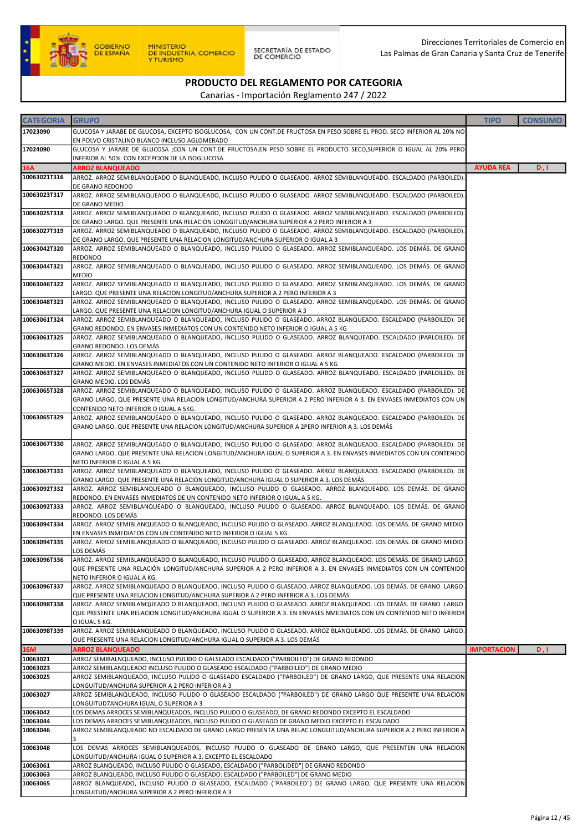

| <b>CATEGORIA</b> | <b>GRUPO</b>                                                                                                                                                                                                                              | <b>TIPO</b>        | <b>CONSUMO</b> |
|------------------|-------------------------------------------------------------------------------------------------------------------------------------------------------------------------------------------------------------------------------------------|--------------------|----------------|
| 17023090         | GLUCOSA Y JARABE DE GLUCOSA, EXCEPTO ISOGLUCOSA, CON UN CONT.DE FRUCTOSA EN PESO SOBRE EL PROD. SECO INFERIOR AL 20% NO                                                                                                                   |                    |                |
|                  | EN POLVO CRISTALINO BLANCO INCLUSO AGLOMERADO                                                                                                                                                                                             |                    |                |
| 17024090         | GLUCOSA Y JARABE DE GLUCOSA ;CON UN CONT.DE FRUCTOSA,EN PESO SOBRE EL PRODUCTO SECO,SUPERIOR O IGUAL AL 20% PERO                                                                                                                          |                    |                |
|                  | INFERIOR AL 50%. CON EXCEPCION DE LA ISOGLUCOSA                                                                                                                                                                                           |                    |                |
| <b>16A</b>       | <b>ARROZ BLANQUEADO</b>                                                                                                                                                                                                                   | <b>AYUDA REA</b>   | D, I           |
| 10063021T316     | ARROZ. ARROZ SEMIBLANQUEADO O BLANQUEADO, INCLUSO PULIDO O GLASEADO. ARROZ SEMIBLANQUEADO. ESCALDADO (PARBOILED).                                                                                                                         |                    |                |
|                  | DE GRANO REDONDO                                                                                                                                                                                                                          |                    |                |
| 10063023T317     | ARROZ. ARROZ SEMIBLANQUEADO O BLANQUEADO, INCLUSO PULIDO O GLASEADO. ARROZ SEMIBLANQUEADO. ESCALDADO (PARBOILED).<br>DE GRANO MEDIO                                                                                                       |                    |                |
| 10063025T318     | ARROZ. ARROZ SEMIBLANQUEADO O BLANQUEADO, INCLUSO PULIDO O GLASEADO. ARROZ SEMIBLANQUEADO. ESCALDADO (PARBOILED).                                                                                                                         |                    |                |
|                  | DE GRANO LARGO. QUE PRESENTE UNA RELACION LONGGITUD/ANCHURA SUPERIOR A 2 PERO INFERIOR A 3                                                                                                                                                |                    |                |
| 10063027T319     | ARROZ. ARROZ SEMIBLANQUEADO O BLANQUEADO, INCLUSO PULIDO O GLASEADO. ARROZ SEMIBLANQUEADO. ESCALDADO (PARBOILED).                                                                                                                         |                    |                |
|                  | DE GRANO LARGO. QUE PRESENTE UNA RELACION LONGITUD/ANCHURA SUPERIOR O IGUAL A 3                                                                                                                                                           |                    |                |
| 10063042T320     | ARROZ. ARROZ SEMIBLANQUEADO O BLANQUEADO, INCLUSO PULIDO O GLASEADO. ARROZ SEMIBLANQUEADO. LOS DEMÁS. DE GRANO                                                                                                                            |                    |                |
|                  | <b>REDONDO</b>                                                                                                                                                                                                                            |                    |                |
| 10063044T321     | ARROZ. ARROZ SEMIBLANQUEADO O BLANQUEADO, INCLUSO PULIDO O GLASEADO. ARROZ SEMIBLANQUEADO. LOS DEMÁS. DE GRANO<br><b>MEDIO</b>                                                                                                            |                    |                |
| 10063046T322     | ARROZ. ARROZ SEMIBLANQUEADO O BLANQUEADO, INCLUSO PULIDO O GLASEADO. ARROZ SEMIBLANQUEADO. LOS DEMÁS. DE GRANO                                                                                                                            |                    |                |
|                  | LARGO. QUE PRESENTE UNA RELACION LONGITUD/ANCHURA SUPERIOR A 2 PERO INFERIOR A 3                                                                                                                                                          |                    |                |
| 10063048T323     | ARROZ. ARROZ SEMIBLANQUEADO O BLANQUEADO, INCLUSO PULIDO O GLASEADO. ARROZ SEMIBLANQUEADO. LOS DEMÁS. DE GRANO                                                                                                                            |                    |                |
|                  | LARGO. QUE PRESENTE UNA RELACION LONGITUD/ANCHURA IGUAL O SUPERIOR A 3                                                                                                                                                                    |                    |                |
| 10063061T324     | ARROZ. ARROZ SEMIBLANQUEADO O BLANQUEADO, INCLUSO PULIDO O GLASEADO. ARROZ BLANQUEADO. ESCALDADO (PARBOILED). DE                                                                                                                          |                    |                |
|                  | GRANO REDONDO. EN ENVASES INMEDIATOS CON UN CONTENIDO NETO INFERIOR O IGUAL A 5 KG                                                                                                                                                        |                    |                |
| 10063061T325     | ARROZ. ARROZ SEMIBLANQUEADO O BLANQUEADO, INCLUSO PULIDO O GLASEADO. ARROZ BLANQUEADO. ESCALDADO (PARLOILED). DE<br>GRANO REDONDO. LOS DEMÁS                                                                                              |                    |                |
| 10063063T326     | ARROZ. ARROZ SEMIBLANQUEADO O BLANQUEADO, INCLUSO PULIDO O GLASEADO. ARROZ BLANQUEADO. ESCALDADO (PARBOILED). DE                                                                                                                          |                    |                |
|                  | GRANO MEDIO. EN ENVASES INMEDIATOS CON UN CONTENIDO NETO INFERIOR O IGUAL A 5 KG                                                                                                                                                          |                    |                |
| 10063063T327     | ARROZ. ARROZ SEMIBLANQUEADO O BLANQUEADO, INCLUSO PULIDO O GLASEADO. ARROZ BLANQUEADO. ESCALDADO (PARLOILED). DE                                                                                                                          |                    |                |
|                  | GRANO MEDIO. LOS DEMÁS                                                                                                                                                                                                                    |                    |                |
| 10063065T328     | ARROZ. ARROZ SEMIBLANQUEADO O BLANQUEADO, INCLUSO PULIDO O GLASEADO. ARROZ BLANQUEADO. ESCALDADO (PARBOILED). DE                                                                                                                          |                    |                |
|                  | GRANO LARGO. QUE PRESENTE UNA RELACION LONGITUD/ANCHURA SUPERIOR A 2 PERO INFERIOR A 3. EN ENVASES INMEDIATOS CON UN                                                                                                                      |                    |                |
| 10063065T329     | CONTENIDO NETO INFERIOR O IGUAL A 5KG.<br>ARROZ. ARROZ SEMIBLANQUEADO O BLANQUEADO, INCLUSO PULIDO O GLASEADO. ARROZ BLANQUEADO. ESCALDADO (PARBOILED). DE                                                                                |                    |                |
|                  | GRANO LARGO. QUE PRESENTE UNA RELACION LONGITUD/ANCHURA SUPERIOR A 2PERO INFERIOR A 3. LOS DEMÁS                                                                                                                                          |                    |                |
|                  |                                                                                                                                                                                                                                           |                    |                |
| 10063067T330     | ARROZ. ARROZ SEMIBLANQUEADO O BLANQUEADO, INCLUSO PULIDO O GLASEADO. ARROZ BLANQUEADO. ESCALDADO (PARBOILED). DE                                                                                                                          |                    |                |
|                  | GRANO LARGO. QUE PRESENTE UNA RELACION LONGITUD/ANCHURA IGUAL O SUPERIOR A 3. EN ENVASES INMEDIATOS CON UN CONTENIDO                                                                                                                      |                    |                |
|                  | NETO INFERIOR O IGUAL A 5 KG.                                                                                                                                                                                                             |                    |                |
| 10063067T331     | ARROZ. ARROZ SEMIBLANQUEADO O BLANQUEADO, INCLUSO PULIDO O GLASEADO. ARROZ BLANQUEADO. ESCALDADO (PARBOILED). DE<br>GRANO LARGO. QUE PRESENTE UNA RELACION LONGITUD/ANCHURA IGUAL O SUPERIOR A 3. LOS DEMÁS                               |                    |                |
| 10063092T332     | ARROZ. ARROZ SEMIBLANQUEADO O BLANQUEADO, INCLUSO PULIDO O GLASEADO. ARROZ BLANQUEADO. LOS DEMÁS. DE GRANO                                                                                                                                |                    |                |
|                  | REDONDO. EN ENVASES INMEDIATOS DE UN CONTENIDO NETO INFERIOR O IGUAL A 5 KG.                                                                                                                                                              |                    |                |
| 10063092T333     | ARROZ. ARROZ SEMIBLANQUEADO O BLANQUEADO, INCLUSO PULIDO O GLASEADO. ARROZ BLANQUEADO. LOS DEMÁS. DE GRANO                                                                                                                                |                    |                |
|                  | REDONDO. LOS DEMÁS                                                                                                                                                                                                                        |                    |                |
| 10063094T334     | ARROZ. ARROZ SEMIBLANQUEADO O BLANQUEADO, INCLUSO PULIDO O GLASEADO. ARROZ BLANQUEADO. LOS DEMÁS. DE GRANO MEDIO.                                                                                                                         |                    |                |
| 10063094T335     | EN ENVASES INMEDIATOS CON UN CONTENIDO NETO INFERIOR O IGUAL 5 KG.                                                                                                                                                                        |                    |                |
|                  | ARROZ. ARROZ SEMIBLANQUEADO O BLANQUEADO, INCLUSO PULIDO O GLASEADO. ARROZ BLANQUEADO. LOS DEMÁS. DE GRANO MEDIO.<br>LOS DEMÁS                                                                                                            |                    |                |
| 10063096T336     | ARROZ. ARROZ SEMIBLANQUEADO O BLANQUEADO, INCLUSO PULIDO O GLASEADO. ARROZ BLANQUEADO. LOS DEMÁS. DE GRANO LARGO.                                                                                                                         |                    |                |
|                  | QUE PRESENTE UNA RELACIÓN LONGITUD/ANCHURA SUPERIOR A 2 PERO INFERIOR A 3. EN ENVASES INMEDIATOS CON UN CONTENIDO                                                                                                                         |                    |                |
|                  | NETO INFERIOR O IGUAL A KG.                                                                                                                                                                                                               |                    |                |
| 10063096T337     | ARROZ, ARROZ SEMIBLANQUEADO O BLANQUEADO, INCLUSO PULIDO O GLASEADO, ARROZ BLANQUEADO, LOS DEMÁS, DE GRANO LARGO,                                                                                                                         |                    |                |
|                  | QUE PRESENTE UNA RELACION LONGITUD/ANCHURA SUPERIOR A 2 PERO INFERIOR A 3. LOS DEMÁS                                                                                                                                                      |                    |                |
| 10063098T338     | ARROZ. ARROZ SEMIBLANQUEADO O BLANQUEADO, INCLUSO PULIDO O GLASEADO. ARROZ BLANQUEADO. LOS DEMÁS. DE GRANO LARGO.<br>QUE PRESENTE UNA RELACION LONGITUD/ANCHURA IGUAL O SUPERIOR A 3. EN ENVASES NMEDIATOS CON UN CONTENIDO NETO INFERIOR |                    |                |
|                  | O IGUAL 5 KG.                                                                                                                                                                                                                             |                    |                |
| 10063098T339     | ARROZ. ARROZ SEMIBLANQUEADO O BLANQUEADO, INCLUSO PULIDO O GLASEADO. ARROZ BLANQUEADO. LOS DEMÁS. DE GRANO LARGO.                                                                                                                         |                    |                |
|                  | QUE PRESENTE UNA RELACION LONGITUD/ANCHURA IGUAL O SUPERIOR A 3. LOS DEMÁS                                                                                                                                                                |                    |                |
| <b>16M</b>       | <b>ARROZ BLANQUEADO</b>                                                                                                                                                                                                                   | <b>IMPORTACION</b> | D, I           |
| 10063021         | ARROZ SEMIBALNQUEADO, INCLUSO PULIDO O GALSEADO ESCALDADO ("PARBOILED") DE GRANO REDONDO                                                                                                                                                  |                    |                |
| 10063023         | ARROZ SEMIBLANQUEADO INCLUSO PULIDO O GLASEADO ESCALDADO ("PARBOILED") DE GRANO MEDIO<br>ARROZ SEMIBLANQUEADO, INCLUSO PULIDO O GLASEADO ESCALDADO ("PARBOILED") DE GRANO LARGO, QUE PRESENTE UNA RELACION                                |                    |                |
| 10063025         | LONGUITUD/ANCHURA SUPERIOR A 2 PERO INFERIOR A 3                                                                                                                                                                                          |                    |                |
| 10063027         | ARROZ SEMIBLANQUEADO, INCLUSO PULIDO O GLASEADO ESCALDADO ("PARBOILED") DE GRANO LARGO QUE PRESENTE UNA RELACION                                                                                                                          |                    |                |
|                  | LONGUITUD7ANCHURA IGUAL O SUPERIOR A 3                                                                                                                                                                                                    |                    |                |
| 10063042         | LOS DEMAS ARROCES SEMIBLANQUEADOS, INCLUSO PULIDO O GLASEADO, DE GRANO REDONDO EXCEPTO EL ESCALDADO                                                                                                                                       |                    |                |
| 10063044         | LOS DEMAS ARROCES SEMIBLANQUEADOS, INCLUSO PULIDO O GLASEADO DE GRANO MEDIO EXCEPTO EL ESCALDADO                                                                                                                                          |                    |                |
| 10063046         | ARROZ SEMIBLANQUEADO NO ESCALDADO DE GRANO LARGO PRESENTA UNA RELAC LONGUITUD/ANCHURA SUPERIOR A 2 PERO INFERIOR A                                                                                                                        |                    |                |
|                  |                                                                                                                                                                                                                                           |                    |                |
| 10063048         | LOS DEMAS ARROCES SEMIBLANQUEADOS, INCLUSO PULIDO O GLASEADO DE GRANO LARGO, QUE PRESENTEN UNA RELACION<br>LONGUITUD/ANCHURA IGUAL O SUPERIOR A 3. EXCEPTO EL ESCALDADO                                                                   |                    |                |
| 10063061         | ARROZ BLANQUEADO, INCLUSO PULIDO O GLASEADO, ESCALDADO ("PARBOLIDED") DE GRANO REDONDO                                                                                                                                                    |                    |                |
| 10063063         | ARROZ BLANQUEADO, INCLUSO PULIDO O GLASEADO: ESCALDADO ("PARBOILED") DE GRANO MEDIO                                                                                                                                                       |                    |                |
| 10063065         | ARROZ BLANQUEADO, INCLUSO PULIDO O GLASEADO, ESCALDADO ("PARBOILED") DE GRANO LARGO, QUE PRESENTE UNA RELACION                                                                                                                            |                    |                |
|                  | LONGUITUD/ANCHURA SUPERIOR A 2 PERO INFERIOR A 3                                                                                                                                                                                          |                    |                |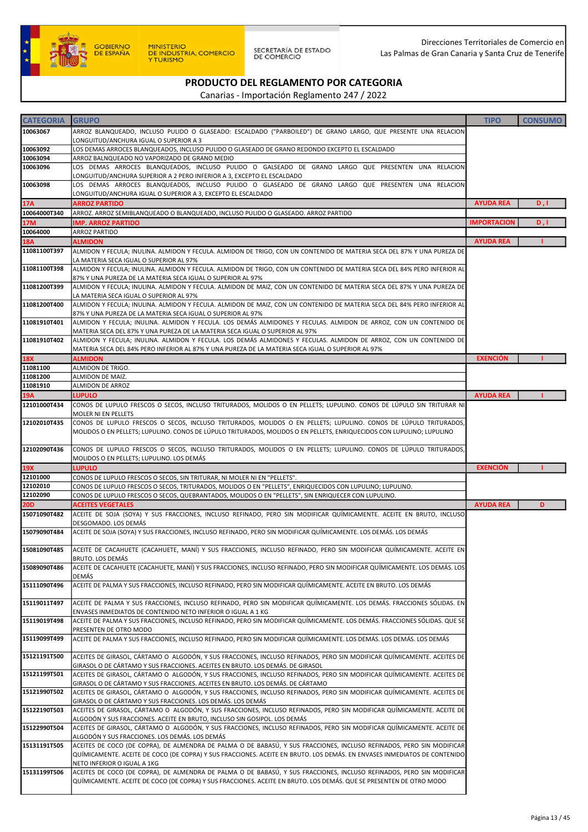

SECRETARÍA DE ESTADO<br>DE COMERCIO

Direcciones Territoriales de Comercio en Las Palmas de Gran Canaria y Santa Cruz de Tenerife

# PRODUCTO DEL REGLAMENTO POR CATEGORIA

| <b>CATEGORIA</b>       | <b>GRUPO</b>                                                                                                                                                                                                                                 | <b>TIPO</b>        | <b>CONSUMO</b> |
|------------------------|----------------------------------------------------------------------------------------------------------------------------------------------------------------------------------------------------------------------------------------------|--------------------|----------------|
| 10063067               | ARROZ BLANQUEADO, INCLUSO PULIDO O GLASEADO: ESCALDADO ("PARBOILED") DE GRANO LARGO, QUE PRESENTE UNA RELACION<br>LONGUITUD/ANCHURA IGUAL O SUPERIOR A 3                                                                                     |                    |                |
| 10063092               | LOS DEMAS ARROCES BLANQUEADOS, INCLUSO PULIDO O GLASEADO DE GRANO REDONDO EXCEPTO EL ESCALDADO                                                                                                                                               |                    |                |
| 10063094               | ARROZ BALNQUEADO NO VAPORIZADO DE GRANO MEDIO                                                                                                                                                                                                |                    |                |
| 10063096               | LOS DEMAS ARROCES BLANQUEADOS, INCLUSO PULIDO O GALSEADO DE GRANO LARGO QUE PRESENTEN UNA RELACION                                                                                                                                           |                    |                |
| 10063098               | LONGUITUD/ANCHURA SUPERIOR A 2 PERO INFERIOR A 3, EXCEPTO EL ESCALDADO<br>LOS DEMAS ARROCES BLANQUEADOS, INCLUSO PULIDO O GLASEADO DE GRANO LARGO QUE PRESENTEN UNA RELACION                                                                 |                    |                |
|                        | LONGUITUD/ANCHURA IGUAL O SUPERIOR A 3, EXCEPTO EL ESCALDADO                                                                                                                                                                                 |                    |                |
| 17A                    | <b>ARROZ PARTIDO</b>                                                                                                                                                                                                                         | <b>AYUDA REA</b>   | D, I           |
| 10064000T340           | ARROZ. ARROZ SEMIBLANQUEADO O BLANQUEADO, INCLUSO PULIDO O GLASEADO. ARROZ PARTIDO                                                                                                                                                           |                    |                |
| 17M                    | <b>IMP. ARROZ PARTIDO</b>                                                                                                                                                                                                                    | <b>IMPORTACION</b> | D, I           |
| 10064000<br><b>18A</b> | <b>ARROZ PARTIDO</b><br><b>ALMIDON</b>                                                                                                                                                                                                       | <b>AYUDA REA</b>   |                |
| 11081100T397           | ALMIDON Y FECULA; INULINA. ALMIDON Y FECULA. ALMIDON DE TRIGO, CON UN CONTENIDO DE MATERIA SECA DEL 87% Y UNA PUREZA DE                                                                                                                      |                    |                |
|                        | LA MATERIA SECA IGUAL O SUPERIOR AL 97%                                                                                                                                                                                                      |                    |                |
| 11081100T398           | ALMIDON Y FECULA; INULINA. ALMIDON Y FECULA. ALMIDON DE TRIGO, CON UN CONTENIDO DE MATERIA SECA DEL 84% PERO INFERIOR AL                                                                                                                     |                    |                |
| 11081200T399           | 87% Y UNA PUREZA DE LA MATERIA SECA IGUAL O SUPERIOR AL 97%<br>ALMIDON Y FECULA; INULINA. ALMIDON Y FECULA. ALMIDON DE MAIZ, CON UN CONTENIDO DE MATERIA SECA DEL 87% Y UNA PUREZA DE                                                        |                    |                |
|                        | LA MATERIA SECA IGUAL O SUPERIOR AL 97%                                                                                                                                                                                                      |                    |                |
| 11081200T400           | ALMIDON Y FECULA; INULINA. ALMIDON Y FECULA. ALMIDON DE MAIZ, CON UN CONTENIDO DE MATERIA SECA DEL 84% PERO INFERIOR AL                                                                                                                      |                    |                |
|                        | 87% Y UNA PUREZA DE LA MATERIA SECA IGUAL O SUPERIOR AL 97%                                                                                                                                                                                  |                    |                |
| 11081910T401           | ALMIDON Y FECULA; INULINA. ALMIDON Y FECULA. LOS DEMÁS ALMIDONES Y FECULAS. ALMIDON DE ARROZ, CON UN CONTENIDO DE                                                                                                                            |                    |                |
| 11081910T402           | MATERIA SECA DEL 87% Y UNA PUREZA DE LA MATERIA SECA IGUAL O SUPERIOR AL 97%<br>ALMIDON Y FECULA; INULINA. ALMIDON Y FECULA. LOS DEMÁS ALMIDONES Y FECULAS. ALMIDON DE ARROZ, CON UN CONTENIDO DE                                            |                    |                |
|                        | MATERIA SECA DEL 84% PERO INFERIOR AL 87% Y UNA PUREZA DE LA MATERIA SECA IGUAL O SUPERIOR AL 97%                                                                                                                                            |                    |                |
| <b>18X</b>             | <b>ALMIDON</b>                                                                                                                                                                                                                               | <b>EXENCIÓN</b>    |                |
| 11081100               | ALMIDON DE TRIGO.                                                                                                                                                                                                                            |                    |                |
| 11081200<br>11081910   | ALMIDON DE MAIZ.<br>ALMIDON DE ARROZ                                                                                                                                                                                                         |                    |                |
| 19A                    | <b>LUPULO</b>                                                                                                                                                                                                                                | <b>AYUDA REA</b>   |                |
| 12101000T434           | CONOS DE LUPULO FRESCOS O SECOS, INCLUSO TRITURADOS, MOLIDOS O EN PELLETS; LUPULINO. CONOS DE LÚPULO SIN TRITURAR NI                                                                                                                         |                    |                |
|                        | MOLER NI EN PELLETS                                                                                                                                                                                                                          |                    |                |
| 12102010T435           | CONOS DE LUPULO FRESCOS O SECOS, INCLUSO TRITURADOS, MOLIDOS O EN PELLETS; LUPULINO. CONOS DE LÚPULO TRITURADOS,                                                                                                                             |                    |                |
|                        | MOLIDOS O EN PELLETS; LUPULINO. CONOS DE LÚPULO TRITURADOS, MOLIDOS O EN PELLETS, ENRIQUECIDOS CON LUPULINO; LUPULINO                                                                                                                        |                    |                |
| 12102090T436           | CONOS DE LUPULO FRESCOS O SECOS, INCLUSO TRITURADOS, MOLIDOS O EN PELLETS; LUPULINO. CONOS DE LÚPULO TRITURADOS,                                                                                                                             |                    |                |
|                        | MOLIDOS O EN PELLETS; LUPULINO. LOS DEMÁS                                                                                                                                                                                                    |                    |                |
| 19X                    | <b>LUPULO</b>                                                                                                                                                                                                                                | <b>EXENCIÓN</b>    |                |
| 12101000<br>12102010   | CONOS DE LUPULO FRESCOS O SECOS, SIN TRITURAR, NI MOLER NI EN "PELLETS".<br>CONOS DE LUPULO FRESCOS O SECOS, TRITURADOS, MOLIDOS O EN "PELLETS", ENRIQUECIDOS CON LUPULINO, LUPULINO.                                                        |                    |                |
| 12102090               | CONOS DE LUPULO FRESCOS O SECOS, QUEBRANTADOS, MOLIDOS O EN "PELLETS", SIN ENRIQUECER CON LUPULINO.                                                                                                                                          |                    |                |
| <b>20D</b>             | <b>ACEITES VEGETALES</b>                                                                                                                                                                                                                     | <b>AYUDA REA</b>   | D              |
| 15071090T482           | ACEITE DE SOJA (SOYA) Y SUS FRACCIONES, INCLUSO REFINADO, PERO SIN MODIFICAR QUÍMICAMENTE. ACEITE EN BRUTO, INCLUSO                                                                                                                          |                    |                |
| 15079090T484           | DESGOMADO. LOS DEMÁS                                                                                                                                                                                                                         |                    |                |
|                        | ACEITE DE SOJA (SOYA) Y SUS FRACCIONES, INCLUSO REFINADO, PERO SIN MODIFICAR QUÍMICAMENTE. LOS DEMÁS. LOS DEMÁS                                                                                                                              |                    |                |
| 15081090T485           | ACEITE DE CACAHUETE (CACAHUETE, MANÍ) Y SUS FRACCIONES, INCLUSO REFINADO, PERO SIN MODIFICAR QUÍMICAMENTE. ACEITE EN                                                                                                                         |                    |                |
|                        | BRUTO. LOS DEMÁS                                                                                                                                                                                                                             |                    |                |
| 15089090T486           | ACEITE DE CACAHUETE (CACAHUETE, MANÍ) Y SUS FRACCIONES, INCLUSO REFINADO, PERO SIN MODIFICAR QUÍMICAMENTE. LOS DEMÁS. LOS<br>DEMÁS                                                                                                           |                    |                |
| 15111090T496           | ACEITE DE PALMA Y SUS FRACCIONES, INCLUSO REFINADO, PERO SIN MODIFICAR QUÍMICAMENTE. ACEITE EN BRUTO. LOS DEMÁS                                                                                                                              |                    |                |
| 15119011T497           | ACEITE DE PALMA Y SUS FRACCIONES, INCLUSO REFINADO, PERO SIN MODIFICAR QUÍMICAMENTE. LOS DEMÁS. FRACCIONES SÓLIDAS. EN                                                                                                                       |                    |                |
|                        | ENVASES INMEDIATOS DE CONTENIDO NETO INFERIOR O IGUAL A 1 KG                                                                                                                                                                                 |                    |                |
| 15119019T498           | ACEITE DE PALMA Y SUS FRACCIONES, INCLUSO REFINADO, PERO SIN MODIFICAR QUÍMICAMENTE. LOS DEMÁS. FRACCIONES SÓLIDAS. QUE SE<br>PRESENTEN DE OTRO MODO                                                                                         |                    |                |
| 15119099T499           | ACEITE DE PALMA Y SUS FRACCIONES, INCLUSO REFINADO, PERO SIN MODIFICAR QUÍMICAMENTE. LOS DEMÁS. LOS DEMÁS. LOS DEMÁS                                                                                                                         |                    |                |
| 15121191T500           | ACEITES DE GIRASOL, CÁRTAMO O ALGODÓN, Y SUS FRACCIONES, INCLUSO REFINADOS, PERO SIN MODIFICAR QUÍMICAMENTE. ACEITES DE                                                                                                                      |                    |                |
|                        | GIRASOL O DE CÁRTAMO Y SUS FRACCIONES. ACEITES EN BRUTO. LOS DEMÁS. DE GIRASOL                                                                                                                                                               |                    |                |
| 15121199T501           | ACEITES DE GIRASOL, CÁRTAMO O ALGODÓN, Y SUS FRACCIONES, INCLUSO REFINADOS, PERO SIN MODIFICAR QUÍMICAMENTE. ACEITES DE                                                                                                                      |                    |                |
| 15121990T502           | GIRASOL O DE CÁRTAMO Y SUS FRACCIONES. ACEITES EN BRUTO. LOS DEMÁS. DE CÁRTAMO<br>ACEITES DE GIRASOL, CÁRTAMO O ALGODÓN, Y SUS FRACCIONES, INCLUSO REFINADOS, PERO SIN MODIFICAR QUÍMICAMENTE. ACEITES DE                                    |                    |                |
|                        | GIRASOL O DE CÁRTAMO Y SUS FRACCIONES. LOS DEMÁS. LOS DEMÁS                                                                                                                                                                                  |                    |                |
| 15122190T503           | ACEITES DE GIRASOL, CÁRTAMO O ALGODÓN, Y SUS FRACCIONES, INCLUSO REFINADOS, PERO SIN MODIFICAR QUÍMICAMENTE. ACEITE DE                                                                                                                       |                    |                |
|                        | ALGODÓN Y SUS FRACCIONES. ACEITE EN BRUTO, INCLUSO SIN GOSIPOL. LOS DEMÁS                                                                                                                                                                    |                    |                |
| 15122990T504           | ACEITES DE GIRASOL, CÁRTAMO O ALGODÓN, Y SUS FRACCIONES, INCLUSO REFINADOS, PERO SIN MODIFICAR QUÍMICAMENTE. ACEITE DE<br>ALGODÓN Y SUS FRACCIONES. LOS DEMÁS. LOS DEMÁS                                                                     |                    |                |
| 15131191T505           | ACEITES DE COCO (DE COPRA), DE ALMENDRA DE PALMA O DE BABASÚ, Y SUS FRACCIONES, INCLUSO REFINADOS, PERO SIN MODIFICAR                                                                                                                        |                    |                |
|                        | QUÍMICAMENTE. ACEITE DE COCO (DE COPRA) Y SUS FRACCIONES. ACEITE EN BRUTO. LOS DEMÁS. EN ENVASES INMEDIATOS DE CONTENIDO                                                                                                                     |                    |                |
|                        | NETO INFERIOR O IGUAL A 1KG                                                                                                                                                                                                                  |                    |                |
| 15131199T506           | ACEITES DE COCO (DE COPRA), DE ALMENDRA DE PALMA O DE BABASÚ, Y SUS FRACCIONES, INCLUSO REFINADOS, PERO SIN MODIFICAR<br>QUÍMICAMENTE. ACEITE DE COCO (DE COPRA) Y SUS FRACCIONES. ACEITE EN BRUTO. LOS DEMÁS. QUE SE PRESENTEN DE OTRO MODO |                    |                |
|                        |                                                                                                                                                                                                                                              |                    |                |
|                        |                                                                                                                                                                                                                                              |                    |                |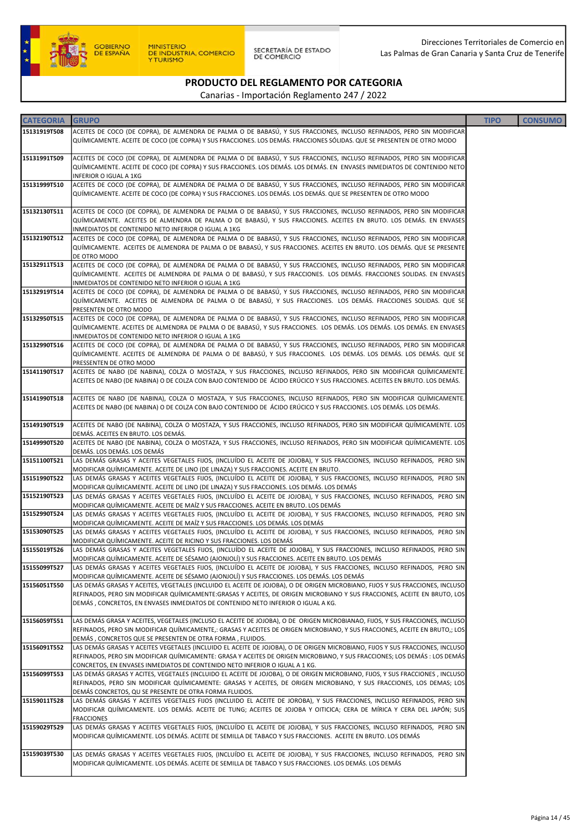

#### PRODUCTO DEL REGLAMENTO POR CATEGORIA Canarias - Importación Reglamento 247 / 2022

| <b>CATEGORIA</b> | <b>GRUPO</b>                                                                                                                                                                                                                                 | <b>TIPO</b> | <b>CONSUMO</b> |
|------------------|----------------------------------------------------------------------------------------------------------------------------------------------------------------------------------------------------------------------------------------------|-------------|----------------|
| 15131919T508     | ACEITES DE COCO (DE COPRA), DE ALMENDRA DE PALMA O DE BABASÚ, Y SUS FRACCIONES, INCLUSO REFINADOS, PERO SIN MODIFICAR                                                                                                                        |             |                |
|                  | QUÍMICAMENTE. ACEITE DE COCO (DE COPRA) Y SUS FRACCIONES. LOS DEMÁS. FRACCIONES SÓLIDAS. QUE SE PRESENTEN DE OTRO MODO                                                                                                                       |             |                |
| 15131991T509     | ACEITES DE COCO (DE COPRA), DE ALMENDRA DE PALMA O DE BABASÚ, Y SUS FRACCIONES, INCLUSO REFINADOS, PERO SIN MODIFICAR                                                                                                                        |             |                |
|                  | QUÍMICAMENTE. ACEITE DE COCO (DE COPRA) Y SUS FRACCIONES. LOS DEMÁS. LOS DEMÁS. EN ENVASES INMEDIATOS DE CONTENIDO NETO                                                                                                                      |             |                |
| 15131999T510     | <b>INFERIOR O IGUAL A 1KG</b>                                                                                                                                                                                                                |             |                |
|                  | ACEITES DE COCO (DE COPRA), DE ALMENDRA DE PALMA O DE BABASÚ, Y SUS FRACCIONES, INCLUSO REFINADOS, PERO SIN MODIFICAR<br>QUÍMICAMENTE. ACEITE DE COCO (DE COPRA) Y SUS FRACCIONES. LOS DEMÁS. LOS DEMÁS. QUE SE PRESENTEN DE OTRO MODO       |             |                |
|                  |                                                                                                                                                                                                                                              |             |                |
| 15132130T511     | ACEITES DE COCO (DE COPRA), DE ALMENDRA DE PALMA O DE BABASÚ, Y SUS FRACCIONES, INCLUSO REFINADOS, PERO SIN MODIFICAR                                                                                                                        |             |                |
|                  | QUÍMICAMENTE. ACEITES DE ALMENDRA DE PALMA O DE BABASÚ, Y SUS FRACCIONES. ACEITES EN BRUTO. LOS DEMÁS. EN ENVASES<br>INMEDIATOS DE CONTENIDO NETO INFERIOR O IGUAL A 1KG                                                                     |             |                |
| 15132190T512     | ACEITES DE COCO (DE COPRA), DE ALMENDRA DE PALMA O DE BABASÚ, Y SUS FRACCIONES, INCLUSO REFINADOS, PERO SIN MODIFICAR                                                                                                                        |             |                |
|                  | QUÍMICAMENTE. ACEITES DE ALMENDRA DE PALMA O DE BABASÚ, Y SUS FRACCIONES. ACEITES EN BRUTO. LOS DEMÁS. QUE SE PRESENTE                                                                                                                       |             |                |
|                  | DE OTRO MODO                                                                                                                                                                                                                                 |             |                |
| 15132911T513     | ACEITES DE COCO (DE COPRA), DE ALMENDRA DE PALMA O DE BABASÚ, Y SUS FRACCIONES, INCLUSO REFINADOS, PERO SIN MODIFICAR<br>QUÍMICAMENTE. ACEITES DE ALMENDRA DE PALMA O DE BABASÚ, Y SUS FRACCIONES. LOS DEMÁS. FRACCIONES SOLIDAS. EN ENVASES |             |                |
|                  | INMEDIATOS DE CONTENIDO NETO INFERIOR O IGUAL A 1KG                                                                                                                                                                                          |             |                |
| 15132919T514     | ACEITES DE COCO (DE COPRA), DE ALMENDRA DE PALMA O DE BABASÚ, Y SUS FRACCIONES, INCLUSO REFINADOS, PERO SIN MODIFICAR                                                                                                                        |             |                |
|                  | QUÍMICAMENTE. ACEITES DE ALMENDRA DE PALMA O DE BABASÚ, Y SUS FRACCIONES. LOS DEMÁS. FRACCIONES SOLIDAS. QUE SE                                                                                                                              |             |                |
| 15132950T515     | PRESENTEN DE OTRO MODO<br>ACEITES DE COCO (DE COPRA), DE ALMENDRA DE PALMA O DE BABASÚ, Y SUS FRACCIONES, INCLUSO REFINADOS, PERO SIN MODIFICAR                                                                                              |             |                |
|                  | QUÍMICAMENTE. ACEITES DE ALMENDRA DE PALMA O DE BABASÚ, Y SUS FRACCIONES. LOS DEMÁS. LOS DEMÁS. LOS DEMÁS. EN ENVASES                                                                                                                        |             |                |
|                  | INMEDIATOS DE CONTENIDO NETO INFERIOR O IGUAL A 1KG                                                                                                                                                                                          |             |                |
| 15132990T516     | ACEITES DE COCO (DE COPRA), DE ALMENDRA DE PALMA O DE BABASÚ, Y SUS FRACCIONES, INCLUSO REFINADOS, PERO SIN MODIFICAR<br>QUÍMICAMENTE. ACEITES DE ALMENDRA DE PALMA O DE BABASÚ, Y SUS FRACCIONES. LOS DEMÁS. LOS DEMÁS. LOS DEMÁS. QUE SE   |             |                |
|                  | PRESSENTEN DE OTRO MODO                                                                                                                                                                                                                      |             |                |
| 15141190T517     | ACEITES DE NABO (DE NABINA), COLZA O MOSTAZA, Y SUS FRACCIONES, INCLUSO REFINADOS, PERO SIN MODIFICAR QUÍMICAMENTE.                                                                                                                          |             |                |
|                  | ACEITES DE NABO (DE NABINA) O DE COLZA CON BAJO CONTENIDO DE ÁCIDO ERÚCICO Y SUS FRACCIONES. ACEITES EN BRUTO. LOS DEMÁS.                                                                                                                    |             |                |
| 15141990T518     | ACEITES DE NABO (DE NABINA), COLZA O MOSTAZA, Y SUS FRACCIONES, INCLUSO REFINADOS, PERO SIN MODIFICAR QUÍMICAMENTE.                                                                                                                          |             |                |
|                  | ACEITES DE NABO (DE NABINA) O DE COLZA CON BAJO CONTENIDO DE ÁCIDO ERÚCICO Y SUS FRACCIONES. LOS DEMÁS. LOS DEMÁS.                                                                                                                           |             |                |
| 15149190T519     | ACEITES DE NABO (DE NABINA), COLZA O MOSTAZA, Y SUS FRACCIONES, INCLUSO REFINADOS, PERO SIN MODIFICAR QUÍMICAMENTE. LOS                                                                                                                      |             |                |
|                  | DEMÁS. ACEITES EN BRUTO. LOS DEMÁS.                                                                                                                                                                                                          |             |                |
| 15149990T520     | ACEITES DE NABO (DE NABINA), COLZA O MOSTAZA, Y SUS FRACCIONES, INCLUSO REFINADOS, PERO SIN MODIFICAR QUÍMICAMENTE. LOS                                                                                                                      |             |                |
|                  | DEMÁS. LOS DEMÁS. LOS DEMÁS                                                                                                                                                                                                                  |             |                |
| 15151100T521     | LAS DEMÁS GRASAS Y ACEITES VEGETALES FIJOS, (INCLUÍDO EL ACEITE DE JOJOBA), Y SUS FRACCIONES, INCLUSO REFINADOS, PERO SIN<br>MODIFICAR QUÍMICAMENTE. ACEITE DE LINO (DE LINAZA) Y SUS FRACCIONES. ACEITE EN BRUTO.                           |             |                |
| 15151990T522     | LAS DEMÁS GRASAS Y ACEITES VEGETALES FIJOS, (INCLUÍDO EL ACEITE DE JOJOBA), Y SUS FRACCIONES, INCLUSO REFINADOS, PERO SIN                                                                                                                    |             |                |
|                  | MODIFICAR QUÍMICAMENTE. ACEITE DE LINO (DE LINAZA) Y SUS FRACCIONES. LOS DEMÁS. LOS DEMÁS                                                                                                                                                    |             |                |
| 15152190T523     | LAS DEMÁS GRASAS Y ACEITES VEGETALES FIJOS, (INCLUÍDO EL ACEITE DE JOJOBA), Y SUS FRACCIONES, INCLUSO REFINADOS, PERO SIN<br>MODIFICAR QUÍMICAMENTE. ACEITE DE MAÍZ Y SUS FRACCIONES. ACEITE EN BRUTO. LOS DEMÁS                             |             |                |
| 15152990T524     | LAS DEMÁS GRASAS Y ACEITES VEGETALES FIJOS, (INCLUÍDO EL ACEITE DE JOJOBA), Y SUS FRACCIONES, INCLUSO REFINADOS, PERO SIN                                                                                                                    |             |                |
|                  | MODIFICAR QUÍMICAMENTE. ACEITE DE MAÍZ Y SUS FRACCIONES. LOS DEMÁS. LOS DEMÁS                                                                                                                                                                |             |                |
| 15153090T525     | LAS DEMÁS GRASAS Y ACEITES VEGETALES FIJOS, (INCLUÍDO EL ACEITE DE JOJOBA), Y SUS FRACCIONES, INCLUSO REFINADOS, PERO SIN<br>MODIFICAR QUÍMICAMENTE. ACEITE DE RICINO Y SUS FRACCIONES. LOS DEMÁS                                            |             |                |
| 15155019T526     | LAS DEMÁS GRASAS Y ACEITES VEGETALES FIJOS, (INCLUÍDO EL ACEITE DE JOJOBA), Y SUS FRACCIONES, INCLUSO REFINADOS, PERO SIN                                                                                                                    |             |                |
|                  | MODIFICAR QUÍMICAMENTE. ACEITE DE SÉSAMO (AJONJOLÍ) Y SUS FRACCIONES. ACEITE EN BRUTO. LOS DEMÁS                                                                                                                                             |             |                |
| 15155099T527     | LAS DEMÁS GRASAS Y ACEITES VEGETALES FIJOS, (INCLUÍDO EL ACEITE DE JOJOBA), Y SUS FRACCIONES, INCLUSO REFINADOS, PERO SIN<br>MODIFICAR QUÍMICAMENTE. ACEITE DE SÉSAMO (AJONJOLÍ) Y SUS FRACCIONES. LOS DEMÁS. LOS DEMÁS                      |             |                |
| 15156051T550     | LAS DEMÁS GRASAS Y ACEITES, VEGETALES (INCLUIDO EL ACEITE DE JOJOBA), O DE ORIGEN MICROBIANO, FIJOS Y SUS FRACCIONES, INCLUSO                                                                                                                |             |                |
|                  | REFINADOS, PERO SIN MODIFICAR QUÍMICAMENTE:GRASAS Y ACEITES, DE ORIGEN MICROBIANO Y SUS FRACCIONES, ACEITE EN BRUTO, LOS                                                                                                                     |             |                |
|                  | DEMÁS, CONCRETOS, EN ENVASES INMEDIATOS DE CONTENIDO NETO INFERIOR O IGUAL A KG.                                                                                                                                                             |             |                |
| 15156059T551     | LAS DEMÁS GRASA Y ACEITES, VEGETALES (INCLUSO EL ACEITE DE JOJOBA), O DE ORIGEN MICROBIANAO, FIJOS, Y SUS FRACCIONES, INCLUSO                                                                                                                |             |                |
|                  | REFINADOS, PERO SIN MODIFICAR QUÍMICAMENTE,: GRASAS Y ACEITES DE ORIGEN MICROBIANO, Y SUS FRACCIONES, ACEITE EN BRUTO,; LOS                                                                                                                  |             |                |
| 15156091T552     | DEMÁS, CONCRETOS QUE SE PRESENTEN DE OTRA FORMA, FLUIDOS.<br>LAS DEMÁS GRASAS Y ACEITES VEGETALES (INCLUIDO EL ACEITE DE JOJOBA), O DE ORIGEN MICROBIANO, FIJOS Y SUS FRACCIONES, INCLUSO                                                    |             |                |
|                  | REFINADOS, PERO SIN MODIFICAR QUÍMICAMENTE: GRASA Y ACEITES DE ORIGEN MICROBIANO, Y SUS FRACCIONES; LOS DEMÁS : LOS DEMÁS                                                                                                                    |             |                |
|                  | CONCRETOS, EN ENVASES INMEDIATOS DE CONTENIDO NETO INFERIOR O IGUAL A 1 KG.                                                                                                                                                                  |             |                |
| 15156099T553     | LAS DEMÁS GRASAS Y ACITES, VEGETALES (INCLUIDO EL ACEITE DE JOJOBA), O DE ORIGEN MICROBIANO, FIJOS, Y SUS FRACCIONES, INCLUSO                                                                                                                |             |                |
|                  | REFINADOS, PERO SIN MODIFICAR QUÍMICAMENTE: GRASAS Y ACEITES, DE ORIGEN MICROBIANO, Y SUS FRACCIONES, LOS DEMAS; LOS<br>DEMÁS CONCRETOS, QU SE PRESENTE DE OTRA FORMA FLUIDOS.                                                               |             |                |
| 15159011T528     | LAS DEMÁS GRASAS Y ACEITES VEGETALES FIJOS (INCLUIDO EL ACEITE DE JOROBA), Y SUS FRACCIONES, INCLUSO REFINADOS, PERO SIN                                                                                                                     |             |                |
|                  | MODIFICAR QUÍMICAMENTE. LOS DEMÁS. ACEITE DE TUNG; ACEITES DE JOJOBA Y OITICICA; CERA DE MÍRICA Y CERA DEL JAPÓN; SUS                                                                                                                        |             |                |
|                  | <b>FRACCIONES</b>                                                                                                                                                                                                                            |             |                |
| 15159029T529     | LAS DEMÁS GRASAS Y ACEITES VEGETALES FIJOS, (INCLUÍDO EL ACEITE DE JOJOBA), Y SUS FRACCIONES, INCLUSO REFINADOS, PERO SIN<br>MODIFICAR QUÍMICAMENTE. LOS DEMÁS. ACEITE DE SEMILLA DE TABACO Y SUS FRACCIONES. ACEITE EN BRUTO. LOS DEMÁS     |             |                |
|                  |                                                                                                                                                                                                                                              |             |                |
| 15159039T530     | LAS DEMÁS GRASAS Y ACEITES VEGETALES FIJOS, (INCLUÍDO EL ACEITE DE JOJOBA), Y SUS FRACCIONES, INCLUSO REFINADOS, PERO SIN                                                                                                                    |             |                |
|                  | MODIFICAR QUÍMICAMENTE. LOS DEMÁS. ACEITE DE SEMILLA DE TABACO Y SUS FRACCIONES. LOS DEMÁS. LOS DEMÁS                                                                                                                                        |             |                |
|                  |                                                                                                                                                                                                                                              |             |                |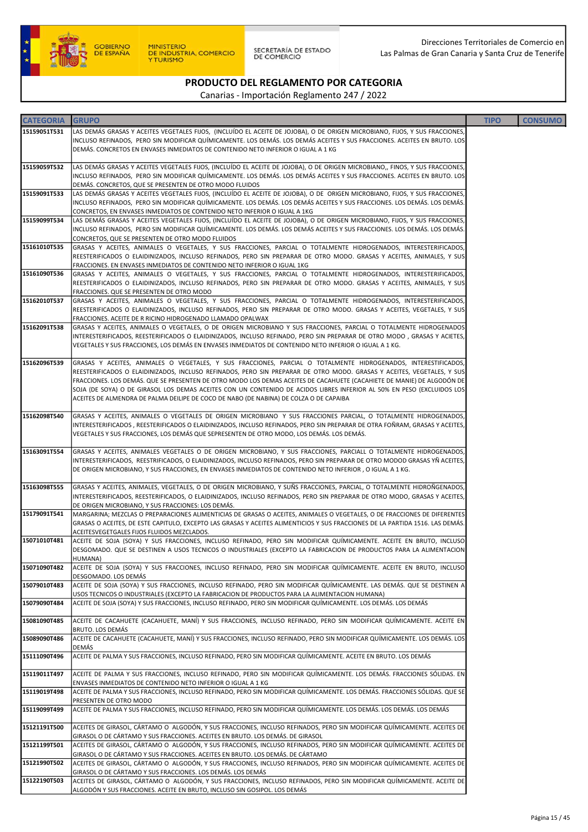

SECRETARÍA DE ESTADO<br>DE COMERCIO

# PRODUCTO DEL REGLAMENTO POR CATEGORIA

| LAS DEMÁS GRASAS Y ACEITES VEGETALES FIJOS, (INCLUÍDO EL ACEITE DE JOJOBA), O DE ORIGEN MICROBIANO, FIJOS, Y SUS FRACCIONES,<br>INCLUSO REFINADOS, PERO SIN MODIFICAR QUÍMICAMENTE. LOS DEMÁS. LOS DEMÁS ACEITES Y SUS FRACCIONES. ACEITES EN BRUTO. LOS<br>DEMÁS. CONCRETOS EN ENVASES INMEDIATOS DE CONTENIDO NETO INFERIOR O IGUAL A 1 KG<br>15159059T532<br>LAS DEMÁS GRASAS Y ACEITES VEGETALES FIJOS, (INCLUÍDO EL ACEITE DE JOJOBA), O DE ORIGEN MICROBIANO,, FINOS, Y SUS FRACCIONES,<br>INCLUSO REFINADOS, PERO SIN MODIFICAR QUÍMICAMENTE. LOS DEMÁS. LOS DEMÁS ACEITES Y SUS FRACCIONES. ACEITES EN BRUTO. LOS<br>DEMÁS. CONCRETOS, QUE SE PRESENTEN DE OTRO MODO FLUIDOS<br>LAS DEMÁS GRASAS Y ACEITES VEGETALES FIJOS, (INCLUÍDO EL ACEITE DE JOJOBA), O DE ORIGEN MICROBIANO, FIJOS, Y SUS FRACCIONES,<br>INCLUSO REFINADOS, PERO SIN MODIFICAR QUÍMICAMENTE. LOS DEMÁS. LOS DEMÁS ACEITES Y SUS FRACCIONES. LOS DEMÁS. LOS DEMÁS.<br>CONCRETOS, EN ENVASES INMEDIATOS DE CONTENIDO NETO INFERIOR O IGUAL A 1KG<br>LAS DEMÁS GRASAS Y ACEITES VEGETALES FIJOS, (INCLUÍDO EL ACEITE DE JOJOBA), O DE ORIGEN MICROBIANO, FIJOS, Y SUS FRACCIONES,<br>15159099T534<br>INCLUSO REFINADOS, PERO SIN MODIFICAR QUÍMICAMENTE. LOS DEMÁS. LOS DEMÁS ACEITES Y SUS FRACCIONES. LOS DEMÁS. LOS DEMÁS.<br>CONCRETOS, QUE SE PRESENTEN DE OTRO MODO FLUIDOS<br>GRASAS Y ACEITES, ANIMALES O VEGETALES, Y SUS FRACCIONES, PARCIAL O TOTALMENTE HIDROGENADOS, INTERESTERIFICADOS,<br>REESTERIFICADOS O ELAIDINIZADOS, INCLUSO REFINADOS, PERO SIN PREPARAR DE OTRO MODO. GRASAS Y ACEITES, ANIMALES, Y SUS<br>FRACCIONES. EN ENVASES INMEDIATOS DE CONTENIDO NETO INFERIOR O IGUAL 1KG<br>GRASAS Y ACEITES, ANIMALES O VEGETALES, Y SUS FRACCIONES, PARCIAL O TOTALMENTE HIDROGENADOS, INTERESTERIFICADOS,<br>15161090T536<br>REESTERIFICADOS O ELAIDINIZADOS, INCLUSO REFINADOS, PERO SIN PREPARAR DE OTRO MODO. GRASAS Y ACEITES, ANIMALES, Y SUS<br>FRACCIONES. QUE SE PRESENTEN DE OTRO MODO<br>GRASAS Y ACEITES, ANIMALES O VEGETALES, Y SUS FRACCIONES, PARCIAL O TOTALMENTE HIDROGENADOS, INTERESTERIFICADOS,<br>REESTERIFICADOS O ELAIDINIZADOS, INCLUSO REFINADOS, PERO SIN PREPARAR DE OTRO MODO. GRASAS Y ACEITES, VEGETALES, Y SUS<br>FRACCIONES. ACEITE DE R RICINO HIDROGENADO LLAMADO OPALWAX<br>GRASAS Y ACEITES, ANIMALES O VEGETALES, O DE ORIGEN MICROBIANO Y SUS FRACCIONES, PARCIAL O TOTALMENTE HIDROGENADOS<br>15162091T538<br>INTERESTERIFICADOS, REESTERIFICADOS O ELAIDINIZADOS, INCLUSO REFINADO, PERO SIN PREPARAR DE OTRO MODO , GRASAS Y ACIETES,<br>VEGETALES Y SUS FRACCIONES, LOS DEMÁS EN ENVASES INMEDIATOS DE CONTENIDO NETO INFERIOR O IGUAL A 1 KG.<br>15162096T539<br>GRASAS Y ACEITES, ANIMALES O VEGETALES, Y SUS FRACCIONES, PARCIAL O TOTALMENTE HIDROGENADOS, INTERESTIFICADOS,<br>REESTERIFICADOS O ELAIDINIZADOS, INCLUSO REFINADOS, PERO SIN PREPARAR DE OTRO MODO. GRASAS Y ACEITES, VEGETALES, Y SUS<br>FRACCIONES. LOS DEMÁS. QUE SE PRESENTEN DE OTRO MODO LOS DEMAS ACEITES DE CACAHUETE (CACAHIETE DE MANIE) DE ALGODÓN DE<br>SOJA (DE SOYA) O DE GIRASOL LOS DEMAS ACEITES CON UN CONTENIDO DE ACIDOS LIBRES INFERIOR AL 50% EN PESO (EXCLUIDOS LOS)<br>ACEITES DE ALMENDRA DE PALMA DEILIPE DE COCO DE NABO (DE NABINA) DE COLZA O DE CAPAIBA<br>15162098T540<br>GRASAS Y ACEITES, ANIMALES O VEGETALES DE ORIGEN MICROBIANO Y SUS FRACCIONES PARCIAL, O TOTALMENTE HIDROGENADOS,<br>INTERESTERIFICADOS , REESTERIFICADOS O ELAIDINIZADOS, INCLUSO REFINADOS, PERO SIN PREPARAR DE OTRA FOÑRAM, GRASAS Y ACEITES,<br>VEGETALES Y SUS FRACCIONES, LOS DEMÁS QUE SEPRESENTEN DE OTRO MODO, LOS DEMÁS. LOS DEMÁS.<br>GRASAS Y ACEITES, ANIMALES VEGETALES O DE ORIGEN MICROBIANO, Y SUS FRACCIONES, PARCIALL O TOTALMENTE HIDROGENADOS,<br>INTERESTERIFICADOS, REESTRIFICADOS, O ELAIDINIZADOS, INCLUSO REFINADOS, PERO SIN PREPARAR DE OTRO MODOD GRASAS YÑ ACEITES,<br>DE ORIGEN MICROBIANO, Y SUS FRACCIONES, EN ENVASES INMEDIATOS DE CONTENIDO NETO INFERIOR, O IGUAL A 1 KG.<br>GRASAS Y ACEITES, ANIMALES, VEGETALES, O DE ORIGEN MICROBIANO, Y SUÑS FRACCIONES, PARCIAL, O TOTALMENTE HIDROÑGENADOS,<br>INTERESTERIFICADOS, REESTERIFICADOS, O ELAIDINIZADOS, INCLUSO REFINADOS, PERO SIN PREPARAR DE OTRO MODO, GRASAS Y ACEITES,<br>DE ORIGEN MICROBIANO, Y SUS FRACCIONES: LOS DEMÁS.<br>MARGARINA; MEZCLAS O PREPARACIONES ALIMENTICIAS DE GRASAS O ACEITES, ANIMALES O VEGETALES, O DE FRACCIONES DE DIFERENTES<br>15179091T541<br>GRASAS O ACEITES, DE ESTE CAPITULO, EXCEPTO LAS GRASAS Y ACEITES ALIMENTICIOS Y SUS FRACCIONES DE LA PARTIDA 1516. LAS DEMÁS.<br>ACEITESVEGETGALES FIJOS FLUIDOS MEZCLADOS.<br>ACEITE DE SOJA (SOYA) Y SUS FRACCIONES, INCLUSO REFINADO, PERO SIN MODIFICAR QUÍMICAMENTE. ACEITE EN BRUTO, INCLUSO<br>DESGOMADO. QUE SE DESTINEN A USOS TECNICOS O INDUSTRIALES (EXCEPTO LA FABRICACION DE PRODUCTOS PARA LA ALIMENTACION<br>HUMANA)<br>ACEITE DE SOJA (SOYA) Y SUS FRACCIONES, INCLUSO REFINADO, PERO SIN MODIFICAR QUÍMICAMENTE. ACEITE EN BRUTO, INCLUSO<br>15071090T482<br>DESGOMADO. LOS DEMÁS<br>ACEITE DE SOJA (SOYA) Y SUS FRACCIONES, INCLUSO REFINADO, PERO SIN MODIFICAR QUÍMICAMENTE. LAS DEMÁS. QUE SE DESTINEN A<br>USOS TECNICOS O INDUSTRIALES (EXCEPTO LA FABRICACION DE PRODUCTOS PARA LA ALIMENTACION HUMANA)<br>ACEITE DE SOJA (SOYA) Y SUS FRACCIONES, INCLUSO REFINADO, PERO SIN MODIFICAR QUÍMICAMENTE. LOS DEMÁS. LOS DEMÁS<br>15079090T484<br>ACEITE DE CACAHUETE (CACAHUETE, MANÍ) Y SUS FRACCIONES, INCLUSO REFINADO, PERO SIN MODIFICAR QUÍMICAMENTE. ACEITE EN<br>BRUTO. LOS DEMÁS<br>ACEITE DE CACAHUETE (CACAHUETE, MANÍ) Y SUS FRACCIONES, INCLUSO REFINADO, PERO SIN MODIFICAR QUÍMICAMENTE. LOS DEMÁS. LOS<br>15089090T486<br>DEMÁS<br>15111090T496<br>ACEITE DE PALMA Y SUS FRACCIONES, INCLUSO REFINADO, PERO SIN MODIFICAR QUÍMICAMENTE. ACEITE EN BRUTO. LOS DEMÁS<br>ACEITE DE PALMA Y SUS FRACCIONES, INCLUSO REFINADO, PERO SIN MODIFICAR QUÍMICAMENTE. LOS DEMÁS. FRACCIONES SÓLIDAS. EN<br>ENVASES INMEDIATOS DE CONTENIDO NETO INFERIOR O IGUAL A 1 KG<br>ACEITE DE PALMA Y SUS FRACCIONES, INCLUSO REFINADO, PERO SIN MODIFICAR QUÍMICAMENTE. LOS DEMÁS. FRACCIONES SÓLIDAS. QUE SE<br>15119019T498<br>PRESENTEN DE OTRO MODO<br>ACEITE DE PALMA Y SUS FRACCIONES, INCLUSO REFINADO, PERO SIN MODIFICAR QUÍMICAMENTE. LOS DEMÁS. LOS DEMÁS. LOS DEMÁS<br>ACEITES DE GIRASOL, CÁRTAMO O ALGODÓN, Y SUS FRACCIONES, INCLUSO REFINADOS, PERO SIN MODIFICAR QUÍMICAMENTE. ACEITES DE<br>GIRASOL O DE CÁRTAMO Y SUS FRACCIONES. ACEITES EN BRUTO. LOS DEMÁS. DE GIRASOL<br>ACEITES DE GIRASOL, CÁRTAMO O  ALGODÓN, Y SUS FRACCIONES, INCLUSO REFINADOS, PERO SIN MODIFICAR QUÍMICAMENTE. ACEITES DE<br>15121199T501<br>GIRASOL O DE CÁRTAMO Y SUS FRACCIONES. ACEITES EN BRUTO. LOS DEMÁS. DE CÁRTAMO<br>ACEITES DE GIRASOL, CÁRTAMO O  ALGODÓN, Y SUS FRACCIONES, INCLUSO REFINADOS, PERO SIN MODIFICAR QUÍMICAMENTE. ACEITES DE<br>GIRASOL O DE CÁRTAMO Y SUS FRACCIONES. LOS DEMÁS. LOS DEMÁS<br>ACEITES DE GIRASOL, CÁRTAMO O  ALGODÓN, Y SUS FRACCIONES, INCLUSO REFINADOS, PERO SIN MODIFICAR QUÍMICAMENTE. ACEITE DE<br>ALGODÓN Y SUS FRACCIONES. ACEITE EN BRUTO, INCLUSO SIN GOSIPOL. LOS DEMÁS | <b>CATEGORIA</b> | <b>GRUPO</b> | <b>TIPO</b> | <b>CONSUMO</b> |
|------------------------------------------------------------------------------------------------------------------------------------------------------------------------------------------------------------------------------------------------------------------------------------------------------------------------------------------------------------------------------------------------------------------------------------------------------------------------------------------------------------------------------------------------------------------------------------------------------------------------------------------------------------------------------------------------------------------------------------------------------------------------------------------------------------------------------------------------------------------------------------------------------------------------------------------------------------------------------------------------------------------------------------------------------------------------------------------------------------------------------------------------------------------------------------------------------------------------------------------------------------------------------------------------------------------------------------------------------------------------------------------------------------------------------------------------------------------------------------------------------------------------------------------------------------------------------------------------------------------------------------------------------------------------------------------------------------------------------------------------------------------------------------------------------------------------------------------------------------------------------------------------------------------------------------------------------------------------------------------------------------------------------------------------------------------------------------------------------------------------------------------------------------------------------------------------------------------------------------------------------------------------------------------------------------------------------------------------------------------------------------------------------------------------------------------------------------------------------------------------------------------------------------------------------------------------------------------------------------------------------------------------------------------------------------------------------------------------------------------------------------------------------------------------------------------------------------------------------------------------------------------------------------------------------------------------------------------------------------------------------------------------------------------------------------------------------------------------------------------------------------------------------------------------------------------------------------------------------------------------------------------------------------------------------------------------------------------------------------------------------------------------------------------------------------------------------------------------------------------------------------------------------------------------------------------------------------------------------------------------------------------------------------------------------------------------------------------------------------------------------------------------------------------------------------------------------------------------------------------------------------------------------------------------------------------------------------------------------------------------------------------------------------------------------------------------------------------------------------------------------------------------------------------------------------------------------------------------------------------------------------------------------------------------------------------------------------------------------------------------------------------------------------------------------------------------------------------------------------------------------------------------------------------------------------------------------------------------------------------------------------------------------------------------------------------------------------------------------------------------------------------------------------------------------------------------------------------------------------------------------------------------------------------------------------------------------------------------------------------------------------------------------------------------------------------------------------------------------------------------------------------------------------------------------------------------------------------------------------------------------------------------------------------------------------------------------------------------------------------------------------------------------------------------------------------------------------------------------------------------------------------------------------------------------------------------------------------------------------------------------------------------------------------------------------------------------------------------------------------------------------------------------------------------------------------------------------------------------------------------------------------------------------------------------------------------------------------------------------------------------------------------------------------------------------------------------------------------------------------------------------------------------------------------------------------------------------------------------------------------------------------------------------------------------------------------------------------------------------------------------------------------------------------------------------------------------------------------------------------------------------------------------------------------------------------------------------------------------------------------------------------------------------------------------------------------------------------------------------------------------------------------------------------------------------------------------------------------------------------------------------------------------------------------------------------------------------------------------------------------------------------------------------------------------------------------------------------------------------------------------------------------------------------------------------------------------------------------------------------------------|------------------|--------------|-------------|----------------|
|                                                                                                                                                                                                                                                                                                                                                                                                                                                                                                                                                                                                                                                                                                                                                                                                                                                                                                                                                                                                                                                                                                                                                                                                                                                                                                                                                                                                                                                                                                                                                                                                                                                                                                                                                                                                                                                                                                                                                                                                                                                                                                                                                                                                                                                                                                                                                                                                                                                                                                                                                                                                                                                                                                                                                                                                                                                                                                                                                                                                                                                                                                                                                                                                                                                                                                                                                                                                                                                                                                                                                                                                                                                                                                                                                                                                                                                                                                                                                                                                                                                                                                                                                                                                                                                                                                                                                                                                                                                                                                                                                                                                                                                                                                                                                                                                                                                                                                                                                                                                                                                                                                                                                                                                                                                                                                                                                                                                                                                                                                                                                                                                                                                                                                                                                                                                                                                                                                                                                                                                                                                                                                                                                                                                                                                                                                                                                                                                                                                                                                                                                                                                                                                                                                                                                                                                                                                                                                                                                                                                                                                                                                                                                                                                                                                      | 15159051T531     |              |             |                |
|                                                                                                                                                                                                                                                                                                                                                                                                                                                                                                                                                                                                                                                                                                                                                                                                                                                                                                                                                                                                                                                                                                                                                                                                                                                                                                                                                                                                                                                                                                                                                                                                                                                                                                                                                                                                                                                                                                                                                                                                                                                                                                                                                                                                                                                                                                                                                                                                                                                                                                                                                                                                                                                                                                                                                                                                                                                                                                                                                                                                                                                                                                                                                                                                                                                                                                                                                                                                                                                                                                                                                                                                                                                                                                                                                                                                                                                                                                                                                                                                                                                                                                                                                                                                                                                                                                                                                                                                                                                                                                                                                                                                                                                                                                                                                                                                                                                                                                                                                                                                                                                                                                                                                                                                                                                                                                                                                                                                                                                                                                                                                                                                                                                                                                                                                                                                                                                                                                                                                                                                                                                                                                                                                                                                                                                                                                                                                                                                                                                                                                                                                                                                                                                                                                                                                                                                                                                                                                                                                                                                                                                                                                                                                                                                                                                      |                  |              |             |                |
|                                                                                                                                                                                                                                                                                                                                                                                                                                                                                                                                                                                                                                                                                                                                                                                                                                                                                                                                                                                                                                                                                                                                                                                                                                                                                                                                                                                                                                                                                                                                                                                                                                                                                                                                                                                                                                                                                                                                                                                                                                                                                                                                                                                                                                                                                                                                                                                                                                                                                                                                                                                                                                                                                                                                                                                                                                                                                                                                                                                                                                                                                                                                                                                                                                                                                                                                                                                                                                                                                                                                                                                                                                                                                                                                                                                                                                                                                                                                                                                                                                                                                                                                                                                                                                                                                                                                                                                                                                                                                                                                                                                                                                                                                                                                                                                                                                                                                                                                                                                                                                                                                                                                                                                                                                                                                                                                                                                                                                                                                                                                                                                                                                                                                                                                                                                                                                                                                                                                                                                                                                                                                                                                                                                                                                                                                                                                                                                                                                                                                                                                                                                                                                                                                                                                                                                                                                                                                                                                                                                                                                                                                                                                                                                                                                                      |                  |              |             |                |
|                                                                                                                                                                                                                                                                                                                                                                                                                                                                                                                                                                                                                                                                                                                                                                                                                                                                                                                                                                                                                                                                                                                                                                                                                                                                                                                                                                                                                                                                                                                                                                                                                                                                                                                                                                                                                                                                                                                                                                                                                                                                                                                                                                                                                                                                                                                                                                                                                                                                                                                                                                                                                                                                                                                                                                                                                                                                                                                                                                                                                                                                                                                                                                                                                                                                                                                                                                                                                                                                                                                                                                                                                                                                                                                                                                                                                                                                                                                                                                                                                                                                                                                                                                                                                                                                                                                                                                                                                                                                                                                                                                                                                                                                                                                                                                                                                                                                                                                                                                                                                                                                                                                                                                                                                                                                                                                                                                                                                                                                                                                                                                                                                                                                                                                                                                                                                                                                                                                                                                                                                                                                                                                                                                                                                                                                                                                                                                                                                                                                                                                                                                                                                                                                                                                                                                                                                                                                                                                                                                                                                                                                                                                                                                                                                                                      |                  |              |             |                |
|                                                                                                                                                                                                                                                                                                                                                                                                                                                                                                                                                                                                                                                                                                                                                                                                                                                                                                                                                                                                                                                                                                                                                                                                                                                                                                                                                                                                                                                                                                                                                                                                                                                                                                                                                                                                                                                                                                                                                                                                                                                                                                                                                                                                                                                                                                                                                                                                                                                                                                                                                                                                                                                                                                                                                                                                                                                                                                                                                                                                                                                                                                                                                                                                                                                                                                                                                                                                                                                                                                                                                                                                                                                                                                                                                                                                                                                                                                                                                                                                                                                                                                                                                                                                                                                                                                                                                                                                                                                                                                                                                                                                                                                                                                                                                                                                                                                                                                                                                                                                                                                                                                                                                                                                                                                                                                                                                                                                                                                                                                                                                                                                                                                                                                                                                                                                                                                                                                                                                                                                                                                                                                                                                                                                                                                                                                                                                                                                                                                                                                                                                                                                                                                                                                                                                                                                                                                                                                                                                                                                                                                                                                                                                                                                                                                      |                  |              |             |                |
|                                                                                                                                                                                                                                                                                                                                                                                                                                                                                                                                                                                                                                                                                                                                                                                                                                                                                                                                                                                                                                                                                                                                                                                                                                                                                                                                                                                                                                                                                                                                                                                                                                                                                                                                                                                                                                                                                                                                                                                                                                                                                                                                                                                                                                                                                                                                                                                                                                                                                                                                                                                                                                                                                                                                                                                                                                                                                                                                                                                                                                                                                                                                                                                                                                                                                                                                                                                                                                                                                                                                                                                                                                                                                                                                                                                                                                                                                                                                                                                                                                                                                                                                                                                                                                                                                                                                                                                                                                                                                                                                                                                                                                                                                                                                                                                                                                                                                                                                                                                                                                                                                                                                                                                                                                                                                                                                                                                                                                                                                                                                                                                                                                                                                                                                                                                                                                                                                                                                                                                                                                                                                                                                                                                                                                                                                                                                                                                                                                                                                                                                                                                                                                                                                                                                                                                                                                                                                                                                                                                                                                                                                                                                                                                                                                                      |                  |              |             |                |
|                                                                                                                                                                                                                                                                                                                                                                                                                                                                                                                                                                                                                                                                                                                                                                                                                                                                                                                                                                                                                                                                                                                                                                                                                                                                                                                                                                                                                                                                                                                                                                                                                                                                                                                                                                                                                                                                                                                                                                                                                                                                                                                                                                                                                                                                                                                                                                                                                                                                                                                                                                                                                                                                                                                                                                                                                                                                                                                                                                                                                                                                                                                                                                                                                                                                                                                                                                                                                                                                                                                                                                                                                                                                                                                                                                                                                                                                                                                                                                                                                                                                                                                                                                                                                                                                                                                                                                                                                                                                                                                                                                                                                                                                                                                                                                                                                                                                                                                                                                                                                                                                                                                                                                                                                                                                                                                                                                                                                                                                                                                                                                                                                                                                                                                                                                                                                                                                                                                                                                                                                                                                                                                                                                                                                                                                                                                                                                                                                                                                                                                                                                                                                                                                                                                                                                                                                                                                                                                                                                                                                                                                                                                                                                                                                                                      | 15159091T533     |              |             |                |
|                                                                                                                                                                                                                                                                                                                                                                                                                                                                                                                                                                                                                                                                                                                                                                                                                                                                                                                                                                                                                                                                                                                                                                                                                                                                                                                                                                                                                                                                                                                                                                                                                                                                                                                                                                                                                                                                                                                                                                                                                                                                                                                                                                                                                                                                                                                                                                                                                                                                                                                                                                                                                                                                                                                                                                                                                                                                                                                                                                                                                                                                                                                                                                                                                                                                                                                                                                                                                                                                                                                                                                                                                                                                                                                                                                                                                                                                                                                                                                                                                                                                                                                                                                                                                                                                                                                                                                                                                                                                                                                                                                                                                                                                                                                                                                                                                                                                                                                                                                                                                                                                                                                                                                                                                                                                                                                                                                                                                                                                                                                                                                                                                                                                                                                                                                                                                                                                                                                                                                                                                                                                                                                                                                                                                                                                                                                                                                                                                                                                                                                                                                                                                                                                                                                                                                                                                                                                                                                                                                                                                                                                                                                                                                                                                                                      |                  |              |             |                |
|                                                                                                                                                                                                                                                                                                                                                                                                                                                                                                                                                                                                                                                                                                                                                                                                                                                                                                                                                                                                                                                                                                                                                                                                                                                                                                                                                                                                                                                                                                                                                                                                                                                                                                                                                                                                                                                                                                                                                                                                                                                                                                                                                                                                                                                                                                                                                                                                                                                                                                                                                                                                                                                                                                                                                                                                                                                                                                                                                                                                                                                                                                                                                                                                                                                                                                                                                                                                                                                                                                                                                                                                                                                                                                                                                                                                                                                                                                                                                                                                                                                                                                                                                                                                                                                                                                                                                                                                                                                                                                                                                                                                                                                                                                                                                                                                                                                                                                                                                                                                                                                                                                                                                                                                                                                                                                                                                                                                                                                                                                                                                                                                                                                                                                                                                                                                                                                                                                                                                                                                                                                                                                                                                                                                                                                                                                                                                                                                                                                                                                                                                                                                                                                                                                                                                                                                                                                                                                                                                                                                                                                                                                                                                                                                                                                      |                  |              |             |                |
|                                                                                                                                                                                                                                                                                                                                                                                                                                                                                                                                                                                                                                                                                                                                                                                                                                                                                                                                                                                                                                                                                                                                                                                                                                                                                                                                                                                                                                                                                                                                                                                                                                                                                                                                                                                                                                                                                                                                                                                                                                                                                                                                                                                                                                                                                                                                                                                                                                                                                                                                                                                                                                                                                                                                                                                                                                                                                                                                                                                                                                                                                                                                                                                                                                                                                                                                                                                                                                                                                                                                                                                                                                                                                                                                                                                                                                                                                                                                                                                                                                                                                                                                                                                                                                                                                                                                                                                                                                                                                                                                                                                                                                                                                                                                                                                                                                                                                                                                                                                                                                                                                                                                                                                                                                                                                                                                                                                                                                                                                                                                                                                                                                                                                                                                                                                                                                                                                                                                                                                                                                                                                                                                                                                                                                                                                                                                                                                                                                                                                                                                                                                                                                                                                                                                                                                                                                                                                                                                                                                                                                                                                                                                                                                                                                                      |                  |              |             |                |
|                                                                                                                                                                                                                                                                                                                                                                                                                                                                                                                                                                                                                                                                                                                                                                                                                                                                                                                                                                                                                                                                                                                                                                                                                                                                                                                                                                                                                                                                                                                                                                                                                                                                                                                                                                                                                                                                                                                                                                                                                                                                                                                                                                                                                                                                                                                                                                                                                                                                                                                                                                                                                                                                                                                                                                                                                                                                                                                                                                                                                                                                                                                                                                                                                                                                                                                                                                                                                                                                                                                                                                                                                                                                                                                                                                                                                                                                                                                                                                                                                                                                                                                                                                                                                                                                                                                                                                                                                                                                                                                                                                                                                                                                                                                                                                                                                                                                                                                                                                                                                                                                                                                                                                                                                                                                                                                                                                                                                                                                                                                                                                                                                                                                                                                                                                                                                                                                                                                                                                                                                                                                                                                                                                                                                                                                                                                                                                                                                                                                                                                                                                                                                                                                                                                                                                                                                                                                                                                                                                                                                                                                                                                                                                                                                                                      |                  |              |             |                |
|                                                                                                                                                                                                                                                                                                                                                                                                                                                                                                                                                                                                                                                                                                                                                                                                                                                                                                                                                                                                                                                                                                                                                                                                                                                                                                                                                                                                                                                                                                                                                                                                                                                                                                                                                                                                                                                                                                                                                                                                                                                                                                                                                                                                                                                                                                                                                                                                                                                                                                                                                                                                                                                                                                                                                                                                                                                                                                                                                                                                                                                                                                                                                                                                                                                                                                                                                                                                                                                                                                                                                                                                                                                                                                                                                                                                                                                                                                                                                                                                                                                                                                                                                                                                                                                                                                                                                                                                                                                                                                                                                                                                                                                                                                                                                                                                                                                                                                                                                                                                                                                                                                                                                                                                                                                                                                                                                                                                                                                                                                                                                                                                                                                                                                                                                                                                                                                                                                                                                                                                                                                                                                                                                                                                                                                                                                                                                                                                                                                                                                                                                                                                                                                                                                                                                                                                                                                                                                                                                                                                                                                                                                                                                                                                                                                      | 15161010T535     |              |             |                |
|                                                                                                                                                                                                                                                                                                                                                                                                                                                                                                                                                                                                                                                                                                                                                                                                                                                                                                                                                                                                                                                                                                                                                                                                                                                                                                                                                                                                                                                                                                                                                                                                                                                                                                                                                                                                                                                                                                                                                                                                                                                                                                                                                                                                                                                                                                                                                                                                                                                                                                                                                                                                                                                                                                                                                                                                                                                                                                                                                                                                                                                                                                                                                                                                                                                                                                                                                                                                                                                                                                                                                                                                                                                                                                                                                                                                                                                                                                                                                                                                                                                                                                                                                                                                                                                                                                                                                                                                                                                                                                                                                                                                                                                                                                                                                                                                                                                                                                                                                                                                                                                                                                                                                                                                                                                                                                                                                                                                                                                                                                                                                                                                                                                                                                                                                                                                                                                                                                                                                                                                                                                                                                                                                                                                                                                                                                                                                                                                                                                                                                                                                                                                                                                                                                                                                                                                                                                                                                                                                                                                                                                                                                                                                                                                                                                      |                  |              |             |                |
|                                                                                                                                                                                                                                                                                                                                                                                                                                                                                                                                                                                                                                                                                                                                                                                                                                                                                                                                                                                                                                                                                                                                                                                                                                                                                                                                                                                                                                                                                                                                                                                                                                                                                                                                                                                                                                                                                                                                                                                                                                                                                                                                                                                                                                                                                                                                                                                                                                                                                                                                                                                                                                                                                                                                                                                                                                                                                                                                                                                                                                                                                                                                                                                                                                                                                                                                                                                                                                                                                                                                                                                                                                                                                                                                                                                                                                                                                                                                                                                                                                                                                                                                                                                                                                                                                                                                                                                                                                                                                                                                                                                                                                                                                                                                                                                                                                                                                                                                                                                                                                                                                                                                                                                                                                                                                                                                                                                                                                                                                                                                                                                                                                                                                                                                                                                                                                                                                                                                                                                                                                                                                                                                                                                                                                                                                                                                                                                                                                                                                                                                                                                                                                                                                                                                                                                                                                                                                                                                                                                                                                                                                                                                                                                                                                                      |                  |              |             |                |
|                                                                                                                                                                                                                                                                                                                                                                                                                                                                                                                                                                                                                                                                                                                                                                                                                                                                                                                                                                                                                                                                                                                                                                                                                                                                                                                                                                                                                                                                                                                                                                                                                                                                                                                                                                                                                                                                                                                                                                                                                                                                                                                                                                                                                                                                                                                                                                                                                                                                                                                                                                                                                                                                                                                                                                                                                                                                                                                                                                                                                                                                                                                                                                                                                                                                                                                                                                                                                                                                                                                                                                                                                                                                                                                                                                                                                                                                                                                                                                                                                                                                                                                                                                                                                                                                                                                                                                                                                                                                                                                                                                                                                                                                                                                                                                                                                                                                                                                                                                                                                                                                                                                                                                                                                                                                                                                                                                                                                                                                                                                                                                                                                                                                                                                                                                                                                                                                                                                                                                                                                                                                                                                                                                                                                                                                                                                                                                                                                                                                                                                                                                                                                                                                                                                                                                                                                                                                                                                                                                                                                                                                                                                                                                                                                                                      |                  |              |             |                |
|                                                                                                                                                                                                                                                                                                                                                                                                                                                                                                                                                                                                                                                                                                                                                                                                                                                                                                                                                                                                                                                                                                                                                                                                                                                                                                                                                                                                                                                                                                                                                                                                                                                                                                                                                                                                                                                                                                                                                                                                                                                                                                                                                                                                                                                                                                                                                                                                                                                                                                                                                                                                                                                                                                                                                                                                                                                                                                                                                                                                                                                                                                                                                                                                                                                                                                                                                                                                                                                                                                                                                                                                                                                                                                                                                                                                                                                                                                                                                                                                                                                                                                                                                                                                                                                                                                                                                                                                                                                                                                                                                                                                                                                                                                                                                                                                                                                                                                                                                                                                                                                                                                                                                                                                                                                                                                                                                                                                                                                                                                                                                                                                                                                                                                                                                                                                                                                                                                                                                                                                                                                                                                                                                                                                                                                                                                                                                                                                                                                                                                                                                                                                                                                                                                                                                                                                                                                                                                                                                                                                                                                                                                                                                                                                                                                      |                  |              |             |                |
|                                                                                                                                                                                                                                                                                                                                                                                                                                                                                                                                                                                                                                                                                                                                                                                                                                                                                                                                                                                                                                                                                                                                                                                                                                                                                                                                                                                                                                                                                                                                                                                                                                                                                                                                                                                                                                                                                                                                                                                                                                                                                                                                                                                                                                                                                                                                                                                                                                                                                                                                                                                                                                                                                                                                                                                                                                                                                                                                                                                                                                                                                                                                                                                                                                                                                                                                                                                                                                                                                                                                                                                                                                                                                                                                                                                                                                                                                                                                                                                                                                                                                                                                                                                                                                                                                                                                                                                                                                                                                                                                                                                                                                                                                                                                                                                                                                                                                                                                                                                                                                                                                                                                                                                                                                                                                                                                                                                                                                                                                                                                                                                                                                                                                                                                                                                                                                                                                                                                                                                                                                                                                                                                                                                                                                                                                                                                                                                                                                                                                                                                                                                                                                                                                                                                                                                                                                                                                                                                                                                                                                                                                                                                                                                                                                                      | 15162010T537     |              |             |                |
|                                                                                                                                                                                                                                                                                                                                                                                                                                                                                                                                                                                                                                                                                                                                                                                                                                                                                                                                                                                                                                                                                                                                                                                                                                                                                                                                                                                                                                                                                                                                                                                                                                                                                                                                                                                                                                                                                                                                                                                                                                                                                                                                                                                                                                                                                                                                                                                                                                                                                                                                                                                                                                                                                                                                                                                                                                                                                                                                                                                                                                                                                                                                                                                                                                                                                                                                                                                                                                                                                                                                                                                                                                                                                                                                                                                                                                                                                                                                                                                                                                                                                                                                                                                                                                                                                                                                                                                                                                                                                                                                                                                                                                                                                                                                                                                                                                                                                                                                                                                                                                                                                                                                                                                                                                                                                                                                                                                                                                                                                                                                                                                                                                                                                                                                                                                                                                                                                                                                                                                                                                                                                                                                                                                                                                                                                                                                                                                                                                                                                                                                                                                                                                                                                                                                                                                                                                                                                                                                                                                                                                                                                                                                                                                                                                                      |                  |              |             |                |
|                                                                                                                                                                                                                                                                                                                                                                                                                                                                                                                                                                                                                                                                                                                                                                                                                                                                                                                                                                                                                                                                                                                                                                                                                                                                                                                                                                                                                                                                                                                                                                                                                                                                                                                                                                                                                                                                                                                                                                                                                                                                                                                                                                                                                                                                                                                                                                                                                                                                                                                                                                                                                                                                                                                                                                                                                                                                                                                                                                                                                                                                                                                                                                                                                                                                                                                                                                                                                                                                                                                                                                                                                                                                                                                                                                                                                                                                                                                                                                                                                                                                                                                                                                                                                                                                                                                                                                                                                                                                                                                                                                                                                                                                                                                                                                                                                                                                                                                                                                                                                                                                                                                                                                                                                                                                                                                                                                                                                                                                                                                                                                                                                                                                                                                                                                                                                                                                                                                                                                                                                                                                                                                                                                                                                                                                                                                                                                                                                                                                                                                                                                                                                                                                                                                                                                                                                                                                                                                                                                                                                                                                                                                                                                                                                                                      |                  |              |             |                |
|                                                                                                                                                                                                                                                                                                                                                                                                                                                                                                                                                                                                                                                                                                                                                                                                                                                                                                                                                                                                                                                                                                                                                                                                                                                                                                                                                                                                                                                                                                                                                                                                                                                                                                                                                                                                                                                                                                                                                                                                                                                                                                                                                                                                                                                                                                                                                                                                                                                                                                                                                                                                                                                                                                                                                                                                                                                                                                                                                                                                                                                                                                                                                                                                                                                                                                                                                                                                                                                                                                                                                                                                                                                                                                                                                                                                                                                                                                                                                                                                                                                                                                                                                                                                                                                                                                                                                                                                                                                                                                                                                                                                                                                                                                                                                                                                                                                                                                                                                                                                                                                                                                                                                                                                                                                                                                                                                                                                                                                                                                                                                                                                                                                                                                                                                                                                                                                                                                                                                                                                                                                                                                                                                                                                                                                                                                                                                                                                                                                                                                                                                                                                                                                                                                                                                                                                                                                                                                                                                                                                                                                                                                                                                                                                                                                      |                  |              |             |                |
|                                                                                                                                                                                                                                                                                                                                                                                                                                                                                                                                                                                                                                                                                                                                                                                                                                                                                                                                                                                                                                                                                                                                                                                                                                                                                                                                                                                                                                                                                                                                                                                                                                                                                                                                                                                                                                                                                                                                                                                                                                                                                                                                                                                                                                                                                                                                                                                                                                                                                                                                                                                                                                                                                                                                                                                                                                                                                                                                                                                                                                                                                                                                                                                                                                                                                                                                                                                                                                                                                                                                                                                                                                                                                                                                                                                                                                                                                                                                                                                                                                                                                                                                                                                                                                                                                                                                                                                                                                                                                                                                                                                                                                                                                                                                                                                                                                                                                                                                                                                                                                                                                                                                                                                                                                                                                                                                                                                                                                                                                                                                                                                                                                                                                                                                                                                                                                                                                                                                                                                                                                                                                                                                                                                                                                                                                                                                                                                                                                                                                                                                                                                                                                                                                                                                                                                                                                                                                                                                                                                                                                                                                                                                                                                                                                                      |                  |              |             |                |
|                                                                                                                                                                                                                                                                                                                                                                                                                                                                                                                                                                                                                                                                                                                                                                                                                                                                                                                                                                                                                                                                                                                                                                                                                                                                                                                                                                                                                                                                                                                                                                                                                                                                                                                                                                                                                                                                                                                                                                                                                                                                                                                                                                                                                                                                                                                                                                                                                                                                                                                                                                                                                                                                                                                                                                                                                                                                                                                                                                                                                                                                                                                                                                                                                                                                                                                                                                                                                                                                                                                                                                                                                                                                                                                                                                                                                                                                                                                                                                                                                                                                                                                                                                                                                                                                                                                                                                                                                                                                                                                                                                                                                                                                                                                                                                                                                                                                                                                                                                                                                                                                                                                                                                                                                                                                                                                                                                                                                                                                                                                                                                                                                                                                                                                                                                                                                                                                                                                                                                                                                                                                                                                                                                                                                                                                                                                                                                                                                                                                                                                                                                                                                                                                                                                                                                                                                                                                                                                                                                                                                                                                                                                                                                                                                                                      |                  |              |             |                |
|                                                                                                                                                                                                                                                                                                                                                                                                                                                                                                                                                                                                                                                                                                                                                                                                                                                                                                                                                                                                                                                                                                                                                                                                                                                                                                                                                                                                                                                                                                                                                                                                                                                                                                                                                                                                                                                                                                                                                                                                                                                                                                                                                                                                                                                                                                                                                                                                                                                                                                                                                                                                                                                                                                                                                                                                                                                                                                                                                                                                                                                                                                                                                                                                                                                                                                                                                                                                                                                                                                                                                                                                                                                                                                                                                                                                                                                                                                                                                                                                                                                                                                                                                                                                                                                                                                                                                                                                                                                                                                                                                                                                                                                                                                                                                                                                                                                                                                                                                                                                                                                                                                                                                                                                                                                                                                                                                                                                                                                                                                                                                                                                                                                                                                                                                                                                                                                                                                                                                                                                                                                                                                                                                                                                                                                                                                                                                                                                                                                                                                                                                                                                                                                                                                                                                                                                                                                                                                                                                                                                                                                                                                                                                                                                                                                      |                  |              |             |                |
|                                                                                                                                                                                                                                                                                                                                                                                                                                                                                                                                                                                                                                                                                                                                                                                                                                                                                                                                                                                                                                                                                                                                                                                                                                                                                                                                                                                                                                                                                                                                                                                                                                                                                                                                                                                                                                                                                                                                                                                                                                                                                                                                                                                                                                                                                                                                                                                                                                                                                                                                                                                                                                                                                                                                                                                                                                                                                                                                                                                                                                                                                                                                                                                                                                                                                                                                                                                                                                                                                                                                                                                                                                                                                                                                                                                                                                                                                                                                                                                                                                                                                                                                                                                                                                                                                                                                                                                                                                                                                                                                                                                                                                                                                                                                                                                                                                                                                                                                                                                                                                                                                                                                                                                                                                                                                                                                                                                                                                                                                                                                                                                                                                                                                                                                                                                                                                                                                                                                                                                                                                                                                                                                                                                                                                                                                                                                                                                                                                                                                                                                                                                                                                                                                                                                                                                                                                                                                                                                                                                                                                                                                                                                                                                                                                                      |                  |              |             |                |
|                                                                                                                                                                                                                                                                                                                                                                                                                                                                                                                                                                                                                                                                                                                                                                                                                                                                                                                                                                                                                                                                                                                                                                                                                                                                                                                                                                                                                                                                                                                                                                                                                                                                                                                                                                                                                                                                                                                                                                                                                                                                                                                                                                                                                                                                                                                                                                                                                                                                                                                                                                                                                                                                                                                                                                                                                                                                                                                                                                                                                                                                                                                                                                                                                                                                                                                                                                                                                                                                                                                                                                                                                                                                                                                                                                                                                                                                                                                                                                                                                                                                                                                                                                                                                                                                                                                                                                                                                                                                                                                                                                                                                                                                                                                                                                                                                                                                                                                                                                                                                                                                                                                                                                                                                                                                                                                                                                                                                                                                                                                                                                                                                                                                                                                                                                                                                                                                                                                                                                                                                                                                                                                                                                                                                                                                                                                                                                                                                                                                                                                                                                                                                                                                                                                                                                                                                                                                                                                                                                                                                                                                                                                                                                                                                                                      |                  |              |             |                |
|                                                                                                                                                                                                                                                                                                                                                                                                                                                                                                                                                                                                                                                                                                                                                                                                                                                                                                                                                                                                                                                                                                                                                                                                                                                                                                                                                                                                                                                                                                                                                                                                                                                                                                                                                                                                                                                                                                                                                                                                                                                                                                                                                                                                                                                                                                                                                                                                                                                                                                                                                                                                                                                                                                                                                                                                                                                                                                                                                                                                                                                                                                                                                                                                                                                                                                                                                                                                                                                                                                                                                                                                                                                                                                                                                                                                                                                                                                                                                                                                                                                                                                                                                                                                                                                                                                                                                                                                                                                                                                                                                                                                                                                                                                                                                                                                                                                                                                                                                                                                                                                                                                                                                                                                                                                                                                                                                                                                                                                                                                                                                                                                                                                                                                                                                                                                                                                                                                                                                                                                                                                                                                                                                                                                                                                                                                                                                                                                                                                                                                                                                                                                                                                                                                                                                                                                                                                                                                                                                                                                                                                                                                                                                                                                                                                      |                  |              |             |                |
|                                                                                                                                                                                                                                                                                                                                                                                                                                                                                                                                                                                                                                                                                                                                                                                                                                                                                                                                                                                                                                                                                                                                                                                                                                                                                                                                                                                                                                                                                                                                                                                                                                                                                                                                                                                                                                                                                                                                                                                                                                                                                                                                                                                                                                                                                                                                                                                                                                                                                                                                                                                                                                                                                                                                                                                                                                                                                                                                                                                                                                                                                                                                                                                                                                                                                                                                                                                                                                                                                                                                                                                                                                                                                                                                                                                                                                                                                                                                                                                                                                                                                                                                                                                                                                                                                                                                                                                                                                                                                                                                                                                                                                                                                                                                                                                                                                                                                                                                                                                                                                                                                                                                                                                                                                                                                                                                                                                                                                                                                                                                                                                                                                                                                                                                                                                                                                                                                                                                                                                                                                                                                                                                                                                                                                                                                                                                                                                                                                                                                                                                                                                                                                                                                                                                                                                                                                                                                                                                                                                                                                                                                                                                                                                                                                                      |                  |              |             |                |
|                                                                                                                                                                                                                                                                                                                                                                                                                                                                                                                                                                                                                                                                                                                                                                                                                                                                                                                                                                                                                                                                                                                                                                                                                                                                                                                                                                                                                                                                                                                                                                                                                                                                                                                                                                                                                                                                                                                                                                                                                                                                                                                                                                                                                                                                                                                                                                                                                                                                                                                                                                                                                                                                                                                                                                                                                                                                                                                                                                                                                                                                                                                                                                                                                                                                                                                                                                                                                                                                                                                                                                                                                                                                                                                                                                                                                                                                                                                                                                                                                                                                                                                                                                                                                                                                                                                                                                                                                                                                                                                                                                                                                                                                                                                                                                                                                                                                                                                                                                                                                                                                                                                                                                                                                                                                                                                                                                                                                                                                                                                                                                                                                                                                                                                                                                                                                                                                                                                                                                                                                                                                                                                                                                                                                                                                                                                                                                                                                                                                                                                                                                                                                                                                                                                                                                                                                                                                                                                                                                                                                                                                                                                                                                                                                                                      |                  |              |             |                |
|                                                                                                                                                                                                                                                                                                                                                                                                                                                                                                                                                                                                                                                                                                                                                                                                                                                                                                                                                                                                                                                                                                                                                                                                                                                                                                                                                                                                                                                                                                                                                                                                                                                                                                                                                                                                                                                                                                                                                                                                                                                                                                                                                                                                                                                                                                                                                                                                                                                                                                                                                                                                                                                                                                                                                                                                                                                                                                                                                                                                                                                                                                                                                                                                                                                                                                                                                                                                                                                                                                                                                                                                                                                                                                                                                                                                                                                                                                                                                                                                                                                                                                                                                                                                                                                                                                                                                                                                                                                                                                                                                                                                                                                                                                                                                                                                                                                                                                                                                                                                                                                                                                                                                                                                                                                                                                                                                                                                                                                                                                                                                                                                                                                                                                                                                                                                                                                                                                                                                                                                                                                                                                                                                                                                                                                                                                                                                                                                                                                                                                                                                                                                                                                                                                                                                                                                                                                                                                                                                                                                                                                                                                                                                                                                                                                      |                  |              |             |                |
|                                                                                                                                                                                                                                                                                                                                                                                                                                                                                                                                                                                                                                                                                                                                                                                                                                                                                                                                                                                                                                                                                                                                                                                                                                                                                                                                                                                                                                                                                                                                                                                                                                                                                                                                                                                                                                                                                                                                                                                                                                                                                                                                                                                                                                                                                                                                                                                                                                                                                                                                                                                                                                                                                                                                                                                                                                                                                                                                                                                                                                                                                                                                                                                                                                                                                                                                                                                                                                                                                                                                                                                                                                                                                                                                                                                                                                                                                                                                                                                                                                                                                                                                                                                                                                                                                                                                                                                                                                                                                                                                                                                                                                                                                                                                                                                                                                                                                                                                                                                                                                                                                                                                                                                                                                                                                                                                                                                                                                                                                                                                                                                                                                                                                                                                                                                                                                                                                                                                                                                                                                                                                                                                                                                                                                                                                                                                                                                                                                                                                                                                                                                                                                                                                                                                                                                                                                                                                                                                                                                                                                                                                                                                                                                                                                                      |                  |              |             |                |
|                                                                                                                                                                                                                                                                                                                                                                                                                                                                                                                                                                                                                                                                                                                                                                                                                                                                                                                                                                                                                                                                                                                                                                                                                                                                                                                                                                                                                                                                                                                                                                                                                                                                                                                                                                                                                                                                                                                                                                                                                                                                                                                                                                                                                                                                                                                                                                                                                                                                                                                                                                                                                                                                                                                                                                                                                                                                                                                                                                                                                                                                                                                                                                                                                                                                                                                                                                                                                                                                                                                                                                                                                                                                                                                                                                                                                                                                                                                                                                                                                                                                                                                                                                                                                                                                                                                                                                                                                                                                                                                                                                                                                                                                                                                                                                                                                                                                                                                                                                                                                                                                                                                                                                                                                                                                                                                                                                                                                                                                                                                                                                                                                                                                                                                                                                                                                                                                                                                                                                                                                                                                                                                                                                                                                                                                                                                                                                                                                                                                                                                                                                                                                                                                                                                                                                                                                                                                                                                                                                                                                                                                                                                                                                                                                                                      | 15163091T554     |              |             |                |
|                                                                                                                                                                                                                                                                                                                                                                                                                                                                                                                                                                                                                                                                                                                                                                                                                                                                                                                                                                                                                                                                                                                                                                                                                                                                                                                                                                                                                                                                                                                                                                                                                                                                                                                                                                                                                                                                                                                                                                                                                                                                                                                                                                                                                                                                                                                                                                                                                                                                                                                                                                                                                                                                                                                                                                                                                                                                                                                                                                                                                                                                                                                                                                                                                                                                                                                                                                                                                                                                                                                                                                                                                                                                                                                                                                                                                                                                                                                                                                                                                                                                                                                                                                                                                                                                                                                                                                                                                                                                                                                                                                                                                                                                                                                                                                                                                                                                                                                                                                                                                                                                                                                                                                                                                                                                                                                                                                                                                                                                                                                                                                                                                                                                                                                                                                                                                                                                                                                                                                                                                                                                                                                                                                                                                                                                                                                                                                                                                                                                                                                                                                                                                                                                                                                                                                                                                                                                                                                                                                                                                                                                                                                                                                                                                                                      |                  |              |             |                |
|                                                                                                                                                                                                                                                                                                                                                                                                                                                                                                                                                                                                                                                                                                                                                                                                                                                                                                                                                                                                                                                                                                                                                                                                                                                                                                                                                                                                                                                                                                                                                                                                                                                                                                                                                                                                                                                                                                                                                                                                                                                                                                                                                                                                                                                                                                                                                                                                                                                                                                                                                                                                                                                                                                                                                                                                                                                                                                                                                                                                                                                                                                                                                                                                                                                                                                                                                                                                                                                                                                                                                                                                                                                                                                                                                                                                                                                                                                                                                                                                                                                                                                                                                                                                                                                                                                                                                                                                                                                                                                                                                                                                                                                                                                                                                                                                                                                                                                                                                                                                                                                                                                                                                                                                                                                                                                                                                                                                                                                                                                                                                                                                                                                                                                                                                                                                                                                                                                                                                                                                                                                                                                                                                                                                                                                                                                                                                                                                                                                                                                                                                                                                                                                                                                                                                                                                                                                                                                                                                                                                                                                                                                                                                                                                                                                      |                  |              |             |                |
|                                                                                                                                                                                                                                                                                                                                                                                                                                                                                                                                                                                                                                                                                                                                                                                                                                                                                                                                                                                                                                                                                                                                                                                                                                                                                                                                                                                                                                                                                                                                                                                                                                                                                                                                                                                                                                                                                                                                                                                                                                                                                                                                                                                                                                                                                                                                                                                                                                                                                                                                                                                                                                                                                                                                                                                                                                                                                                                                                                                                                                                                                                                                                                                                                                                                                                                                                                                                                                                                                                                                                                                                                                                                                                                                                                                                                                                                                                                                                                                                                                                                                                                                                                                                                                                                                                                                                                                                                                                                                                                                                                                                                                                                                                                                                                                                                                                                                                                                                                                                                                                                                                                                                                                                                                                                                                                                                                                                                                                                                                                                                                                                                                                                                                                                                                                                                                                                                                                                                                                                                                                                                                                                                                                                                                                                                                                                                                                                                                                                                                                                                                                                                                                                                                                                                                                                                                                                                                                                                                                                                                                                                                                                                                                                                                                      | 15163098T555     |              |             |                |
|                                                                                                                                                                                                                                                                                                                                                                                                                                                                                                                                                                                                                                                                                                                                                                                                                                                                                                                                                                                                                                                                                                                                                                                                                                                                                                                                                                                                                                                                                                                                                                                                                                                                                                                                                                                                                                                                                                                                                                                                                                                                                                                                                                                                                                                                                                                                                                                                                                                                                                                                                                                                                                                                                                                                                                                                                                                                                                                                                                                                                                                                                                                                                                                                                                                                                                                                                                                                                                                                                                                                                                                                                                                                                                                                                                                                                                                                                                                                                                                                                                                                                                                                                                                                                                                                                                                                                                                                                                                                                                                                                                                                                                                                                                                                                                                                                                                                                                                                                                                                                                                                                                                                                                                                                                                                                                                                                                                                                                                                                                                                                                                                                                                                                                                                                                                                                                                                                                                                                                                                                                                                                                                                                                                                                                                                                                                                                                                                                                                                                                                                                                                                                                                                                                                                                                                                                                                                                                                                                                                                                                                                                                                                                                                                                                                      |                  |              |             |                |
|                                                                                                                                                                                                                                                                                                                                                                                                                                                                                                                                                                                                                                                                                                                                                                                                                                                                                                                                                                                                                                                                                                                                                                                                                                                                                                                                                                                                                                                                                                                                                                                                                                                                                                                                                                                                                                                                                                                                                                                                                                                                                                                                                                                                                                                                                                                                                                                                                                                                                                                                                                                                                                                                                                                                                                                                                                                                                                                                                                                                                                                                                                                                                                                                                                                                                                                                                                                                                                                                                                                                                                                                                                                                                                                                                                                                                                                                                                                                                                                                                                                                                                                                                                                                                                                                                                                                                                                                                                                                                                                                                                                                                                                                                                                                                                                                                                                                                                                                                                                                                                                                                                                                                                                                                                                                                                                                                                                                                                                                                                                                                                                                                                                                                                                                                                                                                                                                                                                                                                                                                                                                                                                                                                                                                                                                                                                                                                                                                                                                                                                                                                                                                                                                                                                                                                                                                                                                                                                                                                                                                                                                                                                                                                                                                                                      |                  |              |             |                |
|                                                                                                                                                                                                                                                                                                                                                                                                                                                                                                                                                                                                                                                                                                                                                                                                                                                                                                                                                                                                                                                                                                                                                                                                                                                                                                                                                                                                                                                                                                                                                                                                                                                                                                                                                                                                                                                                                                                                                                                                                                                                                                                                                                                                                                                                                                                                                                                                                                                                                                                                                                                                                                                                                                                                                                                                                                                                                                                                                                                                                                                                                                                                                                                                                                                                                                                                                                                                                                                                                                                                                                                                                                                                                                                                                                                                                                                                                                                                                                                                                                                                                                                                                                                                                                                                                                                                                                                                                                                                                                                                                                                                                                                                                                                                                                                                                                                                                                                                                                                                                                                                                                                                                                                                                                                                                                                                                                                                                                                                                                                                                                                                                                                                                                                                                                                                                                                                                                                                                                                                                                                                                                                                                                                                                                                                                                                                                                                                                                                                                                                                                                                                                                                                                                                                                                                                                                                                                                                                                                                                                                                                                                                                                                                                                                                      |                  |              |             |                |
|                                                                                                                                                                                                                                                                                                                                                                                                                                                                                                                                                                                                                                                                                                                                                                                                                                                                                                                                                                                                                                                                                                                                                                                                                                                                                                                                                                                                                                                                                                                                                                                                                                                                                                                                                                                                                                                                                                                                                                                                                                                                                                                                                                                                                                                                                                                                                                                                                                                                                                                                                                                                                                                                                                                                                                                                                                                                                                                                                                                                                                                                                                                                                                                                                                                                                                                                                                                                                                                                                                                                                                                                                                                                                                                                                                                                                                                                                                                                                                                                                                                                                                                                                                                                                                                                                                                                                                                                                                                                                                                                                                                                                                                                                                                                                                                                                                                                                                                                                                                                                                                                                                                                                                                                                                                                                                                                                                                                                                                                                                                                                                                                                                                                                                                                                                                                                                                                                                                                                                                                                                                                                                                                                                                                                                                                                                                                                                                                                                                                                                                                                                                                                                                                                                                                                                                                                                                                                                                                                                                                                                                                                                                                                                                                                                                      |                  |              |             |                |
|                                                                                                                                                                                                                                                                                                                                                                                                                                                                                                                                                                                                                                                                                                                                                                                                                                                                                                                                                                                                                                                                                                                                                                                                                                                                                                                                                                                                                                                                                                                                                                                                                                                                                                                                                                                                                                                                                                                                                                                                                                                                                                                                                                                                                                                                                                                                                                                                                                                                                                                                                                                                                                                                                                                                                                                                                                                                                                                                                                                                                                                                                                                                                                                                                                                                                                                                                                                                                                                                                                                                                                                                                                                                                                                                                                                                                                                                                                                                                                                                                                                                                                                                                                                                                                                                                                                                                                                                                                                                                                                                                                                                                                                                                                                                                                                                                                                                                                                                                                                                                                                                                                                                                                                                                                                                                                                                                                                                                                                                                                                                                                                                                                                                                                                                                                                                                                                                                                                                                                                                                                                                                                                                                                                                                                                                                                                                                                                                                                                                                                                                                                                                                                                                                                                                                                                                                                                                                                                                                                                                                                                                                                                                                                                                                                                      | 15071010T481     |              |             |                |
|                                                                                                                                                                                                                                                                                                                                                                                                                                                                                                                                                                                                                                                                                                                                                                                                                                                                                                                                                                                                                                                                                                                                                                                                                                                                                                                                                                                                                                                                                                                                                                                                                                                                                                                                                                                                                                                                                                                                                                                                                                                                                                                                                                                                                                                                                                                                                                                                                                                                                                                                                                                                                                                                                                                                                                                                                                                                                                                                                                                                                                                                                                                                                                                                                                                                                                                                                                                                                                                                                                                                                                                                                                                                                                                                                                                                                                                                                                                                                                                                                                                                                                                                                                                                                                                                                                                                                                                                                                                                                                                                                                                                                                                                                                                                                                                                                                                                                                                                                                                                                                                                                                                                                                                                                                                                                                                                                                                                                                                                                                                                                                                                                                                                                                                                                                                                                                                                                                                                                                                                                                                                                                                                                                                                                                                                                                                                                                                                                                                                                                                                                                                                                                                                                                                                                                                                                                                                                                                                                                                                                                                                                                                                                                                                                                                      |                  |              |             |                |
|                                                                                                                                                                                                                                                                                                                                                                                                                                                                                                                                                                                                                                                                                                                                                                                                                                                                                                                                                                                                                                                                                                                                                                                                                                                                                                                                                                                                                                                                                                                                                                                                                                                                                                                                                                                                                                                                                                                                                                                                                                                                                                                                                                                                                                                                                                                                                                                                                                                                                                                                                                                                                                                                                                                                                                                                                                                                                                                                                                                                                                                                                                                                                                                                                                                                                                                                                                                                                                                                                                                                                                                                                                                                                                                                                                                                                                                                                                                                                                                                                                                                                                                                                                                                                                                                                                                                                                                                                                                                                                                                                                                                                                                                                                                                                                                                                                                                                                                                                                                                                                                                                                                                                                                                                                                                                                                                                                                                                                                                                                                                                                                                                                                                                                                                                                                                                                                                                                                                                                                                                                                                                                                                                                                                                                                                                                                                                                                                                                                                                                                                                                                                                                                                                                                                                                                                                                                                                                                                                                                                                                                                                                                                                                                                                                                      |                  |              |             |                |
|                                                                                                                                                                                                                                                                                                                                                                                                                                                                                                                                                                                                                                                                                                                                                                                                                                                                                                                                                                                                                                                                                                                                                                                                                                                                                                                                                                                                                                                                                                                                                                                                                                                                                                                                                                                                                                                                                                                                                                                                                                                                                                                                                                                                                                                                                                                                                                                                                                                                                                                                                                                                                                                                                                                                                                                                                                                                                                                                                                                                                                                                                                                                                                                                                                                                                                                                                                                                                                                                                                                                                                                                                                                                                                                                                                                                                                                                                                                                                                                                                                                                                                                                                                                                                                                                                                                                                                                                                                                                                                                                                                                                                                                                                                                                                                                                                                                                                                                                                                                                                                                                                                                                                                                                                                                                                                                                                                                                                                                                                                                                                                                                                                                                                                                                                                                                                                                                                                                                                                                                                                                                                                                                                                                                                                                                                                                                                                                                                                                                                                                                                                                                                                                                                                                                                                                                                                                                                                                                                                                                                                                                                                                                                                                                                                                      |                  |              |             |                |
|                                                                                                                                                                                                                                                                                                                                                                                                                                                                                                                                                                                                                                                                                                                                                                                                                                                                                                                                                                                                                                                                                                                                                                                                                                                                                                                                                                                                                                                                                                                                                                                                                                                                                                                                                                                                                                                                                                                                                                                                                                                                                                                                                                                                                                                                                                                                                                                                                                                                                                                                                                                                                                                                                                                                                                                                                                                                                                                                                                                                                                                                                                                                                                                                                                                                                                                                                                                                                                                                                                                                                                                                                                                                                                                                                                                                                                                                                                                                                                                                                                                                                                                                                                                                                                                                                                                                                                                                                                                                                                                                                                                                                                                                                                                                                                                                                                                                                                                                                                                                                                                                                                                                                                                                                                                                                                                                                                                                                                                                                                                                                                                                                                                                                                                                                                                                                                                                                                                                                                                                                                                                                                                                                                                                                                                                                                                                                                                                                                                                                                                                                                                                                                                                                                                                                                                                                                                                                                                                                                                                                                                                                                                                                                                                                                                      | 15079010T483     |              |             |                |
|                                                                                                                                                                                                                                                                                                                                                                                                                                                                                                                                                                                                                                                                                                                                                                                                                                                                                                                                                                                                                                                                                                                                                                                                                                                                                                                                                                                                                                                                                                                                                                                                                                                                                                                                                                                                                                                                                                                                                                                                                                                                                                                                                                                                                                                                                                                                                                                                                                                                                                                                                                                                                                                                                                                                                                                                                                                                                                                                                                                                                                                                                                                                                                                                                                                                                                                                                                                                                                                                                                                                                                                                                                                                                                                                                                                                                                                                                                                                                                                                                                                                                                                                                                                                                                                                                                                                                                                                                                                                                                                                                                                                                                                                                                                                                                                                                                                                                                                                                                                                                                                                                                                                                                                                                                                                                                                                                                                                                                                                                                                                                                                                                                                                                                                                                                                                                                                                                                                                                                                                                                                                                                                                                                                                                                                                                                                                                                                                                                                                                                                                                                                                                                                                                                                                                                                                                                                                                                                                                                                                                                                                                                                                                                                                                                                      |                  |              |             |                |
|                                                                                                                                                                                                                                                                                                                                                                                                                                                                                                                                                                                                                                                                                                                                                                                                                                                                                                                                                                                                                                                                                                                                                                                                                                                                                                                                                                                                                                                                                                                                                                                                                                                                                                                                                                                                                                                                                                                                                                                                                                                                                                                                                                                                                                                                                                                                                                                                                                                                                                                                                                                                                                                                                                                                                                                                                                                                                                                                                                                                                                                                                                                                                                                                                                                                                                                                                                                                                                                                                                                                                                                                                                                                                                                                                                                                                                                                                                                                                                                                                                                                                                                                                                                                                                                                                                                                                                                                                                                                                                                                                                                                                                                                                                                                                                                                                                                                                                                                                                                                                                                                                                                                                                                                                                                                                                                                                                                                                                                                                                                                                                                                                                                                                                                                                                                                                                                                                                                                                                                                                                                                                                                                                                                                                                                                                                                                                                                                                                                                                                                                                                                                                                                                                                                                                                                                                                                                                                                                                                                                                                                                                                                                                                                                                                                      |                  |              |             |                |
|                                                                                                                                                                                                                                                                                                                                                                                                                                                                                                                                                                                                                                                                                                                                                                                                                                                                                                                                                                                                                                                                                                                                                                                                                                                                                                                                                                                                                                                                                                                                                                                                                                                                                                                                                                                                                                                                                                                                                                                                                                                                                                                                                                                                                                                                                                                                                                                                                                                                                                                                                                                                                                                                                                                                                                                                                                                                                                                                                                                                                                                                                                                                                                                                                                                                                                                                                                                                                                                                                                                                                                                                                                                                                                                                                                                                                                                                                                                                                                                                                                                                                                                                                                                                                                                                                                                                                                                                                                                                                                                                                                                                                                                                                                                                                                                                                                                                                                                                                                                                                                                                                                                                                                                                                                                                                                                                                                                                                                                                                                                                                                                                                                                                                                                                                                                                                                                                                                                                                                                                                                                                                                                                                                                                                                                                                                                                                                                                                                                                                                                                                                                                                                                                                                                                                                                                                                                                                                                                                                                                                                                                                                                                                                                                                                                      | 15081090T485     |              |             |                |
|                                                                                                                                                                                                                                                                                                                                                                                                                                                                                                                                                                                                                                                                                                                                                                                                                                                                                                                                                                                                                                                                                                                                                                                                                                                                                                                                                                                                                                                                                                                                                                                                                                                                                                                                                                                                                                                                                                                                                                                                                                                                                                                                                                                                                                                                                                                                                                                                                                                                                                                                                                                                                                                                                                                                                                                                                                                                                                                                                                                                                                                                                                                                                                                                                                                                                                                                                                                                                                                                                                                                                                                                                                                                                                                                                                                                                                                                                                                                                                                                                                                                                                                                                                                                                                                                                                                                                                                                                                                                                                                                                                                                                                                                                                                                                                                                                                                                                                                                                                                                                                                                                                                                                                                                                                                                                                                                                                                                                                                                                                                                                                                                                                                                                                                                                                                                                                                                                                                                                                                                                                                                                                                                                                                                                                                                                                                                                                                                                                                                                                                                                                                                                                                                                                                                                                                                                                                                                                                                                                                                                                                                                                                                                                                                                                                      |                  |              |             |                |
|                                                                                                                                                                                                                                                                                                                                                                                                                                                                                                                                                                                                                                                                                                                                                                                                                                                                                                                                                                                                                                                                                                                                                                                                                                                                                                                                                                                                                                                                                                                                                                                                                                                                                                                                                                                                                                                                                                                                                                                                                                                                                                                                                                                                                                                                                                                                                                                                                                                                                                                                                                                                                                                                                                                                                                                                                                                                                                                                                                                                                                                                                                                                                                                                                                                                                                                                                                                                                                                                                                                                                                                                                                                                                                                                                                                                                                                                                                                                                                                                                                                                                                                                                                                                                                                                                                                                                                                                                                                                                                                                                                                                                                                                                                                                                                                                                                                                                                                                                                                                                                                                                                                                                                                                                                                                                                                                                                                                                                                                                                                                                                                                                                                                                                                                                                                                                                                                                                                                                                                                                                                                                                                                                                                                                                                                                                                                                                                                                                                                                                                                                                                                                                                                                                                                                                                                                                                                                                                                                                                                                                                                                                                                                                                                                                                      |                  |              |             |                |
|                                                                                                                                                                                                                                                                                                                                                                                                                                                                                                                                                                                                                                                                                                                                                                                                                                                                                                                                                                                                                                                                                                                                                                                                                                                                                                                                                                                                                                                                                                                                                                                                                                                                                                                                                                                                                                                                                                                                                                                                                                                                                                                                                                                                                                                                                                                                                                                                                                                                                                                                                                                                                                                                                                                                                                                                                                                                                                                                                                                                                                                                                                                                                                                                                                                                                                                                                                                                                                                                                                                                                                                                                                                                                                                                                                                                                                                                                                                                                                                                                                                                                                                                                                                                                                                                                                                                                                                                                                                                                                                                                                                                                                                                                                                                                                                                                                                                                                                                                                                                                                                                                                                                                                                                                                                                                                                                                                                                                                                                                                                                                                                                                                                                                                                                                                                                                                                                                                                                                                                                                                                                                                                                                                                                                                                                                                                                                                                                                                                                                                                                                                                                                                                                                                                                                                                                                                                                                                                                                                                                                                                                                                                                                                                                                                                      |                  |              |             |                |
|                                                                                                                                                                                                                                                                                                                                                                                                                                                                                                                                                                                                                                                                                                                                                                                                                                                                                                                                                                                                                                                                                                                                                                                                                                                                                                                                                                                                                                                                                                                                                                                                                                                                                                                                                                                                                                                                                                                                                                                                                                                                                                                                                                                                                                                                                                                                                                                                                                                                                                                                                                                                                                                                                                                                                                                                                                                                                                                                                                                                                                                                                                                                                                                                                                                                                                                                                                                                                                                                                                                                                                                                                                                                                                                                                                                                                                                                                                                                                                                                                                                                                                                                                                                                                                                                                                                                                                                                                                                                                                                                                                                                                                                                                                                                                                                                                                                                                                                                                                                                                                                                                                                                                                                                                                                                                                                                                                                                                                                                                                                                                                                                                                                                                                                                                                                                                                                                                                                                                                                                                                                                                                                                                                                                                                                                                                                                                                                                                                                                                                                                                                                                                                                                                                                                                                                                                                                                                                                                                                                                                                                                                                                                                                                                                                                      |                  |              |             |                |
|                                                                                                                                                                                                                                                                                                                                                                                                                                                                                                                                                                                                                                                                                                                                                                                                                                                                                                                                                                                                                                                                                                                                                                                                                                                                                                                                                                                                                                                                                                                                                                                                                                                                                                                                                                                                                                                                                                                                                                                                                                                                                                                                                                                                                                                                                                                                                                                                                                                                                                                                                                                                                                                                                                                                                                                                                                                                                                                                                                                                                                                                                                                                                                                                                                                                                                                                                                                                                                                                                                                                                                                                                                                                                                                                                                                                                                                                                                                                                                                                                                                                                                                                                                                                                                                                                                                                                                                                                                                                                                                                                                                                                                                                                                                                                                                                                                                                                                                                                                                                                                                                                                                                                                                                                                                                                                                                                                                                                                                                                                                                                                                                                                                                                                                                                                                                                                                                                                                                                                                                                                                                                                                                                                                                                                                                                                                                                                                                                                                                                                                                                                                                                                                                                                                                                                                                                                                                                                                                                                                                                                                                                                                                                                                                                                                      | 15119011T497     |              |             |                |
|                                                                                                                                                                                                                                                                                                                                                                                                                                                                                                                                                                                                                                                                                                                                                                                                                                                                                                                                                                                                                                                                                                                                                                                                                                                                                                                                                                                                                                                                                                                                                                                                                                                                                                                                                                                                                                                                                                                                                                                                                                                                                                                                                                                                                                                                                                                                                                                                                                                                                                                                                                                                                                                                                                                                                                                                                                                                                                                                                                                                                                                                                                                                                                                                                                                                                                                                                                                                                                                                                                                                                                                                                                                                                                                                                                                                                                                                                                                                                                                                                                                                                                                                                                                                                                                                                                                                                                                                                                                                                                                                                                                                                                                                                                                                                                                                                                                                                                                                                                                                                                                                                                                                                                                                                                                                                                                                                                                                                                                                                                                                                                                                                                                                                                                                                                                                                                                                                                                                                                                                                                                                                                                                                                                                                                                                                                                                                                                                                                                                                                                                                                                                                                                                                                                                                                                                                                                                                                                                                                                                                                                                                                                                                                                                                                                      |                  |              |             |                |
|                                                                                                                                                                                                                                                                                                                                                                                                                                                                                                                                                                                                                                                                                                                                                                                                                                                                                                                                                                                                                                                                                                                                                                                                                                                                                                                                                                                                                                                                                                                                                                                                                                                                                                                                                                                                                                                                                                                                                                                                                                                                                                                                                                                                                                                                                                                                                                                                                                                                                                                                                                                                                                                                                                                                                                                                                                                                                                                                                                                                                                                                                                                                                                                                                                                                                                                                                                                                                                                                                                                                                                                                                                                                                                                                                                                                                                                                                                                                                                                                                                                                                                                                                                                                                                                                                                                                                                                                                                                                                                                                                                                                                                                                                                                                                                                                                                                                                                                                                                                                                                                                                                                                                                                                                                                                                                                                                                                                                                                                                                                                                                                                                                                                                                                                                                                                                                                                                                                                                                                                                                                                                                                                                                                                                                                                                                                                                                                                                                                                                                                                                                                                                                                                                                                                                                                                                                                                                                                                                                                                                                                                                                                                                                                                                                                      |                  |              |             |                |
|                                                                                                                                                                                                                                                                                                                                                                                                                                                                                                                                                                                                                                                                                                                                                                                                                                                                                                                                                                                                                                                                                                                                                                                                                                                                                                                                                                                                                                                                                                                                                                                                                                                                                                                                                                                                                                                                                                                                                                                                                                                                                                                                                                                                                                                                                                                                                                                                                                                                                                                                                                                                                                                                                                                                                                                                                                                                                                                                                                                                                                                                                                                                                                                                                                                                                                                                                                                                                                                                                                                                                                                                                                                                                                                                                                                                                                                                                                                                                                                                                                                                                                                                                                                                                                                                                                                                                                                                                                                                                                                                                                                                                                                                                                                                                                                                                                                                                                                                                                                                                                                                                                                                                                                                                                                                                                                                                                                                                                                                                                                                                                                                                                                                                                                                                                                                                                                                                                                                                                                                                                                                                                                                                                                                                                                                                                                                                                                                                                                                                                                                                                                                                                                                                                                                                                                                                                                                                                                                                                                                                                                                                                                                                                                                                                                      | 15119099T499     |              |             |                |
|                                                                                                                                                                                                                                                                                                                                                                                                                                                                                                                                                                                                                                                                                                                                                                                                                                                                                                                                                                                                                                                                                                                                                                                                                                                                                                                                                                                                                                                                                                                                                                                                                                                                                                                                                                                                                                                                                                                                                                                                                                                                                                                                                                                                                                                                                                                                                                                                                                                                                                                                                                                                                                                                                                                                                                                                                                                                                                                                                                                                                                                                                                                                                                                                                                                                                                                                                                                                                                                                                                                                                                                                                                                                                                                                                                                                                                                                                                                                                                                                                                                                                                                                                                                                                                                                                                                                                                                                                                                                                                                                                                                                                                                                                                                                                                                                                                                                                                                                                                                                                                                                                                                                                                                                                                                                                                                                                                                                                                                                                                                                                                                                                                                                                                                                                                                                                                                                                                                                                                                                                                                                                                                                                                                                                                                                                                                                                                                                                                                                                                                                                                                                                                                                                                                                                                                                                                                                                                                                                                                                                                                                                                                                                                                                                                                      |                  |              |             |                |
|                                                                                                                                                                                                                                                                                                                                                                                                                                                                                                                                                                                                                                                                                                                                                                                                                                                                                                                                                                                                                                                                                                                                                                                                                                                                                                                                                                                                                                                                                                                                                                                                                                                                                                                                                                                                                                                                                                                                                                                                                                                                                                                                                                                                                                                                                                                                                                                                                                                                                                                                                                                                                                                                                                                                                                                                                                                                                                                                                                                                                                                                                                                                                                                                                                                                                                                                                                                                                                                                                                                                                                                                                                                                                                                                                                                                                                                                                                                                                                                                                                                                                                                                                                                                                                                                                                                                                                                                                                                                                                                                                                                                                                                                                                                                                                                                                                                                                                                                                                                                                                                                                                                                                                                                                                                                                                                                                                                                                                                                                                                                                                                                                                                                                                                                                                                                                                                                                                                                                                                                                                                                                                                                                                                                                                                                                                                                                                                                                                                                                                                                                                                                                                                                                                                                                                                                                                                                                                                                                                                                                                                                                                                                                                                                                                                      | 15121191T500     |              |             |                |
|                                                                                                                                                                                                                                                                                                                                                                                                                                                                                                                                                                                                                                                                                                                                                                                                                                                                                                                                                                                                                                                                                                                                                                                                                                                                                                                                                                                                                                                                                                                                                                                                                                                                                                                                                                                                                                                                                                                                                                                                                                                                                                                                                                                                                                                                                                                                                                                                                                                                                                                                                                                                                                                                                                                                                                                                                                                                                                                                                                                                                                                                                                                                                                                                                                                                                                                                                                                                                                                                                                                                                                                                                                                                                                                                                                                                                                                                                                                                                                                                                                                                                                                                                                                                                                                                                                                                                                                                                                                                                                                                                                                                                                                                                                                                                                                                                                                                                                                                                                                                                                                                                                                                                                                                                                                                                                                                                                                                                                                                                                                                                                                                                                                                                                                                                                                                                                                                                                                                                                                                                                                                                                                                                                                                                                                                                                                                                                                                                                                                                                                                                                                                                                                                                                                                                                                                                                                                                                                                                                                                                                                                                                                                                                                                                                                      |                  |              |             |                |
|                                                                                                                                                                                                                                                                                                                                                                                                                                                                                                                                                                                                                                                                                                                                                                                                                                                                                                                                                                                                                                                                                                                                                                                                                                                                                                                                                                                                                                                                                                                                                                                                                                                                                                                                                                                                                                                                                                                                                                                                                                                                                                                                                                                                                                                                                                                                                                                                                                                                                                                                                                                                                                                                                                                                                                                                                                                                                                                                                                                                                                                                                                                                                                                                                                                                                                                                                                                                                                                                                                                                                                                                                                                                                                                                                                                                                                                                                                                                                                                                                                                                                                                                                                                                                                                                                                                                                                                                                                                                                                                                                                                                                                                                                                                                                                                                                                                                                                                                                                                                                                                                                                                                                                                                                                                                                                                                                                                                                                                                                                                                                                                                                                                                                                                                                                                                                                                                                                                                                                                                                                                                                                                                                                                                                                                                                                                                                                                                                                                                                                                                                                                                                                                                                                                                                                                                                                                                                                                                                                                                                                                                                                                                                                                                                                                      |                  |              |             |                |
|                                                                                                                                                                                                                                                                                                                                                                                                                                                                                                                                                                                                                                                                                                                                                                                                                                                                                                                                                                                                                                                                                                                                                                                                                                                                                                                                                                                                                                                                                                                                                                                                                                                                                                                                                                                                                                                                                                                                                                                                                                                                                                                                                                                                                                                                                                                                                                                                                                                                                                                                                                                                                                                                                                                                                                                                                                                                                                                                                                                                                                                                                                                                                                                                                                                                                                                                                                                                                                                                                                                                                                                                                                                                                                                                                                                                                                                                                                                                                                                                                                                                                                                                                                                                                                                                                                                                                                                                                                                                                                                                                                                                                                                                                                                                                                                                                                                                                                                                                                                                                                                                                                                                                                                                                                                                                                                                                                                                                                                                                                                                                                                                                                                                                                                                                                                                                                                                                                                                                                                                                                                                                                                                                                                                                                                                                                                                                                                                                                                                                                                                                                                                                                                                                                                                                                                                                                                                                                                                                                                                                                                                                                                                                                                                                                                      | 15121990T502     |              |             |                |
|                                                                                                                                                                                                                                                                                                                                                                                                                                                                                                                                                                                                                                                                                                                                                                                                                                                                                                                                                                                                                                                                                                                                                                                                                                                                                                                                                                                                                                                                                                                                                                                                                                                                                                                                                                                                                                                                                                                                                                                                                                                                                                                                                                                                                                                                                                                                                                                                                                                                                                                                                                                                                                                                                                                                                                                                                                                                                                                                                                                                                                                                                                                                                                                                                                                                                                                                                                                                                                                                                                                                                                                                                                                                                                                                                                                                                                                                                                                                                                                                                                                                                                                                                                                                                                                                                                                                                                                                                                                                                                                                                                                                                                                                                                                                                                                                                                                                                                                                                                                                                                                                                                                                                                                                                                                                                                                                                                                                                                                                                                                                                                                                                                                                                                                                                                                                                                                                                                                                                                                                                                                                                                                                                                                                                                                                                                                                                                                                                                                                                                                                                                                                                                                                                                                                                                                                                                                                                                                                                                                                                                                                                                                                                                                                                                                      |                  |              |             |                |
|                                                                                                                                                                                                                                                                                                                                                                                                                                                                                                                                                                                                                                                                                                                                                                                                                                                                                                                                                                                                                                                                                                                                                                                                                                                                                                                                                                                                                                                                                                                                                                                                                                                                                                                                                                                                                                                                                                                                                                                                                                                                                                                                                                                                                                                                                                                                                                                                                                                                                                                                                                                                                                                                                                                                                                                                                                                                                                                                                                                                                                                                                                                                                                                                                                                                                                                                                                                                                                                                                                                                                                                                                                                                                                                                                                                                                                                                                                                                                                                                                                                                                                                                                                                                                                                                                                                                                                                                                                                                                                                                                                                                                                                                                                                                                                                                                                                                                                                                                                                                                                                                                                                                                                                                                                                                                                                                                                                                                                                                                                                                                                                                                                                                                                                                                                                                                                                                                                                                                                                                                                                                                                                                                                                                                                                                                                                                                                                                                                                                                                                                                                                                                                                                                                                                                                                                                                                                                                                                                                                                                                                                                                                                                                                                                                                      | 15122190T503     |              |             |                |
|                                                                                                                                                                                                                                                                                                                                                                                                                                                                                                                                                                                                                                                                                                                                                                                                                                                                                                                                                                                                                                                                                                                                                                                                                                                                                                                                                                                                                                                                                                                                                                                                                                                                                                                                                                                                                                                                                                                                                                                                                                                                                                                                                                                                                                                                                                                                                                                                                                                                                                                                                                                                                                                                                                                                                                                                                                                                                                                                                                                                                                                                                                                                                                                                                                                                                                                                                                                                                                                                                                                                                                                                                                                                                                                                                                                                                                                                                                                                                                                                                                                                                                                                                                                                                                                                                                                                                                                                                                                                                                                                                                                                                                                                                                                                                                                                                                                                                                                                                                                                                                                                                                                                                                                                                                                                                                                                                                                                                                                                                                                                                                                                                                                                                                                                                                                                                                                                                                                                                                                                                                                                                                                                                                                                                                                                                                                                                                                                                                                                                                                                                                                                                                                                                                                                                                                                                                                                                                                                                                                                                                                                                                                                                                                                                                                      |                  |              |             |                |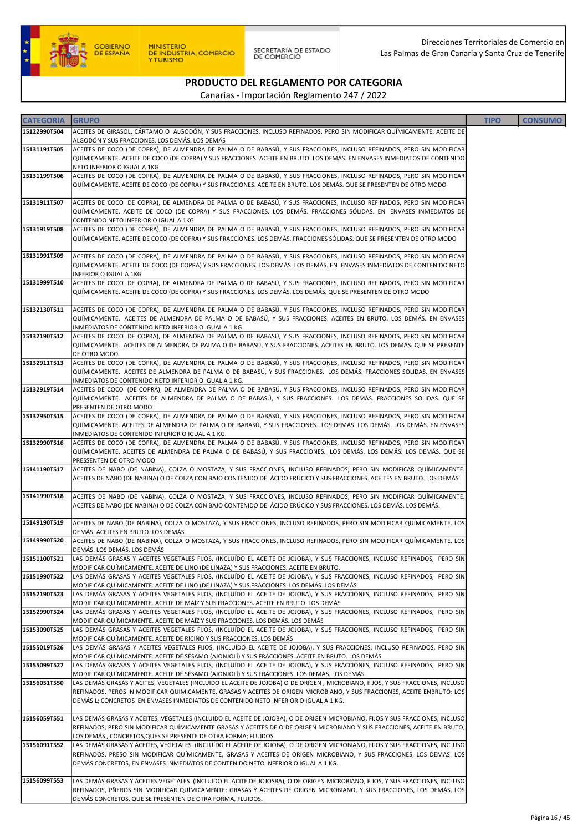

| <b>CATEGORIA</b>             | <b>GRUPO</b>                                                                                                                                                                                                                                                                                                                                             | <b>TIPO</b> | <b>CONSUMO</b> |
|------------------------------|----------------------------------------------------------------------------------------------------------------------------------------------------------------------------------------------------------------------------------------------------------------------------------------------------------------------------------------------------------|-------------|----------------|
| 15122990T504                 | ACEITES DE GIRASOL, CÁRTAMO O ALGODÓN, Y SUS FRACCIONES, INCLUSO REFINADOS, PERO SIN MODIFICAR QUÍMICAMENTE. ACEITE DE<br>ALGODÓN Y SUS FRACCIONES. LOS DEMÁS. LOS DEMÁS                                                                                                                                                                                 |             |                |
| 15131191T505                 | ACEITES DE COCO (DE COPRA), DE ALMENDRA DE PALMA O DE BABASÚ, Y SUS FRACCIONES, INCLUSO REFINADOS, PERO SIN MODIFICAR<br>QUÍMICAMENTE. ACEITE DE COCO (DE COPRA) Y SUS FRACCIONES. ACEITE EN BRUTO. LOS DEMÁS. EN ENVASES INMEDIATOS DE CONTENIDO<br>NETO INFERIOR O IGUAL A 1KG                                                                         |             |                |
| 15131199T506                 | ACEITES DE COCO (DE COPRA), DE ALMENDRA DE PALMA O DE BABASÚ, Y SUS FRACCIONES, INCLUSO REFINADOS, PERO SIN MODIFICAR<br>QUÍMICAMENTE. ACEITE DE COCO (DE COPRA) Y SUS FRACCIONES. ACEITE EN BRUTO. LOS DEMÁS. QUE SE PRESENTEN DE OTRO MODO                                                                                                             |             |                |
| 15131911T507                 | ACEITES DE COCO DE COPRA), DE ALMENDRA DE PALMA O DE BABASÚ, Y SUS FRACCIONES, INCLUSO REFINADOS, PERO SIN MODIFICAR<br>QUÍMICAMENTE. ACEITE DE COCO (DE COPRA) Y SUS FRACCIONES. LOS DEMÁS. FRACCIONES SÓLIDAS. EN ENVASES INMEDIATOS DE<br>CONTENIDO NETO INFERIOR O IGUAL A 1KG                                                                       |             |                |
| 15131919T508                 | ACEITES DE COCO (DE COPRA), DE ALMENDRA DE PALMA O DE BABASÚ, Y SUS FRACCIONES, INCLUSO REFINADOS, PERO SIN MODIFICAR<br>QUÍMICAMENTE. ACEITE DE COCO (DE COPRA) Y SUS FRACCIONES. LOS DEMÁS. FRACCIONES SÓLIDAS. QUE SE PRESENTEN DE OTRO MODO                                                                                                          |             |                |
| 15131991T509                 | ACEITES DE COCO (DE COPRA), DE ALMENDRA DE PALMA O DE BABASÚ, Y SUS FRACCIONES, INCLUSO REFINADOS, PERO SIN MODIFICAR<br>QUÍMICAMENTE. ACEITE DE COCO (DE COPRA) Y SUS FRACCIONES. LOS DEMÁS. LOS DEMÁS. EN ENVASES INMEDIATOS DE CONTENIDO NETO<br>INFERIOR O IGUAL A 1KG                                                                               |             |                |
| 15131999T510                 | ACEITES DE COCO DE COPRA), DE ALMENDRA DE PALMA O DE BABASÚ, Y SUS FRACCIONES, INCLUSO REFINADOS, PERO SIN MODIFICAR<br>QUÍMICAMENTE. ACEITE DE COCO (DE COPRA) Y SUS FRACCIONES. LOS DEMÁS. LOS DEMÁS. QUE SE PRESENTEN DE OTRO MODO                                                                                                                    |             |                |
| 15132130T511                 | ACEITES DE COCO (DE COPRA), DE ALMENDRA DE PALMA O DE BABASÚ, Y SUS FRACCIONES, INCLUSO REFINADOS, PERO SIN MODIFICAR<br>QUÍMICAMENTE. ACEITES DE ALMENDRA DE PALMA O DE BABASÚ, Y SUS FRACCIONES. ACEITES EN BRUTO. LOS DEMÁS. EN ENVASES<br>INMEDIATOS DE CONTENIDO NETO INFERIOR O IGUAL A 1 KG.                                                      |             |                |
| 15132190T512                 | ACEITES DE COCO DE COPRA), DE ALMENDRA DE PALMA O DE BABASÚ, Y SUS FRACCIONES, INCLUSO REFINADOS, PERO SIN MODIFICAR<br>QUÍMICAMENTE. ACEITES DE ALMENDRA DE PALMA O DE BABASÚ, Y SUS FRACCIONES. ACEITES EN BRUTO. LOS DEMÁS. QUE SE PRESENTE<br>DE OTRO MODO                                                                                           |             |                |
| 15132911T513                 | ACEITES DE COCO (DE COPRA), DE ALMENDRA DE PALMA O DE BABASÚ, Y SUS FRACCIONES, INCLUSO REFINADOS, PERO SIN MODIFICAR<br>QUÍMICAMENTE. ACEITES DE ALMENDRA DE PALMA O DE BABASÚ, Y SUS FRACCIONES. LOS DEMÁS. FRACCIONES SOLIDAS. EN ENVASES<br>INMEDIATOS DE CONTENIDO NETO INFERIOR O IGUAL A 1 KG.                                                    |             |                |
| 15132919T514                 | ACEITES DE COCO (DE COPRA), DE ALMENDRA DE PALMA O DE BABASÚ, Y SUS FRACCIONES, INCLUSO REFINADOS, PERO SIN MODIFICAR<br>QUÍMICAMENTE. ACEITES DE ALMENDRA DE PALMA O DE BABASÚ, Y SUS FRACCIONES. LOS DEMÁS. FRACCIONES SOLIDAS. QUE SE<br>PRESENTEN DE OTRO MODO                                                                                       |             |                |
| 15132950T515                 | ACEITES DE COCO (DE COPRA), DE ALMENDRA DE PALMA O DE BABASÚ, Y SUS FRACCIONES, INCLUSO REFINADOS, PERO SIN MODIFICAR<br>QUÍMICAMENTE. ACEITES DE ALMENDRA DE PALMA O DE BABASÚ, Y SUS FRACCIONES. LOS DEMÁS. LOS DEMÁS. LOS DEMÁS. EN ENVASES<br>INMEDIATOS DE CONTENIDO INFERIOR O IGUAL A 1 KG.                                                       |             |                |
| 15132990T516                 | ACEITES DE COCO (DE COPRA), DE ALMENDRA DE PALMA O DE BABASÚ, Y SUS FRACCIONES, INCLUSO REFINADOS, PERO SIN MODIFICAR<br>QUÍMICAMENTE. ACEITES DE ALMENDRA DE PALMA O DE BABASÚ, Y SUS FRACCIONES. LOS DEMÁS. LOS DEMÁS. LOS DEMÁS. QUE SE<br>PRESSENTEN DE OTRO MODO                                                                                    |             |                |
| 15141190T517                 | ACEITES DE NABO (DE NABINA), COLZA O MOSTAZA, Y SUS FRACCIONES, INCLUSO REFINADOS, PERO SIN MODIFICAR QUÍMICAMENTE<br>ACEITES DE NABO (DE NABINA) O DE COLZA CON BAJO CONTENIDO DE ÁCIDO ERÚCICO Y SUS FRACCIONES. ACEITES EN BRUTO. LOS DEMÁS.                                                                                                          |             |                |
| 15141990T518                 | ACEITES DE NABO (DE NABINA), COLZA O MOSTAZA, Y SUS FRACCIONES, INCLUSO REFINADOS, PERO SIN MODIFICAR QUÍMICAMENTE.<br>ACEITES DE NABO (DE NABINA) O DE COLZA CON BAJO CONTENIDO DE ÁCIDO ERÚCICO Y SUS FRACCIONES. LOS DEMÁS. LOS DEMÁS.                                                                                                                |             |                |
| 15149190T519                 | ACEITES DE NABO (DE NABINA), COLZA O MOSTAZA, Y SUS FRACCIONES, INCLUSO REFINADOS, PERO SIN MODIFICAR QUÍMICAMENTE. LOS<br>DEMÁS. ACEITES EN BRUTO. LOS DEMÁS.                                                                                                                                                                                           |             |                |
| 15149990T520                 | ACEITES DE NABO (DE NABINA), COLZA O MOSTAZA, Y SUS FRACCIONES, INCLUSO REFINADOS, PERO SIN MODIFICAR QUÍMICAMENTE. LOS<br>DEMÁS. LOS DEMÁS. LOS DEMÁS                                                                                                                                                                                                   |             |                |
| 15151100T521<br>15151990T522 | LAS DEMÁS GRASAS Y ACEITES VEGETALES FIJOS, (INCLUÍDO EL ACEITE DE JOJOBA), Y SUS FRACCIONES, INCLUSO REFINADOS, PERO SIN<br>MODIFICAR QUÍMICAMENTE. ACEITE DE LINO (DE LINAZA) Y SUS FRACCIONES. ACEITE EN BRUTO.<br>LAS DEMÁS GRASAS Y ACEITES VEGETALES FIJOS, (INCLUÍDO EL ACEITE DE JOJOBA), Y SUS FRACCIONES, INCLUSO REFINADOS, PERO SIN          |             |                |
| 15152190T523                 | MODIFICAR QUÍMICAMENTE. ACEITE DE LINO (DE LINAZA) Y SUS FRACCIONES. LOS DEMÁS. LOS DEMÁS<br>LAS DEMÁS GRASAS Y ACEITES VEGETALES FIJOS, (INCLUÍDO EL ACEITE DE JOJOBA), Y SUS FRACCIONES, INCLUSO REFINADOS, PERO SIN<br>MODIFICAR QUÍMICAMENTE. ACEITE DE MAÍZ Y SUS FRACCIONES. ACEITE EN BRUTO. LOS DEMÁS                                            |             |                |
| 15152990T524                 | LAS DEMÁS GRASAS Y ACEITES VEGETALES FIJOS, (INCLUÍDO EL ACEITE DE JOJOBA), Y SUS FRACCIONES, INCLUSO REFINADOS, PERO SIN<br>MODIFICAR QUÍMICAMENTE. ACEITE DE MAÍZ Y SUS FRACCIONES. LOS DEMÁS. LOS DEMÁS                                                                                                                                               |             |                |
| 15153090T525                 | LAS DEMÁS GRASAS Y ACEITES VEGETALES FIJOS, (INCLUÍDO EL ACEITE DE JOJOBA), Y SUS FRACCIONES, INCLUSO REFINADOS, PERO SIN<br>MODIFICAR QUÍMICAMENTE. ACEITE DE RICINO Y SUS FRACCIONES. LOS DEMÁS                                                                                                                                                        |             |                |
| 15155019T526                 | LAS DEMÁS GRASAS Y ACEITES VEGETALES FIJOS, (INCLUÍDO EL ACEITE DE JOJOBA), Y SUS FRACCIONES, INCLUSO REFINADOS, PERO SIN<br>MODIFICAR QUÍMICAMENTE. ACEITE DE SÉSAMO (AJONJOLÍ) Y SUS FRACCIONES. ACEITE EN BRUTO. LOS DEMÁS                                                                                                                            |             |                |
| 15155099T527<br>15156051T550 | LAS DEMÁS GRASAS Y ACEITES VEGETALES FIJOS, (INCLUÍDO EL ACEITE DE JOJOBA), Y SUS FRACCIONES, INCLUSO REFINADOS, PERO SIN<br>MODIFICAR QUÍMICAMENTE. ACEITE DE SÉSAMO (AJONJOLÍ) Y SUS FRACCIONES. LOS DEMÁS. LOS DEMÁS<br>LAS DEMÁS GRASAS Y ACITES, VEGETALES (INCLUIDO EL ACEITE DE JOJOBA) O DE ORIGEN, MICROBIANO, FIJOS, Y SUS FRACCIONES, INCLUSO |             |                |
|                              | REFINADOS, PEROS IN MODIFICAR QUIMICAMENTE, GRASAS Y ACEITES DE ORIGEN MICROBIANO, Y SUS FRACCIONES, ACEITE ENBRUTO: LOS<br>DEMÁS L; CONCRETOS EN ENVASES INMEDIATOS DE CONTENIDO NETO INFERIOR O IGUAL A 1 KG.                                                                                                                                          |             |                |
| 15156059T551                 | LAS DEMÁS GRASAS Y ACEITES, VEGETALES (INCLUIDO EL ACEITE DE JOJOBA), O DE ORIGEN MICROBIANO, FIJOS Y SUS FRACCIONES, INCLUSO<br>REFINADOS, PERO SIN MODIFICAR QUÍMICAMENTE: GRASAS Y ACEITES DE O DE ORIGEN MICROBIANO Y SUS FRACCIONES, ACEITE EN BRUTO,<br>LOS DEMÁS, CONCRETOS, QUES SE PRESENTE DE OTRA FORMA; FLUIDOS.                             |             |                |
| 15156091T552                 | LAS DEMÁS GRASAS Y ACEITES, VEGETALES (INCLUÍDO EL ACEITE DE JOJOBA), O DE ORIGEN MICROBIANO, FIJOS Y SUS FRACCIONES, INCLUSO<br>REFINADOS, PRESO SIN MODIFICAR QUÍMICAMENTE, GRASAS Y ACEITES DE ORIGEN MICROBIANO, Y SUS FRACCIONES, LOS DEMAS: LOS<br>DEMÁS CONCRETOS, EN ENVASES INMEDIATOS DE CONTENIDO NETO INFERIOR O IGUAL A 1 KG.               |             |                |
| 15156099T553                 | LAS DEMÁS GRASAS Y ACEITES VEGETALES (INCLUIDO EL ACITE DE JOJOSBA), O DE ORIGEN MICROBIANO, FIJOS, Y SUS FRACCIONES, INCLUSO<br>REFINADOS, PÑEROS SIN MODIFICAR QUÍMICAMENTE: GRASAS Y ACEITES DE ORIGEN MICROBIANO, Y SUS FRACCIONES, LOS DEMÁS, LOS<br>DEMÁS CONCRETOS, QUE SE PRESENTEN DE OTRA FORMA, FLUIDOS.                                      |             |                |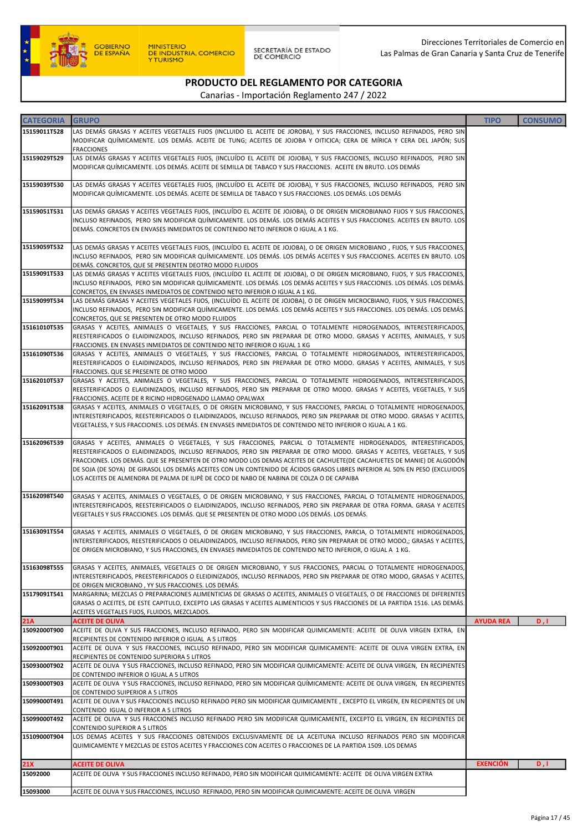

#### PRODUCTO DEL REGLAMENTO POR CATEGORIA Canarias - Importación Reglamento 247 / 2022

| <b>CATEGORIA</b>    | <b>GRUPO</b>                                                                                                                                                                                                                                                                                                                                                                                                                                                                                                                                                                                 | <b>TIPO</b>      | <b>CONSUMO</b> |
|---------------------|----------------------------------------------------------------------------------------------------------------------------------------------------------------------------------------------------------------------------------------------------------------------------------------------------------------------------------------------------------------------------------------------------------------------------------------------------------------------------------------------------------------------------------------------------------------------------------------------|------------------|----------------|
| 15159011T528        | LAS DEMÁS GRASAS Y ACEITES VEGETALES FIJOS (INCLUIDO EL ACEITE DE JOROBA), Y SUS FRACCIONES, INCLUSO REFINADOS, PERO SIN<br>MODIFICAR QUÍMICAMENTE. LOS DEMÁS. ACEITE DE TUNG; ACEITES DE JOJOBA Y OITICICA; CERA DE MÍRICA Y CERA DEL JAPÓN; SUS<br><b>FRACCIONES</b>                                                                                                                                                                                                                                                                                                                       |                  |                |
| 15159029T529        | LAS DEMÁS GRASAS Y ACEITES VEGETALES FIJOS, (INCLUÍDO EL ACEITE DE JOJOBA), Y SUS FRACCIONES, INCLUSO REFINADOS, PERO SIN<br>MODIFICAR QUÍMICAMENTE. LOS DEMÁS. ACEITE DE SEMILLA DE TABACO Y SUS FRACCIONES. ACEITE EN BRUTO. LOS DEMÁS                                                                                                                                                                                                                                                                                                                                                     |                  |                |
| 15159039T530        | LAS DEMÁS GRASAS Y ACEITES VEGETALES FIJOS, (INCLUÍDO EL ACEITE DE JOJOBA), Y SUS FRACCIONES, INCLUSO REFINADOS, PERO SIN<br>MODIFICAR QUÍMICAMENTE. LOS DEMÁS. ACEITE DE SEMILLA DE TABACO Y SUS FRACCIONES. LOS DEMÁS. LOS DEMÁS                                                                                                                                                                                                                                                                                                                                                           |                  |                |
| 15159051T531        | LAS DEMÁS GRASAS Y ACEITES VEGETALES FIJOS, (INCLUÍDO EL ACEITE DE JOJOBA), O DE ORIGEN MICROBIANAO FIJOS Y SUS FRACCIONES,<br>INCLUSO REFINADOS, PERO SIN MODIFICAR QUÍMICAMENTE. LOS DEMÁS. LOS DEMÁS ACEITES Y SUS FRACCIONES. ACEITES EN BRUTO. LOS<br>DEMÁS. CONCRETOS EN ENVASES INMEDIATOS DE CONTENIDO NETO INFERIOR O IGUAL A 1 KG.                                                                                                                                                                                                                                                 |                  |                |
| 15159059T532        | LAS DEMÁS GRASAS Y ACEITES VEGETALES FIJOS, (INCLUÍDO EL ACEITE DE JOJOBA), O DE ORIGEN MICROBIANO , FIJOS, Y SUS FRACCIONES,<br>INCLUSO REFINADOS, PERO SIN MODIFICAR QUÍMICAMENTE. LOS DEMÁS. LOS DEMÁS ACEITES Y SUS FRACCIONES. ACEITES EN BRUTO. LOS<br>DEMÁS. CONCRETOS, QUE SE PRESENTEN DEOTRO MODO FLUIDOS                                                                                                                                                                                                                                                                          |                  |                |
| 15159091T533        | LAS DEMÁS GRASAS Y ACEITES VEGETALES FIJOS, (INCLUÍDO EL ACEITE DE JOJOBA), O DE ORIGEN MICROBIANO, FIJOS, Y SUS FRACCIONES,<br>INCLUSO REFINADOS, PERO SIN MODIFICAR QUÍMICAMENTE. LOS DEMÁS. LOS DEMÁS ACEITES Y SUS FRACCIONES. LOS DEMÁS. LOS DEMÁS.<br>CONCRETOS, EN ENVASES INMEDIATOS DE CONTENIDO NETO INFERIOR O IGUAL A 1 KG.                                                                                                                                                                                                                                                      |                  |                |
| 15159099T534        | LAS DEMÁS GRASAS Y ACEITES VEGETALES FIJOS, (INCLUÍDO EL ACEITE DE JOJOBA), O DE ORIGEN MICROCBIANO, FIJOS, Y SUS FRACCIONES,<br>INCLUSO REFINADOS, PERO SIN MODIFICAR QUÍMICAMENTE. LOS DEMÁS. LOS DEMÁS ACEITES Y SUS FRACCIONES. LOS DEMÁS. LOS DEMÁS.<br>CONCRETOS, QUE SE PRESENTEN DE OTRO MODO FLUIDOS                                                                                                                                                                                                                                                                                |                  |                |
| 15161010T535        | GRASAS Y ACEITES, ANIMALES O VEGETALES, Y SUS FRACCIONES, PARCIAL O TOTALMENTE HIDROGENADOS, INTERESTERIFICADOS,<br>REESTERIFICADOS O ELAIDINIZADOS, INCLUSO REFINADOS, PERO SIN PREPARAR DE OTRO MODO. GRASAS Y ACEITES, ANIMALES, Y SUS<br>FRACCIONES. EN ENVASES INMEDIATOS DE CONTENIDO NETO INFERIOR O IGUAL 1 KG                                                                                                                                                                                                                                                                       |                  |                |
| 15161090T536        | GRASAS Y ACEITES, ANIMALES O VEGETALES, Y SUS FRACCIONES, PARCIAL O TOTALMENTE HIDROGENADOS, INTERESTERIFICADOS,<br>REESTERIFICADOS O ELAIDINIZADOS, INCLUSO REFINADOS, PERO SIN PREPARAR DE OTRO MODO. GRASAS Y ACEITES, ANIMALES, Y SUS<br>FRACCIONES. QUE SE PRESENTE DE OTRO MODO                                                                                                                                                                                                                                                                                                        |                  |                |
| 15162010T537        | GRASAS Y ACEITES, ANIMALES O VEGETALES, Y SUS FRACCIONES, PARCIAL O TOTALMENTE HIDROGENADOS, INTERESTERIFICADOS,<br>REESTERIFICADOS O ELAIDINIZADOS, INCLUSO REFINADOS, PERO SIN PREPARAR DE OTRO MODO. GRASAS Y ACEITES, VEGETALES, Y SUS<br>FRACCIONES. ACEITE DE R RICINO HIDROGENADO LLAMAO OPALWAX                                                                                                                                                                                                                                                                                      |                  |                |
| 15162091T538        | GRASAS Y ACEITES, ANIMALES O VEGETALES, O DE ORIGEN MICROBIANO, Y SUS FRACCIONES, PARCIAL O TOTALMENTE HIDROGENADOS,<br>INTERESTERIFICADOS, REESTERIFICADOS O ELAIDINIZADOS, INCLUSO REFINADOS, PERO SIN PREPARAR DE OTRO MODO. GRASAS Y ACEITES,<br>VEGETALESS, Y SUS FRACCIONES. LOS DEMÁS. EN ENVASES INMEDIATOS DE CONTENIDO NETO INFERIOR O IGUAL A 1 KG.                                                                                                                                                                                                                               |                  |                |
| 15162096T539        | GRASAS Y ACEITES, ANIMALES O VEGETALES, Y SUS FRACCIONES, PARCIAL O TOTALMENTE HIDROGENADOS, INTERESTIFICADOS,<br>REESTERIFICADOS O ELAIDINIZADOS, INCLUSO REFINADOS, PERO SIN PREPARAR DE OTRO MODO. GRASAS Y ACEITES, VEGETALES, Y SUS<br>FRACCIONES. LOS DEMÁS. QUE SE PRESENTEN DE OTRO MODO LOS DEMAS ACEITES DE CACHUETE(DE CACAHUETES DE MANIE) DE ALGODÓN<br>DE SOJA (DE SOYA) DE GIRASOL LOS DEMÁS ACEITES CON UN CONTENIDO DE ÁCIDOS GRASOS LIBRES INFERIOR AL 50% EN PESO (EXCLUIDOS<br>LOS ACEITES DE ALMENDRA DE PALMA DE ILIPÈ DE COCO DE NABO DE NABINA DE COLZA O DE CAPAIBA |                  |                |
| 15162098T540        | GRASAS Y ACEITES, ANIMALES O VEGETALES, O DE ORIGEN MICROBIANO, Y SUS FRACCIONES, PARCIAL O TOTALMENTE HIDROGENADOS,<br>INTERESTERIFICADOS, REESTERIFICADOS O ELAIDINIZADOS, INCLUSO REFINADOS, PERO SIN PREPARAR DE OTRA FORMA. GRASA Y ACEITES<br>VEGETALES Y SUS FRACCIONES. LOS DEMÁS. QUE SE PRESENTEN DE OTRO MODO LOS DEMÁS. LOS DEMÁS.                                                                                                                                                                                                                                               |                  |                |
| 15163091T554        | GRASAS Y ACEITES, ANIMALES O VEGETALES, O DE ORIGEN MICROBIANO, Y SUS FRACCIONES, PARCIA, O TOTALMENTE HIDROGENADOS,<br>INTERSTERIFICADOS, REESTERIFICADOS O OELAIDINIZADOS, INCLUSO REFINADOS, PERO SIN PREPARAR DE OTRO MODO,; GRASAS Y ACEITES,<br>DE ORIGEN MICROBIANO, Y SUS FRACCIONES, EN ENVASES INMEDIATOS DE CONTENIDO NETO INFERIOR, O IGUAL A 1 KG.                                                                                                                                                                                                                              |                  |                |
| 15163098T555        | GRASAS Y ACEITES, ANIMALES, VEGETALES O DE ORIGEN MICROBIANO, Y SUS FRACCIONES, PARCIAL O TOTALMENTE HIDROGENADOS,<br>INTERESTERIFICADOS, PREESTERIFICADOS O ELEIDINIZADOS, INCLUSO REFINADOS, PERO SIN PREPARAR DE OTRO MODO, GRASAS Y ACEITES,<br>DE ORIGEN MICROBIANO, YY SUS FRACCIONES. LOS DEMÁS.                                                                                                                                                                                                                                                                                      |                  |                |
| 15179091T541        | MARGARINA; MEZCLAS O PREPARACIONES ALIMENTICIAS DE GRASAS O ACEITES, ANIMALES O VEGETALES, O DE FRACCIONES DE DIFERENTES<br>GRASAS O ACEITES, DE ESTE CAPITULO, EXCEPTO LAS GRASAS Y ACEITES ALIMENTICIOS Y SUS FRACCIONES DE LA PARTIDA 1516. LAS DEMÁS.<br>ACEITES VEGETALES FIJOS, FLUIDOS, MEZCLADOS.                                                                                                                                                                                                                                                                                    |                  |                |
| 21A<br>15092000T900 | <b>ACEITE DE OLIVA</b>                                                                                                                                                                                                                                                                                                                                                                                                                                                                                                                                                                       | <b>AYUDA REA</b> | D, I           |
| 15092000T901        | ACEITE DE OLIVA Y SUS FRACCIONES, INCLUSO REFINADO, PERO SIN MODIFICAR QUIMICAMENTE: ACEITE DE OLIVA VIRGEN EXTRA, EN<br>RECIPIENTES DE CONTENIDO INFERIOR O IGUAL A 5 LITROS<br>ACEITE DE OLIVA Y SUS FRACCIONES, INCLUSO REFINADO, PERO SIN MODIFICAR QUIMICAMENTE: ACEITE DE OLIVA VIRGEN EXTRA, EN                                                                                                                                                                                                                                                                                       |                  |                |
| 15093000T902        | RECIPIENTES DE CONTENIDO SUPERIORA 5 LITROS<br>ACEITE DE OLIVA Y SUS FRACCIONES, INCLUSO REFINADO, PERO SIN MODIFICAR QUIMICAMENTE: ACEITE DE OLIVA VIRGEN, EN RECIPIENTES<br>DE CONTENIDO INFERIOR O IGUAL A 5 LITROS                                                                                                                                                                                                                                                                                                                                                                       |                  |                |
| 15093000T903        | ACEITE DE OLIVA Y SUS FRACCIONES, INCLUSO REFINADO, PERO SIN MODIFICAR QUÍMICAMENTE: ACEITE DE OLIVA VIRGEN, EN RECIPIENTES                                                                                                                                                                                                                                                                                                                                                                                                                                                                  |                  |                |
| 15099000T491        | DE CONTENIDO SUIPERIOR A 5 LITROS<br>ACEITE DE OLIVA Y SUS FRACCIONES INCLUSO REFINADO PERO SIN MODIFICAR QUIMICAMENTE, EXCEPTO EL VIRGEN, EN RECIPIENTES DE UN<br>CONTENIDO IGUAL O INFERIOR A 5 LITROS                                                                                                                                                                                                                                                                                                                                                                                     |                  |                |
| 15099000T492        | ACEITE DE OLIVA Y SUS FRACCIONES INCLUSO REFINADO PERO SIN MODIFICAR QUIMICAMENTE, EXCEPTO EL VIRGEN, EN RECIPIENTES DE<br>CONTENIDO SUPERIOR A 5 LITROS                                                                                                                                                                                                                                                                                                                                                                                                                                     |                  |                |
| 15109000T904        | LOS DEMAS ACEITES Y SUS FRACCIONES OBTENIDOS EXCLUSIVAMENTE DE LA ACEITUNA INCLUSO REFINADOS PERO SIN MODIFICAR<br>QUIMICAMENTE Y MEZCLAS DE ESTOS ACEITES Y FRACCIONES CON ACEITES O FRACCIONES DE LA PARTIDA 1509. LOS DEMAS                                                                                                                                                                                                                                                                                                                                                               |                  |                |
| 21X                 | <b>ACEITE DE OLIVA</b>                                                                                                                                                                                                                                                                                                                                                                                                                                                                                                                                                                       | <b>EXENCIÓN</b>  | D, I           |
| 15092000            | ACEITE DE OLIVA Y SUS FRACCIONES INCLUSO REFINADO, PERO SIN MODIFICAR QUIMICAMENTE: ACEITE DE OLIVA VIRGEN EXTRA                                                                                                                                                                                                                                                                                                                                                                                                                                                                             |                  |                |
| 15093000            | ACEITE DE OLIVA Y SUS FRACCIONES, INCLUSO REFINADO, PERO SIN MODIFICAR QUIMICAMENTE: ACEITE DE OLIVA VIRGEN                                                                                                                                                                                                                                                                                                                                                                                                                                                                                  |                  |                |
|                     |                                                                                                                                                                                                                                                                                                                                                                                                                                                                                                                                                                                              |                  |                |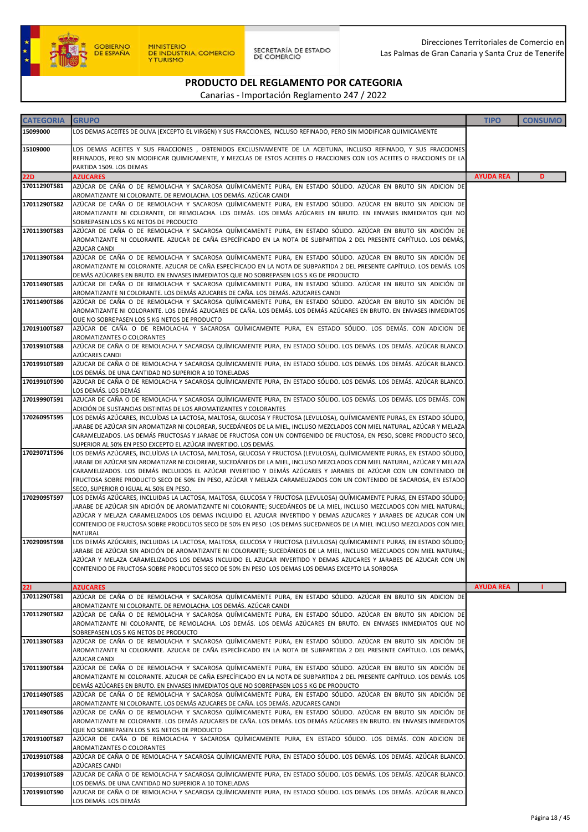

| <b>CATEGORIA</b> | <b>GRUPO</b>                                                                                                                                                                                                                                                                                                                                                                                                                                                                                                  | <b>TIPO</b>      | <b>CONSUMO</b> |
|------------------|---------------------------------------------------------------------------------------------------------------------------------------------------------------------------------------------------------------------------------------------------------------------------------------------------------------------------------------------------------------------------------------------------------------------------------------------------------------------------------------------------------------|------------------|----------------|
| 15099000         | LOS DEMAS ACEITES DE OLIVA (EXCEPTO EL VIRGEN) Y SUS FRACCIONES, INCLUSO REFINADO, PERO SIN MODIFICAR QUIMICAMENTE                                                                                                                                                                                                                                                                                                                                                                                            |                  |                |
| 15109000         | LOS DEMAS ACEITES Y SUS FRACCIONES , OBTENIDOS EXCLUSIVAMENTE DE LA ACEITUNA, INCLUSO REFINADO, Y SUS FRACCIONES<br>REFINADOS, PERO SIN MODIFICAR QUIMICAMENTE, Y MEZCLAS DE ESTOS ACEITES O FRACCIONES CON LOS ACEITES O FRACCIONES DE LA                                                                                                                                                                                                                                                                    |                  |                |
| <b>22D</b>       | PARTIDA 1509. LOS DEMAS<br><b>AZUCARES</b>                                                                                                                                                                                                                                                                                                                                                                                                                                                                    | <b>AYUDA REA</b> | D              |
| 17011290T581     | AZÚCAR DE CAÑA O DE REMOLACHA Y SACAROSA QUÍMICAMENTE PURA, EN ESTADO SÓLIDO. AZÚCAR EN BRUTO SIN ADICION DE<br>AROMATIZANTE NI COLORANTE. DE REMOLACHA. LOS DEMÁS. AZÚCAR CANDI                                                                                                                                                                                                                                                                                                                              |                  |                |
| 17011290T582     | AZÚCAR DE CAÑA O DE REMOLACHA Y SACAROSA QUÍMICAMENTE PURA, EN ESTADO SÓLIDO. AZÚCAR EN BRUTO SIN ADICION DE<br>AROMATIZANTE NI COLORANTE, DE REMOLACHA. LOS DEMÁS. LOS DEMÁS AZÚCARES EN BRUTO. EN ENVASES INMEDIATOS QUE NO<br>SOBREPASEN LOS 5 KG NETOS DE PRODUCTO                                                                                                                                                                                                                                        |                  |                |
| 17011390T583     | AZÚCAR DE CAÑA O DE REMOLACHA Y SACAROSA QUÍMICAMENTE PURA, EN ESTADO SÓLIDO. AZÚCAR EN BRUTO SIN ADICIÓN DE<br>AROMATIZANTE NI COLORANTE. AZUCAR DE CAÑA ESPECÍFICADO EN LA NOTA DE SUBPARTIDA 2 DEL PRESENTE CAPÍTULO. LOS DEMÁS,<br><b>AZUCAR CANDI</b>                                                                                                                                                                                                                                                    |                  |                |
| 17011390T584     | AZÚCAR DE CAÑA O DE REMOLACHA Y SACAROSA QUÍMICAMENTE PURA, EN ESTADO SÓLIDO. AZÚCAR EN BRUTO SIN ADICIÓN DE<br>AROMATIZANTE NI COLORANTE. AZUCAR DE CAÑA ESPECÍFICADO EN LA NOTA DE SUBPARTIDA 2 DEL PRESENTE CAPÍTULO. LOS DEMÁS. LOS<br>DEMÁS AZÚCARES EN BRUTO. EN ENVASES INMEDIATOS QUE NO SOBREPASEN LOS 5 KG DE PRODUCTO                                                                                                                                                                              |                  |                |
| 17011490T585     | AZÚCAR DE CAÑA O DE REMOLACHA Y SACAROSA QUÍMICAMENTE PURA, EN ESTADO SÓLIDO. AZÚCAR EN BRUTO SIN ADICIÓN DE<br>AROMATIZANTE NI COLORANTE. LOS DEMÁS AZUCARES DE CAÑA. LOS DEMÁS. AZUCARES CANDI                                                                                                                                                                                                                                                                                                              |                  |                |
| 17011490T586     | AZÚCAR DE CAÑA O DE REMOLACHA Y SACAROSA QUÍMICAMENTE PURA, EN ESTADO SÓLIDO. AZÚCAR EN BRUTO SIN ADICIÓN DE<br>AROMATIZANTE NI COLORANTE. LOS DEMÁS AZUCARES DE CAÑA. LOS DEMÁS. LOS DEMÁS AZÚCARES EN BRUTO. EN ENVASES INMEDIATOS<br>QUE NO SOBREPASEN LOS 5 KG NETOS DE PRODUCTO                                                                                                                                                                                                                          |                  |                |
| 17019100T587     | AZÚCAR DE CAÑA O DE REMOLACHA Y SACAROSA QUÍMICAMENTE PURA, EN ESTADO SÓLIDO. LOS DEMÁS. CON ADICION DE<br>AROMATIZANTES O COLORANTES                                                                                                                                                                                                                                                                                                                                                                         |                  |                |
| 17019910T588     | AZÚCAR DE CAÑA O DE REMOLACHA Y SACAROSA QUÍMICAMENTE PURA, EN ESTADO SÓLIDO. LOS DEMÁS. LOS DEMÁS. AZÚCAR BLANCO.<br>AZÚCARES CANDI                                                                                                                                                                                                                                                                                                                                                                          |                  |                |
| 17019910T589     | AZUCAR DE CAÑA O DE REMOLACHA Y SACAROSA QUÍMICAMENTE PURA, EN ESTADO SÓLIDO. LOS DEMÁS. LOS DEMÁS. AZÚCAR BLANCO.<br>LOS DEMÁS. DE UNA CANTIDAD NO SUPERIOR A 10 TONELADAS                                                                                                                                                                                                                                                                                                                                   |                  |                |
| 17019910T590     | AZUCAR DE CAÑA O DE REMOLACHA Y SACAROSA QUÍMICAMENTE PURA, EN ESTADO SÓLIDO. LOS DEMÁS. LOS DEMÁS. AZÚCAR BLANCO.<br>LOS DEMÁS. LOS DEMÁS                                                                                                                                                                                                                                                                                                                                                                    |                  |                |
| 17019990T591     | AZUCAR DE CAÑA O DE REMOLACHA Y SACAROSA QUÍMICAMENTE PURA, EN ESTADO SÓLIDO. LOS DEMÁS. LOS DEMÁS. LOS DEMÁS. CON<br>ADICIÓN DE SUSTANCIAS DISTINTAS DE LOS AROMATIZANTES Y COLORANTES                                                                                                                                                                                                                                                                                                                       |                  |                |
| 17026095T595     | LOS DEMÁS AZÚCARES, INCLUÍDAS LA LACTOSA, MALTOSA, GLUCOSA Y FRUCTOSA (LEVULOSA), QUÍMICAMENTE PURAS, EN ESTADO SÓLIDO,<br>JARABE DE AZÚCAR SIN AROMATIZAR NI COLOREAR, SUCEDÁNEOS DE LA MIEL, INCLUSO MEZCLADOS CON MIEL NATURAL, AZÚCAR Y MELAZA<br>CARAMELIZADOS. LAS DEMÁS FRUCTOSAS Y JARABE DE FRUCTOSA CON UN CONTGENIDO DE FRUCTOSA, EN PESO, SOBRE PRODUCTO SECO,                                                                                                                                    |                  |                |
| 17029071T596     | SUPERIOR AL 50% EN PESO EXCEPTO EL AZÚCAR INVERTIDO. LOS DEMÁS.<br>LOS DEMÁS AZÚCARES, INCLUÍDAS LA LACTOSA, MALTOSA, GLUCOSA Y FRUCTOSA (LEVULOSA), QUÍMICAMENTE PURAS, EN ESTADO SÓLIDO,                                                                                                                                                                                                                                                                                                                    |                  |                |
|                  | JARABE DE AZÚCAR SIN AROMATIZAR NI COLOREAR, SUCEDÁNEOS DE LA MIEL, INCLUSO MEZCLADOS CON MIEL NATURAL, AZÚCAR Y MELAZA<br>CARAMELIZADOS. LOS DEMÁS INCLUIDOS EL AZÚCAR INVERTIDO Y DEMÁS AZÚCARES Y JARABES DE AZÚCAR CON UN CONTENIDO DE<br>FRUCTOSA SOBRE PRODUCTO SECO DE 50% EN PESO, AZÚCAR Y MELAZA CARAMELIZADOS CON UN CONTENIDO DE SACAROSA, EN ESTADO<br>SECO, SUPERIOR O IGUAL AL 50% EN PESO.                                                                                                    |                  |                |
| 17029095T597     | LOS DEMÁS AZÚCARES, INCLUIDAS LA LACTOSA, MALTOSA, GLUCOSA Y FRUCTOSA (LEVULOSA) QUÍMICAMENTE PURAS, EN ESTADO SÓLIDO;<br>JARABE DE AZÚCAR SIN ADICIÓN DE AROMATIZANTE NI COLORANTE; SUCEDÁNEOS DE LA MIEL, INCLUSO MEZCLADOS CON MIEL NATURAL;<br>AZÚCAR Y MELAZA CARAMELIZADOS LOS DEMAS INCLUIDO EL AZUCAR INVERTIDO Y DEMAS AZUCARES Y JARABES DE AZUCAR CON UN<br>CONTENIDO DE FRUCTOSA SOBRE PRODCUTOS SECO DE 50% EN PESO LOS DEMAS SUCEDANEOS DE LA MIEL INCLUSO MEZCLADOS CON MIEL<br><b>NATURAL</b> |                  |                |
| 17029095T598     | LOS DEMÁS AZÚCARES, INCLUIDAS LA LACTOSA, MALTOSA, GLUCOSA Y FRUCTOSA (LEVULOSA) QUÍMICAMENTE PURAS, EN ESTADO SÓLIDO;<br>JARABE DE AZÚCAR SIN ADICIÓN DE AROMATIZANTE NI COLORANTE; SUCEDÁNEOS DE LA MIEL, INCLUSO MEZCLADOS CON MIEL NATURAL;<br>AZÚCAR Y MELAZA CARAMELIZADOS LOS DEMAS INCLUIDO EL AZUCAR INVERTIDO Y DEMAS AZUCARES Y JARABES DE AZUCAR CON UN<br>CONTENIDO DE FRUCTOSA SOBRE PRODCUTOS SECO DE 50% EN PESO LOS DEMAS LOS DEMAS EXCEPTO LA SORBOSA                                       |                  |                |
| 221              | <b>AZUCARES</b>                                                                                                                                                                                                                                                                                                                                                                                                                                                                                               | <b>AYUDA REA</b> |                |
| 17011290T581     | AZÚCAR DE CAÑA O DE REMOLACHA Y SACAROSA QUÍMICAMENTE PURA, EN ESTADO SÓLIDO. AZÚCAR EN BRUTO SIN ADICION DE<br>AROMATIZANTE NI COLORANTE. DE REMOLACHA. LOS DEMÁS. AZÚCAR CANDI                                                                                                                                                                                                                                                                                                                              |                  |                |
| 17011290T582     | AZÚCAR DE CAÑA O DE REMOLACHA Y SACAROSA QUÍMICAMENTE PURA, EN ESTADO SÓLIDO. AZÚCAR EN BRUTO SIN ADICION DE<br>AROMATIZANTE NI COLORANTE, DE REMOLACHA. LOS DEMÁS. LOS DEMÁS AZÚCARES EN BRUTO. EN ENVASES INMEDIATOS QUE NO<br>SOBREPASEN LOS 5 KG NETOS DE PRODUCTO                                                                                                                                                                                                                                        |                  |                |
| 17011390T583     | AZÚCAR DE CAÑA O DE REMOLACHA Y SACAROSA QUÍMICAMENTE PURA, EN ESTADO SÓLIDO. AZÚCAR EN BRUTO SIN ADICIÓN DE<br>AROMATIZANTE NI COLORANTE. AZUCAR DE CAÑA ESPECÍFICADO EN LA NOTA DE SUBPARTIDA 2 DEL PRESENTE CAPÍTULO. LOS DEMÁS,<br>AZUCAR CANDI                                                                                                                                                                                                                                                           |                  |                |
| 17011390T584     | AZÚCAR DE CAÑA O DE REMOLACHA Y SACAROSA QUÍMICAMENTE PURA, EN ESTADO SÓLIDO. AZÚCAR EN BRUTO SIN ADICIÓN DE<br>AROMATIZANTE NI COLORANTE. AZUCAR DE CAÑA ESPECÍFICADO EN LA NOTA DE SUBPARTIDA 2 DEL PRESENTE CAPÍTULO. LOS DEMÁS. LOS<br>DEMÁS AZÚCARES EN BRUTO. EN ENVASES INMEDIATOS QUE NO SOBREPASEN LOS 5 KG DE PRODUCTO                                                                                                                                                                              |                  |                |
| 17011490T585     | AZÚCAR DE CAÑA O DE REMOLACHA Y SACAROSA QUÍMICAMENTE PURA, EN ESTADO SÓLIDO. AZÚCAR EN BRUTO SIN ADICIÓN DE<br>AROMATIZANTE NI COLORANTE. LOS DEMÁS AZUCARES DE CAÑA. LOS DEMÁS. AZUCARES CANDI                                                                                                                                                                                                                                                                                                              |                  |                |
| 17011490T586     | AZÚCAR DE CAÑA O DE REMOLACHA Y SACAROSA QUÍMICAMENTE PURA, EN ESTADO SÓLIDO. AZÚCAR EN BRUTO SIN ADICIÓN DE<br>AROMATIZANTE NI COLORANTE. LOS DEMÁS AZUCARES DE CAÑA. LOS DEMÁS. LOS DEMÁS AZÚCARES EN BRUTO. EN ENVASES INMEDIATOS<br>QUE NO SOBREPASEN LOS 5 KG NETOS DE PRODUCTO                                                                                                                                                                                                                          |                  |                |
| 17019100T587     | AZÚCAR DE CAÑA O DE REMOLACHA Y SACAROSA QUÍMICAMENTE PURA, EN ESTADO SÓLIDO. LOS DEMÁS. CON ADICION DE<br>AROMATIZANTES O COLORANTES                                                                                                                                                                                                                                                                                                                                                                         |                  |                |
| 17019910T588     | AZÚCAR DE CAÑA O DE REMOLACHA Y SACAROSA QUÍMICAMENTE PURA, EN ESTADO SÓLIDO. LOS DEMÁS. LOS DEMÁS. AZÚCAR BLANCO.<br>AZÚCARES CANDI                                                                                                                                                                                                                                                                                                                                                                          |                  |                |
| 17019910T589     | AZUCAR DE CAÑA O DE REMOLACHA Y SACAROSA QUÍMICAMENTE PURA, EN ESTADO SÓLIDO. LOS DEMÁS. LOS DEMÁS. AZÚCAR BLANCO.<br>LOS DEMÁS. DE UNA CANTIDAD NO SUPERIOR A 10 TONELADAS                                                                                                                                                                                                                                                                                                                                   |                  |                |
| 17019910T590     | AZUCAR DE CAÑA O DE REMOLACHA Y SACAROSA QUÍMICAMENTE PURA, EN ESTADO SÓLIDO. LOS DEMÁS. LOS DEMÁS. AZÚCAR BLANCO.<br>LOS DEMÁS. LOS DEMÁS                                                                                                                                                                                                                                                                                                                                                                    |                  |                |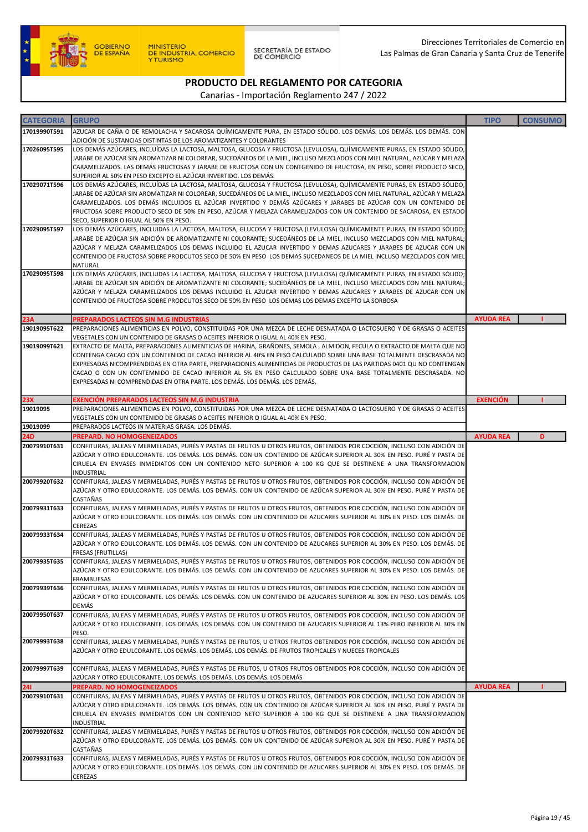

SECRETARÍA DE ESTADO<br>DE COMERCIO

Direcciones Territoriales de Comercio en Las Palmas de Gran Canaria y Santa Cruz de Tenerife

# PRODUCTO DEL REGLAMENTO POR CATEGORIA

| <b>CATEGORIA</b> | <b>GRUPO</b>                                                                                                                                                                                                                                     | <b>TIPO</b>      | <b>CONSUMO</b> |
|------------------|--------------------------------------------------------------------------------------------------------------------------------------------------------------------------------------------------------------------------------------------------|------------------|----------------|
| 17019990T591     |                                                                                                                                                                                                                                                  |                  |                |
|                  | AZUCAR DE CAÑA O DE REMOLACHA Y SACAROSA QUÍMICAMENTE PURA, EN ESTADO SÓLIDO. LOS DEMÁS. LOS DEMÁS. LOS DEMÁS. CON<br>ADICIÓN DE SUSTANCIAS DISTINTAS DE LOS AROMATIZANTES Y COLORANTES                                                          |                  |                |
| 17026095T595     | LOS DEMÁS AZÚCARES, INCLUÍDAS LA LACTOSA, MALTOSA, GLUCOSA Y FRUCTOSA (LEVULOSA), QUÍMICAMENTE PURAS, EN ESTADO SÓLIDO,                                                                                                                          |                  |                |
|                  | JARABE DE AZÚCAR SIN AROMATIZAR NI COLOREAR, SUCEDÁNEOS DE LA MIEL, INCLUSO MEZCLADOS CON MIEL NATURAL, AZÚCAR Y MELAZA                                                                                                                          |                  |                |
|                  | CARAMELIZADOS. LAS DEMÁS FRUCTOSAS Y JARABE DE FRUCTOSA CON UN CONTGENIDO DE FRUCTOSA, EN PESO, SOBRE PRODUCTO SECO,                                                                                                                             |                  |                |
|                  | SUPERIOR AL 50% EN PESO EXCEPTO EL AZÚCAR INVERTIDO. LOS DEMÁS.                                                                                                                                                                                  |                  |                |
| 17029071T596     | LOS DEMÁS AZÚCARES, INCLUÍDAS LA LACTOSA, MALTOSA, GLUCOSA Y FRUCTOSA (LEVULOSA), QUÍMICAMENTE PURAS, EN ESTADO SÓLIDO,                                                                                                                          |                  |                |
|                  | JARABE DE AZÚCAR SIN AROMATIZAR NI COLOREAR, SUCEDÁNEOS DE LA MIEL, INCLUSO MEZCLADOS CON MIEL NATURAL, AZÚCAR Y MELAZA                                                                                                                          |                  |                |
|                  | CARAMELIZADOS. LOS DEMÁS INCLUIDOS EL AZÚCAR INVERTIDO Y DEMÁS AZÚCARES Y JARABES DE AZÚCAR CON UN CONTENIDO DE                                                                                                                                  |                  |                |
|                  | FRUCTOSA SOBRE PRODUCTO SECO DE 50% EN PESO, AZÚCAR Y MELAZA CARAMELIZADOS CON UN CONTENIDO DE SACAROSA, EN ESTADO                                                                                                                               |                  |                |
| 17029095T597     | SECO, SUPERIOR O IGUAL AL 50% EN PESO.<br>LOS DEMÁS AZÚCARES, INCLUIDAS LA LACTOSA, MALTOSA, GLUCOSA Y FRUCTOSA (LEVULOSA) QUÍMICAMENTE PURAS, EN ESTADO SÓLIDO;                                                                                 |                  |                |
|                  | JARABE DE AZÚCAR SIN ADICIÓN DE AROMATIZANTE NI COLORANTE; SUCEDÁNEOS DE LA MIEL, INCLUSO MEZCLADOS CON MIEL NATURAL;                                                                                                                            |                  |                |
|                  | AZÚCAR Y MELAZA CARAMELIZADOS LOS DEMAS INCLUIDO EL AZUCAR INVERTIDO Y DEMAS AZUCARES Y JARABES DE AZUCAR CON UN                                                                                                                                 |                  |                |
|                  | CONTENIDO DE FRUCTOSA SOBRE PRODCUTOS SECO DE 50% EN PESO LOS DEMAS SUCEDANEOS DE LA MIEL INCLUSO MEZCLADOS CON MIEL                                                                                                                             |                  |                |
|                  | NATURAL                                                                                                                                                                                                                                          |                  |                |
| 17029095T598     | LOS DEMÁS AZÚCARES, INCLUIDAS LA LACTOSA, MALTOSA, GLUCOSA Y FRUCTOSA (LEVULOSA) QUÍMICAMENTE PURAS, EN ESTADO SÓLIDO;                                                                                                                           |                  |                |
|                  | JARABE DE AZÚCAR SIN ADICIÓN DE AROMATIZANTE NI COLORANTE; SUCEDÁNEOS DE LA MIEL, INCLUSO MEZCLADOS CON MIEL NATURAL;                                                                                                                            |                  |                |
|                  | AZÚCAR Y MELAZA CARAMELIZADOS LOS DEMAS INCLUIDO EL AZUCAR INVERTIDO Y DEMAS AZUCARES Y JARABES DE AZUCAR CON UN<br>CONTENIDO DE FRUCTOSA SOBRE PRODCUTOS SECO DE 50% EN PESO LOS DEMAS LOS DEMAS EXCEPTO LA SORBOSA                             |                  |                |
|                  |                                                                                                                                                                                                                                                  |                  |                |
| 23A              | PREPARADOS LACTEOS SIN M.G INDUSTRIAS                                                                                                                                                                                                            | <b>AYUDA REA</b> |                |
| 19019095T622     | PREPARACIONES ALIMENTICIAS EN POLVO, CONSTITUIDAS POR UNA MEZCA DE LECHE DESNATADA O LACTOSUERO Y DE GRASAS O ACEITES                                                                                                                            |                  |                |
|                  | VEGETALES CON UN CONTENIDO DE GRASAS O ACEITES INFERIOR O IGUAL AL 40% EN PESO.                                                                                                                                                                  |                  |                |
| 19019099T621     | EXTRACTO DE MALTA, PREPARACIONES ALIMENTICIAS DE HARINA, GRAÑONES, SEMOLA , ALMIDON, FECULA O EXTRACTO DE MALTA QUE NO                                                                                                                           |                  |                |
|                  | CONTENGA CACAO CON UN CONTENIDO DE CACAO INFERIOR AL 40% EN PESO CALCULADO SOBRE UNA BASE TOTALMENTE DESCRASADA NO                                                                                                                               |                  |                |
|                  | EXPRESADAS NICOMPRENDIDAS EN OTRA PARTE, PREPARACIONES ALIMENTICIAS DE PRODUCTOS DE LAS PARTIDAS 0401 QU NO CONTENGAN                                                                                                                            |                  |                |
|                  | CACAO O CON UN CONTEMNIDO DE CACAO INFERIOR AL 5% EN PESO CALCULADO SOBRE UNA BASE TOTALMENTE DESCRASADA. NO<br>EXPRESADAS NI COMPRENDIDAS EN OTRA PARTE. LOS DEMÁS. LOS DEMÁS. LOS DEMÁS.                                                       |                  |                |
|                  |                                                                                                                                                                                                                                                  |                  |                |
| 23X              | <b>EXENCIÓN PREPARADOS LACTEOS SIN M.G INDUSTRIA</b>                                                                                                                                                                                             | <b>EXENCIÓN</b>  |                |
| 19019095         | PREPARACIONES ALIMENTICIAS EN POLVO, CONSTITUIDAS POR UNA MEZCA DE LECHE DESNATADA O LACTOSUERO Y DE GRASAS O ACEITES                                                                                                                            |                  |                |
|                  | VEGETALES CON UN CONTENIDO DE GRASAS O ACEITES INFERIOR O IGUAL AL 40% EN PESO.                                                                                                                                                                  |                  |                |
| 19019099         | PREPARADOS LACTEOS IN MATERIAS GRASA. LOS DEMÁS.                                                                                                                                                                                                 |                  |                |
| <b>24D</b>       | PREPARD. NO HOMOGENEIZADOS                                                                                                                                                                                                                       | <b>AYUDA REA</b> | D              |
| 20079910T631     | CONFITURAS, JALEAS Y MERMELADAS, PURÉS Y PASTAS DE FRUTOS U OTROS FRUTOS, OBTENIDOS POR COCCIÓN, INCLUSO CON ADICIÓN DE                                                                                                                          |                  |                |
|                  | AZÚCAR Y OTRO EDULCORANTE. LOS DEMÁS. LOS DEMÁS. CON UN CONTENIDO DE AZÚCAR SUPERIOR AL 30% EN PESO. PURÉ Y PASTA DE<br>CIRUELA EN ENVASES INMEDIATOS CON UN CONTENIDO NETO SUPERIOR A 100 KG QUE SE DESTINENE A UNA TRANSFORMACION              |                  |                |
|                  | INDUSTRIAL                                                                                                                                                                                                                                       |                  |                |
| 20079920T632     | CONFITURAS, JALEAS Y MERMELADAS, PURÉS Y PASTAS DE FRUTOS U OTROS FRUTOS, OBTENIDOS POR COCCIÓN, INCLUSO CON ADICIÓN DE                                                                                                                          |                  |                |
|                  | AZÚCAR Y OTRO EDULCORANTE. LOS DEMÁS. LOS DEMÁS. CON UN CONTENIDO DE AZÚCAR SUPERIOR AL 30% EN PESO. PURÉ Y PASTA DE                                                                                                                             |                  |                |
|                  | CASTAÑAS                                                                                                                                                                                                                                         |                  |                |
| 20079931T633     | CONFITURAS, JALEAS Y MERMELADAS, PURÉS Y PASTAS DE FRUTOS U OTROS FRUTOS, OBTENIDOS POR COCCIÓN, INCLUSO CON ADICIÓN DE                                                                                                                          |                  |                |
|                  | AZÚCAR Y OTRO EDULCORANTE. LOS DEMÁS. LOS DEMÁS. CON UN CONTENIDO DE AZUCARES SUPERIOR AL 30% EN PESO. LOS DEMÁS. DE<br>CEREZAS                                                                                                                  |                  |                |
| 20079933T634     | CONFITURAS, JALEAS Y MERMELADAS, PURÉS Y PASTAS DE FRUTOS U OTROS FRUTOS, OBTENIDOS POR COCCIÓN, INCLUSO CON ADICIÓN DE                                                                                                                          |                  |                |
|                  | AZÚCAR Y OTRO EDULCORANTE. LOS DEMÁS. LOS DEMÁS. CON UN CONTENIDO DE AZUCARES SUPERIOR AL 30% EN PESO. LOS DEMÁS. DE                                                                                                                             |                  |                |
|                  | <b>FRESAS (FRUTILLAS)</b>                                                                                                                                                                                                                        |                  |                |
| 20079935T635     | CONFITURAS, JALEAS Y MERMELADAS, PURÉS Y PASTAS DE FRUTOS U OTROS FRUTOS, OBTENIDOS POR COCCIÓN, INCLUSO CON ADICIÓN DE                                                                                                                          |                  |                |
|                  | AZÚCAR Y OTRO EDULCORANTE. LOS DEMÁS. LOS DEMÁS. CON UN CONTENIDO DE AZUCARES SUPERIOR AL 30% EN PESO. LOS DEMÁS. DE                                                                                                                             |                  |                |
|                  | <b>FRAMBUESAS</b>                                                                                                                                                                                                                                |                  |                |
| 20079939T636     | CONFITURAS, JALEAS Y MERMELADAS, PURÉS Y PASTAS DE FRUTOS U OTROS FRUTOS, OBTENIDOS POR COCCIÓN, INCLUSO CON ADICIÓN DE<br>AZÚCAR Y OTRO EDULCORANTE. LOS DEMÁS. LOS DEMÁS. CON UN CONTENIDO DE AZUCARES SUPERIOR AL 30% EN PESO. LOS DEMÁS. LOS |                  |                |
|                  | DEMÁS                                                                                                                                                                                                                                            |                  |                |
| 20079950T637     | CONFITURAS, JALEAS Y MERMELADAS, PURÉS Y PASTAS DE FRUTOS U OTROS FRUTOS, OBTENIDOS POR COCCIÓN, INCLUSO CON ADICIÓN DE                                                                                                                          |                  |                |
|                  | AZÚCAR Y OTRO EDULCORANTE. LOS DEMÁS. LOS DEMÁS. CON UN CONTENIDO DE AZUCARES SUPERIOR AL 13% PERO INFERIOR AL 30% EN                                                                                                                            |                  |                |
|                  | PESO.                                                                                                                                                                                                                                            |                  |                |
| 20079993T638     | CONFITURAS, JALEAS Y MERMELADAS, PURÉS Y PASTAS DE FRUTOS, U OTROS FRUTOS OBTENIDOS POR COCCIÓN, INCLUSO CON ADICIÓN DE                                                                                                                          |                  |                |
|                  | AZÚCAR Y OTRO EDULCORANTE. LOS DEMÁS. LOS DEMÁS. LOS DEMÁS. DE FRUTOS TROPICALES Y NUECES TROPICALES                                                                                                                                             |                  |                |
| 20079997T639     | CONFITURAS, JALEAS Y MERMELADAS, PURÉS Y PASTAS DE FRUTOS, U OTROS FRUTOS OBTENIDOS POR COCCIÓN, INCLUSO CON ADICIÓN DE                                                                                                                          |                  |                |
|                  | AZÚCAR Y OTRO EDULCORANTE. LOS DEMÁS. LOS DEMÁS. LOS DEMÁS. LOS DEMÁS                                                                                                                                                                            |                  |                |
| 241              | PREPARD. NO HOMOGENEIZADOS                                                                                                                                                                                                                       | <b>AYUDA REA</b> |                |
| 20079910T631     | CONFITURAS, JALEAS Y MERMELADAS, PURÉS Y PASTAS DE FRUTOS U OTROS FRUTOS, OBTENIDOS POR COCCIÓN, INCLUSO CON ADICIÓN DE                                                                                                                          |                  |                |
|                  | AZÚCAR Y OTRO EDULCORANTE. LOS DEMÁS. LOS DEMÁS. CON UN CONTENIDO DE AZÚCAR SUPERIOR AL 30% EN PESO. PURÉ Y PASTA DE                                                                                                                             |                  |                |
|                  | CIRUELA EN ENVASES INMEDIATOS CON UN CONTENIDO NETO SUPERIOR A 100 KG QUE SE DESTINENE A UNA TRANSFORMACION                                                                                                                                      |                  |                |
| 20079920T632     | INDUSTRIAL<br>CONFITURAS, JALEAS Y MERMELADAS, PURÉS Y PASTAS DE FRUTOS U OTROS FRUTOS, OBTENIDOS POR COCCIÓN, INCLUSO CON ADICIÓN DE                                                                                                            |                  |                |
|                  | AZÚCAR Y OTRO EDULCORANTE. LOS DEMÁS. LOS DEMÁS. CON UN CONTENIDO DE AZÚCAR SUPERIOR AL 30% EN PESO. PURÉ Y PASTA DE                                                                                                                             |                  |                |
|                  | CASTAÑAS                                                                                                                                                                                                                                         |                  |                |
| 20079931T633     | CONFITURAS, JALEAS Y MERMELADAS, PURÉS Y PASTAS DE FRUTOS U OTROS FRUTOS, OBTENIDOS POR COCCIÓN, INCLUSO CON ADICIÓN DE                                                                                                                          |                  |                |
|                  | AZÚCAR Y OTRO EDULCORANTE. LOS DEMÁS. LOS DEMÁS. CON UN CONTENIDO DE AZUCARES SUPERIOR AL 30% EN PESO. LOS DEMÁS. DE                                                                                                                             |                  |                |
|                  | CEREZAS                                                                                                                                                                                                                                          |                  |                |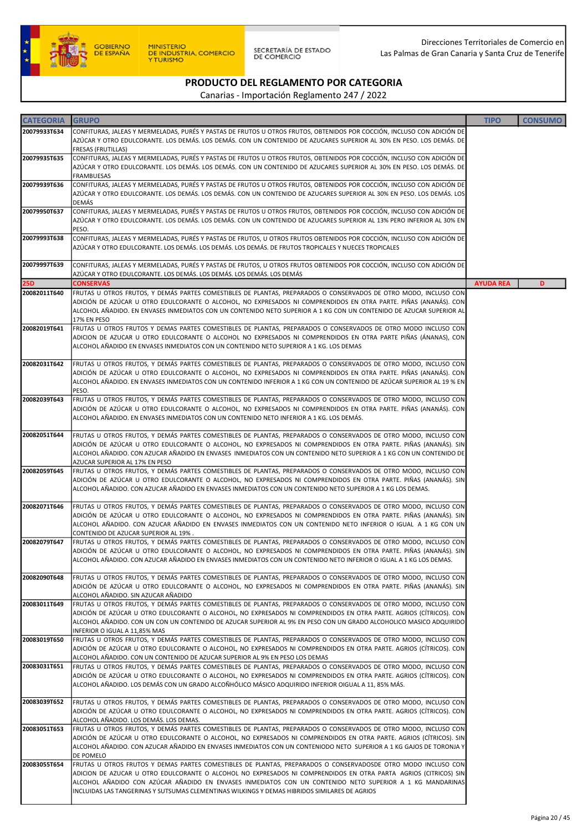

| <b>CATEGORIA</b> | <b>GRUPO</b>                                                                                                                                                                                                                                                                                                                                                                                                                                    | <b>TIPO</b>      | <b>CONSUMO</b> |
|------------------|-------------------------------------------------------------------------------------------------------------------------------------------------------------------------------------------------------------------------------------------------------------------------------------------------------------------------------------------------------------------------------------------------------------------------------------------------|------------------|----------------|
| 20079933T634     | CONFITURAS, JALEAS Y MERMELADAS, PURÉS Y PASTAS DE FRUTOS U OTROS FRUTOS, OBTENIDOS POR COCCIÓN, INCLUSO CON ADICIÓN DE<br>AZÚCAR Y OTRO EDULCORANTE. LOS DEMÁS. LOS DEMÁS. CON UN CONTENIDO DE AZUCARES SUPERIOR AL 30% EN PESO. LOS DEMÁS. DE<br><b>FRESAS (FRUTILLAS)</b>                                                                                                                                                                    |                  |                |
| 20079935T635     | CONFITURAS, JALEAS Y MERMELADAS, PURÉS Y PASTAS DE FRUTOS U OTROS FRUTOS, OBTENIDOS POR COCCIÓN, INCLUSO CON ADICIÓN DE<br>AZÚCAR Y OTRO EDULCORANTE. LOS DEMÁS. LOS DEMÁS. CON UN CONTENIDO DE AZUCARES SUPERIOR AL 30% EN PESO. LOS DEMÁS. DE<br><b>FRAMBUESAS</b>                                                                                                                                                                            |                  |                |
| 20079939T636     | CONFITURAS, JALEAS Y MERMELADAS, PURÉS Y PASTAS DE FRUTOS U OTROS FRUTOS, OBTENIDOS POR COCCIÓN, INCLUSO CON ADICIÓN DE<br>AZÚCAR Y OTRO EDULCORANTE. LOS DEMÁS. LOS DEMÁS. CON UN CONTENIDO DE AZUCARES SUPERIOR AL 30% EN PESO. LOS DEMÁS. LOS<br><b>DEMÁS</b>                                                                                                                                                                                |                  |                |
| 20079950T637     | CONFITURAS, JALEAS Y MERMELADAS, PURÉS Y PASTAS DE FRUTOS U OTROS FRUTOS, OBTENIDOS POR COCCIÓN, INCLUSO CON ADICIÓN DE<br>AZÚCAR Y OTRO EDULCORANTE. LOS DEMÁS. LOS DEMÁS. CON UN CONTENIDO DE AZUCARES SUPERIOR AL 13% PERO INFERIOR AL 30% EN<br>PESO.                                                                                                                                                                                       |                  |                |
| 20079993T638     | CONFITURAS, JALEAS Y MERMELADAS, PURÉS Y PASTAS DE FRUTOS, U OTROS FRUTOS OBTENIDOS POR COCCIÓN, INCLUSO CON ADICIÓN DE<br>AZÚCAR Y OTRO EDULCORANTE. LOS DEMÁS. LOS DEMÁS. LOS DEMÁS. DE FRUTOS TROPICALES Y NUECES TROPICALES                                                                                                                                                                                                                 |                  |                |
| 20079997T639     | CONFITURAS, JALEAS Y MERMELADAS, PURÉS Y PASTAS DE FRUTOS, U OTROS FRUTOS OBTENIDOS POR COCCIÓN, INCLUSO CON ADICIÓN DE<br>AZÚCAR Y OTRO EDULCORANTE. LOS DEMÁS. LOS DEMÁS. LOS DEMÁS. LOS DEMÁS                                                                                                                                                                                                                                                |                  |                |
| 25D              | <b>CONSERVAS</b>                                                                                                                                                                                                                                                                                                                                                                                                                                | <b>AYUDA REA</b> | D              |
| 20082011T640     | FRUTAS U OTROS FRUTOS, Y DEMÁS PARTES COMESTIBLES DE PLANTAS, PREPARADOS O CONSERVADOS DE OTRO MODO, INCLUSO CON<br>ADICIÓN DE AZÚCAR U OTRO EDULCORANTE O ALCOHOL, NO EXPRESADOS NI COMPRENDIDOS EN OTRA PARTE. PIÑAS (ANANÁS). CON<br>ALCOHOL AÑADIDO. EN ENVASES INMEDIATOS CON UN CONTENIDO NETO SUPERIOR A 1 KG CON UN CONTENIDO DE AZUCAR SUPERIOR AL<br>17% EN PESO                                                                      |                  |                |
| 20082019T641     | FRUTAS U OTROS FRUTOS Y DEMAS PARTES COMESTIBLES DE PLANTAS, PREPARADOS O CONSERVADOS DE OTRO MODO INCLUSO CON<br>ADICION DE AZUCAR U OTRO EDULCORANTE O ALCOHOL NO EXPRESADOS NI COMPRENDIDOS EN OTRA PARTE PIÑAS (ÁNANAS), CON<br>ALCOHOL AÑADIDO EN ENVASES INMEDIATOS CON UN CONTENIDO NETO SUPERIOR A 1 KG. LOS DEMAS                                                                                                                      |                  |                |
| 20082031T642     | FRUTAS U OTROS FRUTOS, Y DEMÁS PARTES COMESTIBLES DE PLANTAS, PREPARADOS O CONSERVADOS DE OTRO MODO, INCLUSO CON<br>ADICIÓN DE AZÚCAR U OTRO EDULCORANTE O ALCOHOL, NO EXPRESADOS NI COMPRENDIDOS EN OTRA PARTE. PIÑAS (ANANÁS). CON<br>ALCOHOL AÑADIDO. EN ENVASES INMEDIATOS CON UN CONTENIDO INFERIOR A 1 KG CON UN CONTENIDO DE AZÚCAR SUPERIOR AL 19 % EN<br>PESO.                                                                         |                  |                |
| 20082039T643     | FRUTAS U OTROS FRUTOS, Y DEMÁS PARTES COMESTIBLES DE PLANTAS, PREPARADOS O CONSERVADOS DE OTRO MODO, INCLUSO CON<br>ADICIÓN DE AZÚCAR U OTRO EDULCORANTE O ALCOHOL, NO EXPRESADOS NI COMPRENDIDOS EN OTRA PARTE. PIÑAS (ANANÁS). CON<br>ALCOHOL AÑADIDO. EN ENVASES INMEDIATOS CON UN CONTENIDO NETO INFERIOR A 1 KG. LOS DEMÁS.                                                                                                                |                  |                |
| 20082051T644     | FRUTAS U OTROS FRUTOS, Y DEMÁS PARTES COMESTIBLES DE PLANTAS, PREPARADOS O CONSERVADOS DE OTRO MODO, INCLUSO CON<br>ADICIÓN DE AZÚCAR U OTRO EDULCORANTE O ALCOHOL, NO EXPRESADOS NI COMPRENDIDOS EN OTRA PARTE. PIÑAS (ANANÁS). SIN<br>ALCOHOL AÑADIDO. CON AZUCAR AÑADIDO EN ENVASES INMEDIATOS CON UN CONTENIDO NETO SUPERIOR A 1 KG CON UN CONTENIDO DE<br>AZUCAR SUPERIOR AL 17% EN PESO                                                   |                  |                |
| 20082059T645     | FRUTAS U OTROS FRUTOS, Y DEMÁS PARTES COMESTIBLES DE PLANTAS, PREPARADOS O CONSERVADOS DE OTRO MODO, INCLUSO CON<br>ADICIÓN DE AZÚCAR U OTRO EDULCORANTE O ALCOHOL, NO EXPRESADOS NI COMPRENDIDOS EN OTRA PARTE. PIÑAS (ANANÁS). SIN<br>ALCOHOL AÑADIDO. CON AZUCAR AÑADIDO EN ENVASES INMEDIATOS CON UN CONTENIDO NETO SUPERIOR A 1 KG LOS DEMAS.                                                                                              |                  |                |
| 20082071T646     | FRUTAS U OTROS FRUTOS, Y DEMÁS PARTES COMESTIBLES DE PLANTAS, PREPARADOS O CONSERVADOS DE OTRO MODO, INCLUSO CON<br>ADICIÓN DE AZÚCAR U OTRO EDULCORANTE O ALCOHOL, NO EXPRESADOS NI COMPRENDIDOS EN OTRA PARTE. PIÑAS (ANANÁS). SIN<br>ALCOHOL AÑADIDO. CON AZUCAR AÑADIDO EN ENVASES INMEDIATOS CON UN CONTENIDO NETO INFERIOR O IGUAL A 1 KG CON UN<br>CONTENIDO DE AZUCAR SUPERIOR AL 19%.                                                  |                  |                |
| 20082079T647     | FRUTAS U OTROS FRUTOS, Y DEMÁS PARTES COMESTIBLES DE PLANTAS, PREPARADOS O CONSERVADOS DE OTRO MODO, INCLUSO CON<br>ADICIÓN DE AZÚCAR U OTRO EDULCORANTE O ALCOHOL, NO EXPRESADOS NI COMPRENDIDOS EN OTRA PARTE. PIÑAS (ANANÁS). SIN<br>ALCOHOL ANADIDO. CON AZUCAR ANADIDO EN ENVASES INMEDIATOS CON UN CONTENIDO NETO INFERIOR O IGUAL A 1 KG LOS DEMAS.                                                                                      |                  |                |
| 20082090T648     | FRUTAS U OTROS FRUTOS, Y DEMÁS PARTES COMESTIBLES DE PLANTAS, PREPARADOS O CONSERVADOS DE OTRO MODO, INCLUSO CON<br>ADICIÓN DE AZÚCAR U OTRO EDULCORANTE O ALCOHOL, NO EXPRESADOS NI COMPRENDIDOS EN OTRA PARTE. PIÑAS (ANANÁS). SIN<br>ALCOHOL AÑADIDO. SIN AZUCAR AÑADIDO                                                                                                                                                                     |                  |                |
| 20083011T649     | FRUTAS U OTROS FRUTOS, Y DEMÁS PARTES COMESTIBLES DE PLANTAS, PREPARADOS O CONSERVADOS DE OTRO MODO, INCLUSO CON<br>ADICIÓN DE AZÚCAR U OTRO EDULCORANTE O ALCOHOL, NO EXPRESADOS NI COMPRENDIDOS EN OTRA PARTE. AGRIOS (CÍTRICOS). CON<br>ALCOHOL AÑADIDO. CON UN CON UN CONTENIDO DE AZUCAR SUPERIOR AL 9% EN PESO CON UN GRADO ALCOHOLICO MASICO ADQUIRIDO<br>INFERIOR O IGUAL A 11,85% MAS                                                  |                  |                |
| 20083019T650     | FRUTAS U OTROS FRUTOS, Y DEMÁS PARTES COMESTIBLES DE PLANTAS, PREPARADOS O CONSERVADOS DE OTRO MODO, INCLUSO CON<br>ADICIÓN DE AZÚCAR U OTRO EDULCORANTE O ALCOHOL, NO EXPRESADOS NI COMPRENDIDOS EN OTRA PARTE. AGRIOS (CÍTRICOS). CON<br>ALCOHOL AÑADIDO. CON UN CONTENIDO DE AZUCAR SUPERIOR AL 9% EN PESO LOS DEMAS                                                                                                                         |                  |                |
| 20083031T651     | FRUTAS U OTROS FRUTOS, Y DEMÁS PARTES COMESTIBLES DE PLANTAS, PREPARADOS O CONSERVADOS DE OTRO MODO, INCLUSO CON<br>ADICIÓN DE AZÚCAR U OTRO EDULCORANTE O ALCOHOL, NO EXPRESADOS NI COMPRENDIDOS EN OTRA PARTE. AGRIOS (CÍTRICOS). CON<br>ALCOHOL AÑADIDO. LOS DEMÁS CON UN GRADO ALCOÑHÓLICO MÁSICO ADQUIRIDO INFERIOR OIGUAL A 11, 85% MÁS.                                                                                                  |                  |                |
| 20083039T652     | FRUTAS U OTROS FRUTOS, Y DEMÁS PARTES COMESTIBLES DE PLANTAS, PREPARADOS O CONSERVADOS DE OTRO MODO, INCLUSO CON<br>ADICIÓN DE AZÚCAR U OTRO EDULCORANTE O ALCOHOL, NO EXPRESADOS NI COMPRENDIDOS EN OTRA PARTE. AGRIOS (CÍTRICOS). CON<br>ALCOHOL AÑADIDO. LOS DEMÁS. LOS DEMAS.                                                                                                                                                               |                  |                |
| 20083051T653     | FRUTAS U OTROS FRUTOS, Y DEMÁS PARTES COMESTIBLES DE PLANTAS, PREPARADOS O CONSERVADOS DE OTRO MODO, INCLUSO CON<br>ADICIÓN DE AZÚCAR U OTRO EDULCORANTE O ALCOHOL, NO EXPRESADOS NI COMPRENDIDOS EN OTRA PARTE. AGRIOS (CÍTRICOS). SIN<br>ALCOHOL AÑADIDO. CON AZUCAR AÑADIDO EN ENVASES INMEDIATOS CON UN CONTENIODO NETO SUPERIOR A 1 KG GAJOS DE TORONJA Y<br>DE POMELO                                                                     |                  |                |
| 20083055T654     | FRUTAS U OTROS FRUTOS Y DEMAS PARTES COMESTIBLES DE PLANTAS, PREPARADOS O CONSERVADOSDE OTRO MODO INCLUSO CON<br>ADICION DE AZUCAR U OTRO EDULCORANTE O ALCOHOL NO EXPRESADOS NI COMPRENDIDOS EN OTRA PARTA AGRIOS (CITRICOS) SIN<br>ALCOHOL AÑADIDO CON AZÚCAR AÑADIDO EN ENVASES INMEDIATOS CON UN CONTENIDO NETO SUPERIOR A 1 KG MANDARINAS<br>INCLUIDAS LAS TANGERINAS Y SUTSUMAS CLEMENTINAS WILKINGS Y DEMAS HIBRIDOS SIMILARES DE AGRIOS |                  |                |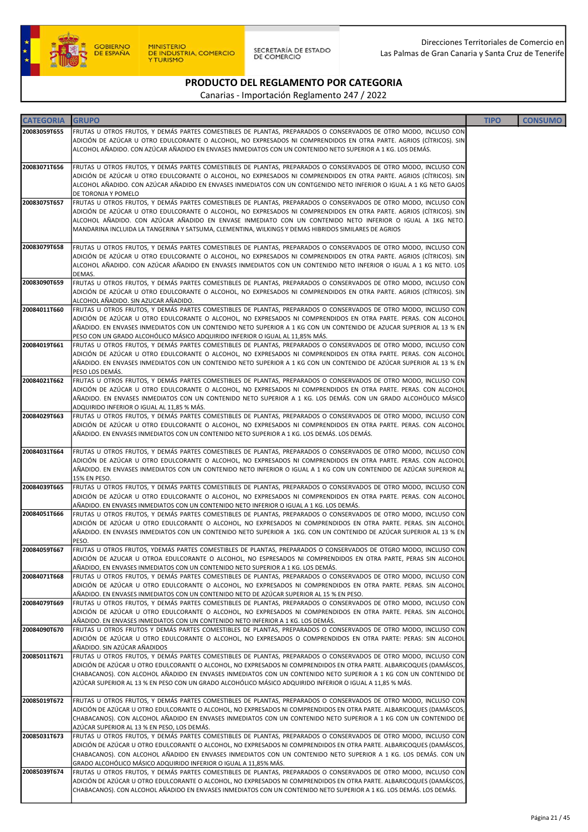

SECRETARÍA DE ESTADO<br>DE COMERCIO

### PRODUCTO DEL REGLAMENTO POR CATEGORIA

| <b>CATEGORIA</b> | <b>GRUPO</b>                                                                                                                                                                                                                               | <b>TIPO</b> | <b>CONSUMO</b> |
|------------------|--------------------------------------------------------------------------------------------------------------------------------------------------------------------------------------------------------------------------------------------|-------------|----------------|
| 20083059T655     | FRUTAS U OTROS FRUTOS, Y DEMÁS PARTES COMESTIBLES DE PLANTAS, PREPARADOS O CONSERVADOS DE OTRO MODO, INCLUSO CON                                                                                                                           |             |                |
|                  | ADICIÓN DE AZÚCAR U OTRO EDULCORANTE O ALCOHOL, NO EXPRESADOS NI COMPRENDIDOS EN OTRA PARTE. AGRIOS (CÍTRICOS). SIN                                                                                                                        |             |                |
|                  | ALCOHOL AÑADIDO. CON AZÚCAR AÑADIDO EN ENVASES INMEDIATOS CON UN CONTENIDO NETO SUPERIOR A 1 KG. LOS DEMÁS.                                                                                                                                |             |                |
|                  |                                                                                                                                                                                                                                            |             |                |
| 20083071T656     | FRUTAS U OTROS FRUTOS, Y DEMÁS PARTES COMESTIBLES DE PLANTAS, PREPARADOS O CONSERVADOS DE OTRO MODO, INCLUSO CON                                                                                                                           |             |                |
|                  | ADICIÓN DE AZÚCAR U OTRO EDULCORANTE O ALCOHOL, NO EXPRESADOS NI COMPRENDIDOS EN OTRA PARTE. AGRIOS (CÍTRICOS). SIN<br>ALCOHOL AÑADIDO. CON AZÚCAR AÑADIDO EN ENVASES INMEDIATOS CON UN CONTGENIDO NETO INFERIOR O IGUAL A 1 KG NETO GAJOS |             |                |
|                  | DE TORONJA Y POMELO                                                                                                                                                                                                                        |             |                |
| 20083075T657     | FRUTAS U OTROS FRUTOS, Y DEMÁS PARTES COMESTIBLES DE PLANTAS, PREPARADOS O CONSERVADOS DE OTRO MODO, INCLUSO CON                                                                                                                           |             |                |
|                  | ADICIÓN DE AZÚCAR U OTRO EDULCORANTE O ALCOHOL, NO EXPRESADOS NI COMPRENDIDOS EN OTRA PARTE. AGRIOS (CÍTRICOS). SIN                                                                                                                        |             |                |
|                  | ALCOHOL AÑADIDO. CON AZÚCAR AÑADIDO EN ENVASE INMEDIATO CON UN CONTENIDO NETO INFERIOR O IGUAL A 1KG NETO.                                                                                                                                 |             |                |
|                  | MANDARINA INCLUIDA LA TANGERINA Y SATSUMA, CLEMENTINA, WILKINGS Y DEMAS HIBRIDOS SIMILARES DE AGRIOS                                                                                                                                       |             |                |
| 20083079T658     | FRUTAS U OTROS FRUTOS, Y DEMÁS PARTES COMESTIBLES DE PLANTAS, PREPARADOS O CONSERVADOS DE OTRO MODO, INCLUSO CON                                                                                                                           |             |                |
|                  | ADICIÓN DE AZÚCAR U OTRO EDULCORANTE O ALCOHOL, NO EXPRESADOS NI COMPRENDIDOS EN OTRA PARTE. AGRIOS (CÍTRICOS). SIN                                                                                                                        |             |                |
|                  | ALCOHOL AÑADIDO. CON AZÚCAR AÑADIDO EN ENVASES INMEDIATOS CON UN CONTENIDO NETO INFERIOR O IGUAL A 1 KG NETO. LOS                                                                                                                          |             |                |
|                  | DEMAS.                                                                                                                                                                                                                                     |             |                |
| 20083090T659     | FRUTAS U OTROS FRUTOS, Y DEMÁS PARTES COMESTIBLES DE PLANTAS, PREPARADOS O CONSERVADOS DE OTRO MODO, INCLUSO CON                                                                                                                           |             |                |
|                  | ADICIÓN DE AZÚCAR U OTRO EDULCORANTE O ALCOHOL, NO EXPRESADOS NI COMPRENDIDOS EN OTRA PARTE. AGRIOS (CÍTRICOS). SIN<br>ALCOHOL AÑADIDO. SIN AZUCAR AÑADIDO.                                                                                |             |                |
| 20084011T660     | FRUTAS U OTROS FRUTOS, Y DEMÁS PARTES COMESTIBLES DE PLANTAS, PREPARADOS O CONSERVADOS DE OTRO MODO, INCLUSO CON                                                                                                                           |             |                |
|                  | ADICIÓN DE AZÚCAR U OTRO EDULCORANTE O ALCOHOL, NO EXPRESADOS NI COMPRENDIDOS EN OTRA PARTE. PERAS. CON ALCOHOL                                                                                                                            |             |                |
|                  | AÑADIDO. EN ENVASES INMEDIATOS CON UN CONTENIDO NETO SUPERIOR A 1 KG CON UN CONTENIDO DE AZUCAR SUPERIOR AL 13 % EN                                                                                                                        |             |                |
| 20084019T661     | PESO CON UN GRADO ALCOHÓLICO MÁSICO ADQUIRIDO INFERIOR O IGUAL AL 11,85% MÁS.                                                                                                                                                              |             |                |
|                  | FRUTAS U OTROS FRUTOS, Y DEMÁS PARTES COMESTIBLES DE PLANTAS, PREPARADOS O CONSERVADOS DE OTRO MODO, INCLUSO CON<br>ADICIÓN DE AZÚCAR U OTRO EDULCORANTE O ALCOHOL, NO EXPRESADOS NI COMPRENDIDOS EN OTRA PARTE. PERAS. CON ALCOHOL        |             |                |
|                  | AÑADIDO. EN ENVASES INMEDIATOS CON UN CONTENIDO NETO SUPERIOR A 1 KG CON UN CONTENIDO DE AZÚCAR SUPERIOR AL 13 % EN                                                                                                                        |             |                |
|                  | PESO LOS DEMÁS.                                                                                                                                                                                                                            |             |                |
| 20084021T662     | FRUTAS U OTROS FRUTOS, Y DEMÁS PARTES COMESTIBLES DE PLANTAS, PREPARADOS O CONSERVADOS DE OTRO MODO, INCLUSO CON                                                                                                                           |             |                |
|                  | ADICIÓN DE AZÚCAR U OTRO EDULCORANTE O ALCOHOL, NO EXPRESADOS NI COMPRENDIDOS EN OTRA PARTE. PERAS. CON ALCOHOL                                                                                                                            |             |                |
|                  | AÑADIDO. EN ENVASES INMEDIATOS CON UN CONTENIDO NETO SUPERIOR A 1 KG. LOS DEMÁS. CON UN GRADO ALCOHÓLICO MÁSICO<br>ADQUIRIDO INFERIOR O IGUAL AL 11,85 % MÁS.                                                                              |             |                |
| 20084029T663     | FRUTAS U OTROS FRUTOS, Y DEMÁS PARTES COMESTIBLES DE PLANTAS, PREPARADOS O CONSERVADOS DE OTRO MODO, INCLUSO CON                                                                                                                           |             |                |
|                  | ADICIÓN DE AZÚCAR U OTRO EDULCORANTE O ALCOHOL, NO EXPRESADOS NI COMPRENDIDOS EN OTRA PARTE. PERAS. CON ALCOHOL                                                                                                                            |             |                |
|                  | AÑADIDO. EN ENVASES INMEDIATOS CON UN CONTENIDO NETO SUPERIOR A 1 KG. LOS DEMÁS. LOS DEMÁS.                                                                                                                                                |             |                |
| 20084031T664     |                                                                                                                                                                                                                                            |             |                |
|                  | FRUTAS U OTROS FRUTOS, Y DEMÁS PARTES COMESTIBLES DE PLANTAS, PREPARADOS O CONSERVADOS DE OTRO MODO, INCLUSO CON<br>ADICIÓN DE AZÚCAR U OTRO EDULCORANTE O ALCOHOL, NO EXPRESADOS NI COMPRENDIDOS EN OTRA PARTE. PERAS. CON ALCOHOL        |             |                |
|                  | AÑADIDO. EN ENVASES INMEDIATOS CON UN CONTENIDO NETO INFERIOR O IGUAL A 1 KG CON UN CONTENIDO DE AZÚCAR SUPERIOR AL                                                                                                                        |             |                |
|                  | 15% EN PESO.                                                                                                                                                                                                                               |             |                |
| 20084039T665     | FRUTAS U OTROS FRUTOS, Y DEMÁS PARTES COMESTIBLES DE PLANTAS, PREPARADOS O CONSERVADOS DE OTRO MODO, INCLUSO CON                                                                                                                           |             |                |
|                  | ADICIÓN DE AZÚCAR U OTRO EDULCORANTE O ALCOHOL, NO EXPRESADOS NI COMPRENDIDOS EN OTRA PARTE. PERAS. CON ALCOHOL<br>AÑADIDO. EN ENVASES INMEDIATOS CON UN CONTENIDO NETO INFERIOR O IGUAL A 1 KG. LOS DEMÁS.                                |             |                |
| 20084051T666     | FRUTAS U OTROS FRUTOS, Y DEMÁS PARTES COMESTIBLES DE PLANTAS, PREPARADOS O CONSERVADOS DE OTRO MODO, INCLUSO CON                                                                                                                           |             |                |
|                  | ADICIÓN DE AZÚCAR U OTRO EDULCORANTE O ALCOHOL, NO EXPRESADOS NI COMPRENDIDOS EN OTRA PARTE. PERAS. SIN ALCOHOL                                                                                                                            |             |                |
|                  | AÑADIDO. EN ENVASES INMEDIATOS CON UN CONTENIDO NETO SUPERIOR A 1KG. CON UN CONTENIDO DE AZÚCAR SUPERIOR AL 13 % EN                                                                                                                        |             |                |
|                  | PESO.                                                                                                                                                                                                                                      |             |                |
| 20084059T667     | FRUTAS U OTROS FRUTOS, YDEMÁS PARTES COMESTIBLES DE PLANTAS, PREPARADOS O CONSERVADOS DE OTGRO MODO, INCLUSO CON<br>ADICIÓN DE AZUCAR U OTROA EDULCORANTE O ALCOHOL, NO ESPRESADOS NI COMPRENDIDOS EN OTRA PARTE, PERAS SIN ALCOHOL        |             |                |
|                  | AÑADIDO, EN ENVASES INMEDIATOS CON UN CONTENIDO NETO SUPERIOR A 1 KG. LOS DEMÁS.                                                                                                                                                           |             |                |
| 20084071T668     | FRUTAS U OTROS FRUTOS, Y DEMÁS PARTES COMESTIBLES DE PLANTAS, PREPARADOS O CONSERVADOS DE OTRO MODO, INCLUSO CON                                                                                                                           |             |                |
|                  | ADICIÓN DE AZÚCAR U OTRO EDULCORANTE O ALCOHOL, NO EXPRESADOS NI COMPRENDIDOS EN OTRA PARTE. PERAS. SIN ALCOHOL                                                                                                                            |             |                |
|                  | AÑADIDO. EN ENVASES INMEDIATOS CON UN CONTENIDO NETO DE AZÚCAR SUPERIOR AL 15 % EN PESO.                                                                                                                                                   |             |                |
| 20084079T669     | FRUTAS U OTROS FRUTOS, Y DEMÁS PARTES COMESTIBLES DE PLANTAS, PREPARADOS O CONSERVADOS DE OTRO MODO, INCLUSO CON<br>ADICIÓN DE AZÚCAR U OTRO EDULCORANTE O ALCOHOL, NO EXPRESADOS NI COMPRENDIDOS EN OTRA PARTE. PERAS. SIN ALCOHOL        |             |                |
|                  | AÑADIDO. EN ENVASES INMEDIATOS CON UN CONTENIDO NETO INFERIOR A 1 KG. LOS DEMÁS.                                                                                                                                                           |             |                |
| 20084090T670     | FRUTAS U OTROS FRUTOS Y DEMÁS PARTES COMESTIBLES DE PLANTAS, PREPARADOS O CONSERVADOS DE OTRO MODO, INCLUSO CON                                                                                                                            |             |                |
|                  | ADICIÓN DE AZÚCAR U OTRO EDULCORANTE O ALCOHOL, NO EXPRESADOS O COMPRENDIDOS EN OTRA PARTE: PERAS: SIN ALCOHOL                                                                                                                             |             |                |
| 20085011T671     | AÑADIDO. SIN AZÚCAR AÑADIDOS<br>FRUTAS U OTROS FRUTOS, Y DEMÁS PARTES COMESTIBLES DE PLANTAS, PREPARADOS O CONSERVADOS DE OTRO MODO, INCLUSO CON                                                                                           |             |                |
|                  | ADICIÓN DE AZÚCAR U OTRO EDULCORANTE O ALCOHOL, NO EXPRESADOS NI COMPRENDIDOS EN OTRA PARTE. ALBARICOQUES (DAMÁSCOS,                                                                                                                       |             |                |
|                  | CHABACANOS). CON ALCOHOL AÑADIDO EN ENVASES INMEDIATOS CON UN CONTENIDO NETO SUPERIOR A 1 KG CON UN CONTENIDO DE                                                                                                                           |             |                |
|                  | AZÚCAR SUPERIOR AL 13 % EN PESO CON UN GRADO ALCOHÓLICO MÁSICO ADQUIRIDO INFERIOR O IGUAL A 11,85 % MÁS.                                                                                                                                   |             |                |
|                  |                                                                                                                                                                                                                                            |             |                |
| 20085019T672     | FRUTAS U OTROS FRUTOS, Y DEMÁS PARTES COMESTIBLES DE PLANTAS, PREPARADOS O CONSERVADOS DE OTRO MODO, INCLUSO CON<br>ADICIÓN DE AZÚCAR U OTRO EDULCORANTE O ALCOHOL, NO EXPRESADOS NI COMPRENDIDOS EN OTRA PARTE. ALBARICOQUES (DAMÁSCOS,   |             |                |
|                  | CHABACANOS). CON ALCOHOL AÑADIDO EN ENVASES INMEDIATOS CON UN CONTENIDO NETO SUPERIOR A 1 KG CON UN CONTENIDO DE                                                                                                                           |             |                |
|                  | AZÚCAR SUPERIOR AL 13 % EN PESO, LOS DEMÁS.                                                                                                                                                                                                |             |                |
| 20085031T673     | FRUTAS U OTROS FRUTOS, Y DEMÁS PARTES COMESTIBLES DE PLANTAS, PREPARADOS O CONSERVADOS DE OTRO MODO, INCLUSO CON                                                                                                                           |             |                |
|                  | ADICIÓN DE AZÚCAR U OTRO EDULCORANTE O ALCOHOL, NO EXPRESADOS NI COMPRENDIDOS EN OTRA PARTE. ALBARICOQUES (DAMÁSCOS,                                                                                                                       |             |                |
|                  | CHABACANOS). CON ALCOHOL AÑADIDO EN ENVASES INMEDIATOS CON UN CONTENIDO NETO SUPERIOR A 1 KG. LOS DEMÁS. CON UN                                                                                                                            |             |                |
| 20085039T674     | GRADO ALCOHÓLICO MÁSICO ADQUIRIDO INFERIOR O IGUAL A 11,85% MÁS.<br>FRUTAS U OTROS FRUTOS, Y DEMÁS PARTES COMESTIBLES DE PLANTAS, PREPARADOS O CONSERVADOS DE OTRO MODO, INCLUSO CON                                                       |             |                |
|                  | ADICIÓN DE AZÚCAR U OTRO EDULCORANTE O ALCOHOL, NO EXPRESADOS NI COMPRENDIDOS EN OTRA PARTE. ALBARICOQUES (DAMÁSCOS,                                                                                                                       |             |                |
|                  | CHABACANOS). CON ALCOHOL AÑADIDO EN ENVASES INMEDIATOS CON UN CONTENIDO NETO SUPERIOR A 1 KG. LOS DEMÁS. LOS DEMÁS.                                                                                                                        |             |                |
|                  |                                                                                                                                                                                                                                            |             |                |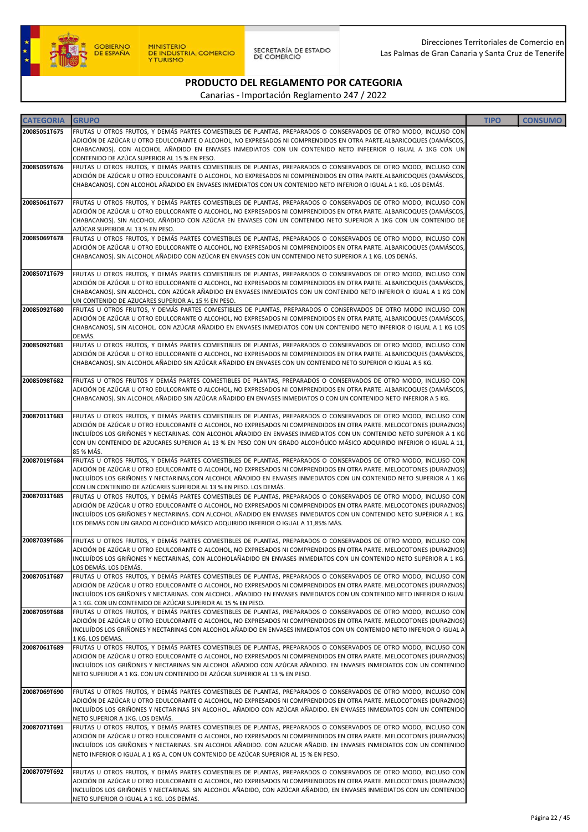

| <b>CATEGORIA</b> | <b>GRUPO</b>                                                                                                                                                                                                                                  | <b>TIPO</b> | <b>CONSUMO</b> |
|------------------|-----------------------------------------------------------------------------------------------------------------------------------------------------------------------------------------------------------------------------------------------|-------------|----------------|
| 20085051T675     | FRUTAS U OTROS FRUTOS, Y DEMÁS PARTES COMESTIBLES DE PLANTAS, PREPARADOS O CONSERVADOS DE OTRO MODO, INCLUSO CON                                                                                                                              |             |                |
|                  | ADICIÓN DE AZÚCAR U OTRO EDULCORANTE O ALCOHOL, NO EXPRESADOS NI COMPRENDIDOS EN OTRA PARTE.ALBARICOQUES (DAMÁSCOS,                                                                                                                           |             |                |
|                  | CHABACANOS). CON ALCOHOL AÑADIDO EN ENVASES INMEDIATOS CON UN CONTENIDO NETO INFEERIOR O IGUAL A 1KG CON UN                                                                                                                                   |             |                |
| 20085059T676     | CONTENIDO DE AZÚCA SUPERIOR AL 15 % EN PESO.<br>FRUTAS U OTROS FRUTOS, Y DEMÁS PARTES COMESTIBLES DE PLANTAS, PREPARADOS O CONSERVADOS DE OTRO MODO, INCLUSO CON                                                                              |             |                |
|                  | ADICIÓN DE AZÚCAR U OTRO EDULCORANTE O ALCOHOL, NO EXPRESADOS NI COMPRENDIDOS EN OTRA PARTE.ALBARICOQUES (DAMÁSCOS,                                                                                                                           |             |                |
|                  | CHABACANOS). CON ALCOHOL AÑADIDO EN ENVASES INMEDIATOS CON UN CONTENIDO NETO INFERIOR O IGUAL A 1 KG. LOS DEMÁS.                                                                                                                              |             |                |
| 20085061T677     | FRUTAS U OTROS FRUTOS, Y DEMÁS PARTES COMESTIBLES DE PLANTAS, PREPARADOS O CONSERVADOS DE OTRO MODO, INCLUSO CON                                                                                                                              |             |                |
|                  | ADICIÓN DE AZÚCAR U OTRO EDULCORANTE O ALCOHOL, NO EXPRESADOS NI COMPRENDIDOS EN OTRA PARTE. ALBARICOQUES (DAMÁSCOS,                                                                                                                          |             |                |
|                  | CHABACANOS). SIN ALCOHOL AÑADIDO CON AZÚCAR EN ENVASES CON UN CONTENIDO NETO SUPERIOR A 1KG CON UN CONTENIDO DE                                                                                                                               |             |                |
|                  | AZÚCAR SUPERIOR AL 13 % EN PESO.                                                                                                                                                                                                              |             |                |
| 20085069T678     | FRUTAS U OTROS FRUTOS, Y DEMÁS PARTES COMESTIBLES DE PLANTAS, PREPARADOS O CONSERVADOS DE OTRO MODO, INCLUSO CON<br>ADICIÓN DE AZÚCAR U OTRO EDULCORANTE O ALCOHOL, NO EXPRESADOS NI COMPRENDIDOS EN OTRA PARTE. ALBARICOQUES (DAMÁSCOS,      |             |                |
|                  | CHABACANOS). SIN ALCOHOL AÑADIDO CON AZÚCAR EN ENVASES CON UN CONTENIDO NETO SUPERIOR A 1 KG. LOS DENÁS.                                                                                                                                      |             |                |
|                  |                                                                                                                                                                                                                                               |             |                |
| 20085071T679     | FRUTAS U OTROS FRUTOS, Y DEMÁS PARTES COMESTIBLES DE PLANTAS, PREPARADOS O CONSERVADOS DE OTRO MODO, INCLUSO CON                                                                                                                              |             |                |
|                  | ADICIÓN DE AZÚCAR U OTRO EDULCORANTE O ALCOHOL, NO EXPRESADOS NI COMPRENDIDOS EN OTRA PARTE. ALBARICOQUES (DAMÁSCOS,<br>CHABACANOS). SIN ALCOHOL. CON AZÚCAR AÑADIDO EN ENVASES INMEDIATOS CON UN CONTENIDO NETO INFERIOR O IGUAL A 1 KG CON  |             |                |
|                  | UN CONTENIDO DE AZUCARES SUPERIOR AL 15 % EN PESO.                                                                                                                                                                                            |             |                |
| 20085092T680     | FRUTAS U OTROS FRUTOS, Y DEMÁS PARTES COMESTIBLES DE PLANTAS, PREPARADOS O CONSERVADOS DE OTRO MODO INCLUSO CON                                                                                                                               |             |                |
|                  | ADICIÓN DE AZÚCAR U OTRO EDULCORANTE O ALCOHOL, NO EXPRESADOS NI COMPRENDIDOS EN OTRA PARTE, ALBARICOQUES (DAMÁSCOS,<br>CHABACANOS), SIN ALCOHOL. CON AZÚCAR AÑADIDO EN ENVASES INMEDIATOS CON UN CONTENIDO NETO INFERIOR O IGUAL A 1 KG LOS  |             |                |
|                  | DEMÁS.                                                                                                                                                                                                                                        |             |                |
| 20085092T681     | FRUTAS U OTROS FRUTOS, Y DEMÁS PARTES COMESTIBLES DE PLANTAS, PREPARADOS O CONSERVADOS DE OTRO MODO, INCLUSO CON                                                                                                                              |             |                |
|                  | ADICIÓN DE AZÚCAR U OTRO EDULCORANTE O ALCOHOL, NO EXPRESADOS NI COMPRENDIDOS EN OTRA PARTE. ALBARICOQUES (DAMÁSCOS,                                                                                                                          |             |                |
|                  | CHABACANOS). SIN ALCOHOL AÑADIDO SIN AZÚCAR AÑADIDO EN ENVASES CON UN CONTENIDO NETO SUPERIOR O IGUAL A 5 KG.                                                                                                                                 |             |                |
| 20085098T682     | FRUTAS U OTROS FRUTOS Y DEMÁS PARTES COMESTIBLES DE PLANTAS, PREPARADOS O CONSERVADOS DE OTRO MODO, INCLUSO CON                                                                                                                               |             |                |
|                  | ADICIÓN DE AZÚCAR U OTRO EDULCORANTE O ALCOHOL, NO EXPRESADOS NI COMPRENDIDOS EN OTRA PARTE. ALBARICOQUES (DAMÁSCOS,                                                                                                                          |             |                |
|                  | CHABACANOS). SIN ALCOHOL AÑADIDO SIN AZÚCAR AÑADIDO EN ENVASES INMEDIATOS O CON UN CONTENIDO NETO INFERIOR A 5 KG.                                                                                                                            |             |                |
| 20087011T683     | FRUTAS U OTROS FRUTOS, Y DEMÁS PARTES COMESTIBLES DE PLANTAS, PREPARADOS O CONSERVADOS DE OTRO MODO, INCLUSO CON                                                                                                                              |             |                |
|                  | ADICIÓN DE AZÚCAR U OTRO EDULCORANTE O ALCOHOL, NO EXPRESADOS NI COMPRENDIDOS EN OTRA PARTE. MELOCOTONES (DURAZNOS)                                                                                                                           |             |                |
|                  | INCLUÍDOS LOS GRIÑONES Y NECTARINAS. CON ALCOHOL AÑADIDO EN ENVASES INMEDIATOS CON UN CONTENIDO NETO SUPERIOR A 1 KG                                                                                                                          |             |                |
|                  | CON UN CONTENIDO DE AZUCARES SUPERIOR AL 13 % EN PESO CON UN GRADO ALCOHÓLICO MÁSICO ADQUIRIDO INFERIOR O IGUAL A 11,<br>85 % MÁS.                                                                                                            |             |                |
| 20087019T684     | FRUTAS U OTROS FRUTOS, Y DEMÁS PARTES COMESTIBLES DE PLANTAS, PREPARADOS O CONSERVADOS DE OTRO MODO, INCLUSO CON                                                                                                                              |             |                |
|                  | ADICIÓN DE AZÚCAR U OTRO EDULCORANTE O ALCOHOL, NO EXPRESADOS NI COMPRENDIDOS EN OTRA PARTE. MELOCOTONES (DURAZNOS)                                                                                                                           |             |                |
|                  | INCLUÍDOS LOS GRIÑONES Y NECTARINAS,CON ALCOHOL AÑADIDO EN ENVASES INMEDIATOS CON UN CONTENIDO NETO SUPERIOR A 1 KG<br>CON UN CONTENIDO DE AZÚCARES SUPERIOR AL 13 % EN PESO. LOS DEMÁS.                                                      |             |                |
| 20087031T685     | FRUTAS U OTROS FRUTOS, Y DEMÁS PARTES COMESTIBLES DE PLANTAS, PREPARADOS O CONSERVADOS DE OTRO MODO, INCLUSO CON                                                                                                                              |             |                |
|                  | ADICIÓN DE AZÚCAR U OTRO EDULCORANTE O ALCOHOL, NO EXPRESADOS NI COMPRENDIDOS EN OTRA PARTE. MELOCOTONES (DURAZNOS)                                                                                                                           |             |                |
|                  | INCLUÍDOS LOS GRIÑONES Y NECTARINAS. CON ALCOHOL AÑADIDO EN ENVASES INMEDIATOS CON UN CONTENIDO NETO SUPÈRIOR A 1 KG.<br>LOS DEMÁS CON UN GRADO ALCOHÓLICO MÁSICO ADQUIRIDO INFERIOR O IGUAL A 11,85% MÁS.                                    |             |                |
|                  |                                                                                                                                                                                                                                               |             |                |
| 20087039T686     | FRUTAS U OTROS FRUTOS, Y DEMÁS PARTES COMESTIBLES DE PLANTAS, PREPARADOS O CONSERVADOS DE OTRO MODO, INCLUSO CON                                                                                                                              |             |                |
|                  | ADICIÓN DE AZÚCAR U OTRO EDULCORANTE O ALCOHOL, NO EXPRESADOS NI COMPRENDIDOS EN OTRA PARTE. MELOCOTONES (DURAZNOS)<br>INCLUÍDOS LOS GRIÑONES Y NECTARINAS, CON ALCOHOLAÑADIDO EN ENVASES INMEDIATOS CON UN CONTENIDO NETO SUPERIOR A 1 KG.   |             |                |
|                  | LOS DEMÁS. LOS DEMÁS.                                                                                                                                                                                                                         |             |                |
| 20087051T687     | FRUTAS U OTROS FRUTOS, Y DEMÁS PARTES COMESTIBLES DE PLANTAS, PREPARADOS O CONSERVADOS DE OTRO MODO, INCLUSO CON                                                                                                                              |             |                |
|                  | ADICIÓN DE AZÚCAR U OTRO EDULCORANTE O ALCOHOL, NO EXPRESADOS NI COMPRENDIDOS EN OTRA PARTE. MELOCOTONES (DURAZNOS)<br>INCLUÍDOS LOS GRIÑONES Y NECTARINAS. CON ALCOHOL. AÑADIDO EN ENVASES INMEDIATOS CON UN CONTENIDO NETO INFERIOR O IGUAL |             |                |
|                  | A 1 KG. CON UN CONTENIDO DE AZÚCAR SUPERIOR AL 15 % EN PESO.                                                                                                                                                                                  |             |                |
| 20087059T688     | FRUTAS U OTROS FRUTOS, Y DEMÁS PARTES COMESTIBLES DE PLANTAS, PREPARADOS O CONSERVADOS DE OTRO MODO, INCLUSO CON                                                                                                                              |             |                |
|                  | ADICIÓN DE AZÚCAR U OTRO EDULCORANTE O ALCOHOL, NO EXPRESADOS NI COMPRENDIDOS EN OTRA PARTE. MELOCOTONES (DURAZNOS)                                                                                                                           |             |                |
|                  | INCLUÍDOS LOS GRIÑONES Y NECTARINAS CON ALCOHOL AÑADIDO EN ENVASES INMEDIATOS CON UN CONTENIDO NETO INFERIOR O IGUAL A<br>1 KG. LOS DEMAS.                                                                                                    |             |                |
| 20087061T689     | FRUTAS U OTROS FRUTOS, Y DEMÁS PARTES COMESTIBLES DE PLANTAS, PREPARADOS O CONSERVADOS DE OTRO MODO, INCLUSO CON                                                                                                                              |             |                |
|                  | ADICIÓN DE AZÚCAR U OTRO EDULCORANTE O ALCOHOL, NO EXPRESADOS NI COMPRENDIDOS EN OTRA PARTE. MELOCOTONES (DURAZNOS)                                                                                                                           |             |                |
|                  | INCLUÍDOS LOS GRIÑONES Y NECTARINAS SIN ALCOHOL AÑADIDO CON AZÚCAR AÑADIDO. EN ENVASES INMEDIATOS CON UN CONTENIDO<br>NETO SUPERIOR A 1 KG. CON UN CONTENIDO DE AZÚCAR SUPERIOR AL 13 % EN PESO.                                              |             |                |
|                  |                                                                                                                                                                                                                                               |             |                |
| 20087069T690     | FRUTAS U OTROS FRUTOS, Y DEMÁS PARTES COMESTIBLES DE PLANTAS, PREPARADOS O CONSERVADOS DE OTRO MODO, INCLUSO CON                                                                                                                              |             |                |
|                  | ADICIÓN DE AZÚCAR U OTRO EDULCORANTE O ALCOHOL, NO EXPRESADOS NI COMPRENDIDOS EN OTRA PARTE. MELOCOTONES (DURAZNOS)                                                                                                                           |             |                |
|                  | INCLUÍDOS LOS GRIÑONES Y NECTARINAS SIN ALCOHOL. AÑADIDO CON AZÚCAR AÑADIDO. EN ENVASES INMEDIATOS CON UN CONTENIDO<br>NETO SUPERIOR A 1KG. LOS DEMÁS.                                                                                        |             |                |
| 20087071T691     | FRUTAS U OTROS FRUTOS, Y DEMÁS PARTES COMESTIBLES DE PLANTAS, PREPARADOS O CONSERVADOS DE OTRO MODO, INCLUSO CON                                                                                                                              |             |                |
|                  | ADICIÓN DE AZÚCAR U OTRO EDULCORANTE O ALCOHOL, NO EXPRESADOS NI COMPRENDIDOS EN OTRA PARTE. MELOCOTONES (DURAZNOS)                                                                                                                           |             |                |
|                  | INCLUÍDOS LOS GRIÑONES Y NECTARINAS. SIN ALCOHOL AÑADIDO. CON AZUCAR AÑADID. EN ENVASES INMEDIATOS CON UN CONTENIDO<br>NETO INFERIOR O IGUAL A 1 KG A. CON UN CONTENIDO DE AZÚCAR SUPERIOR AL 15 % EN PESO.                                   |             |                |
|                  |                                                                                                                                                                                                                                               |             |                |
| 20087079T692     | FRUTAS U OTROS FRUTOS, Y DEMÁS PARTES COMESTIBLES DE PLANTAS, PREPARADOS O CONSERVADOS DE OTRO MODO, INCLUSO CON                                                                                                                              |             |                |
|                  | ADICIÓN DE AZÚCAR U OTRO EDULCORANTE O ALCOHOL, NO EXPRESADOS NI COMPRENDIDOS EN OTRA PARTE. MELOCOTONES (DURAZNOS)                                                                                                                           |             |                |
|                  | INCLUÍDOS LOS GRIÑONES Y NECTARINAS. SIN ALCOHOL AÑADIDO, CON AZÚCAR AÑADIDO, EN ENVASES INMEDIATOS CON UN CONTENIDO<br>NETO SUPERIOR O IGUAL A 1 KG. LOS DEMAS.                                                                              |             |                |
|                  |                                                                                                                                                                                                                                               |             |                |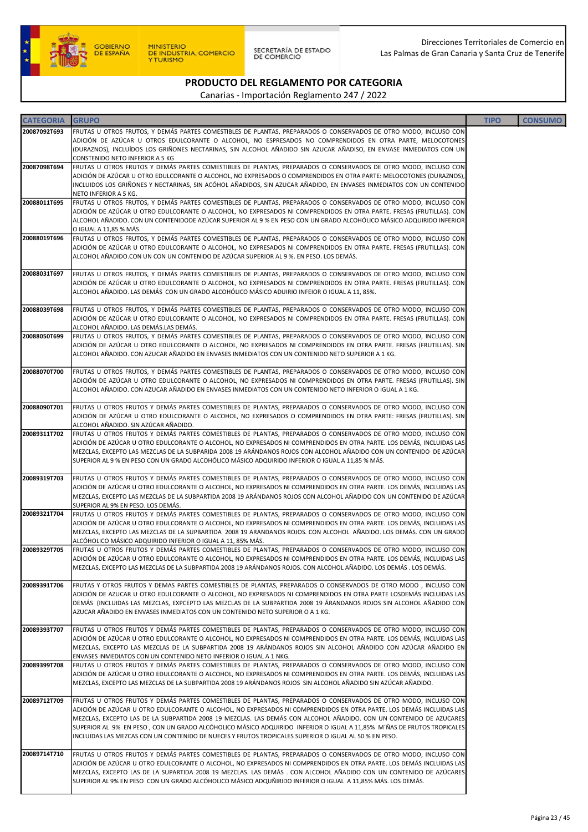

SECRETARÍA DE ESTADO<br>DE COMERCIO

### PRODUCTO DEL REGLAMENTO POR CATEGORIA

| <b>CATEGORIA</b> | <b>GRUPO</b>                                                                                                                                                                                                                               | <b>TIPO</b> | <b>CONSUMO</b> |
|------------------|--------------------------------------------------------------------------------------------------------------------------------------------------------------------------------------------------------------------------------------------|-------------|----------------|
| 20087092T693     | FRUTAS U OTROS FRUTOS, Y DEMÁS PARTES COMESTIBLES DE PLANTAS, PREPARADOS O CONSERVADOS DE OTRO MODO, INCLUSO CON                                                                                                                           |             |                |
|                  | ADICIÓN DE AZÚCAR U OTROS EDULCORANTE O ALCOHOL, NO ESPRESADOS NO COMPRENDIDOS EN OTRA PARTE, MELOCOTONES                                                                                                                                  |             |                |
|                  | (DURAZNOS), INCLUÍDOS LOS GRIÑONES NECTARINAS, SIN ALCOHOL AÑADIDO SIN AZUCAR AÑADISO, EN ENVASE INMEDIATOS CON UN<br>CONSTENIDO NETO INFERIOR A 5 KG                                                                                      |             |                |
| 20087098T694     | FRUTAS U OTROS FRUTOS Y DEMÁS PARTES COMESTIBLES DE PLANTAS, PREPARADOS O CONSERVADOS DE OTRO MODO, INCLUSO CON                                                                                                                            |             |                |
|                  | ADICIÓN DE AZÚCAR U OTRO EDULCORANTE O ALCOHOL, NO EXPRESADOS O COMPRENDIDOS EN OTRA PARTE: MELOCOTONES (DURAZNOS),                                                                                                                        |             |                |
|                  | INCLUIDOS LOS GRIÑONES Y NECTARINAS, SIN ACÓHOL AÑADIDOS, SIN AZUCAR AÑADIDO, EN ENVASES INMEDIATOS CON UN CONTENIDO                                                                                                                       |             |                |
| 20088011T695     | NETO INFERIOR A 5 KG.<br>FRUTAS U OTROS FRUTOS, Y DEMÁS PARTES COMESTIBLES DE PLANTAS, PREPARADOS O CONSERVADOS DE OTRO MODO, INCLUSO CON                                                                                                  |             |                |
|                  | ADICIÓN DE AZÚCAR U OTRO EDULCORANTE O ALCOHOL, NO EXPRESADOS NI COMPRENDIDOS EN OTRA PARTE. FRESAS (FRUTILLAS). CON                                                                                                                       |             |                |
|                  | ALCOHOL AÑADIDO. CON UN CONTENIDODE AZÚCAR SUPERIOR AL 9 % EN PESO CON UN GRADO ALCOHÓLICO MÁSICO ADQUIRIDO INFERIOR                                                                                                                       |             |                |
|                  | O IGUAL A 11.85 % MÁS.                                                                                                                                                                                                                     |             |                |
| 20088019T696     | FRUTAS U OTROS FRUTOS, Y DEMÁS PARTES COMESTIBLES DE PLANTAS, PREPARADOS O CONSERVADOS DE OTRO MODO, INCLUSO CON<br>ADICIÓN DE AZÚCAR U OTRO EDULCORANTE O ALCOHOL, NO EXPRESADOS NI COMPRENDIDOS EN OTRA PARTE. FRESAS (FRUTILLAS). CON   |             |                |
|                  | ALCOHOL AÑADIDO.CON UN CON UN CONTENIDO DE AZÚCAR SUPERIOR AL 9 %. EN PESO. LOS DEMÁS.                                                                                                                                                     |             |                |
|                  |                                                                                                                                                                                                                                            |             |                |
| 20088031T697     | FRUTAS U OTROS FRUTOS, Y DEMÁS PARTES COMESTIBLES DE PLANTAS, PREPARADOS O CONSERVADOS DE OTRO MODO, INCLUSO CON                                                                                                                           |             |                |
|                  | ADICIÓN DE AZÚCAR U OTRO EDULCORANTE O ALCOHOL, NO EXPRESADOS NI COMPRENDIDOS EN OTRA PARTE. FRESAS (FRUTILLAS). CON<br>ALCOHOL AÑADIDO. LAS DEMÁS CON UN GRADO ALCOHÓLICO MÁSICO ADUIRIO INFEIOR O IGUAL A 11, 85%.                       |             |                |
|                  |                                                                                                                                                                                                                                            |             |                |
| 20088039T698     | FRUTAS U OTROS FRUTOS, Y DEMÁS PARTES COMESTIBLES DE PLANTAS, PREPARADOS O CONSERVADOS DE OTRO MODO, INCLUSO CON                                                                                                                           |             |                |
|                  | ADICIÓN DE AZÚCAR U OTRO EDULCORANTE O ALCOHOL, NO EXPRESADOS NI COMPRENDIDOS EN OTRA PARTE. FRESAS (FRUTILLAS). CON                                                                                                                       |             |                |
| 20088050T699     | ALCOHOL AÑADIDO. LAS DEMÁS.LAS DEMÁS.<br>FRUTAS U OTROS FRUTOS, Y DEMÁS PARTES COMESTIBLES DE PLANTAS, PREPARADOS O CONSERVADOS DE OTRO MODO, INCLUSO CON                                                                                  |             |                |
|                  | ADICIÓN DE AZÚCAR U OTRO EDULCORANTE O ALCOHOL, NO EXPRESADOS NI COMPRENDIDOS EN OTRA PARTE. FRESAS (FRUTILLAS). SIN                                                                                                                       |             |                |
|                  | ALCOHOL AÑADIDO. CON AZUCAR AÑADIDO EN ENVASES INMEDIATOS CON UN CONTENIDO NETO SUPERIOR A 1 KG.                                                                                                                                           |             |                |
|                  |                                                                                                                                                                                                                                            |             |                |
| 20088070T700     | FRUTAS U OTROS FRUTOS, Y DEMÁS PARTES COMESTIBLES DE PLANTAS, PREPARADOS O CONSERVADOS DE OTRO MODO, INCLUSO CON<br>ADICIÓN DE AZÚCAR U OTRO EDULCORANTE O ALCOHOL, NO EXPRESADOS NI COMPRENDIDOS EN OTRA PARTE. FRESAS (FRUTILLAS). SIN   |             |                |
|                  | ALCOHOL AÑADIDO. CON AZUCAR AÑADIDO EN ENVASES INMEDIATOS CON UN CONTENIDO NETO INFERIOR O IGUAL A 1 KG.                                                                                                                                   |             |                |
|                  |                                                                                                                                                                                                                                            |             |                |
| 20088090T701     | FRUTAS U OTROS FRUTOS Y DEMÁS PARTES COMESTIBLES DE PLANTAS, PREPARADOS O CONSERVADOS DE OTRO MODO, INCLUSO CON                                                                                                                            |             |                |
|                  | ADICIÓN DE AZÚCAR U OTRO EDULCORANTE O ALCOHOL, NO EXPRESADOS O COMPRENDIDOS EN OTRA PARTE: FRESAS (FRUTILLAS). SIN<br>ALCOHOL AÑADIDO. SIN AZÚCAR AÑADIDO.                                                                                |             |                |
| 20089311T702     | FRUTAS U OTROS FRUTOS Y DEMÁS PARTES COMESTIBLES DE PLANTAS, PREPARADOS O CONSERVADOS DE OTRO MODO, INCLUSO CON                                                                                                                            |             |                |
|                  | ADICIÓN DE AZÚCAR U OTRO EDULCORANTE O ALCOHOL, NO EXPRESADOS NI COMPRENDIDOS EN OTRA PARTE. LOS DEMÁS, INCLUIDAS LAS                                                                                                                      |             |                |
|                  | MEZCLAS, EXCEPTO LAS MEZCLAS DE LA SUBPARIDA 2008 19 ARÁNDANOS ROJOS CON ALCOHOL AÑADIDO CON UN CONTENIDO DE AZÚCAR                                                                                                                        |             |                |
|                  | SUPERIOR AL 9 % EN PESO CON UN GRADO ALCOHÓLICO MÁSICO ADQUIRIDO INFERIOR O IGUAL A 11,85 % MÁS.                                                                                                                                           |             |                |
| 20089319T703     | FRUTAS U OTROS FRUTOS Y DEMÁS PARTES COMESTIBLES DE PLANTAS, PREPARADOS O CONSERVADOS DE OTRO MODO, INCLUSO CON                                                                                                                            |             |                |
|                  | ADICIÓN DE AZÚCAR U OTRO EDULCORANTE O ALCOHOL, NO EXPRESADOS NI COMPRENDIDOS EN OTRA PARTE. LOS DEMÁS, INCLUIDAS LAS                                                                                                                      |             |                |
|                  | MEZCLAS, EXCEPTO LAS MEZCLAS DE LA SUBPARTIDA 2008 19 ARÁNDANOS ROJOS CON ALCOHOL AÑADIDO CON UN CONTENIDO DE AZÚCAR<br>SUPERIOR AL 9% EN PESO. LOS DEMÁS.                                                                                 |             |                |
| 20089321T704     | FRUTAS U OTROS FRUTOS Y DEMÁS PARTES COMESTIBLES DE PLANTAS, PREPARADOS O CONSERVADOS DE OTRO MODO, INCLUSO CON                                                                                                                            |             |                |
|                  | ADICIÓN DE AZÚCAR U OTRO EDULCORANTE O ALCOHOL, NO EXPRESADOS NI COMPRENDIDOS EN OTRA PARTE. LOS DEMÁS, INCLUIDAS LAS                                                                                                                      |             |                |
|                  | MEZCLAS, EXCEPTO LAS MEZCLAS DE LA SUPBARTIDA  2008 19 ARANDANOS ROJOS. CON ALCOHOL  AÑADIDO. LOS DEMÁS. CON UN GRADO                                                                                                                      |             |                |
| 20089329T705     | ALCÓHOLICO MÁSICO ADQUIRIDO INFERIOR O IGUAL A 11, 85% MÁS.<br>FRUTAS U OTROS FRUTOS Y DEMÁS PARTES COMESTIBLES DE PLANTAS, PREPARADOS O CONSERVADOS DE OTRO MODO, INCLUSO CON                                                             |             |                |
|                  | ADICION DE AZUCAR U OTRO EDULCORANTE O ALCOHOL, NO EXPRESADOS NI COMPRENDIDOS EN OTRA PARTE. LOS DEMAS, INCLUIDAS LAS                                                                                                                      |             |                |
|                  | MEZCLAS, EXCEPTO LAS MEZCLAS DE LA SUBPARTIDA 2008 19 ARÁNDANOS ROJOS. CON ALCOHOL AÑADIDO. LOS DEMÁS. LOS DEMÁS.                                                                                                                          |             |                |
|                  |                                                                                                                                                                                                                                            |             |                |
| 20089391T706     | FRUTAS Y OTROS FRUTOS Y DEMAS PARTES COMESTIBLES DE PLANTAS, PREPARADOS O CONSERVADOS DE OTRO MODO, INCLUSO CON<br>ADICIÓN DE AZUCAR U OTRO EDULCORANTE O ALCOHOL, NO EXPRESADOS NI COMPRENDIDOS EN OTRA PARTE LOSDEMÁS INCLUIDAS LAS      |             |                |
|                  | DEMÁS (INCLUIDAS LAS MEZCLAS, EXPCEPTO LAS MEZCLAS DE LA SUBPARTIDA 2008 19 ÁRANDANOS ROJOS SIN ALCOHOL AÑADIDO CON                                                                                                                        |             |                |
|                  | AZUCAR AÑADIDO EN ENVASES INMEDIATOS CON UN CONTENIDO NETO SUPERIOR O A 1 KG.                                                                                                                                                              |             |                |
| 20089393T707     | FRUTAS U OTROS FRUTOS Y DEMÁS PARTES COMESTIBLES DE PLANTAS, PREPARADOS O CONSERVADOS DE OTRO MODO, INCLUSO CON                                                                                                                            |             |                |
|                  | ADICIÓN DE AZÚCAR U OTRO EDULCORANTE O ALCOHOL, NO EXPRESADOS NI COMPRENDIDOS EN OTRA PARTE. LOS DEMÁS, INCLUIDAS LAS                                                                                                                      |             |                |
|                  | MEZCLAS, EXCEPTO LAS MEZCLAS DE LA SUBPARTIDA 2008 19 ARÁNDANOS ROJOS SIN ALCOHOL AÑADIDO CON AZÚCAR AÑADIDO EN                                                                                                                            |             |                |
|                  | ENVASES INMEDIATOS CON UN CONTENIDO NETO INFERIOR O IGUAL A 1 NKG.                                                                                                                                                                         |             |                |
| 20089399T708     | FRUTAS U OTROS FRUTOS Y DEMÁS PARTES COMESTIBLES DE PLANTAS, PREPARADOS O CONSERVADOS DE OTRO MODO, INCLUSO CON<br>ADICIÓN DE AZÚCAR U OTRO EDULCORANTE O ALCOHOL, NO EXPRESADOS NI COMPRENDIDOS EN OTRA PARTE. LOS DEMÁS, INCLUIDAS LAS   |             |                |
|                  | MEZCLAS, EXCEPTO LAS MEZCLAS DE LA SUBPARTIDA 2008 19 ARÁNDANOS ROJOS SIN ALCOHOL AÑADIDO SIN AZÚCAR AÑADIDO.                                                                                                                              |             |                |
|                  |                                                                                                                                                                                                                                            |             |                |
| 20089712T709     | FRUTAS U OTROS FRUTOS Y DEMÁS PARTES COMESTIBLES DE PLANTAS, PREPARADOS O CONSERVADOS DE OTRO MODO, INCLUSO CON                                                                                                                            |             |                |
|                  | ADICIÓN DE AZÚCAR U OTRO EDULCORANTE O ALCOHOL, NO EXPRESADOS NI COMPRENDIDOS EN OTRA PARTE. LOS DEMÁS INCLUIDAS LAS<br>MEZCLAS, EXCEPTO LAS DE LA SUBPARTIDA 2008 19 MEZCLAS. LAS DEMÁS CON ALCOHOL AÑADIDO. CON UN CONTENIDO DE AZUCARES |             |                |
|                  | SUPERIOR AL 9% EN PESO, CON UN GRADO ALCÓHOLICO MÁSICO ADQUIRIDO INFERIOR O IGUAL A 11,85% M'ÑAS DE FRUTOS TROPICALES                                                                                                                      |             |                |
|                  | INCLUIDAS LAS MEZCAS CON UN CONTENIDO DE NUECES Y FRUTOS TROPICALES SUPERIOR O IGUAL AL 50 % EN PESO.                                                                                                                                      |             |                |
|                  |                                                                                                                                                                                                                                            |             |                |
| 20089714T710     | FRUTAS U OTROS FRUTOS Y DEMÁS PARTES COMESTIBLES DE PLANTAS, PREPARADOS O CONSERVADOS DE OTRO MODO, INCLUSO CON<br>ADICIÓN DE AZÚCAR U OTRO EDULCORANTE O ALCOHOL, NO EXPRESADOS NI COMPRENDIDOS EN OTRA PARTE. LOS DEMÁS INCLUIDAS LAS    |             |                |
|                  | MEZCLAS, EXCEPTO LAS DE LA SUPARTIDA 2008 19 MEZCLAS. LAS DEMÁS . CON ALCOHOL AÑADIDO CON UN CONTENIDO DE AZÚCARES                                                                                                                         |             |                |
|                  | SUPERIOR AL 9% EN PESO CON UN GRADO ALCÓHOLICO MÁSICO ADQUÑIRIDO INFERIOR O IGUAL A 11,85% MÁS. LOS DEMÁS.                                                                                                                                 |             |                |
|                  |                                                                                                                                                                                                                                            |             |                |
|                  |                                                                                                                                                                                                                                            |             |                |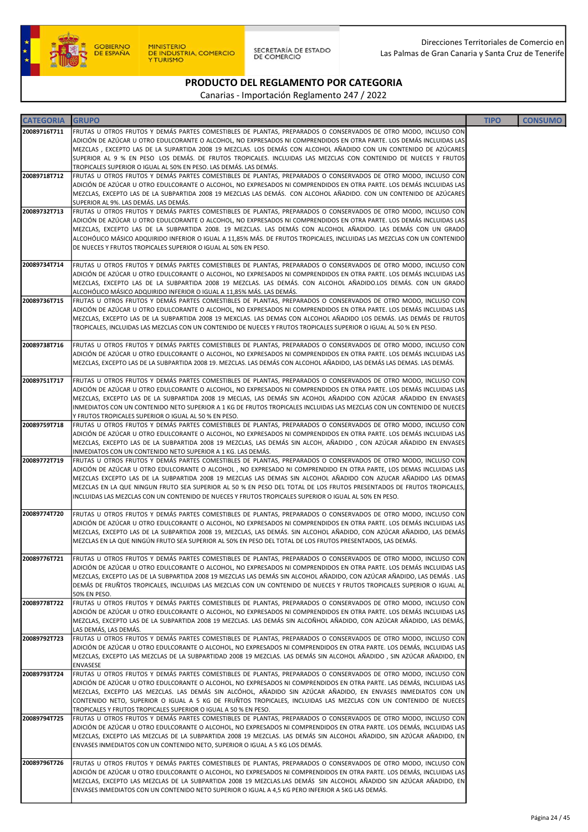

SECRETARÍA DE ESTADO<br>DE COMERCIO

### PRODUCTO DEL REGLAMENTO POR CATEGORIA

| <b>CATEGORIA</b> | <b>GRUPO</b>                                                                                                                                                                                                                                   | <b>TIPO</b> | <b>CONSUMO</b> |
|------------------|------------------------------------------------------------------------------------------------------------------------------------------------------------------------------------------------------------------------------------------------|-------------|----------------|
| 20089716T711     | FRUTAS U OTROS FRUTOS Y DEMÁS PARTES COMESTIBLES DE PLANTAS, PREPARADOS O CONSERVADOS DE OTRO MODO, INCLUSO CON                                                                                                                                |             |                |
|                  | ADICIÓN DE AZÚCAR U OTRO EDULCORANTE O ALCOHOL, NO EXPRESADOS NI COMPRENDIDOS EN OTRA PARTE. LOS DEMÁS INCLUIDAS LAS                                                                                                                           |             |                |
|                  | MEZCLAS , EXCEPTO LAS DE LA SUPARTIDA 2008 19 MEZCLAS. LOS DEMÁS CON ALCOHOL AÑADIDO CON UN CONTENIDO DE AZÚCARES<br>SUPERIOR AL 9 % EN PESO LOS DEMÁS. DE FRUTOS TROPICALES. INCLUIDAS LAS MEZCLAS CON CONTENIDO DE NUECES Y FRUTOS           |             |                |
|                  | TROPICALES SUPERIOR O IGUAL AL 50% EN PESO. LAS DEMÁS. LAS DEMÁS.                                                                                                                                                                              |             |                |
| 20089718T712     | FRUTAS U OTROS FRUTOS Y DEMÁS PARTES COMESTIBLES DE PLANTAS, PREPARADOS O CONSERVADOS DE OTRO MODO, INCLUSO CON                                                                                                                                |             |                |
|                  | ADICIÓN DE AZÚCAR U OTRO EDULCORANTE O ALCOHOL, NO EXPRESADOS NI COMPRENDIDOS EN OTRA PARTE. LOS DEMÁS INCLUIDAS LAS<br>MEZCLAS, EXCEPTO LAS DE LA SUBPARTIDA 2008 19 MEZCLAS LAS DEMÁS. CON ALCOHOL AÑADIDO. CON UN CONTENIDO DE AZÚCARES     |             |                |
|                  | SUPERIOR AL 9%. LAS DEMÁS. LAS DEMÁS.                                                                                                                                                                                                          |             |                |
| 20089732T713     | FRUTAS U OTROS FRUTOS Y DEMÁS PARTES COMESTIBLES DE PLANTAS, PREPARADOS O CONSERVADOS DE OTRO MODO, INCLUSO CON                                                                                                                                |             |                |
|                  | ADICIÓN DE AZÚCAR U OTRO EDULCORANTE O ALCOHOL, NO EXPRESADOS NI COMPRENDIDOS EN OTRA PARTE. LOS DEMÁS INCLUIDAS LAS                                                                                                                           |             |                |
|                  | MEZCLAS, EXCEPTO LAS DE LA SUBPARTIDA 2008. 19 MEZCLAS. LAS DEMÁS CON ALCOHOL AÑADIDO. LAS DEMÁS CON UN GRADO<br>ALCOHÓLICO MÁSICO ADQUIRIDO INFERIOR O IGUAL A 11,85% MÁS. DE FRUTOS TROPICALES, INCLUIDAS LAS MEZCLAS CON UN CONTENIDO       |             |                |
|                  | DE NUECES Y FRUTOS TROPICALES SUPERIOR O IGUAL AL 50% EN PESO.                                                                                                                                                                                 |             |                |
|                  |                                                                                                                                                                                                                                                |             |                |
| 20089734T714     | FRUTAS U OTROS FRUTOS Y DEMÁS PARTES COMESTIBLES DE PLANTAS, PREPARADOS O CONSERVADOS DE OTRO MODO, INCLUSO CON                                                                                                                                |             |                |
|                  | ADICIÓN DE AZÚCAR U OTRO EDULCORANTE O ALCOHOL, NO EXPRESADOS NI COMPRENDIDOS EN OTRA PARTE. LOS DEMÁS INCLUIDAS LAS<br>MEZCLAS, EXCEPTO LAS DE LA SUBPARTIDA 2008 19 MEZCLAS. LAS DEMÁS. CON ALCOHOL AÑADIDO.LOS DEMÁS. CON UN GRADO          |             |                |
|                  | ALCOHÓLICO MÁSICO ADQUIRIDO INFERIOR O IGUAL A 11,85% MÁS. LAS DEMÁS.                                                                                                                                                                          |             |                |
| 20089736T715     | FRUTAS U OTROS FRUTOS Y DEMÁS PARTES COMESTIBLES DE PLANTAS, PREPARADOS O CONSERVADOS DE OTRO MODO, INCLUSO CON                                                                                                                                |             |                |
|                  | ADICIÓN DE AZÚCAR U OTRO EDULCORANTE O ALCOHOL, NO EXPRESADOS NI COMPRENDIDOS EN OTRA PARTE. LOS DEMÁS INCLUIDAS LAS                                                                                                                           |             |                |
|                  | MEZCLAS, EXCEPTO LAS DE LA SUBPARTIDA 2008 19 MEXCLAS. LAS DEMAS CON ALCOHOL AÑADIDO LOS DEMÁS. LAS DEMÁS DE FRUTOS<br>TROPICALES, INCLUIDAS LAS MEZCLAS CON UN CONTENIDO DE NUECES Y FRUTOS TROPICALES SUPERIOR O IGUAL AL 50 % EN PESO.      |             |                |
|                  |                                                                                                                                                                                                                                                |             |                |
| 20089738T716     | FRUTAS U OTROS FRUTOS Y DEMÁS PARTES COMESTIBLES DE PLANTAS, PREPARADOS O CONSERVADOS DE OTRO MODO, INCLUSO CON                                                                                                                                |             |                |
|                  | ADICIÓN DE AZÚCAR U OTRO EDULCORANTE O ALCOHOL, NO EXPRESADOS NI COMPRENDIDOS EN OTRA PARTE. LOS DEMÁS INCLUIDAS LAS<br>MEZCLAS, EXCEPTO LAS DE LA SUBPARTIDA 2008 19. MEZCLAS. LAS DEMÁS CON ALCOHOL AÑADIDO, LAS DEMÁS LAS DEMAS. LAS DEMÁS. |             |                |
|                  |                                                                                                                                                                                                                                                |             |                |
| 20089751T717     | FRUTAS U OTROS FRUTOS Y DEMÁS PARTES COMESTIBLES DE PLANTAS, PREPARADOS O CONSERVADOS DE OTRO MODO, INCLUSO CON                                                                                                                                |             |                |
|                  | ADICIÓN DE AZÚCAR U OTRO EDULCORANTE O ALCOHOL, NO EXPRESADOS NI COMPRENDIDOS EN OTRA PARTE. LOS DEMÁS INCLUIDAS LAS                                                                                                                           |             |                |
|                  | MEZCLAS, EXCEPTO LAS DE LA SUBPARTIDA 2008 19 MECLAS, LAS DEMÁS SIN ACOHOL AÑADIDO CON AZÚCAR AÑADIDO EN ENVASES<br>INMEDIATOS CON UN CONTENIDO NETO SUPERIOR A 1 KG DE FRUTOS TROPICALES INCLUIDAS LAS MEZCLAS CON UN CONTENIDO DE NUECES     |             |                |
|                  | Y FRUTOS TROPICALES SUPERIOR O IGUAL AL 50 % EN PESO.                                                                                                                                                                                          |             |                |
| 20089759T718     | FRUTAS U OTROS FRUTOS Y DEMÁS PARTES COMESTIBLES DE PLANTAS, PREPARADOS O CONSERVADOS DE OTRO MODO, INCLUSO CON                                                                                                                                |             |                |
|                  | ADICIÓN DE AZÚCAR U OTRO EDULCORANTE O ALCOHOL, NO EXPRESADOS NI COMPRENDIDOS EN OTRA PARTE. LOS DEMÁS INCLUIDAS LAS<br>MEZCLAS, EXCEPTO LAS DE LA SUBPARTIDA 2008 19 MEZCLAS, LAS DEMÁS SIN ALCOH, AÑADIDO , CON AZÚCAR AÑADIDO EN ENVASES    |             |                |
|                  | INMEDIATOS CON UN CONTENIDO NETO SUPERIOR A 1 KG. LAS DEMÁS.                                                                                                                                                                                   |             |                |
| 20089772T719     | FRUTAS U OTROS FRUTOS Y DEMÁS PARTES COMESTIBLES DE PLANTAS, PREPARADOS O CONSERVADOS DE OTRO MODO, INCLUSO CON                                                                                                                                |             |                |
|                  | ADICIÓN DE AZÚCAR U OTRO EDULCORANTE O ALCOHOL , NO EXPRESADO NI COMPRENDIDO EN OTRA PARTE, LOS DEMAS INCLUIDAS LAS                                                                                                                            |             |                |
|                  | MEZCLAS EXCEPTO LAS DE LA SUBPARTIDA 2008 19 MEZCLAS LAS DEMAS SIN ALCOHOL AÑADIDO CON AZUCAR AÑADIDO LAS DEMAS<br>MEZCLAS EN LA QUE NINGUN FRUTO SEA SUPERIOR AL 50 % EN PESO DEL TOTAL DE LOS FRUTOS PRESENTADOS DE FRUTOS TROPICALES,       |             |                |
|                  | INCLUIDAS LAS MEZCLAS CON UN CONTENIDO DE NUECES Y FRUTOS TROPICALES SUPERIOR O IGUAL AL 50% EN PESO.                                                                                                                                          |             |                |
|                  | FRUTAS U OTROS FRUTOS Y DEMÁS PARTES COMESTIBLES DE PLANTAS, PREPARADOS O CONSERVADOS DE OTRO MODO, INCLUSO CON                                                                                                                                |             |                |
| 20089774T720     | ADICIÓN DE AZÚCAR U OTRO EDULCORANTE O ALCOHOL, NO EXPRESADOS NI COMPRENDIDOS EN OTRA PARTE. LOS DEMÁS INCLUIDAS LAS                                                                                                                           |             |                |
|                  | MEZCLAS, EXCEPTO LAS DE LA SUBPARTIDA 2008 19, MEZCLAS, LAS DEMÁS. SIN ALCOHOL AÑADIDO, CON AZÚCAR AÑADIDO, LAS DEMÁS                                                                                                                          |             |                |
|                  | MEZCLAS EN LA QUE NINGÚN FRUTO SEA SUPERIOR AL 50% EN PESO DEL TOTAL DE LOS FRUTOS PRESENTADOS, LAS DEMÁS.                                                                                                                                     |             |                |
| 20089776T721     | FRUTAS U OTROS FRUTOS Y DEMÁS PARTES COMESTIBLES DE PLANTAS, PREPARADOS O CONSERVADOS DE OTRO MODO, INCLUSO CON                                                                                                                                |             |                |
|                  | ADICIÓN DE AZÚCAR U OTRO EDULCORANTE O ALCOHOL, NO EXPRESADOS NI COMPRENDIDOS EN OTRA PARTE. LOS DEMÁS INCLUIDAS LAS                                                                                                                           |             |                |
|                  | MEZCLAS, EXCEPTO LAS DE LA SUBPARTIDA 2008 19 MEZCLAS LAS DEMÁS SIN ALCOHOL AÑADIDO, CON AZÚCAR AÑADIDO, LAS DEMÁS . LAS                                                                                                                       |             |                |
|                  | DEMÁS DE FRUÑTOS TROPICALES, INCLUIDAS LAS MEZCLAS CON UN CONTENIDO DE NUECES Y FRUTOS TROPICALES SUPERIOR O IGUAL AL<br>50% EN PESO.                                                                                                          |             |                |
| 20089778T722     | FRUTAS U OTROS FRUTOS Y DEMÁS PARTES COMESTIBLES DE PLANTAS, PREPARADOS O CONSERVADOS DE OTRO MODO, INCLUSO CON                                                                                                                                |             |                |
|                  | ADICIÓN DE AZÚCAR U OTRO EDULCORANTE O ALCOHOL, NO EXPRESADOS NI COMPRENDIDOS EN OTRA PARTE. LOS DEMÁS INCLUIDAS LAS                                                                                                                           |             |                |
|                  | MEZCLAS, EXCEPTO LAS DE LA SUBPARTIDA 2008 19 MEZCLAS. LAS DEMÁS SIN ALCOÑHOL AÑADIDO, CON AZÚCAR AÑADIDO, LAS DEMÁS,<br>LAS DEMÁS, LAS DEMÁS.                                                                                                 |             |                |
| 20089792T723     | FRUTAS U OTROS FRUTOS Y DEMÁS PARTES COMESTIBLES DE PLANTAS, PREPARADOS O CONSERVADOS DE OTRO MODO, INCLUSO CON                                                                                                                                |             |                |
|                  | ADICIÓN DE AZÚCAR U OTRO EDULCORANTE O ALCOHOL, NO EXPRESADOS NI COMPRENDIDOS EN OTRA PARTE. LOS DEMÁS, INCLUIDAS LAS                                                                                                                          |             |                |
|                  | MEZCLAS, EXCEPTO LAS MEZCLAS DE LA SUBPARTIDAD 2008 19 MEZCLAS. LAS DEMÁS SIN ALCOHOL AÑADIDO , SIN AZÚCAR AÑADIDO, EN                                                                                                                         |             |                |
| 20089793T724     | ENVASESE<br>FRUTAS U OTROS FRUTOS Y DEMÁS PARTES COMESTIBLES DE PLANTAS, PREPARADOS O CONSERVADOS DE OTRO MODO, INCLUSO CON                                                                                                                    |             |                |
|                  | ADICIÓN DE AZÚCAR U OTRO EDULCORANTE O ALCOHOL, NO EXPRESADOS NI COMPRENDIDOS EN OTRA PARTE. LAS DEMÁS, INCLUIDAS LAS                                                                                                                          |             |                |
|                  | MEZCLAS, EXCEPTO LAS MEZCLAS. LAS DEMÁS SIN ALCÓHOL, AÑADIDO SIN AZÚCAR AÑADIDO, EN ENVASES INMEDIATOS CON UN                                                                                                                                  |             |                |
|                  | CONTENIDO NETO, SUPERIOR O IGUAL A 5 KG DE FRUÑTOS TROPICALES, INCLUIDAS LAS MEZCLAS CON UN CONTENIDO DE NUECES                                                                                                                                |             |                |
| 20089794T725     | TROPICALES Y FRUTOS TROPICALES SUPERIOR O IGUAL A 50 % EN PESO.<br>FRUTAS U OTROS FRUTOS Y DEMÁS PARTES COMESTIBLES DE PLANTAS, PREPARADOS O CONSERVADOS DE OTRO MODO, INCLUSO CON                                                             |             |                |
|                  | ADICIÓN DE AZÚCAR U OTRO EDULCORANTE O ALCOHOL, NO EXPRESADOS NI COMPRENDIDOS EN OTRA PARTE. LOS DEMÁS, INCLUIDAS LAS                                                                                                                          |             |                |
|                  | MEZCLAS, EXCEPTO LAS MEZCLAS DE LA SUBPARTIDA 2008 19 MEZCLAS. LAS DEMÁS SIN ALCOHOL AÑADIDO, SIN AZÚCAR AÑADIDO, EN                                                                                                                           |             |                |
|                  | ENVASES INMEDIATOS CON UN CONTENIDO NETO, SUPERIOR O IGUAL A 5 KG LOS DEMÁS.                                                                                                                                                                   |             |                |
| 20089796T726     | FRUTAS U OTROS FRUTOS Y DEMÁS PARTES COMESTIBLES DE PLANTAS, PREPARADOS O CONSERVADOS DE OTRO MODO, INCLUSO CON                                                                                                                                |             |                |
|                  | ADICIÓN DE AZÚCAR U OTRO EDULCORANTE O ALCOHOL, NO EXPRESADOS NI COMPRENDIDOS EN OTRA PARTE. LOS DEMÁS, INCLUIDAS LAS                                                                                                                          |             |                |
|                  | MEZCLAS, EXCEPTO LAS MEZCLAS DE LA SUBPARTIDA 2008 19 MEZCLAS.LAS DEMÁS SIN ALCOHOL AÑADIDO SIN AZÚCAR AÑADIDO, EN                                                                                                                             |             |                |
|                  | ENVASES INMEDIATOS CON UN CONTENIDO NETO SUPERIOR O IGUAL A 4,5 KG PERO INFERIOR A 5KG LAS DEMÁS.                                                                                                                                              |             |                |
|                  |                                                                                                                                                                                                                                                |             |                |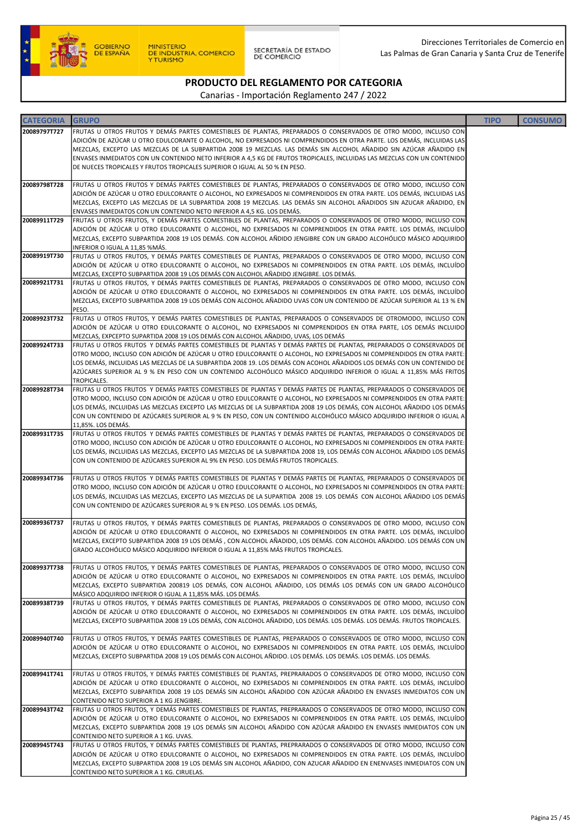

SECRETARÍA DE ESTADO<br>DE COMERCIO

# PRODUCTO DEL REGLAMENTO POR CATEGORIA

| <b>CATEGORIA</b> | <b>GRUPO</b>                                                                                                                                                                                                                                  | <b>TIPO</b> | <b>CONSUMO</b> |
|------------------|-----------------------------------------------------------------------------------------------------------------------------------------------------------------------------------------------------------------------------------------------|-------------|----------------|
| 20089797T727     | FRUTAS U OTROS FRUTOS Y DEMÁS PARTES COMESTIBLES DE PLANTAS, PREPARADOS O CONSERVADOS DE OTRO MODO, INCLUSO CON                                                                                                                               |             |                |
|                  | ADICIÓN DE AZÚCAR U OTRO EDULCORANTE O ALCOHOL, NO EXPRESADOS NI COMPRENDIDOS EN OTRA PARTE. LOS DEMÁS, INCLUIDAS LAS                                                                                                                         |             |                |
|                  | MEZCLAS, EXCEPTO LAS MEZCLAS DE LA SUBPARTIDA 2008 19 MEZCLAS. LAS DEMÁS SIN ALCOHOL AÑADIDO SIN AZÚCAR AÑADIDO EN<br>ENVASES INMEDIATOS CON UN CONTENIDO NETO INFERIOR A 4,5 KG DE FRUTOS TROPICALES, INCLUIDAS LAS MEZCLAS CON UN CONTENIDO |             |                |
|                  | DE NUECES TROPICALES Y FRUTOS TROPICALES SUPERIOR O IGUAL AL 50 % EN PESO.                                                                                                                                                                    |             |                |
|                  |                                                                                                                                                                                                                                               |             |                |
| 20089798T728     | FRUTAS U OTROS FRUTOS Y DEMÁS PARTES COMESTIBLES DE PLANTAS, PREPARADOS O CONSERVADOS DE OTRO MODO, INCLUSO CON<br>ADICIÓN DE AZÚCAR U OTRO EDULCORANTE O ALCOHOL, NO EXPRESADOS NI COMPRENDIDOS EN OTRA PARTE. LOS DEMÁS, INCLUIDAS LAS      |             |                |
|                  | MEZCLAS, EXCEPTO LAS MEZCLAS DE LA SUBPARTIDA 2008 19 MEZCLAS. LAS DEMÁS SIN ALCOHOL AÑADIDOS SIN AZUCAR AÑADIDO, EN                                                                                                                          |             |                |
|                  | ENVASES INMEDIATOS CON UN CONTENIDO NETO INFERIOR A 4,5 KG. LOS DEMÁS.                                                                                                                                                                        |             |                |
| 20089911T729     | FRUTAS U OTROS FRUTOS, Y DEMÁS PARTES COMESTIBLES DE PLANTAS, PREPARADOS O CONSERVADOS DE OTRO MODO, INCLUSO CON                                                                                                                              |             |                |
|                  | ADICIÓN DE AZÚCAR U OTRO EDULCORANTE O ALCOHOL, NO EXPRESADOS NI COMPRENDIDOS EN OTRA PARTE. LOS DEMÁS, INCLUÍDO<br>MEZCLAS, EXCEPTO SUBPARTIDA 2008 19 LOS DEMÁS. CON ALCOHOL AÑDIDO JENGIBRE CON UN GRADO ALCOHÓLICO MÁSICO ADQUIRIDO       |             |                |
|                  | INFERIOR O IGUAL A 11,85 %MÁS.                                                                                                                                                                                                                |             |                |
| 20089919T730     | FRUTAS U OTROS FRUTOS, Y DEMÁS PARTES COMESTIBLES DE PLANTAS, PREPARADOS O CONSERVADOS DE OTRO MODO, INCLUSO CON                                                                                                                              |             |                |
|                  | ADICIÓN DE AZÚCAR U OTRO EDULCORANTE O ALCOHOL, NO EXPRESADOS NI COMPRENDIDOS EN OTRA PARTE. LOS DEMÁS, INCLUÍDO<br>MEZCLAS, EXCEPTO SUBPARTIDA 2008 19 LOS DEMÁS CON ALCOHOL AÑADIDO JENGIBRE. LOS DEMÁS.                                    |             |                |
| 20089921T731     | FRUTAS U OTROS FRUTOS, Y DEMÁS PARTES COMESTIBLES DE PLANTAS, PREPARADOS O CONSERVADOS DE OTRO MODO, INCLUSO CON                                                                                                                              |             |                |
|                  | ADICIÓN DE AZÚCAR U OTRO EDULCORANTE O ALCOHOL, NO EXPRESADOS NI COMPRENDIDOS EN OTRA PARTE. LOS DEMÁS, INCLUÍDO                                                                                                                              |             |                |
|                  | MEZCLAS, EXCEPTO SUBPARTIDA 2008 19 LOS DEMÁS CON ALCOHOL AÑADIDO UVAS CON UN CONTENIDO DE AZÚCAR SUPERIOR AL 13 % EN<br>PESO.                                                                                                                |             |                |
| 20089923T732     | FRUTAS U OTROS FRUTOS, Y DEMÁS PARTES COMESTIBLES DE PLANTAS, PREPARADOS O CONSERVADOS DE OTROMODO, INCLUSO CON                                                                                                                               |             |                |
|                  | ADICIÓN DE AZÚCAR U OTRO EDULCORANTE O ALCOHOL, NO EXPRESADOS NI COMPRENDIDOS EN OTRA PARTE, LOS DEMÁS INCLUIDO                                                                                                                               |             |                |
| 20089924T733     | MEZCLAS, EXPCEPTO SUPARTIDA 2008 19 LOS DEMÁS CON ALCOHOL AÑADIDO, UVAS, LOS DEMÁS                                                                                                                                                            |             |                |
|                  | FRUTAS U OTROS FRUTOS Y DEMÁS PARTES COMESTIBLES DE PLANTAS Y DEMÁS PARTES DE PLANTAS, PREPARADOS O CONSERVADOS DE<br>OTRO MODO, INCLUSO CON ADICIÓN DE AZÚCAR U OTRO EDULCORANTE O ALCOHOL, NO EXPRESADOS NI COMPRENDIDOS EN OTRA PARTE:     |             |                |
|                  | LOS DEMÁS, INCLUIDAS LAS MEZCLAS DE LA SUBPARTIDA 2008 19. LOS DEMÁS CON ACOHOL AÑADIDOS LOS DEMÁS CON UN CONTENIDO DE                                                                                                                        |             |                |
|                  | AZÚCARES SUPERIOR AL 9 % EN PESO CON UN CONTENIDO ALCOHÓLICO MÁSICO ADQUIRIDO INFERIOR O IGUAL A 11,85% MÁS FRITOS                                                                                                                            |             |                |
| 20089928T734     | TROPICALES.<br>FRUTAS U OTROS FRUTOS Y DEMÁS PARTES COMESTIBLES DE PLANTAS Y DEMÁS PARTES DE PLANTAS, PREPARADOS O CONSERVADOS DE                                                                                                             |             |                |
|                  | OTRO MODO, INCLUSO CON ADICIÓN DE AZÚCAR U OTRO EDULCORANTE O ALCOHOL, NO EXPRESADOS NI COMPRENDIDOS EN OTRA PARTE:                                                                                                                           |             |                |
|                  | LOS DEMÁS, INCLUIDAS LAS MEZCLAS EXCEPTO LAS MEZCLAS DE LA SUBPARTIDA 2008 19 LOS DEMÁS, CON ALCOHOL AÑADIDO LOS DEMÁS                                                                                                                        |             |                |
|                  | CON UN CONTENIDO DE AZÚCARES SUPERIOR AL 9 % EN PESO, CON UN CONTENIDO ALCOHÓLICO MÁSICO ADQUIRIDO INFERIOR O IGUAL A<br>11,85%. LOS DEMÁS.                                                                                                   |             |                |
| 20089931T735     | FRUTAS U OTROS FRUTOS Y DEMÁS PARTES COMESTIBLES DE PLANTAS Y DEMÁS PARTES DE PLANTAS, PREPARADOS O CONSERVADOS DE                                                                                                                            |             |                |
|                  | OTRO MODO, INCLUSO CON ADICIÓN DE AZÚCAR U OTRO EDULCORANTE O ALCOHOL, NO EXPRESADOS NI COMPRENDIDOS EN OTRA PARTE:                                                                                                                           |             |                |
|                  | LOS DEMÁS, INCLUIDAS LAS MEZCLAS, EXCEPTO LAS MEZCLAS DE LA SUBPARTIDA 2008 19, LOS DEMÁS CON ALCOHOL AÑADIDO LOS DEMÁS<br>CON UN CONTENIDO DE AZÚCARES SUPERIOR AL 9% EN PESO. LOS DEMÁS FRUTOS TROPICALES.                                  |             |                |
|                  |                                                                                                                                                                                                                                               |             |                |
| 20089934T736     | FRUTAS U OTROS FRUTOS Y DEMÁS PARTES COMESTIBLES DE PLANTAS Y DEMÁS PARTES DE PLANTAS, PREPARADOS O CONSERVADOS DE                                                                                                                            |             |                |
|                  | OTRO MODO, INCLUSO CON ADICIÓN DE AZÚCAR U OTRO EDULCORANTE O ALCOHOL, NO EXPRESADOS NI COMPRENDIDOS EN OTRA PARTE:<br>LOS DEMÁS, INCLUIDAS LAS MEZCLAS, EXCEPTO LAS MEZCLAS DE LA SUPARTIDA 2008 19. LOS DEMÁS CON ALCOHOL AÑADIDO LOS DEMÁS |             |                |
|                  | CON UN CONTENIDO DE AZÚCARES SUPERIOR AL 9 % EN PESO. LOS DEMÁS. LOS DEMÁS,                                                                                                                                                                   |             |                |
|                  |                                                                                                                                                                                                                                               |             |                |
| 20089936T737     | FRUTAS U OTROS FRUTOS, Y DEMÁS PARTES COMESTIBLES DE PLANTAS, PREPARADOS O CONSERVADOS DE OTRO MODO, INCLUSO CON<br>ADICIÓN DE AZÚCAR U OTRO EDULCORANTE O ALCOHOL, NO EXPRESADOS NI COMPRENDIDOS EN OTRA PARTE. LOS DEMÁS, INCLUÍDO          |             |                |
|                  | MEZCLAS, EXCEPTO SUBPARTIDA 2008 19 LOS DEMÁS, CON ALCOHOL AÑADIDO, LOS DEMÁS. CON ALCOHOL AÑADIDO. LOS DEMÁS CON UN                                                                                                                          |             |                |
|                  | GRADO ALCOHÓLICO MÁSICO ADQUIRIDO INFERIOR O IGUAL A 11,85% MÁS FRUTOS TROPICALES.                                                                                                                                                            |             |                |
| 20089937T738     | FRUTAS U OTROS FRUTOS, Y DEMÁS PARTES COMESTIBLES DE PLANTAS, PREPARADOS O CONSERVADOS DE OTRO MODO, INCLUSO CON                                                                                                                              |             |                |
|                  | ADICIÓN DE AZÚCAR U OTRO EDULCORANTE O ALCOHOL, NO EXPRESADOS NI COMPRENDIDOS EN OTRA PARTE. LOS DEMÁS, INCLUÍDO                                                                                                                              |             |                |
|                  | MEZCLAS, EXCEPTO SUBPARTIDA 200819 LOS DEMÁS, CON ALCOHOL AÑADIDO, LOS DEMÁS LOS DEMÁS CON UN GRADO ALCOHÓLICO                                                                                                                                |             |                |
|                  | MÁSICO ADQUIRIDO INFERIOR O IGUAL A 11,85% MÁS. LOS DEMÁS.<br>FRUTAS U OTROS FRUTOS, Y DEMÁS PARTES COMESTIBLES DE PLANTAS, PREPARADOS O CONSERVADOS DE OTRO MODO, INCLUSO CON                                                                |             |                |
| 20089938T739     | ADICIÓN DE AZÚCAR U OTRO EDULCORANTE O ALCOHOL, NO EXPRESADOS NI COMPRENDIDOS EN OTRA PARTE. LOS DEMÁS, INCLUÍDO                                                                                                                              |             |                |
|                  | MEZCLAS, EXCEPTO SUBPARTIDA 2008 19 LOS DEMÁS, CON ALCOHOL AÑADIDO, LOS DEMÁS. LOS DEMÁS. LOS DEMÁS. FRUTOS TROPICALES.                                                                                                                       |             |                |
| 20089940T740     | FRUTAS U OTROS FRUTOS, Y DEMÁS PARTES COMESTIBLES DE PLANTAS, PREPARADOS O CONSERVADOS DE OTRO MODO, INCLUSO CON                                                                                                                              |             |                |
|                  | ADICIÓN DE AZÚCAR U OTRO EDULCORANTE O ALCOHOL, NO EXPRESADOS NI COMPRENDIDOS EN OTRA PARTE. LOS DEMÁS, INCLUÍDO                                                                                                                              |             |                |
|                  | MEZCLAS, EXCEPTO SUBPARTIDA 2008 19 LOS DEMÁS CON ALCOHOL AÑDIDO. LOS DEMÁS. LOS DEMÁS. LOS DEMÁS. LOS DEMÁS.                                                                                                                                 |             |                |
|                  |                                                                                                                                                                                                                                               |             |                |
| 20089941T741     | FRUTAS U OTROS FRUTOS, Y DEMÁS PARTES COMESTIBLES DE PLANTAS, PREPRARADOS O CONSERVADOS DE OTRO MODO, INCLUSO CON<br>ADICIÓN DE AZÚCAR U OTRO EDULCORANTE O ALCOHOL, NO EXPRESADOS NI COMPRENDIDOS EN OTRA PARTE. LOS DEMÁS, INCLUÍDO         |             |                |
|                  | MEZCLAS, EXCEPTO SUBPARTIDA 2008 19 LOS DEMÁS SIN ALCOHOL AÑADIDO CON AZÚCAR AÑADIDO EN ENVASES INMEDIATOS CON UN                                                                                                                             |             |                |
|                  | CONTENIDO NETO SUPERIOR A 1 KG JENGIBRE.                                                                                                                                                                                                      |             |                |
| 20089943T742     | FRUTAS U OTROS FRUTOS, Y DEMÁS PARTES COMESTIBLES DE PLANTAS, PREPRARADOS O CONSERVADOS DE OTRO MODO, INCLUSO CON<br>ADICIÓN DE AZÚCAR U OTRO EDULCORANTE O ALCOHOL, NO EXPRESADOS NI COMPRENDIDOS EN OTRA PARTE. LOS DEMÁS, INCLUÍDO         |             |                |
|                  | MEZCLAS, EXCEPTO SUBPARTIDA 2008 19 LOS DEMÁS SIN ALCOHOL AÑADIDO CON AZÚCAR AÑADIDO EN ENVASES INMEDIATOS CON UN                                                                                                                             |             |                |
|                  | CONTENIDO NETO SUPERIOR A 1 KG. UVAS.                                                                                                                                                                                                         |             |                |
| 20089945T743     | FRUTAS U OTROS FRUTOS, Y DEMÁS PARTES COMESTIBLES DE PLANTAS, PREPRARADOS O CONSERVADOS DE OTRO MODO, INCLUSO CON                                                                                                                             |             |                |
|                  | ADICIÓN DE AZÚCAR U OTRO EDULCORANTE O ALCOHOL, NO EXPRESADOS NI COMPRENDIDOS EN OTRA PARTE. LOS DEMÁS, INCLUÍDO<br>MEZCLAS, EXCEPTO SUBPARTIDA 2008 19 LOS DEMÁS SIN ALCOHOL AÑADIDO, CON AZUCAR AÑADIDO EN ENENVASES INMEDIATOS CON UN      |             |                |
|                  | CONTENIDO NETO SUPERIOR A 1 KG. CIRUELAS.                                                                                                                                                                                                     |             |                |
|                  |                                                                                                                                                                                                                                               |             |                |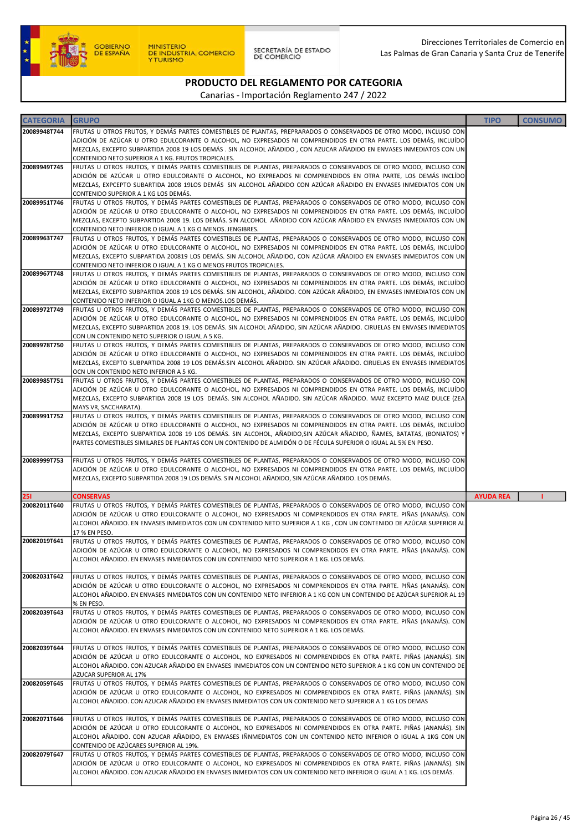

SECRETARÍA DE ESTADO<br>DE COMERCIO

# PRODUCTO DEL REGLAMENTO POR CATEGORIA

| <b>CATEGORIA</b> | <b>GRUPO</b>                                                                                                                                                                                                                               | <b>TIPO</b>      | <b>CONSUMO</b> |
|------------------|--------------------------------------------------------------------------------------------------------------------------------------------------------------------------------------------------------------------------------------------|------------------|----------------|
| 20089948T744     | FRUTAS U OTROS FRUTOS, Y DEMÁS PARTES COMESTIBLES DE PLANTAS, PREPRARADOS O CONSERVADOS DE OTRO MODO, INCLUSO CON                                                                                                                          |                  |                |
|                  | ADICIÓN DE AZÚCAR U OTRO EDULCORANTE O ALCOHOL, NO EXPRESADOS NI COMPRENDIDOS EN OTRA PARTE. LOS DEMÁS, INCLUÍDO<br>MEZCLAS, EXCEPTO SUBPARTIDA 2008 19 LOS DEMÁS . SIN ALCOHOL AÑADIDO , CON AZUCAR AÑADIDO EN ENVASES INMEDIATOS CON UN  |                  |                |
|                  | CONTENIDO NETO SUPERIOR A 1 KG. FRUTOS TROPICALES.                                                                                                                                                                                         |                  |                |
| 20089949T745     | FRUTAS U OTROS FRUTOS, Y DEMÁS PARTES COMESTIBLES DE PLANTAS, PREPARADOS O CONSERVADOS DE OTRO MODO, INCLUSO CON<br>ADICIÓN DE AZÚCAR U OTRO EDULCORANTE O ALCOHOL, NO EXPREADOS NI COMPRENDIDOS EN OTRA PARTE, LOS DEMÁS INCLÍDO          |                  |                |
|                  | MEZCLAS, EXPCEPTO SUBARTIDA 2008 19LOS DEMÁS SIN ALCOHOL AÑADIDO CON AZÚCAR AÑADIDO EN ENVASES INMEDIATOS CON UN                                                                                                                           |                  |                |
|                  | CONTENIDO SUPERIOR A 1 KG LOS DEMÁS.                                                                                                                                                                                                       |                  |                |
| 20089951T746     | FRUTAS U OTROS FRUTOS, Y DEMÁS PARTES COMESTIBLES DE PLANTAS, PREPARADOS O CONSERVADOS DE OTRO MODO, INCLUSO CON<br>ADICIÓN DE AZÚCAR U OTRO EDULCORANTE O ALCOHOL, NO EXPRESADOS NI COMPRENDIDOS EN OTRA PARTE. LOS DEMÁS, INCLUÍDO       |                  |                |
|                  | MEZCLAS, EXCEPTO SUBPARTIDA 2008 19. LOS DEMÁS. SIN ALCOHOL AÑADIDO CON AZÚCAR AÑADIDO EN ENVASES INMEDIATOS CON UN                                                                                                                        |                  |                |
| 20089963T747     | CONTENIDO NETO INFERIOR O IGUAL A 1 KG O MENOS. JENGIBRES.<br>FRUTAS U OTROS FRUTOS, Y DEMÁS PARTES COMESTIBLES DE PLANTAS, PREPARADOS O CONSERVADOS DE OTRO MODO, INCLUSO CON                                                             |                  |                |
|                  | ADICIÓN DE AZÚCAR U OTRO EDULCORANTE O ALCOHOL, NO EXPRESADOS NI COMPRENDIDOS EN OTRA PARTE. LOS DEMÁS, INCLUÍDO                                                                                                                           |                  |                |
|                  | MEZCLAS, EXCEPTO SUBPARTIDA 200819 LOS DEMÁS. SIN ALCOHOL AÑADIDO, CON AZÚCAR AÑADIDO EN ENVASES INMEDIATOS CON UN                                                                                                                         |                  |                |
| 20089967T748     | CONTENIDO NETO INFERIOR O IGUAL A 1 KG O MENOS FRUTOS TROPICALES.<br>FRUTAS U OTROS FRUTOS, Y DEMÁS PARTES COMESTIBLES DE PLANTAS, PREPARADOS O CONSERVADOS DE OTRO MODO, INCLUSO CON                                                      |                  |                |
|                  | ADICIÓN DE AZÚCAR U OTRO EDULCORANTE O ALCOHOL, NO EXPRESADOS NI COMPRENDIDOS EN OTRA PARTE. LOS DEMÁS, INCLUÍDO                                                                                                                           |                  |                |
|                  | MEZCLAS, EXCEPTO SUBPARTIDA 2008 19 LOS DEMÁS. SIN ALCOHOL, AÑADIDO. CON AZÚCAR AÑADIDO, EN ENVASES INMEDIATOS CON UN                                                                                                                      |                  |                |
| 20089972T749     | CONTENIDO NETO INFERIOR O IGUAL A 1KG O MENOS.LOS DEMÁS.<br>FRUTAS U OTROS FRUTOS, Y DEMÁS PARTES COMESTIBLES DE PLANTAS, PREPARADOS O CONSERVADOS DE OTRO MODO, INCLUSO CON                                                               |                  |                |
|                  | ADICIÓN DE AZÚCAR U OTRO EDULCORANTE O ALCOHOL, NO EXPRESADOS NI COMPRENDIDOS EN OTRA PARTE. LOS DEMÁS, INCLUÍDO                                                                                                                           |                  |                |
|                  | MEZCLAS, EXCEPTO SUBPARTIDA 2008 19. LOS DEMÁS. SIN ALCOHOL AÑADIDO, SIN AZÚCAR AÑADIDO. CIRUELAS EN ENVASES INMEDIATOS                                                                                                                    |                  |                |
| 20089978T750     | CON UN CONTENIDO NETO SUPERIOR O IGUAL A 5 KG.<br>FRUTAS U OTROS FRUTOS, Y DEMÁS PARTES COMESTIBLES DE PLANTAS, PREPARADOS O CONSERVADOS DE OTRO MODO, INCLUSO CON                                                                         |                  |                |
|                  | ADICIÓN DE AZÚCAR U OTRO EDULCORANTE O ALCOHOL, NO EXPRESADOS NI COMPRENDIDOS EN OTRA PARTE. LOS DEMÁS, INCLUÍDO                                                                                                                           |                  |                |
|                  | MEZCLAS, EXCEPTO SUBPARTIDA 2008 19 LOS DEMÁS.SIN ALCOHOL AÑADIDO. SIN AZÚCAR AÑADIDO. CIRUELAS EN ENVASES INMEDIATOS<br>OCN UN CONTENIDO NETO INFERIOR A 5 KG.                                                                            |                  |                |
| 20089985T751     | FRUTAS U OTROS FRUTOS, Y DEMÁS PARTES COMESTIBLES DE PLANTAS, PREPARADOS O CONSERVADOS DE OTRO MODO, INCLUSO CON                                                                                                                           |                  |                |
|                  | ADICIÓN DE AZÚCAR U OTRO EDULCORANTE O ALCOHOL, NO EXPRESADOS NI COMPRENDIDOS EN OTRA PARTE. LOS DEMÁS, INCLUÍDO                                                                                                                           |                  |                |
|                  | MEZCLAS, EXCEPTO SUBPARTIDA 2008 19 LOS DEMÁS. SIN ALCOHOL AÑADIDO. SIN AZÚCAR AÑADIDO. MAIZ EXCEPTO MAIZ DULCE (ZEA<br>MAYS VR, SACCHARATA).                                                                                              |                  |                |
| 20089991T752     | FRUTAS U OTROS FRUTOS, Y DEMÁS PARTES COMESTIBLES DE PLANTAS, PREPARADOS O CONSERVADOS DE OTRO MODO, INCLUSO CON                                                                                                                           |                  |                |
|                  | ADICIÓN DE AZÚCAR U OTRO EDULCORANTE O ALCOHOL, NO EXPRESADOS NI COMPRENDIDOS EN OTRA PARTE. LOS DEMÁS, INCLUÍDO                                                                                                                           |                  |                |
|                  | MEZCLAS, EXCEPTO SUBPARTIDA 2008 19 LOS DEMÁS. SIN ALCOHOL, AÑADIDO,SIN AZÚCAR AÑADIDO, ÑAMES, BATATAS, (BONIATOS) Y<br>PARTES COMESTIBLES SIMILARES DE PLANTAS CON UN CONTENIDO DE ALMIDÓN O DE FÉCULA SUPERIOR O IGUAL AL 5% EN PESO.    |                  |                |
|                  |                                                                                                                                                                                                                                            |                  |                |
| 20089999T753     | FRUTAS U OTROS FRUTOS, Y DEMÁS PARTES COMESTIBLES DE PLANTAS, PREPARADOS O CONSERVADOS DE OTRO MODO, INCLUSO CON<br>ADICIÓN DE AZÚCAR U OTRO EDULCORANTE O ALCOHOL, NO EXPRESADOS NI COMPRENDIDOS EN OTRA PARTE. LOS DEMÁS, INCLUÍDO       |                  |                |
|                  | MEZCLAS, EXCEPTO SUBPARTIDA 2008 19 LOS DEMÁS. SIN ALCOHOL AÑADIDO, SIN AZÚCAR AÑADIDO. LOS DEMÁS.                                                                                                                                         |                  |                |
| 251              | <b>CONSERVAS</b>                                                                                                                                                                                                                           | <b>AYUDA REA</b> |                |
| 20082011T640     | FRUTAS U OTROS FRUTOS, Y DEMÁS PARTES COMESTIBLES DE PLANTAS, PREPARADOS O CONSERVADOS DE OTRO MODO, INCLUSO CON                                                                                                                           |                  |                |
|                  | ADICIÓN DE AZÚCAR U OTRO EDULCORANTE O ALCOHOL, NO EXPRESADOS NI COMPRENDIDOS EN OTRA PARTE. PIÑAS (ANANÁS). CON                                                                                                                           |                  |                |
|                  | ALCOHOL AÑADIDO. EN ENVASES INMEDIATOS CON UN CONTENIDO NETO SUPERIOR A 1 KG , CON UN CONTENIDO DE AZÚCAR SUPERIOR AL<br>17 % EN PESO.                                                                                                     |                  |                |
| 20082019T641     | FRUTAS U OTROS FRUTOS, Y DEMÁS PARTES COMESTIBLES DE PLANTAS, PREPARADOS O CONSERVADOS DE OTRO MODO, INCLUSO CON                                                                                                                           |                  |                |
|                  | ADICIÓN DE AZÚCAR U OTRO EDULCORANTE O ALCOHOL, NO EXPRESADOS NI COMPRENDIDOS EN OTRA PARTE. PIÑAS (ANANÁS). CON<br>ALCOHOL AÑADIDO. EN ENVASES INMEDIATOS CON UN CONTENIDO NETO SUPERIOR A 1 KG. LOS DEMÁS.                               |                  |                |
|                  |                                                                                                                                                                                                                                            |                  |                |
| 20082031T642     | FRUTAS U OTROS FRUTOS, Y DEMÁS PARTES COMESTIBLES DE PLANTAS, PREPARADOS O CONSERVADOS DE OTRO MODO, INCLUSO CON                                                                                                                           |                  |                |
|                  | ADICIÓN DE AZÚCAR U OTRO EDULCORANTE O ALCOHOL, NO EXPRESADOS NI COMPRENDIDOS EN OTRA PARTE. PIÑAS (ANANÁS). CON<br>ALCOHOL AÑADIDO. EN ENVASES INMEDIATOS CON UN CONTENIDO NETO INFERIOR A 1 KG CON UN CONTENIDO DE AZÚCAR SUPERIOR AL 19 |                  |                |
|                  | % EN PESO.                                                                                                                                                                                                                                 |                  |                |
| 20082039T643     | FRUTAS U OTROS FRUTOS, Y DEMÁS PARTES COMESTIBLES DE PLANTAS, PREPARADOS O CONSERVADOS DE OTRO MODO, INCLUSO CON<br>ADICIÓN DE AZÚCAR U OTRO EDULCORANTE O ALCOHOL, NO EXPRESADOS NI COMPRENDIDOS EN OTRA PARTE. PIÑAS (ANANÁS). CON       |                  |                |
|                  | ALCOHOL AÑADIDO. EN ENVASES INMEDIATOS CON UN CONTENIDO NETO SUPERIOR A 1 KG. LOS DEMÁS.                                                                                                                                                   |                  |                |
|                  |                                                                                                                                                                                                                                            |                  |                |
| 20082039T644     | FRUTAS U OTROS FRUTOS, Y DEMÁS PARTES COMESTIBLES DE PLANTAS, PREPARADOS O CONSERVADOS DE OTRO MODO, INCLUSO CON<br>ADICIÓN DE AZÚCAR U OTRO EDULCORANTE O ALCOHOL, NO EXPRESADOS NI COMPRENDIDOS EN OTRA PARTE. PIÑAS (ANANÁS). SIN       |                  |                |
|                  | ALCOHOL AÑADIDO. CON AZUCAR AÑADIDO EN ENVASES INMEDIATOS CON UN CONTENIDO NETO SUPERIOR A 1 KG CON UN CONTENIDO DE                                                                                                                        |                  |                |
|                  | AZUCAR SUPERIOR AL 17%                                                                                                                                                                                                                     |                  |                |
| 20082059T645     | FRUTAS U OTROS FRUTOS, Y DEMÁS PARTES COMESTIBLES DE PLANTAS, PREPARADOS O CONSERVADOS DE OTRO MODO, INCLUSO CON<br>ADICIÓN DE AZÚCAR U OTRO EDULCORANTE O ALCOHOL, NO EXPRESADOS NI COMPRENDIDOS EN OTRA PARTE. PIÑAS (ANANÁS). SIN       |                  |                |
|                  | ALCOHOL AÑADIDO. CON AZUCAR AÑADIDO EN ENVASES INMEDIATOS CON UN CONTENIDO NETO SUPERIOR A 1 KG LOS DEMAS                                                                                                                                  |                  |                |
| 20082071T646     | FRUTAS U OTROS FRUTOS, Y DEMÁS PARTES COMESTIBLES DE PLANTAS, PREPARADOS O CONSERVADOS DE OTRO MODO, INCLUSO CON                                                                                                                           |                  |                |
|                  | ADICIÓN DE AZÚCAR U OTRO EDULCORANTE O ALCOHOL, NO EXPRESADOS NI COMPRENDIDOS EN OTRA PARTE. PIÑAS (ANANÁS). SIN                                                                                                                           |                  |                |
|                  | ALCOHOL AÑADIDO. CON AZUCAR AÑADIDO, EN ENVASES IÑNMEDIATOS CON UN CONTENIDO NETO INFERIOR O IGUAL A 1KG CON UN                                                                                                                            |                  |                |
| 20082079T647     | CONTENIDO DE AZÚCARES SUPERIOR AL 19%.<br>FRUTAS U OTROS FRUTOS, Y DEMÁS PARTES COMESTIBLES DE PLANTAS, PREPARADOS O CONSERVADOS DE OTRO MODO, INCLUSO CON                                                                                 |                  |                |
|                  | ADICIÓN DE AZÚCAR U OTRO EDULCORANTE O ALCOHOL, NO EXPRESADOS NI COMPRENDIDOS EN OTRA PARTE. PIÑAS (ANANÁS). SIN                                                                                                                           |                  |                |
|                  | ALCOHOL AÑADIDO. CON AZUCAR AÑADIDO EN ENVASES INMEDIATOS CON UN CONTENIDO NETO INFERIOR O IGUAL A 1 KG. LOS DEMÁS.                                                                                                                        |                  |                |
|                  |                                                                                                                                                                                                                                            |                  |                |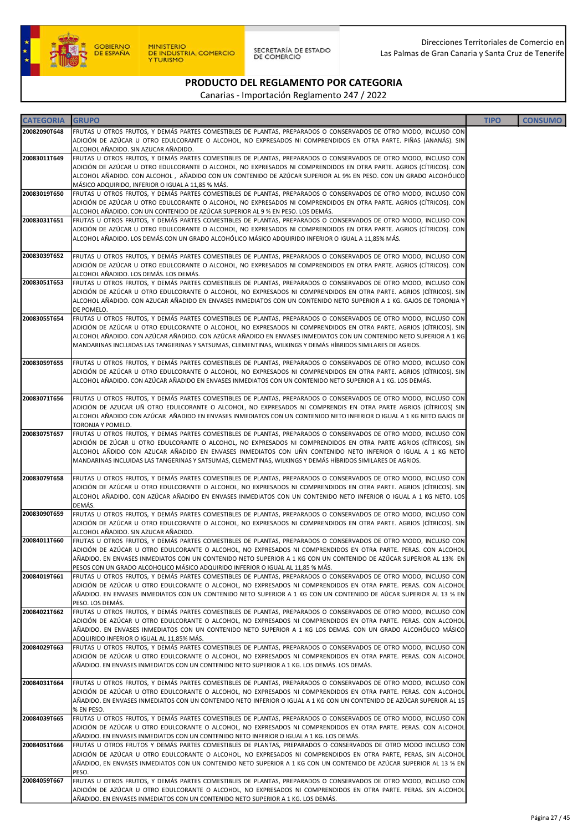

| <b>CATEGORIA</b> | <b>GRUPO</b>                                                                                                                                                                                                                            | <b>TIPO</b> | <b>CONSUMO</b> |
|------------------|-----------------------------------------------------------------------------------------------------------------------------------------------------------------------------------------------------------------------------------------|-------------|----------------|
| 20082090T648     | FRUTAS U OTROS FRUTOS, Y DEMÁS PARTES COMESTIBLES DE PLANTAS, PREPARADOS O CONSERVADOS DE OTRO MODO, INCLUSO CON                                                                                                                        |             |                |
|                  | ADICIÓN DE AZÚCAR U OTRO EDULCORANTE O ALCOHOL, NO EXPRESADOS NI COMPRENDIDOS EN OTRA PARTE. PIÑAS (ANANÁS). SIN                                                                                                                        |             |                |
| 20083011T649     | ALCOHOL AÑADIDO. SIN AZUCAR AÑADIDO.<br>FRUTAS U OTROS FRUTOS, Y DEMÁS PARTES COMESTIBLES DE PLANTAS, PREPARADOS O CONSERVADOS DE OTRO MODO, INCLUSO CON                                                                                |             |                |
|                  | ADICIÓN DE AZÚCAR U OTRO EDULCORANTE O ALCOHOL, NO EXPRESADOS NI COMPRENDIDOS EN OTRA PARTE. AGRIOS (CÍTRICOS). CON                                                                                                                     |             |                |
|                  | ALCOHOL AÑADIDO. CON ALCOHOL, AÑADIDO CON UN CONTENIDO DE AZÚCAR SUPERIOR AL 9% EN PESO. CON UN GRADO ALCOHÓLICO                                                                                                                        |             |                |
|                  | MÁSICO ADQUIRIDO, INFERIOR O IGUAL A 11,85 % MÁS.                                                                                                                                                                                       |             |                |
| 20083019T650     | FRUTAS U OTROS FRUTOS, Y DEMÁS PARTES COMESTIBLES DE PLANTAS, PREPARADOS O CONSERVADOS DE OTRO MODO, INCLUSO CON<br>ADICIÓN DE AZÚCAR U OTRO EDULCORANTE O ALCOHOL, NO EXPRESADOS NI COMPRENDIDOS EN OTRA PARTE. AGRIOS (CÍTRICOS). CON |             |                |
|                  | ALCOHOL AÑADIDO. CON UN CONTENIDO DE AZÚCAR SUPERIOR AL 9 % EN PESO. LOS DEMÁS.                                                                                                                                                         |             |                |
| 20083031T651     | FRUTAS U OTROS FRUTOS, Y DEMÁS PARTES COMESTIBLES DE PLANTAS, PREPARADOS O CONSERVADOS DE OTRO MODO, INCLUSO CON                                                                                                                        |             |                |
|                  | ADICIÓN DE AZÚCAR U OTRO EDULCORANTE O ALCOHOL, NO EXPRESADOS NI COMPRENDIDOS EN OTRA PARTE. AGRIOS (CÍTRICOS). CON<br>ALCOHOL AÑADIDO. LOS DEMÁS.CON UN GRADO ALCOHÓLICO MÁSICO ADQUIRIDO INFERIOR O IGUAL A 11,85% MÁS.               |             |                |
|                  |                                                                                                                                                                                                                                         |             |                |
| 20083039T652     | FRUTAS U OTROS FRUTOS, Y DEMÁS PARTES COMESTIBLES DE PLANTAS, PREPARADOS O CONSERVADOS DE OTRO MODO, INCLUSO CON                                                                                                                        |             |                |
|                  | ADICIÓN DE AZÚCAR U OTRO EDULCORANTE O ALCOHOL, NO EXPRESADOS NI COMPRENDIDOS EN OTRA PARTE. AGRIOS (CÍTRICOS). CON                                                                                                                     |             |                |
| 20083051T653     | ALCOHOL AÑADIDO. LOS DEMÁS. LOS DEMÁS.<br>FRUTAS U OTROS FRUTOS, Y DEMÁS PARTES COMESTIBLES DE PLANTAS, PREPARADOS O CONSERVADOS DE OTRO MODO, INCLUSO CON                                                                              |             |                |
|                  | ADICIÓN DE AZÚCAR U OTRO EDULCORANTE O ALCOHOL, NO EXPRESADOS NI COMPRENDIDOS EN OTRA PARTE. AGRIOS (CÍTRICOS). SIN                                                                                                                     |             |                |
|                  | ALCOHOL AÑADIDO. CON AZUCAR AÑADIDO EN ENVASES INMEDIATOS CON UN CONTENIDO NETO SUPERIOR A 1 KG. GAJOS DE TORONJA Y                                                                                                                     |             |                |
|                  | DE POMELO.                                                                                                                                                                                                                              |             |                |
| 20083055T654     | FRUTAS U OTROS FRUTOS, Y DEMÁS PARTES COMESTIBLES DE PLANTAS, PREPARADOS O CONSERVADOS DE OTRO MODO, INCLUSO CON<br>ADICIÓN DE AZÚCAR U OTRO EDULCORANTE O ALCOHOL, NO EXPRESADOS NI COMPRENDIDOS EN OTRA PARTE. AGRIOS (CÍTRICOS). SIN |             |                |
|                  | ALCOHOL AÑADIDO. CON AZÚCAR AÑADIDO. CON AZÚCAR AÑADIDO EN ENVASES INMEDIATOS CON UN CONTENIDO NETO SUPERIOR A 1 KG                                                                                                                     |             |                |
|                  | MANDARINAS INCLUIDAS LAS TANGERINAS Y SATSUMAS, CLEMENTINAS, WILKINGS Y DEMÁS HÍBRIDOS SIMILARES DE AGRIOS.                                                                                                                             |             |                |
| 20083059T655     | FRUTAS U OTROS FRUTOS, Y DEMÁS PARTES COMESTIBLES DE PLANTAS, PREPARADOS O CONSERVADOS DE OTRO MODO, INCLUSO CON                                                                                                                        |             |                |
|                  | ADICIÓN DE AZÚCAR U OTRO EDULCORANTE O ALCOHOL, NO EXPRESADOS NI COMPRENDIDOS EN OTRA PARTE. AGRIOS (CÍTRICOS). SIN                                                                                                                     |             |                |
|                  | ALCOHOL AÑADIDO. CON AZÚCAR AÑADIDO EN ENVASES INMEDIATOS CON UN CONTENIDO NETO SUPERIOR A 1 KG. LOS DEMÁS.                                                                                                                             |             |                |
|                  |                                                                                                                                                                                                                                         |             |                |
| 20083071T656     | FRUTAS U OTROS FRUTOS, Y DEMÁS PARTES COMESTIBLES DE PLANTAS, PREPARADOS O CONSERVADOS DE OTRO MODO, INCLUSO CON<br>ADICIÓN DE AZUCAR UÑ OTRO EDULCORANTE O ALCOHOL, NO EXPRESADOS NI COMPRENDIS EN OTRA PARTE AGRIOS (CÍTRICOS) SIN    |             |                |
|                  | ALCOHOL AÑADIDO CON AZÚCAR AÑADIDO EN ENVASES INMEDIATOS CON UN CONTENIDO NETO INFERIOR O IGUAL A 1 KG NETO GAJOS DE                                                                                                                    |             |                |
|                  | TORONJA Y POMELO.                                                                                                                                                                                                                       |             |                |
| 20083075T657     | FRUTAS U OTROS FRUTOS, Y DEMAS PARTES COMESTIBLES DE PLANTAS, PREPARADOS O CONSERVADOS DE OTRO MODO, INCLUSO CON<br>ADICIÓN DE ZÚCAR U OTRO EDULCORANTE O ALCOHOL, NO EXPRESADOS NI COMPRENDIDOS EN OTRA PARTE AGRIOS (CÍTRICOS), SIN   |             |                |
|                  | ALCOHOL AÑDIDO CON AZUCAR AÑADIDO EN ENVASES INMEDIATOS CON UÑN CONTENIDO NETO INFERIOR O IGUAL A 1 KG NETO                                                                                                                             |             |                |
|                  | MANDARINAS INCLUIDAS LAS TANGERINAS Y SATSUMAS, CLEMENTINAS, WILKINGS Y DEMÁS HÍBRIDOS SIMILARES DE AGRIOS.                                                                                                                             |             |                |
| 20083079T658     | FRUTAS U OTROS FRUTOS, Y DEMÁS PARTES COMESTIBLES DE PLANTAS, PREPARADOS O CONSERVADOS DE OTRO MODO, INCLUSO CON                                                                                                                        |             |                |
|                  | ADICIÓN DE AZÚCAR U OTRO EDULCORANTE O ALCOHOL, NO EXPRESADOS NI COMPRENDIDOS EN OTRA PARTE. AGRIOS (CÍTRICOS). SIN                                                                                                                     |             |                |
|                  | ALCOHOL AÑADIDO. CON AZÚCAR AÑADIDO EN ENVASES INMEDIATOS CON UN CONTENIDO NETO INFERIOR O IGUAL A 1 KG NETO. LOS                                                                                                                       |             |                |
| 20083090T659     | DEMÁS.<br>FRUTAS U OTROS FRUTOS, Y DEMÁS PARTES COMESTIBLES DE PLANTAS, PREPARADOS O CONSERVADOS DE OTRO MODO, INCLUSO CON                                                                                                              |             |                |
|                  | ADICIÓN DE AZÚCAR U OTRO EDULCORANTE O ALCOHOL, NO EXPRESADOS NI COMPRENDIDOS EN OTRA PARTE. AGRIOS (CÍTRICOS). SIN                                                                                                                     |             |                |
|                  | ALCOHOL AÑADIDO. SIN AZUCAR AÑADIDO.                                                                                                                                                                                                    |             |                |
| 20084011T660     | FRUTAS U OTROS FRUTOS, Y DEMÁS PARTES COMESTIBLES DE PLANTAS, PREPARADOS O CONSERVADOS DE OTRO MODO, INCLUSO CON                                                                                                                        |             |                |
|                  | ADICIÓN DE AZÚCAR U OTRO EDULCORANTE O ALCOHOL, NO EXPRESADOS NI COMPRENDIDOS EN OTRA PARTE. PERAS. CON ALCOHOL<br>AÑADIDO. EN ENVASES INMEDIATOS CON UN CONTENIDO NETO SUPERIOR A 1 KG CON UN CONTENIDO DE AZUCAR SUPERIOR AL 13% EN   |             |                |
|                  | PESOS CON UN GRADO ALCOHOLICO MÁSICO ADQUIRIDO INFERIOR O IGUAL AL 11,85 % MÁS.                                                                                                                                                         |             |                |
| 20084019T661     | FRUTAS U OTROS FRUTOS, Y DEMÁS PARTES COMESTIBLES DE PLANTAS, PREPARADOS O CONSERVADOS DE OTRO MODO, INCLUSO CON                                                                                                                        |             |                |
|                  | ADICIÓN DE AZÚCAR U OTRO EDULCORANTE O ALCOHOL, NO EXPRESADOS NI COMPRENDIDOS EN OTRA PARTE. PERAS. CON ALCOHOL<br>AÑADIDO. EN ENVASES INMEDIATOS CON UN CONTENIDO NETO SUPERIOR A 1 KG CON UN CONTENIDO DE AÚCAR SUPERIOR AL 13 % EN   |             |                |
|                  | PESO. LOS DEMÁS.                                                                                                                                                                                                                        |             |                |
| 20084021T662     | FRUTAS U OTROS FRUTOS, Y DEMÁS PARTES COMESTIBLES DE PLANTAS, PREPARADOS O CONSERVADOS DE OTRO MODO, INCLUSO CON                                                                                                                        |             |                |
|                  | ADICIÓN DE AZÚCAR U OTRO EDULCORANTE O ALCOHOL, NO EXPRESADOS NI COMPRENDIDOS EN OTRA PARTE. PERAS. CON ALCOHOL<br>AÑADIDO. EN ENVASES INMEDIATOS CON UN CONTENIDO NETO SUPERIOR A 1 KG LOS DEMAS. CON UN GRADO ALCOHÓLICO MÁSICO       |             |                |
|                  | ADQUIRIDO INFERIOR O IGUAL AL 11,85% MÁS.                                                                                                                                                                                               |             |                |
| 20084029T663     | FRUTAS U OTROS FRUTOS, Y DEMÁS PARTES COMESTIBLES DE PLANTAS, PREPARADOS O CONSERVADOS DE OTRO MODO, INCLUSO CON                                                                                                                        |             |                |
|                  | ADICIÓN DE AZÚCAR U OTRO EDULCORANTE O ALCOHOL, NO EXPRESADOS NI COMPRENDIDOS EN OTRA PARTE. PERAS. CON ALCOHOL                                                                                                                         |             |                |
|                  | AÑADIDO. EN ENVASES INMEDIATOS CON UN CONTENIDO NETO SUPERIOR A 1 KG. LOS DEMÁS. LOS DEMÁS.                                                                                                                                             |             |                |
| 20084031T664     | FRUTAS U OTROS FRUTOS, Y DEMÁS PARTES COMESTIBLES DE PLANTAS, PREPARADOS O CONSERVADOS DE OTRO MODO, INCLUSO CON                                                                                                                        |             |                |
|                  | ADICIÓN DE AZÚCAR U OTRO EDULCORANTE O ALCOHOL, NO EXPRESADOS NI COMPRENDIDOS EN OTRA PARTE. PERAS. CON ALCOHOL                                                                                                                         |             |                |
|                  | AÑADIDO. EN ENVASES INMEDIATOS CON UN CONTENIDO NETO INFERIOR O IGUAL A 1 KG CON UN CONTENIDO DE AZÚCAR SUPERIOR AL 15                                                                                                                  |             |                |
| 20084039T665     | % EN PESO.<br>FRUTAS U OTROS FRUTOS, Y DEMÁS PARTES COMESTIBLES DE PLANTAS, PREPARADOS O CONSERVADOS DE OTRO MODO, INCLUSO CON                                                                                                          |             |                |
|                  | ADICIÓN DE AZÚCAR U OTRO EDULCORANTE O ALCOHOL, NO EXPRESADOS NI COMPRENDIDOS EN OTRA PARTE. PERAS. CON ALCOHOL                                                                                                                         |             |                |
|                  | AÑADIDO. EN ENVASES INMEDIATOS CON UN CONTENIDO NETO INFERIOR O IGUAL A 1 KG. LOS DEMÁS.                                                                                                                                                |             |                |
| 20084051T666     | FRUTAS U OTROS FRUTOS Y DEMÁS PARTES COMESTIBLES DE PLANTAS, PREPARADOS O CONSERVADOS DE OTRO MODO INCLUSO CON<br>ADICIÓN DE AZÚCAR U OTRO EDULCORANTE O ALCOHOL, NO EXPRESADOS NI COMPRENDIDOS EN OTRA PARTE, PERAS, SIN ALCOHOL       |             |                |
|                  | AÑADIDO, EN ENVASES INMEDIATOS CON UN CONTENIDO NETO SUPERIOR A 1 KG CON UN CONTENIDO DE AZÚCAR SUPERIOR AL 13 % EN                                                                                                                     |             |                |
|                  | PESO.                                                                                                                                                                                                                                   |             |                |
| 20084059T667     | FRUTAS U OTROS FRUTOS, Y DEMÁS PARTES COMESTIBLES DE PLANTAS, PREPARADOS O CONSERVADOS DE OTRO MODO, INCLUSO CON                                                                                                                        |             |                |
|                  | ADICIÓN DE AZÚCAR U OTRO EDULCORANTE O ALCOHOL, NO EXPRESADOS NI COMPRENDIDOS EN OTRA PARTE. PERAS. SIN ALCOHOL<br>AÑADIDO. EN ENVASES INMEDIATOS CON UN CONTENIDO NETO SUPERIOR A 1 KG. LOS DEMÁS.                                     |             |                |
|                  |                                                                                                                                                                                                                                         |             |                |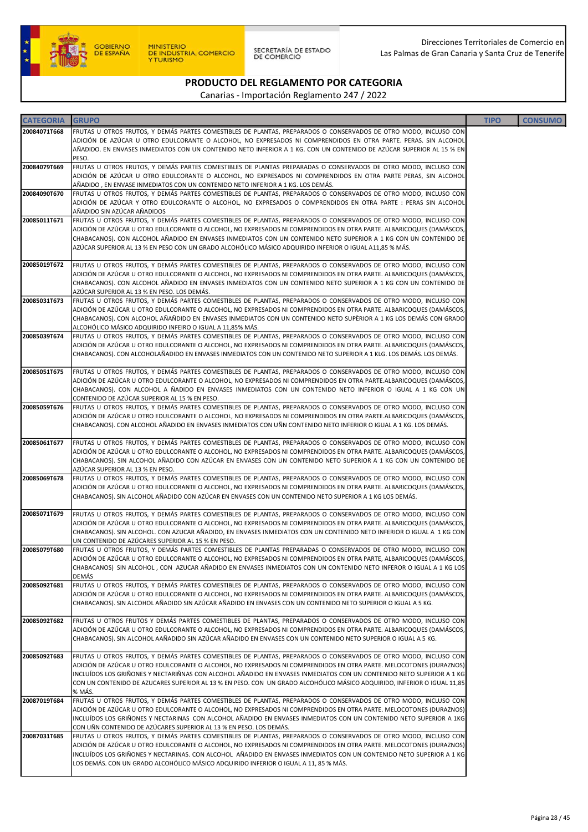

| <b>CATEGORIA</b> | <b>GRUPO</b>                                                                                                                                                                                                                                    | <b>TIPO</b> | <b>CONSUMO</b> |
|------------------|-------------------------------------------------------------------------------------------------------------------------------------------------------------------------------------------------------------------------------------------------|-------------|----------------|
| 20084071T668     | FRUTAS U OTROS FRUTOS, Y DEMÁS PARTES COMESTIBLES DE PLANTAS, PREPARADOS O CONSERVADOS DE OTRO MODO, INCLUSO CON                                                                                                                                |             |                |
|                  | ADICIÓN DE AZÚCAR U OTRO EDULCORANTE O ALCOHOL, NO EXPRESADOS NI COMPRENDIDOS EN OTRA PARTE. PERAS. SIN ALCOHOL<br>AÑADIDO. EN ENVASES INMEDIATOS CON UN CONTENIDO NETO INFERIOR A 1 KG. CON UN CONTENIDO DE AZÚCAR SUPERIOR AL 15 % EN         |             |                |
|                  | PESO.                                                                                                                                                                                                                                           |             |                |
| 20084079T669     | FRUTAS U OTROS FRUTOS, Y DEMÁS PARTES COMESTIBLES DE PLANTAS PREPARADAS O CONSERVADOS DE OTRO MODO, INCLUSO CON                                                                                                                                 |             |                |
|                  | ADICIÓN DE AZÚCAR U OTRO EDULCORANTE O ALCOHOL, NO EXPRESADOS NI COMPRENDIDOS EN OTRA PARTE PERAS, SIN ALCOHOL<br>AÑADIDO, EN ENVASE INMEDIATOS CON UN CONTENIDO NETO INFERIOR A 1 KG. LOS DEMÁS.                                               |             |                |
| 20084090T670     | FRUTAS U OTROS FRUTOS, Y DEMÁS PARTES COMESTIBLES DE PLANTAS, PREPARADOS O CONSERVADOS DE OTRO MODO, INCLUSO CON                                                                                                                                |             |                |
|                  | ADICIÓN DE AZÚCAR Y OTRO EDULCORANTE O ALCOHOL, NO EXPRESADOS O COMPRENDIDOS EN OTRA PARTE : PERAS SIN ALCOHOL                                                                                                                                  |             |                |
|                  | AÑADIDO SIN AZÚCAR AÑADIDOS                                                                                                                                                                                                                     |             |                |
| 20085011T671     | FRUTAS U OTROS FRUTOS, Y DEMÁS PARTES COMESTIBLES DE PLANTAS, PREPARADOS O CONSERVADOS DE OTRO MODO, INCLUSO CON<br>ADICIÓN DE AZÚCAR U OTRO EDULCORANTE O ALCOHOL, NO EXPRESADOS NI COMPRENDIDOS EN OTRA PARTE. ALBARICOQUES (DAMÁSCOS,        |             |                |
|                  | CHABACANOS). CON ALCOHOL AÑADIDO EN ENVASES INMEDIATOS CON UN CONTENIDO NETO SUPERIOR A 1 KG CON UN CONTENIDO DE                                                                                                                                |             |                |
|                  | AZÚCAR SUPERIOR AL 13 % EN PESO CON UN GRADO ALCOHÓLICO MÁSICO ADQUIRIDO INFERIOR O IGUAL A11,85 % MÁS.                                                                                                                                         |             |                |
| 20085019T672     | FRUTAS U OTROS FRUTOS, Y DEMÁS PARTES COMESTIBLES DE PLANTAS, PREPARADOS O CONSERVADOS DE OTRO MODO, INCLUSO CON                                                                                                                                |             |                |
|                  | ADICIÓN DE AZÚCAR U OTRO EDULCORANTE O ALCOHOL, NO EXPRESADOS NI COMPRENDIDOS EN OTRA PARTE. ALBARICOQUES (DAMÁSCOS,                                                                                                                            |             |                |
|                  | CHABACANOS). CON ALCOHOL AÑADIDO EN ENVASES INMEDIATOS CON UN CONTENIDO NETO SUPERIOR A 1 KG CON UN CONTENIDO DE<br>AZÚCAR SUPERIOR AL 13 % EN PESO. LOS DEMÁS.                                                                                 |             |                |
| 20085031T673     | FRUTAS U OTROS FRUTOS, Y DEMÁS PARTES COMESTIBLES DE PLANTAS, PREPARADOS O CONSERVADOS DE OTRO MODO, INCLUSO CON                                                                                                                                |             |                |
|                  | ADICIÓN DE AZÚCAR U OTRO EDULCORANTE O ALCOHOL, NO EXPRESADOS NI COMPRENDIDOS EN OTRA PARTE. ALBARICOQUES (DAMÁSCOS,                                                                                                                            |             |                |
|                  | CHABACANOS). CON ALCOHOL AÑAÑDIDO EN ENVASES INMEDIATOS CON UN CONTENIDO NETO SUPÈRIOR A 1 KG LOS DEMÁS CON GRADO<br>ALCOHÓLICO MÁSICO ADQUIRIDO INFEIRO O IGUAL A 11,85% MÁS.                                                                  |             |                |
| 20085039T674     | FRUTAS U OTROS FRUTOS, Y DEMÁS PARTES COMESTIBLES DE PLANTAS, PREPARADOS O CONSERVADOS DE OTRO MODO, INCLUSO CON                                                                                                                                |             |                |
|                  | ADICIÓN DE AZÚCAR U OTRO EDULCORANTE O ALCOHOL, NO EXPRESADOS NI COMPRENDIDOS EN OTRA PARTE. ALBARICOQUES (DAMÁSCOS,                                                                                                                            |             |                |
|                  | CHABACANOS). CON ALCOHOLAÑADIDO EN ENVASES INMEDIATOS CON UN CONTENIDO NETO SUPERIOR A 1 KLG. LOS DEMÁS. LOS DEMÁS.                                                                                                                             |             |                |
| 20085051T675     | FRUTAS U OTROS FRUTOS, Y DEMÁS PARTES COMESTIBLES DE PLANTAS, PREPARADOS O CONSERVADOS DE OTRO MODO, INCLUSO CON                                                                                                                                |             |                |
|                  | ADICIÓN DE AZÚCAR U OTRO EDULCORANTE O ALCOHOL, NO EXPRESADOS NI COMPRENDIDOS EN OTRA PARTE.ALBARICOQUES (DAMÁSCOS,                                                                                                                             |             |                |
|                  | CHABACANOS). CON ALCOHOL A ÑADIDO EN ENVASES INMEDIATOS CON UN CONTENIDO NETO INFERIOR O IGUAL A 1 KG CON UN<br>CONTENIDO DE AZÚCAR SUPERIOR AL 15 % EN PESO.                                                                                   |             |                |
| 20085059T676     | FRUTAS U OTROS FRUTOS, Y DEMÁS PARTES COMESTIBLES DE PLANTAS, PREPARADOS O CONSERVADOS DE OTRO MODO, INCLUSO CON                                                                                                                                |             |                |
|                  | ADICIÓN DE AZÚCAR U OTRO EDULCORANTE O ALCOHOL, NO EXPRESADOS NI COMPRENDIDOS EN OTRA PARTE.ALBARICOQUES (DAMÁSCOS,                                                                                                                             |             |                |
|                  | CHABACANOS). CON ALCOHOL AÑADIDO EN ENVASES INMEDIATOS CON UÑN CONTENIDO NETO INFERIOR O IGUAL A 1 KG. LOS DEMÁS.                                                                                                                               |             |                |
| 20085061T677     | FRUTAS U OTROS FRUTOS, Y DEMÁS PARTES COMESTIBLES DE PLANTAS, PREPARADOS O CONSERVADOS DE OTRO MODO, INCLUSO CON                                                                                                                                |             |                |
|                  | ADICIÓN DE AZÚCAR U OTRO EDULCORANTE O ALCOHOL, NO EXPRESADOS NI COMPRENDIDOS EN OTRA PARTE. ALBARICOQUES (DAMÁSCOS,                                                                                                                            |             |                |
|                  | CHABACANOS). SIN ALCOHOL AÑADIDO CON AZÚCAR EN ENVASES CON UN CONTENIDO NETO SUPERIOR A 1 KG CON UN CONTENIDO DE<br>AZÚCAR SUPERIOR AL 13 % EN PESO.                                                                                            |             |                |
| 20085069T678     | FRUTAS U OTROS FRUTOS, Y DEMÁS PARTES COMESTIBLES DE PLANTAS, PREPARADOS O CONSERVADOS DE OTRO MODO, INCLUSO CON                                                                                                                                |             |                |
|                  | ADICIÓN DE AZÚCAR U OTRO EDULCORANTE O ALCOHOL, NO EXPRESADOS NI COMPRENDIDOS EN OTRA PARTE. ALBARICOQUES (DAMÁSCOS,                                                                                                                            |             |                |
|                  | CHABACANOS). SIN ALCOHOL AÑADIDO CON AZÚCAR EN ENVASES CON UN CONTENIDO NETO SUPERIOR A 1 KG LOS DEMÁS.                                                                                                                                         |             |                |
| 20085071T679     | FRUTAS U OTROS FRUTOS, Y DEMÁS PARTES COMESTIBLES DE PLANTAS, PREPARADOS O CONSERVADOS DE OTRO MODO, INCLUSO CON                                                                                                                                |             |                |
|                  | ADICIÓN DE AZÚCAR U OTRO EDULCORANTE O ALCOHOL, NO EXPRESADOS NI COMPRENDIDOS EN OTRA PARTE. ALBARICOQUES (DAMÁSCOS,                                                                                                                            |             |                |
|                  | CHABACANOS). SIN ALCOHOL. CON AZUCAR AÑADIDO, EN ENVASES INMEDIATOS CON UN CONTENIDO NETO INFERIOR O IGUAL A 1 KG CON<br>UN CONTENIDO DE AZÚCARES SUPERIOR AL 15 % EN PESO.                                                                     |             |                |
| 20085079T680     | FRUTAS U OTROS FRUTOS, Y DEMÁS PARTES COMESTIBLES DE PLANTAS PREPARADAS O CONSERVADOS DE OTRO MODO, INCLUSO CON                                                                                                                                 |             |                |
|                  | ADICIÓN DE AZÚCAR U OTRO EDULCORANTE O ALCOHOL, NO EXPRESADOS NI COMPRENDIDOS EN OTRA PARTE, ALBARICOQUES (DAMÁSCOS,                                                                                                                            |             |                |
|                  | CHABACANOS) SIN ALCOHOL, CON AZUCAR AÑADIDO EN ENVASES INMEDIATOS CON UN CONTENIDO NETO INFEROR O IGUAL A 1 KG LOS<br>DEMÁS                                                                                                                     |             |                |
| 20085092T681     | FRUTAS U OTROS FRUTOS, Y DEMÁS PARTES COMESTIBLES DE PLANTAS, PREPARADOS O CONSERVADOS DE OTRO MODO, INCLUSO CON                                                                                                                                |             |                |
|                  | ADICIÓN DE AZÚCAR U OTRO EDULCORANTE O ALCOHOL, NO EXPRESADOS NI COMPRENDIDOS EN OTRA PARTE. ALBARICOQUES (DAMÁSCOS,                                                                                                                            |             |                |
|                  | CHABACANOS). SIN ALCOHOL AÑADIDO SIN AZÚCAR AÑADIDO EN ENVASES CON UN CONTENIDO NETO SUPERIOR O IGUAL A 5 KG.                                                                                                                                   |             |                |
| 20085092T682     | FRUTAS U OTROS FRUTOS Y DEMÁS PARTES COMESTIBLES DE PLANTAS, PREPARADOS O CONSERVADOS DE OTRO MODO, INCLUSO CON                                                                                                                                 |             |                |
|                  | ADICIÓN DE AZÚCAR U OTRO EDULCORANTE O ALCOHOL, NO EXPRESADOS NI COMPRENDIDOS EN OTRA PARTE. ALBARICOQUES (DAMÁSCOS,                                                                                                                            |             |                |
|                  | CHABACANOS). SIN ALCOHOL AAÑADIDO SIN AZÚCAR AÑADIDO EN ENVASES CON UN CONTENIDO NETO SUPERIOR O IGUAL A 5 KG.                                                                                                                                  |             |                |
| 20085092T683     | FRUTAS U OTROS FRUTOS, Y DEMÁS PARTES COMESTIBLES DE PLANTAS, PREPARADOS O CONSERVADOS DE OTRO MODO, INCLUSO CON                                                                                                                                |             |                |
|                  | ADICIÓN DE AZÚCAR U OTRO EDULCORANTE O ALCOHOL, NO EXPRESADOS NI COMPRENDIDOS EN OTRA PARTE. MELOCOTONES (DURAZNOS)                                                                                                                             |             |                |
|                  | INCLUÍDOS LOS GRIÑONES Y NECTARIÑNAS CON ALCOHOL AÑADIDO EN ENVASES INMEDIATOS CON UN CONTENIDO NETO SUPERIOR A 1 KG<br>CON UN CONTENIDO DE AZUCARES SUPERIOR AL 13 % EN PESO. CON UN GRADO ALCOHÓLICO MÁSICO ADQUIRIDO, INFERIOR O IGUAL 11,85 |             |                |
|                  | % MÁS.                                                                                                                                                                                                                                          |             |                |
| 20087019T684     | FRUTAS U OTROS FRUTOS, Y DEMÁS PARTES COMESTIBLES DE PLANTAS, PREPARADOS O CONSERVADOS DE OTRO MODO, INCLUSO CON                                                                                                                                |             |                |
|                  | ADICIÓN DE AZÚCAR U OTRO EDULCORANTE O ALCOHOL, NO EXPRESADOS NI COMPRENDIDOS EN OTRA PARTE. MELOCOTONES (DURAZNOS)<br>INCLUÍDOS LOS GRIÑONES Y NECTARINAS CON ALCOHOL AÑADIDO EN ENVASES INMEDIATOS CON UN CONTENIDO NETO SUPERIOR A 1KG       |             |                |
|                  | CON UÑN CONTENIDO DE AZÚCARES SUPERIOR AL 13 % EN PESO. LOS DEMÁS.                                                                                                                                                                              |             |                |
| 20087031T685     | FRUTAS U OTROS FRUTOS, Y DEMÁS PARTES COMESTIBLES DE PLANTAS, PREPARADOS O CONSERVADOS DE OTRO MODO, INCLUSO CON                                                                                                                                |             |                |
|                  | ADICIÓN DE AZÚCAR U OTRO EDULCORANTE O ALCOHOL, NO EXPRESADOS NI COMPRENDIDOS EN OTRA PARTE. MELOCOTONES (DURAZNOS)                                                                                                                             |             |                |
|                  | INCLUÍDOS LOS GRIÑONES Y NECTARINAS. CON ALCOHOL AÑADIDO EN ENVASES INMEDIATOS CON UN CONTENIDO NETO SUPERIOR A 1 KG<br>LOS DEMÁS. CON UN GRADO ALCOHÓLICO MÁSICO ADQUIRIDO INFERIOR O IGUAL A 11, 85 % MÁS.                                    |             |                |
|                  |                                                                                                                                                                                                                                                 |             |                |
|                  |                                                                                                                                                                                                                                                 |             |                |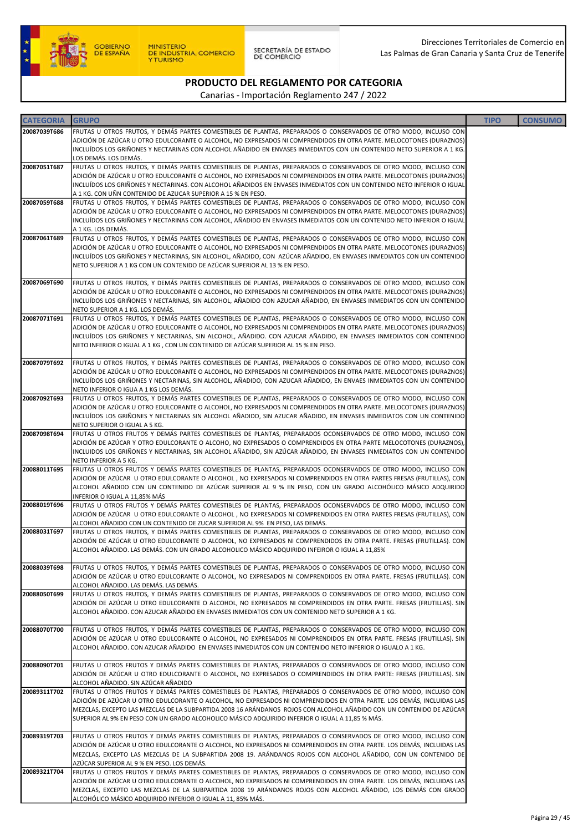

SECRETARÍA DE ESTADO<br>DE COMERCIO

# PRODUCTO DEL REGLAMENTO POR CATEGORIA

| <b>CATEGORIA</b> | <b>GRUPO</b>                                                                                                                                                                                                                                                                                                                                                                                                                                                        | <b>TIPO</b> | <b>CONSUMO</b> |
|------------------|---------------------------------------------------------------------------------------------------------------------------------------------------------------------------------------------------------------------------------------------------------------------------------------------------------------------------------------------------------------------------------------------------------------------------------------------------------------------|-------------|----------------|
| 20087039T686     | FRUTAS U OTROS FRUTOS, Y DEMÁS PARTES COMESTIBLES DE PLANTAS, PREPARADOS O CONSERVADOS DE OTRO MODO, INCLUSO CON<br>ADICIÓN DE AZÚCAR U OTRO EDULCORANTE O ALCOHOL, NO EXPRESADOS NI COMPRENDIDOS EN OTRA PARTE. MELOCOTONES (DURAZNOS)<br>INCLUÍDOS LOS GRIÑONES Y NECTARINAS CON ALCOHOL AÑADIDO EN ENVASES INMEDIATOS CON UN CONTENIDO NETO SUPERIOR A 1 KG.                                                                                                     |             |                |
| 20087051T687     | LOS DEMÁS. LOS DEMÁS.<br>FRUTAS U OTROS FRUTOS, Y DEMÁS PARTES COMESTIBLES DE PLANTAS, PREPARADOS O CONSERVADOS DE OTRO MODO, INCLUSO CON<br>ADICIÓN DE AZÚCAR U OTRO EDULCORANTE O ALCOHOL, NO EXPRESADOS NI COMPRENDIDOS EN OTRA PARTE. MELOCOTONES (DURAZNOS)<br>INCLUÍDOS LOS GRIÑONES Y NECTARINAS. CON ALCOHOL AÑADIDOS EN ENVASES INMEDIATOS CON UN CONTENIDO NETO INFERIOR O IGUAL<br>A 1 KG. CON UÑN CONTENIDO DE AZUCAR SUPERIOR A 15 % EN PESO.          |             |                |
| 20087059T688     | FRUTAS U OTROS FRUTOS, Y DEMÁS PARTES COMESTIBLES DE PLANTAS, PREPARADOS O CONSERVADOS DE OTRO MODO, INCLUSO CON<br>ADICIÓN DE AZÚCAR U OTRO EDULCORANTE O ALCOHOL, NO EXPRESADOS NI COMPRENDIDOS EN OTRA PARTE. MELOCOTONES (DURAZNOS)<br>INCLUÍDOS LOS GRIÑONES Y NECTARINAS CON ALCOHOL, AÑADIDO EN ENVASES INMEDIATOS CON UN CONTENIDO NETO INFERIOR O IGUAL<br>A 1 KG. LOS DEMÁS.                                                                              |             |                |
| 20087061T689     | FRUTAS U OTROS FRUTOS, Y DEMÁS PARTES COMESTIBLES DE PLANTAS, PREPARADOS O CONSERVADOS DE OTRO MODO, INCLUSO CON<br>ADICIÓN DE AZÚCAR U OTRO EDULCORANTE O ALCOHOL, NO EXPRESADOS NI COMPRENDIDOS EN OTRA PARTE. MELOCOTONES (DURAZNOS)<br>INCLUÍDOS LOS GRIÑONES Y NECTARINAS, SIN ALCOHOL, AÑADIDO, CON AZÚCAR AÑADIDO, EN ENVASES INMEDIATOS CON UN CONTENIDO<br>NETO SUPERIOR A 1 KG CON UN CONTENIDO DE AZÚCAR SUPERIOR AL 13 % EN PESO.                       |             |                |
| 20087069T690     | FRUTAS U OTROS FRUTOS, Y DEMÁS PARTES COMESTIBLES DE PLANTAS, PREPARADOS O CONSERVADOS DE OTRO MODO, INCLUSO CON<br>ADICIÓN DE AZÚCAR U OTRO EDULCORANTE O ALCOHOL, NO EXPRESADOS NI COMPRENDIDOS EN OTRA PARTE. MELOCOTONES (DURAZNOS)<br>INCLUÍDOS LOS GRIÑONES Y NECTARINAS, SIN ALCOHOL, AÑADIDO CON AZUCAR AÑADIDO, EN ENVASES INMEDIATOS CON UN CONTENIDO<br>NETO SUPERIOR A 1 KG. LOS DEMÁS.                                                                 |             |                |
| 20087071T691     | FRUTAS U OTROS FRUTOS, Y DEMÁS PARTES COMESTIBLES DE PLANTAS, PREPARADOS O CONSERVADOS DE OTRO MODO, INCLUSO CON<br>ADICIÓN DE AZÚCAR U OTRO EDULCORANTE O ALCOHOL, NO EXPRESADOS NI COMPRENDIDOS EN OTRA PARTE. MELOCOTONES (DURAZNOS)<br>INCLUÍDOS LOS GRIÑONES Y NECTARINAS, SIN ALCOHOL, AÑADIDO. CON AZUCAR AÑADIDO, EN ENVASES INMEDIATOS CON CONTENIDO<br>NETO INFERIOR O IGUAL A 1 KG, CON UN CONTENIDO DE AZÚCAR SUPERIOR AL 15 % EN PESO.                 |             |                |
| 20087079T692     | FRUTAS U OTROS FRUTOS, Y DEMÁS PARTES COMESTIBLES DE PLANTAS, PREPARADOS O CONSERVADOS DE OTRO MODO, INCLUSO CON<br>ADICIÓN DE AZÚCAR U OTRO EDULCORANTE O ALCOHOL, NO EXPRESADOS NI COMPRENDIDOS EN OTRA PARTE. MELOCOTONES (DURAZNOS)<br>INCLUÍDOS LOS GRIÑONES Y NECTARINAS, SIN ALCOHOL, AÑADIDO, CON AZUCAR AÑADIDO, EN ENVAES INMEDIATOS CON UN CONTENIDO<br>NETO INFERIOR O IGUA A 1 KG LOS DEMÁS.                                                           |             |                |
| 20087092T693     | FRUTAS U OTROS FRUTOS, Y DEMÁS PARTES COMESTIBLES DE PLANTAS, PREPARADOS O CONSERVADOS DE OTRO MODO, INCLUSO CON<br>ADICIÓN DE AZÚCAR U OTRO EDULCORANTE O ALCOHOL, NO EXPRESADOS NI COMPRENDIDOS EN OTRA PARTE. MELOCOTONES (DURAZNOS)<br>INCLUÍDOS LOS GRIÑONES Y NECTARINAS SIN ALCOHOL AÑADIDO, SIN AZUCAR AÑADIDO, EN ENVASES INMEDIATOS CON UN CONTENIDO<br>NETO SUPERIOR O IGUAL A 5 KG.                                                                     |             |                |
| 20087098T694     | FRUTAS U OTROS FRUTOS Y DEMÁS PARTES COMESTIBLES DE PLANTAS, PREPARADOS OCONSERVADOS DE OTRO MODO, INCLUSO CON<br>ADICIÓN DE AZÚCAR Y OTRO EDULCORANTE O ALCOHO, NO EXPRESADOS O COMPRENDIDOS EN OTRA PARTE MELOCOTONES (DURAZNOS),<br>INCLUIDOS LOS GRIÑONES Y NECTARINAS, SIN ALCOHOL AÑADIDO, SIN AZÚCAR AÑADIDO, EN ENVASES INMEDIATOS CON UN CONTENIDO<br>NETO INFERIOR A 5 KG.                                                                                |             |                |
| 20088011T695     | FRUTAS U OTROS FRUTOS Y DEMÁS PARTES COMESTIBLES DE PLANTAS, PREPARADOS OCONSERVADOS DE OTRO MODO, INCLUSO CON<br>ADICIÓN DE AZÚCAR U OTRO EDULCORANTE O ALCOHOL, NO EXPRESADOS NI COMPRENDIDOS EN OTRA PARTES FRESAS (FRUTILLAS), CON<br>ALCOHOL AÑADIDO CON UN CONTENIDO DE AZÚCAR SUPERIOR AL 9 % EN PESO, CON UN GRADO ALCOHÓLICO MÁSICO ADQUIRIDO<br>INFERIOR O IGUAL A 11,85% MÁS                                                                             |             |                |
| 20088019T696     | FRUTAS U OTROS FRUTOS Y DEMÁS PARTES COMESTIBLES DE PLANTAS, PREPARADOS OCONSERVADOS DE OTRO MODO, INCLUSO CON<br>ADICIÓN DE AZÚCAR U OTRO EDULCORANTE O ALCOHOL, NO EXPRESADOS NI COMPRENDIDOS EN OTRA PARTES FRESAS (FRUTILLAS), CON<br>ALCOHOL AÑADIDO CON UN CONTENIDO DE ZUCAR SUPERIOR AL 9% EN PESO, LAS DEMÁS.                                                                                                                                              |             |                |
| 20088031T697     | FRUTAS U OTROS FRUTOS, Y DEMÁS PARTES COMESTIBLES DE PLANTAS, PREPARADOS O CONSERVADOS DE OTRO MODO, INCLUSO CON<br>ADICIÓN DE AZÚCAR U OTRO EDULCORANTE O ALCOHOL, NO EXPRESADOS NI COMPRENDIDOS EN OTRA PARTE. FRESAS (FRUTILLAS). CON<br>ALCOHOL AÑADIDO. LAS DEMÁS. CON UN GRADO ALCOHOLICO MÁSICO ADQUIRIDO INFEIROR O IGUAL A 11,85%                                                                                                                          |             |                |
| 20088039T698     | FRUTAS U OTROS FRUTOS, Y DEMÁS PARTES COMESTIBLES DE PLANTAS, PREPARADOS O CONSERVADOS DE OTRO MODO, INCLUSO CON<br>ADICIÓN DE AZÚCAR U OTRO EDULCORANTE O ALCOHOL, NO EXPRESADOS NI COMPRENDIDOS EN OTRA PARTE. FRESAS (FRUTILLAS). CON<br>ALCOHOL AÑADIDO. LAS DEMÁS. LAS DEMÁS.                                                                                                                                                                                  |             |                |
| 20088050T699     | FRUTAS U OTROS FRUTOS, Y DEMÁS PARTES COMESTIBLES DE PLANTAS, PREPARADOS O CONSERVADOS DE OTRO MODO, INCLUSO CON<br>ADICIÓN DE AZÚCAR U OTRO EDULCORANTE O ALCOHOL, NO EXPRESADOS NI COMPRENDIDOS EN OTRA PARTE. FRESAS (FRUTILLAS). SIN<br>ALCOHOL AÑADIDO. CON AZUCAR AÑADIDO EN ENVASES INMEDIATOS CON UN CONTENIDO NETO SUPERIOR A 1 KG.                                                                                                                        |             |                |
| 20088070T700     | FRUTAS U OTROS FRUTOS, Y DEMÁS PARTES COMESTIBLES DE PLANTAS, PREPARADOS O CONSERVADOS DE OTRO MODO, INCLUSO CON<br>ADICIÓN DE AZÚCAR U OTRO EDULCORANTE O ALCOHOL, NO EXPRESADOS NI COMPRENDIDOS EN OTRA PARTE. FRESAS (FRUTILLAS). SIN<br>ALCOHOL AÑADIDO. CON AZUCAR AÑADIDO EN ENVASES INMEDIATOS CON UN CONTENIDO NETO INFERIOR O IGUALO A 1 KG.                                                                                                               |             |                |
| 20088090T701     | FRUTAS U OTROS FRUTOS Y DEMÁS PARTES COMESTIBLES DE PLANTAS, PREPARADOS O CONSERVADOS DE OTRO MODO, INCLUSO CON<br>ADICIÓN DE AZÚCAR U OTRO EDULCORANTE O ALCOHOL, NO EXPRESADOS O COMPRENDIDOS EN OTRA PARTE: FRESAS (FRUTILLAS). SIN<br>ALCOHOL AÑADIDO. SIN AZÚCAR AÑADIDO                                                                                                                                                                                       |             |                |
| 20089311T702     | FRUTAS U OTROS FRUTOS Y DEMÁS PARTES COMESTIBLES DE PLANTAS, PREPARADOS O CONSERVADOS DE OTRO MODO, INCLUSO CON<br>ADICIÓN DE AZÚCAR U OTRO EDULCORANTE O ALCOHOL, NO EXPRESADOS NI COMPRENDIDOS EN OTRA PARTE. LOS DEMÁS, INCLUIDAS LAS<br>MEZCLAS, EXCEPTO LAS MEZCLAS DE LA SUBPARTIDA 2008 16 ARÁNDANOS ROJOS CON ALCOHOL AÑADIDO CON UN CONTENIDO DE AZÚCAR<br>SUPERIOR AL 9% EN PESO CON UN GRADO ALCOHOLICO MÁSICO ADQUIRIDO INFERIOR O IGUAL A 11,85 % MÁS. |             |                |
| 20089319T703     | FRUTAS U OTROS FRUTOS Y DEMÁS PARTES COMESTIBLES DE PLANTAS, PREPARADOS O CONSERVADOS DE OTRO MODO, INCLUSO CON<br>ADICIÓN DE AZÚCAR U OTRO EDULCORANTE O ALCOHOL, NO EXPRESADOS NI COMPRENDIDOS EN OTRA PARTE. LOS DEMÁS, INCLUIDAS LAS<br>MEZCLAS, EXCEPTO LAS MEZCLAS DE LA SUBPARTIDA 2008 19. ARÁNDANOS ROJOS CON ALCOHOL AÑADIDO, CON UN CONTENIDO DE<br>AZÚCAR SUPERIOR AL 9 % EN PESO. LOS DEMÁS.                                                           |             |                |
| 20089321T704     | FRUTAS U OTROS FRUTOS Y DEMÁS PARTES COMESTIBLES DE PLANTAS, PREPARADOS O CONSERVADOS DE OTRO MODO, INCLUSO CON<br>ADICIÓN DE AZÚCAR U OTRO EDULCORANTE O ALCOHOL, NO EXPRESADOS NI COMPRENDIDOS EN OTRA PARTE. LOS DEMÁS, INCLUIDAS LAS<br>MEZCLAS, EXCEPTO LAS MEZCLAS DE LA SUBPARTIDA 2008 19 ARÁNDANOS ROJOS CON ALCOHOL AÑADIDO, LOS DEMÁS CON GRADO<br>ALCOHÓLICO MÁSICO ADQUIRIDO INFERIOR O IGUAL A 11, 85% MÁS.                                           |             |                |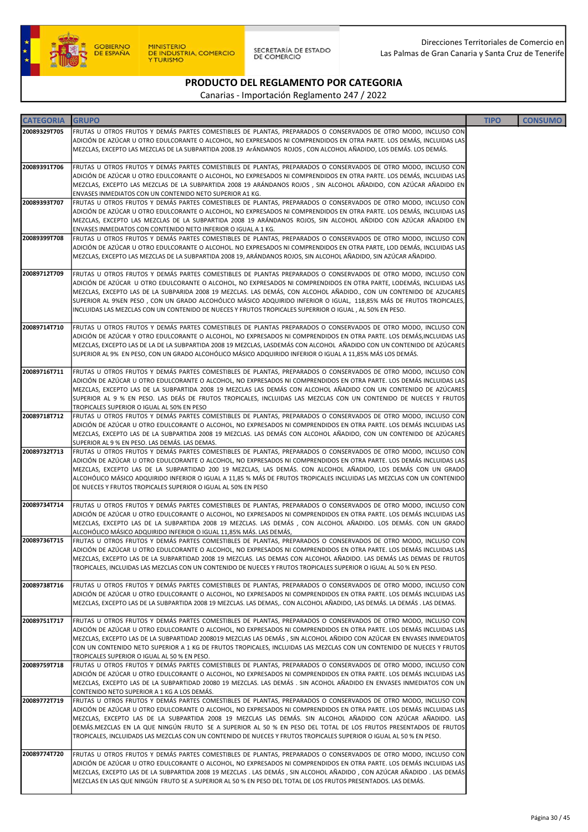

SECRETARÍA DE ESTADO<br>DE COMERCIO

# PRODUCTO DEL REGLAMENTO POR CATEGORIA

| <b>CATEGORIA</b> | <b>GRUPO</b>                                                                                                                                                                                                                                     | <b>TIPO</b> | <b>CONSUMO</b> |
|------------------|--------------------------------------------------------------------------------------------------------------------------------------------------------------------------------------------------------------------------------------------------|-------------|----------------|
| 20089329T705     | FRUTAS U OTROS FRUTOS Y DEMÁS PARTES COMESTIBLES DE PLANTAS, PREPARADOS O CONSERVADOS DE OTRO MODO, INCLUSO CON                                                                                                                                  |             |                |
|                  | ADICIÓN DE AZÚCAR U OTRO EDULCORANTE O ALCOHOL, NO EXPRESADOS NI COMPRENDIDOS EN OTRA PARTE. LOS DEMÁS, INCLUIDAS LAS                                                                                                                            |             |                |
|                  | MEZCLAS, EXCEPTO LAS MEZCLAS DE LA SUBPARTIDA 2008.19 ArÁNDANOS ROJOS, CON ALCOHOL AÑADIDO, LOS DEMÁS. LOS DEMÁS.                                                                                                                                |             |                |
| 20089391T706     | FRUTAS U OTROS FRUTOS Y DEMÁS PARTES COMESTIBLES DE PLANTAS, PREPARADOS O CONSERVADOS DE OTRO MODO, INCLUSO CON                                                                                                                                  |             |                |
|                  | ADICIÓN DE AZÚCAR U OTRO EDULCORANTE O ALCOHOL, NO EXPRESADOS NI COMPRENDIDOS EN OTRA PARTE. LOS DEMÁS, INCLUIDAS LAS                                                                                                                            |             |                |
|                  | MEZCLAS, EXCEPTO LAS MEZCLAS DE LA SUBPARTIDA 2008 19 ARÁNDANOS ROJOS , SIN ALCOHOL AÑADIDO, CON AZÚCAR AÑADIDO EN                                                                                                                               |             |                |
|                  | ENVASES INMEDIATOS CON UN CONTENIDO NETO SUPERIOR A1 KG.                                                                                                                                                                                         |             |                |
| 20089393T707     | FRUTAS U OTROS FRUTOS Y DEMÁS PARTES COMESTIBLES DE PLANTAS, PREPARADOS O CONSERVADOS DE OTRO MODO, INCLUSO CON<br>ADICIÓN DE AZÚCAR U OTRO EDULCORANTE O ALCOHOL, NO EXPRESADOS NI COMPRENDIDOS EN OTRA PARTE. LOS DEMÁS, INCLUIDAS LAS         |             |                |
|                  | MEZCLAS, EXCEPTO LAS MEZCLAS DE LA SUBPARTIDA 2008 19 ARÁNDANOS ROJOS, SIN ALCOHOL AÑDIDO CON AZÚCAR AÑADIDO EN                                                                                                                                  |             |                |
|                  | ENVASES INMEDIATOS CON CONTENIDO NETO INFERIOR O IGUAL A 1 KG.                                                                                                                                                                                   |             |                |
| 20089399T708     | FRUTAS U OTROS FRUTOS Y DEMÁS PARTES COMESTIBLES DE PLANTAS, PREPARADOS O CONSERVADOS DE OTRO MODO, INCLUSO CON                                                                                                                                  |             |                |
|                  | ADICIÓN DE AZÚCAR U OTRO EDULCORANTE O ALCOHOL. NO EXPRESADOS NI COMPRENDIDOS EN OTRA PARTE, LOD DEMÁS, INCLUIDAS LAS                                                                                                                            |             |                |
|                  | MEZCLAS, EXCEPTO LAS MEZCLAS DE LA SUBPARTIDA 2008 19, ARÁNDANOS ROJOS, SIN ALCOHOL AÑADIDO, SIN AZÚCAR AÑADIDO.                                                                                                                                 |             |                |
| 20089712T709     | FRUTAS U OTROS FRUTOS Y DEMÁS PARTES COMESTIBLES DE PLANTAS PREPARADOS O CONSERVADOS DE OTRO MODO, INCLUSO CON                                                                                                                                   |             |                |
|                  | ADICIÓN DE AZÚCAR U OTRO EDULCORANTE O ALCOHOL, NO EXPRESADOS NI COMPRENDIDOS EN OTRA PARTE, LODEMÁS, INCLUIDAS LAS                                                                                                                              |             |                |
|                  | MEZCLAS, EXCEPTO LAS DE LA SUBPARIDA 2008 19 MEZCLAS. LAS DEMÁS, CON ALCOHOL AÑADIDO., CON UN CONTENIDO DE AZUCARES                                                                                                                              |             |                |
|                  | SUPERIOR AL 9%EN PESO , CON UN GRADO ALCOHÓLICO MÁSICO ADQUIRIDO INFERIOR O IGUAL, 118,85% MÁS DE FRUTOS TROPICALES,                                                                                                                             |             |                |
|                  | INCLUIDAS LAS MEZCLAS CON UN CONTENIDO DE NUECES Y FRUTOS TROPICALES SUPERRIOR O IGUAL, AL 50% EN PESO.                                                                                                                                          |             |                |
| 20089714T710     | FRUTAS U OTROS FRUTOS Y DEMÁS PARTES COMESTIBLES DE PLANTAS PREPARADOS O CONSERVADOS DE OTRO MODO, INCLUSO CON                                                                                                                                   |             |                |
|                  | ADICIÓN DE AZÚCAR Y OTRO EDULCORANTE O ALCOHOL, NO EXPRESADOS NI COMPRENDIDOS EN OTRA PARTE. LOS DEMÁS, INCLUIDAS LAS                                                                                                                            |             |                |
|                  | MEZCLAS, EXCEPTO LAS DE LA DE LA SUBPARTIDA 2008 19 MEZCLAS, LASDEMÁS CON ALCOHOL AÑADIDO CON UN CONTENIDO DE AZÚCARES                                                                                                                           |             |                |
|                  | SUPERIOR AL 9% EN PESO, CON UN GRADO ALCOHÓLICO MÁSICO ADQUIRIDO INFERIOR O IGUAL A 11,85% MÁS LOS DEMÁS.                                                                                                                                        |             |                |
| 20089716T711     | FRUTAS U OTROS FRUTOS Y DEMÁS PARTES COMESTIBLES DE PLANTAS, PREPARADOS O CONSERVADOS DE OTRO MODO, INCLUSO CON                                                                                                                                  |             |                |
|                  | ADICIÓN DE AZÚCAR U OTRO EDULCORANTE O ALCOHOL, NO EXPRESADOS NI COMPRENDIDOS EN OTRA PARTE. LOS DEMÁS INCLUIDAS LAS                                                                                                                             |             |                |
|                  | MEZCLAS, EXCEPTO LAS DE LA SUBPARTIDA 2008 19 MEZCLAS LAS DEMÁS CON ALCOHOL AÑADIDO CON UN CONTENIDO DE AZÚCARES                                                                                                                                 |             |                |
|                  | SUPERIOR AL 9 % EN PESO. LAS DEÁS DE FRUTOS TROPICALES, INCLUIDAS LAS MEZCLAS CON UN CONTENIDO DE NUECES Y FRUTOS                                                                                                                                |             |                |
| 20089718T712     | TROPICALES SUPERIOR O IGUAL AL 50% EN PESO<br>FRUTAS U OTROS FRUTOS Y DEMÁS PARTES COMESTIBLES DE PLANTAS, PREPARADOS O CONSERVADOS DE OTRO MODO, INCLUSO CON                                                                                    |             |                |
|                  | ADICIÓN DE AZÚCAR U OTRO EDULCORANTE O ALCOHOL, NO EXPRESADOS NI COMPRENDIDOS EN OTRA PARTE. LOS DEMÁS INCLUIDAS LAS                                                                                                                             |             |                |
|                  | MEZCLAS, EXCEPTO LAS DE LA SUBPARTIDA 2008 19 MEZCLAS. LAS DEMÁS CON ALCOHOL AÑADIDO, CON UN CONTENIDO DE AZÚCARES                                                                                                                               |             |                |
|                  | SUPERIOR AL 9 % EN PESO. LAS DEMÁS. LAS DEMAS.                                                                                                                                                                                                   |             |                |
| 20089732T713     | FRUTAS U OTROS FRUTOS Y DEMÁS PARTES COMESTIBLES DE PLANTAS, PREPARADOS O CONSERVADOS DE OTRO MODO, INCLUSO CON<br>ADICIÓN DE AZÚCAR U OTRO EDULCORANTE O ALCOHOL, NO EXPRESADOS NI COMPRENDIDOS EN OTRA PARTE. LOS DEMÁS INCLUIDAS LAS          |             |                |
|                  | MEZCLAS, EXCEPTO LAS DE LA SUBPARTIDAD 200 19 MEZCLAS, LAS DEMÁS. CON ALCOHOL AÑADIDO, LOS DEMÁS CON UN GRADO                                                                                                                                    |             |                |
|                  | ALCOHÓLICO MÁSICO ADQUIRIDO INFERIOR O IGUAL A 11,85 % MÁS DE FRUTOS TROPICALES INCLUIDAS LAS MEZCLAS CON UN CONTENIDO                                                                                                                           |             |                |
|                  | DE NUECES Y FRUTOS TROPICALES SUPERIOR O IGUAL AL 50% EN PESO                                                                                                                                                                                    |             |                |
| 20089734T714     | FRUTAS U OTROS FRUTOS Y DEMÁS PARTES COMESTIBLES DE PLANTAS, PREPARADOS O CONSERVADOS DE OTRO MODO, INCLUSO CON                                                                                                                                  |             |                |
|                  | ADICIÓN DE AZÚCAR U OTRO EDULCORANTE O ALCOHOL, NO EXPRESADOS NI COMPRENDIDOS EN OTRA PARTE. LOS DEMÁS INCLUIDAS LAS                                                                                                                             |             |                |
|                  | MEZCLAS, EXCEPTO LAS DE LA SUBPARTIDA 2008 19 MEZCLAS. LAS DEMÁS , CON ALCOHOL AÑADIDO. LOS DEMÁS. CON UN GRADO                                                                                                                                  |             |                |
|                  | ALCOHÓLICO MÁSICO ADQUIRIDO INFERIOR O IGUAL 11,85% MÁS. LAS DEMÁS,                                                                                                                                                                              |             |                |
| 20089736T715     | FRUTAS U OTROS FRUTOS Y DEMÁS PARTES COMESTIBLES DE PLANTAS, PREPARADOS O CONSERVADOS DE OTRO MODO, INCLUSO CON                                                                                                                                  |             |                |
|                  | ADICIÓN DE AZÚCAR U OTRO EDULCORANTE O ALCOHOL, NO EXPRESADOS NI COMPRENDIDOS EN OTRA PARTE. LOS DEMÁS INCLUIDAS LAS<br>MEZCLAS, EXCEPTO LAS DE LA SUBPARTIDAD 2008 19 MEZCLAS. LAS DEMAS CON ALCOHOL AÑADIDO. LAS DEMÁS LAS DEMAS DE FRUTOS     |             |                |
|                  | TROPICALES, INCLUIDAS LAS MEZCLAS CON UN CONTENIDO DE NUECES Y FRUTOS TROPICALES SUPERIOR O IGUAL AL 50 % EN PESO.                                                                                                                               |             |                |
|                  |                                                                                                                                                                                                                                                  |             |                |
| 20089738T716     | FRUTAS U OTROS FRUTOS Y DEMÁS PARTES COMESTIBLES DE PLANTAS, PREPARADOS O CONSERVADOS DE OTRO MODO, INCLUSO CON                                                                                                                                  |             |                |
|                  | ADICIÓN DE AZÚCAR U OTRO EDULCORANTE O ALCOHOL, NO EXPRESADOS NI COMPRENDIDOS EN OTRA PARTE. LOS DEMÁS INCLUIDAS LAS<br>MEZCLAS, EXCEPTO LAS DE LA SUBPARTIDA 2008 19 MEZCLAS. LAS DEMAS,. CON ALCOHOL AÑADIDO, LAS DEMÁS. LA DEMÁS . LAS DEMAS. |             |                |
|                  |                                                                                                                                                                                                                                                  |             |                |
| 20089751T717     | FRUTAS U OTROS FRUTOS Y DEMÁS PARTES COMESTIBLES DE PLANTAS, PREPARADOS O CONSERVADOS DE OTRO MODO, INCLUSO CON                                                                                                                                  |             |                |
|                  | ADICIÓN DE AZÚCAR U OTRO EDULCORANTE O ALCOHOL, NO EXPRESADOS NI COMPRENDIDOS EN OTRA PARTE. LOS DEMÁS INCLUIDAS LAS                                                                                                                             |             |                |
|                  | MEZCLAS, EXCEPTO LAS DE LA SUBPARTIDAD 2008019 MEZCLAS LAS DEMÁS , SIN ALCOHOL AÑDIDO CON AZÚCAR EN ENVASES INMEDIATOS<br>CON UN CONTENIDO NETO SUPERIOR A 1 KG DE FRUTOS TROPICALES, INCLUIDAS LAS MEZCLAS CON UN CONTENIDO DE NUECES Y FRUTOS  |             |                |
|                  | TROPICALES SUPERIOR O IGUAL AL 50 % EN PESO.                                                                                                                                                                                                     |             |                |
| 20089759T718     | FRUTAS U OTROS FRUTOS Y DEMÁS PARTES COMESTIBLES DE PLANTAS, PREPARADOS O CONSERVADOS DE OTRO MODO, INCLUSO CON                                                                                                                                  |             |                |
|                  | ADICIÓN DE AZÚCAR U OTRO EDULCORANTE O ALCOHOL, NO EXPRESADOS NI COMPRENDIDOS EN OTRA PARTE. LOS DEMÁS INCLUIDAS LAS                                                                                                                             |             |                |
|                  | MEZCLAS, EXCEPTO LAS DE LA SUBPARTIDAD 20080 19 MEZCLAS. LAS DEMÁS . SIN ACOHOL AÑADIDO EN ENVASES INMEDIATOS CON UN<br>CONTENIDO NETO SUPERIOR A 1 KG A LOS DEMÁS.                                                                              |             |                |
| 20089772T719     | FRUTAS U OTROS FRUTOS Y DEMÁS PARTES COMESTIBLES DE PLANTAS, PREPARADOS O CONSERVADOS DE OTRO MODO, INCLUSO CON                                                                                                                                  |             |                |
|                  | ADICIÓN DE AZÚCAR U OTRO EDULCORANTE O ALCOHOL, NO EXPRESADOS NI COMPRENDIDOS EN OTRA PARTE. LOS DEMÁS INCLUIDAS LAS                                                                                                                             |             |                |
|                  | MEZCLAS, EXCEPTO LAS DE LA SUBPARTIDA 2008 19 MEZCLAS LAS DEMÁS. SIN ALCOHOL AÑADIDO CON AZÚCAR AÑADIDO. LAS                                                                                                                                     |             |                |
|                  | DEMÁS.MEZCLAS EN LA QUE NINGÚN FRUTO SE A SUPERIOR AL 50 % EN PESO DEL TOTAL DE LOS FRUTOS PRESENTADOS DE FRUTOS                                                                                                                                 |             |                |
|                  | TROPICALES, INCLUIDADS LAS MEZCLAS CON UN CONTENIDO DE NUECES Y FRUTOS TROPICALES SUPERIOR O IGUAL AL 50 % EN PESO.                                                                                                                              |             |                |
| 20089774T720     | FRUTAS U OTROS FRUTOS Y DEMÁS PARTES COMESTIBLES DE PLANTAS, PREPARADOS O CONSERVADOS DE OTRO MODO, INCLUSO CON                                                                                                                                  |             |                |
|                  | ADICIÓN DE AZÚCAR U OTRO EDULCORANTE O ALCOHOL, NO EXPRESADOS NI COMPRENDIDOS EN OTRA PARTE. LOS DEMÁS INCLUIDAS LAS                                                                                                                             |             |                |
|                  | MEZCLAS, EXCEPTO LAS DE LA SUBPARTIDA 2008 19 MEZCLAS . LAS DEMÁS , SIN ALCOHOL AÑADIDO , CON AZÚCAR AÑADIDO . LAS DEMÁS                                                                                                                         |             |                |
|                  | MEZCLAS EN LAS QUE NINGÚN FRUTO SE A SUPERIOR AL 50 % EN PESO DEL TOTAL DE LOS FRUTOS PRESENTADOS. LAS DEMÁS.                                                                                                                                    |             |                |
|                  |                                                                                                                                                                                                                                                  |             |                |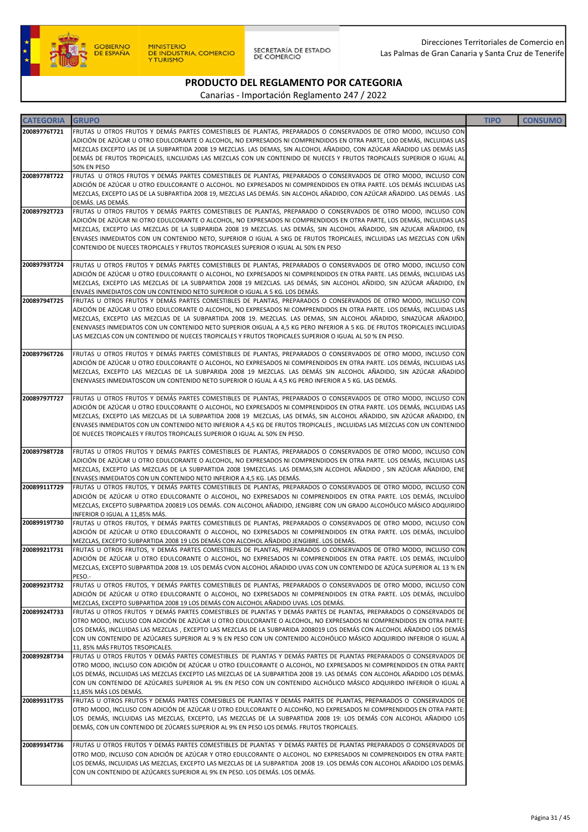

SECRETARÍA DE ESTADO<br>DE COMERCIO

### PRODUCTO DEL REGLAMENTO POR CATEGORIA

| <b>CATEGORIA</b> | <b>GRUPO</b>                                                                                                                                                                                                                               | <b>TIPO</b> | <b>CONSUMO</b> |
|------------------|--------------------------------------------------------------------------------------------------------------------------------------------------------------------------------------------------------------------------------------------|-------------|----------------|
| 20089776T721     | FRUTAS U OTROS FRUTOS Y DEMÁS PARTES COMESTIBLES DE PLANTAS, PREPARADOS O CONSERVADOS DE OTRO MODO, INCLUSO CON                                                                                                                            |             |                |
|                  | ADICIÓN DE AZÚCAR U OTRO EDULCORANTE O ALCOHOL, NO EXPRESADOS NI COMPRENDIDOS EN OTRA PARTE, LOD DEMÁS, INCLUIDAS LAS                                                                                                                      |             |                |
|                  | MEZCLAS EXCEPTO LAS DE LA SUBPARTIDA 2008 19 MEZCLAS. LAS DEMAS, SIN ALCOHOL AÑADIDO, CON AZÚCAR AÑADIDO LAS DEMÁS LAS                                                                                                                     |             |                |
|                  | DEMÁS DE FRUTOS TROPICALES, ILNCLUIDAS LAS MEZCLAS CON UN CONTENIDO DE NUECES Y FRUTOS TROPICALES SUPERIOR O IGUAL AL<br>50% EN PESO                                                                                                       |             |                |
| 20089778T722     | FRUTAS U OTROS FRUTOS Y DEMÁS PARTES COMESTIBLES DE PLANTAS, PREPARADOS O CONSERVADOS DE OTRO MODO, INCLUSO CON                                                                                                                            |             |                |
|                  | ADICIÓN DE AZÚCAR U OTRO EDULCORANTE O ALCOHOL. NO EXPRESADOS NI COMPRENDIDOS EN OTRA PARTE. LOS DEMÁS INCLUIDAS LAS                                                                                                                       |             |                |
|                  | MEZCLAS, EXCEPTO LAS DE LA SUBPARTIDA 2008 19, MEZCLAS LAS DEMÁS. SIN ALCOHOL AÑADIDO, CON AZÚCAR AÑADIDO. LAS DEMÁS . LAS                                                                                                                 |             |                |
| 20089792T723     | DEMÁS. LAS DEMÁS.<br>FRUTAS U OTROS FRUTOS Y DEMÁS PARTES COMESTIBLES DE PLANTAS, PREPARADO O CONSERVADOS DE OTRO MODO, INCLUSO CON                                                                                                        |             |                |
|                  | ADICIÓN DE AZÚCAR NI OTRO EDULCORANTE O ALCOHOL, NO EXPRESADOS NI COMPRENDIDOS EN OTRA PARTE, LOS DEMÁS, INCLUIDAS LAS                                                                                                                     |             |                |
|                  | MEZCLAS, EXCEPTO LAS MEZCLAS DE LA SUBPARIDA 2008 19 MEZCLAS. LAS DEMÁS, SIN ALCOHOL AÑADIDO, SIN AZUCAR AÑADIDO, EN                                                                                                                       |             |                |
|                  | ENVASES INMEDIATOS CON UN CONTENIDO NETO, SUPERIOR O IGUAL A 5KG DE FRUTOS TROPICALES, INCLUIDAS LAS MEZCLAS CON UÑN                                                                                                                       |             |                |
|                  | CONTENIDO DE NUECES TROPICALES Y FRUTOS TROPICASLES SUPERIOR O IGUAL AL 50% EN PESO                                                                                                                                                        |             |                |
| 20089793T724     | FRUTAS U OTROS FRUTOS Y DEMÁS PARTES COMESTIBLES DE PLANTAS, PREPARADOS O CONSERVADOS DE OTRO MODO, INCLUSO CON                                                                                                                            |             |                |
|                  | ADICIÓN DE AZÚCAR U OTRO EDULCORANTE O ALCOHOL, NO EXPRESADOS NI COMPRENDIDOS EN OTRA PARTE. LAS DEMÁS, INCLUIDAS LAS                                                                                                                      |             |                |
|                  | MEZCLAS, EXCEPTO LAS MEZCLAS DE LA SUBPARTIDA 2008 19 MEZCLAS. LAS DEMÁS, SIN ALCOHOL AÑDIDO, SIN AZÚCAR AÑADIDO, EN                                                                                                                       |             |                |
| 20089794T725     | ENVAES INMEDIATOS CON UN CONTENIDO NETO SUPERIOR O IGUAL A 5 KG. LOS DEMÁS.<br>FRUTAS U OTROS FRUTOS Y DEMÁS PARTES COMESTIBLES DE PLANTAS, PREPARADOS O CONSERVADOS DE OTRO MODO, INCLUSO CON                                             |             |                |
|                  | ADICIÓN DE AZÚCAR U OTRO EDULCORANTE O ALCOHOL, NO EXPRESADOS NI COMPRENDIDOS EN OTRA PARTE. LOS DEMÁS, INCLUIDAS LAS                                                                                                                      |             |                |
|                  | MEZCLAS, EXCEPTO LAS MEZCLAS DE LA SUBPARTIDA 2008 19. MEZCLAS. LAS DEMAS, SIN ALCOHOL AÑADIDO, SINAZÚCAR AÑADIDO,                                                                                                                         |             |                |
|                  | ENENVASES INMEDIATOS CON UN CONTENIDO NETO SUPERIOR OIGUAL A 4,5 KG PERO INFERIOR A 5 KG. DE FRUTOS TROPICALES INCLUIDAS                                                                                                                   |             |                |
|                  | LAS MEZCLAS CON UN CONTENIDO DE NUECES TROPICALES Y FRUTOS TROPICALES SUPERIOR O IGUAL AL 50 % EN PESO.                                                                                                                                    |             |                |
| 20089796T726     | FRUTAS U OTROS FRUTOS Y DEMÁS PARTES COMESTIBLES DE PLANTAS, PREPARADOS O CONSERVADOS DE OTRO MODO, INCLUSO CON                                                                                                                            |             |                |
|                  | ADICIÓN DE AZÚCAR U OTRO EDULCORANTE O ALCOHOL, NO EXPRESADOS NI COMPRENDIDOS EN OTRA PARTE. LOS DEMÁS, INCLUIDAS LAS                                                                                                                      |             |                |
|                  | MEZCLAS, EXCEPTO LAS MEZCLAS DE LA SUBPARIDA 2008 19 MEZCLAS. LAS DEMÁS SIN ALCOHOL AÑADIDO, SIN AZÚCAR AÑADIDO                                                                                                                            |             |                |
|                  | ENENVASES INMEDIATOSCON UN CONTENIDO NETO SUPERIOR O IGUAL A 4,5 KG PERO INFERIOR A 5 KG. LAS DEMÁS.                                                                                                                                       |             |                |
| 20089797T727     | FRUTAS U OTROS FRUTOS Y DEMÁS PARTES COMESTIBLES DE PLANTAS, PREPARADOS O CONSERVADOS DE OTRO MODO, INCLUSO CON                                                                                                                            |             |                |
|                  | ADICIÓN DE AZÚCAR U OTRO EDULCORANTE O ALCOHOL, NO EXPRESADOS NI COMPRENDIDOS EN OTRA PARTE. LOS DEMÁS, INCLUIDAS LAS                                                                                                                      |             |                |
|                  | MEZCLAS, EXCEPTO LAS MEZCLAS DE LA SUBPARTIDA 2008 19 MEZCLAS, LAS DEMÁS, SIN ALCOHOL AÑADIDO, SIN AZÚCAR AÑADIDO, EN                                                                                                                      |             |                |
|                  | ENVASES INMEDIATOS CON UN CONTENIDO NETO INFERIOR A 4,5 KG DE FRUTOS TROPICALES, INCLUIDAS LAS MEZCLAS CON UN CONTENIDO                                                                                                                    |             |                |
|                  | DE NUECES TROPICALES Y FRUTOS TROPICALES SUPERIOR O IGUAL AL 50% EN PESO.                                                                                                                                                                  |             |                |
| 20089798T728     | FRUTAS U OTROS FRUTOS Y DEMÁS PARTES COMESTIBLES DE PLANTAS, PREPARADOS O CONSERVADOS DE OTRO MODO, INCLUSO CON                                                                                                                            |             |                |
|                  | ADICIÓN DE AZÚCAR U OTRO EDULCORANTE O ALCOHOL, NO EXPRESADOS NI COMPRENDIDOS EN OTRA PARTE. LOS DEMÁS, INCLUIDAS LAS                                                                                                                      |             |                |
|                  | MEZCLAS, EXCEPTO LAS MEZCLAS DE LA SUBPARTIDA 2008 19MEZCLAS. LAS DEMAS,SIN ALCOHOL AÑADIDO , SIN AZÚCAR AÑADIDO, ENE<br>ENVASES INMEDIATOS CON UN CONTENIDO NETO INFERIOR A 4,5 KG. LAS DEMÁS.                                            |             |                |
| 20089911T729     | FRUTAS U OTROS FRUTOS, Y DEMÁS PARTES COMESTIBLES DE PLANTAS, PREPARADOS O CONSERVADOS DE OTRO MODO, INCLUSO CON                                                                                                                           |             |                |
|                  | ADICIÓN DE AZÚCAR U OTRO EDULCORANTE O ALCOHOL, NO EXPRESADOS NI COMPRENDIDOS EN OTRA PARTE. LOS DEMÁS, INCLUÍDO                                                                                                                           |             |                |
|                  | MEZCLAS, EXCEPTO SUBPARTIDA 200819 LOS DEMÁS. CON ALCOHOL AÑADIDO, JENGIBRE CON UN GRADO ALCOHÓLICO MÁSICO ADQUIRIDO                                                                                                                       |             |                |
| 20089919T730     | INFERIOR O IGUAL A 11,85% MÁS.<br>FRUTAS U OTROS FRUTOS, Y DEMÁS PARTES COMESTIBLES DE PLANTAS, PREPARADOS O CONSERVADOS DE OTRO MODO, INCLUSO CON                                                                                         |             |                |
|                  | ADICIÓN DE AZÚCAR U OTRO EDULCORANTE O ALCOHOL, NO EXPRESADOS NI COMPRENDIDOS EN OTRA PARTE. LOS DEMÁS, INCLUÍDO                                                                                                                           |             |                |
|                  | MEZCLAS, EXCEPTO SUBPARTIDA 2008 19 LOS DEMÁS CON ALCOHOL AÑADIDO JENGIBRE. LOS DEMÁS.                                                                                                                                                     |             |                |
| 20089921T731     | FRUTAS U OTROS FRUTOS, Y DEMÁS PARTES COMESTIBLES DE PLANTAS, PREPARADOS O CONSERVADOS DE OTRO MODO, INCLUSO CON                                                                                                                           |             |                |
|                  | ADICIÓN DE AZÚCAR U OTRO EDULCORANTE O ALCOHOL, NO EXPRESADOS NI COMPRENDIDOS EN OTRA PARTE. LOS DEMÁS, INCLUÍDO<br>MEZCLAS, EXCEPTO SUBPARTIDA 2008 19. LOS DEMÁS CVON ALCOHOL AÑADIDO UVAS CON UN CONTENIDO DE AZÚCA SUPERIOR AL 13 % EN |             |                |
|                  | PESO .-                                                                                                                                                                                                                                    |             |                |
| 20089923T732     | FRUTAS U OTROS FRUTOS, Y DEMÁS PARTES COMESTIBLES DE PLANTAS, PREPARADOS O CONSERVADOS DE OTRO MODO, INCLUSO CON                                                                                                                           |             |                |
|                  | ADICIÓN DE AZÚCAR U OTRO EDULCORANTE O ALCOHOL, NO EXPRESADOS NI COMPRENDIDOS EN OTRA PARTE. LOS DEMÁS, INCLUÍDO                                                                                                                           |             |                |
| 20089924T733     | MEZCLAS, EXCEPTO SUBPARTIDA 2008 19 LOS DEMÁS CON ALCOHOL AÑADIDO UVAS. LOS DEMÁS.<br>FRUTAS U OTROS FRUTOS Y DEMÁS PARTES COMESTIBLES DE PLANTAS Y DEMÁS PARTES DE PLANTAS, PREPARADOS O CONSERVADOS DE                                   |             |                |
|                  | OTRO MODO, INCLUSO CON ADICIÓN DE AZÚCAR U OTRO EDULCORANTE O ALCOHOL, NO EXPRESADOS NI COMPRENDIDOS EN OTRA PARTE:                                                                                                                        |             |                |
|                  | LOS DEMÁS, INCLUIDAS LAS MEZCLAS , EXCEPTO LAS MEZCLAS DE LA SUBPARIDA 2008019 LOS DEMÁS CON ALCOHOL AÑADIDO LOS DEMÁS                                                                                                                     |             |                |
|                  | CON UN CONTENIDO DE AZÚCARES SUPERIOR AL 9 % EN PESO CON UN CONTENIDO ALCOHÓLICO MÁSICO ADQUIRIDO INFERIOR O IGUAL A                                                                                                                       |             |                |
| 20089928T734     | 11, 85% MÁS FRUTOS TR5OPICALES.<br>FRUTAS U OTROS FRUTOS Y DEMÁS PARTES COMESTIBLES DE PLANTAS Y DEMÁS PARTES DE PLANTAS PREPARADOS O CONSERVADOS DE                                                                                       |             |                |
|                  | OTRO MODO, INCLUSO CON ADICIÓN DE AZÚCAR U OTRO EDULCORANTE O ALCOHOL, NO EXPRESADOS NI COMPRENDIDOS EN OTRA PARTE                                                                                                                         |             |                |
|                  | LOS DEMÁS, INCLUIDAS LAS MEZCLAS EXCEPTO LAS MEZCLAS DE LA SUBPARTIDA 2008 19. LAS DEMÁS CON ALCOHOL AÑADIDO LOS DEMÁS.                                                                                                                    |             |                |
|                  | CON UN CONTENIDO DE AZÚCARES SUPERIOR AL 9% EN PESO CON UN CONTENIDO ALCHÓLICO MÁSICO ADQUIRIDO INFERIOR O IGUAL A                                                                                                                         |             |                |
| 20089931T735     | 11,85% MÁS LOS DEMÁS.<br>FRUTAS U OTROS FRUTOS Y DEMÁS PARTES COMESIBLES DE PLANTAS Y DEMÁS PARTES DE PLANTAS, PREPARADOS O CONSERVADOS DE                                                                                                 |             |                |
|                  | OTRO MODO, INCLUSO CON ADICIÓN DE AZÚCAR U OTRO EDULCORANTE O ALCOHÑO, NO EXPRESADOS NI COMPRENDIDOS EN OTRA PARTE:                                                                                                                        |             |                |
|                  | LOS DEMÁS, INCLUIDAS LAS MEZCLAS, EXCEPTO, LAS MEZCLAS DE LA SUBPARTIDA 2008 19: LOS DEMÁS CON ALCOHOL AÑADIDO LOS                                                                                                                         |             |                |
|                  | DEMÁS, CON UN CONTENIDO DE ZÚCARES SUPERIOR AL 9% EN PESO LOS DEMÁS. FRUTOS TROPICALES.                                                                                                                                                    |             |                |
| 20089934T736     | FRUTAS U OTROS FRUTOS Y DEMÁS PARTES COMESTIBLES DE PLANTAS Y DEMÁS PARTES DE PLANTAS PREPARADOS O CONSERVADOS DE                                                                                                                          |             |                |
|                  | OTRO MOD, INCLUSO CON ADICIÓN DE AZÚCAR Y OTRO EDULCORANTE O ALCOHOL. NO EXPRESADOS NI COMPRENDIDOS EN OTRA PARTE:                                                                                                                         |             |                |
|                  | LOS DEMÁS, INCLUIDAS LAS MEZCLAS, EXCEPTO LAS MEZCLAS DE LA SUBPARTIDA  2008 19. LOS DEMÁS CON ALCOHOL AÑADIDO LOS DEMÁS.                                                                                                                  |             |                |
|                  | CON UN CONTENIDO DE AZÚCARES SUPERIOR AL 9% EN PESO. LOS DEMÁS. LOS DEMÁS.                                                                                                                                                                 |             |                |
|                  |                                                                                                                                                                                                                                            |             |                |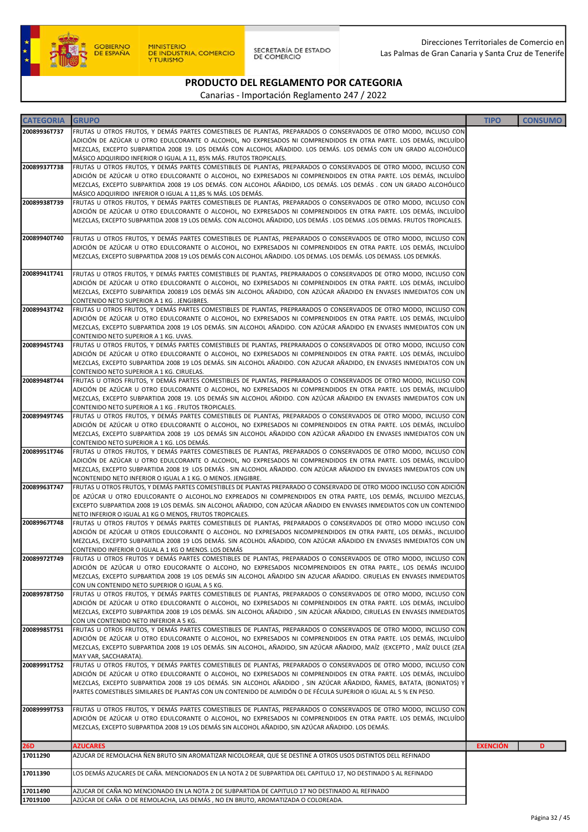

SECRETARÍA DE ESTADO<br>DE COMERCIO

# PRODUCTO DEL REGLAMENTO POR CATEGORIA

| <b>CATEGORIA</b> | <b>GRUPO</b>                                                                                                                                                                                                                                 | <b>TIPO</b>     | <b>CONSUMO</b> |
|------------------|----------------------------------------------------------------------------------------------------------------------------------------------------------------------------------------------------------------------------------------------|-----------------|----------------|
| 20089936T737     | FRUTAS U OTROS FRUTOS, Y DEMÁS PARTES COMESTIBLES DE PLANTAS, PREPARADOS O CONSERVADOS DE OTRO MODO, INCLUSO CON                                                                                                                             |                 |                |
|                  | ADICIÓN DE AZÚCAR U OTRO EDULCORANTE O ALCOHOL, NO EXPRESADOS NI COMPRENDIDOS EN OTRA PARTE. LOS DEMÁS, INCLUÍDO                                                                                                                             |                 |                |
|                  | MEZCLAS, EXCEPTO SUBPARTIDA 2008 19. LOS DEMÁS CON ALCOHOL AÑADIDO. LOS DEMÁS. LOS DEMÁS CON UN GRADO ALCOHÓLICO                                                                                                                             |                 |                |
| 20089937T738     | MÁSICO ADQUIRIDO INFERIOR O IGUAL A 11, 85% MÁS. FRUTOS TROPICALES.<br>FRUTAS U OTROS FRUTOS, Y DEMÁS PARTES COMESTIBLES DE PLANTAS, PREPARADOS O CONSERVADOS DE OTRO MODO, INCLUSO CON                                                      |                 |                |
|                  | ADICIÓN DE AZÚCAR U OTRO EDULCORANTE O ALCOHOL, NO EXPRESADOS NI COMPRENDIDOS EN OTRA PARTE. LOS DEMÁS, INCLUÍDO                                                                                                                             |                 |                |
|                  | MEZCLAS, EXCEPTO SUBPARTIDA 2008 19 LOS DEMÁS. CON ALCOHOL AÑADIDO, LOS DEMÁS. LOS DEMÁS . CON UN GRADO ALCOHÓLICO                                                                                                                           |                 |                |
|                  | MÁSICO ADQUIRIDO INFERIOR O IGUAL A 11,85 % MÁS. LOS DEMÁS.                                                                                                                                                                                  |                 |                |
| 20089938T739     | FRUTAS U OTROS FRUTOS, Y DEMÁS PARTES COMESTIBLES DE PLANTAS, PREPARADOS O CONSERVADOS DE OTRO MODO, INCLUSO CON                                                                                                                             |                 |                |
|                  | ADICIÓN DE AZÚCAR U OTRO EDULCORANTE O ALCOHOL, NO EXPRESADOS NI COMPRENDIDOS EN OTRA PARTE. LOS DEMÁS, INCLUÍDO<br>MEZCLAS, EXCEPTO SUBPARTIDA 2008 19 LOS DEMÁS. CON ALCOHOL AÑADIDO, LOS DEMÁS . LOS DEMAS .LOS DEMAS. FRUTOS TROPICALES. |                 |                |
|                  |                                                                                                                                                                                                                                              |                 |                |
| 20089940T740     | FRUTAS U OTROS FRUTOS, Y DEMÁS PARTES COMESTIBLES DE PLANTAS, PREPARADOS O CONSERVADOS DE OTRO MODO, INCLUSO CON                                                                                                                             |                 |                |
|                  | ADICIÓN DE AZÚCAR U OTRO EDULCORANTE O ALCOHOL, NO EXPRESADOS NI COMPRENDIDOS EN OTRA PARTE. LOS DEMÁS, INCLUÍDO                                                                                                                             |                 |                |
|                  | MEZCLAS, EXCEPTO SUBPARTIDA 2008 19 LOS DEMÁS CON ALCOHOL AÑADIDO. LOS DEMAS. LOS DEMÁS. LOS DEMASS. LOS DEMKÁS.                                                                                                                             |                 |                |
| 20089941T741     | FRUTAS U OTROS FRUTOS, Y DEMÁS PARTES COMESTIBLES DE PLANTAS, PREPRARADOS O CONSERVADOS DE OTRO MODO, INCLUSO CON                                                                                                                            |                 |                |
|                  | ADICIÓN DE AZÚCAR U OTRO EDULCORANTE O ALCOHOL, NO EXPRESADOS NI COMPRENDIDOS EN OTRA PARTE. LOS DEMÁS, INCLUÍDO                                                                                                                             |                 |                |
|                  | MEZCLAS, EXCEPTO SUBPARTIDA 200819 LOS DEMÁS SIN ALCOHOL AÑADIDO, CON AZÚCAR AÑADIDO EN ENVASES INMEDIATOS CON UN                                                                                                                            |                 |                |
|                  | CONTENIDO NETO SUPERIOR A 1 KG. JENGIBRES.                                                                                                                                                                                                   |                 |                |
| 20089943T742     | FRUTAS U OTROS FRUTOS, Y DEMÁS PARTES COMESTIBLES DE PLANTAS, PREPRARADOS O CONSERVADOS DE OTRO MODO, INCLUSO CON                                                                                                                            |                 |                |
|                  | ADICIÓN DE AZÚCAR U OTRO EDULCORANTE O ALCOHOL, NO EXPRESADOS NI COMPRENDIDOS EN OTRA PARTE. LOS DEMÁS, INCLUÍDO<br>MEZCLAS, EXCEPTO SUBPARTIDA 2008 19 LOS DEMÁS. SIN ALCOHOL AÑADIDO. CON AZÚCAR AÑADIDO EN ENVASES INMEDIATOS CON UN      |                 |                |
|                  | CONTENIDO NETO SUPERIOR A 1 KG. UVAS.                                                                                                                                                                                                        |                 |                |
| 20089945T743     | FRUTAS U OTROS FRUTOS, Y DEMÁS PARTES COMESTIBLES DE PLANTAS, PREPRARADOS O CONSERVADOS DE OTRO MODO, INCLUSO CON                                                                                                                            |                 |                |
|                  | ADICIÓN DE AZÚCAR U OTRO EDULCORANTE O ALCOHOL, NO EXPRESADOS NI COMPRENDIDOS EN OTRA PARTE. LOS DEMÁS, INCLUÍDO                                                                                                                             |                 |                |
|                  | MEZCLAS, EXCEPTO SUBPARTIDA 2008 19 LOS DEMÁS. SIN ALCOHOL AÑADIDO. CON AZUCAR AÑADIDO, EN ENVASES INMEDIATOS CON UN                                                                                                                         |                 |                |
| 20089948T744     | CONTENIDO NETO SUPERIOR A 1 KG. CIRUELAS.<br>FRUTAS U OTROS FRUTOS, Y DEMÁS PARTES COMESTIBLES DE PLANTAS, PREPRARADOS O CONSERVADOS DE OTRO MODO, INCLUSO CON                                                                               |                 |                |
|                  | ADICIÓN DE AZÚCAR U OTRO EDULCORANTE O ALCOHOL, NO EXPRESADOS NI COMPRENDIDOS EN OTRA PARTE. LOS DEMÁS, INCLUÍDO                                                                                                                             |                 |                |
|                  | MEZCLAS, EXCEPTO SUBPARTIDA 2008 19. LOS DEMÁS SIN ALCOHOL AÑDIDO. CON AZÚCAR AÑADIDO EN ENVASES INMEDIATOS CON UN                                                                                                                           |                 |                |
|                  | CONTENIDO NETO SUPERIOR A 1 KG. FRUTOS TROPICALES.                                                                                                                                                                                           |                 |                |
| 20089949T745     | FRUTAS U OTROS FRUTOS, Y DEMÁS PARTES COMESTIBLES DE PLANTAS, PREPARADOS O CONSERVADOS DE OTRO MODO, INCLUSO CON                                                                                                                             |                 |                |
|                  | ADICIÓN DE AZÚCAR U OTRO EDULCORANTE O ALCOHOL, NO EXPRESADOS NI COMPRENDIDOS EN OTRA PARTE. LOS DEMÁS, INCLUÍDO<br>MEZCLAS, EXCEPTO SUBPARTIDA 2008 19 LOS DEMÁS SIN ALCOHOL AÑADIDO CON AZÚCAR AÑADIDO EN ENVASES INMEDIATOS CON UN        |                 |                |
|                  | CONTENIDO NETO SUPERIOR A 1 KG. LOS DEMÁS.                                                                                                                                                                                                   |                 |                |
| 20089951T746     | FRUTAS U OTROS FRUTOS, Y DEMÁS PARTES COMESTIBLES DE PLANTAS, PREPARADOS O CONSERVADOS DE OTRO MODO, INCLUSO CON                                                                                                                             |                 |                |
|                  | ADICIÓN DE AZÚCAR U OTRO EDULCORANTE O ALCOHOL, NO EXPRESADOS NI COMPRENDIDOS EN OTRA PARTE. LOS DEMÁS, INCLUÍDO                                                                                                                             |                 |                |
|                  | MEZCLAS, EXCEPTO SUBPARTIDA 2008 19 LOS DEMÁS . SIN ALCOHOL AÑADIDO. CON AZÚCAR AÑADIDO EN ENVASES INMEDIATOS CON UN                                                                                                                         |                 |                |
| 20089963T747     | NCONTENIDO NETO INFERIOR O IGUAL A 1 KG. O MENOS. JENGIBRE.<br>FRUTAS U OTROS FRUTOS, Y DEMÁS PARTES COMESTIBLES DE PLANTAS PREPARADO O CONSERVADO DE OTRO MODO INCLUSO CON ADICIÓN                                                          |                 |                |
|                  | DE AZÚCAR U OTRO EDULCORANTE O ALCOHOL.NO EXPREADOS NI COMPRENDIDOS EN OTRA PARTE, LOS DEMÁS, INCLUIDO MEZCLAS,                                                                                                                              |                 |                |
|                  | EXCEPTO SUBPARTIDA 2008 19 LOS DEMÁS. SIN ALCOHOL AÑADIDO, CON AZÚCAR AÑADIDO EN ENVASES INMEDIATOS CON UN CONTENIDO                                                                                                                         |                 |                |
|                  | NETO INFERIOR O IGUAL A1 KG O MENOS, FRUTOS TROPICALES.                                                                                                                                                                                      |                 |                |
| 20089967T748     | FRUTAS U OTROS FRUTOS Y DEMÁS PARTES COMESTIBLES DE PLANTAS, PREPARADOS O CONSERVADOS DE OTRO MODO INCLUSO CON<br>ADICIÓN DE AZÚCAR U OTROS EDULCORANTE O ALCOHOL. NO EXPRESADOS NICOMPRENDIDOS EN OTRA PARTE, LOS DEMÃS., INCLUIDO          |                 |                |
|                  | MEZCLAS, EXCEPTO SUBPARTIDA 2008 19 LOS DEMÁS. SIN ACOLHOL AÑADIDO, CON AZÚCAR AÑADIDO EN ENVASES INMEDIATOS CON UN                                                                                                                          |                 |                |
|                  | CONTENIDO INFERIOR O IGUAL A 1 KG O MENOS. LOS DEMÁS                                                                                                                                                                                         |                 |                |
| 20089972T749     | FRUTAS U OTROS FRUTOS Y DEMÁS PARTES COMESTIBLES DE PLANTAS, PREPARADOS O CONSERVADOS DE OTRO MODO, INCLUSO CON                                                                                                                              |                 |                |
|                  | ADICIÓN DE AZÚCAR U OTRO EDUCORANTE O ALCOHO, NO EXPRESADOS NICOMPRENDIDOS EN OTRA PARTE., LOS DEMÁS INCUIDO                                                                                                                                 |                 |                |
|                  | MEZCLAS, EXCEPTO SUPBARTIDA 2008 19 LOS DEMÁS SIN ALCOHOL AÑADIDO SIN AZUCAR AÑADIDO. CIRUELAS EN ENVASES INMEDIATOS<br>CON UN CONTENIDO NETO SUPERIOR O IGUAL A 5 KG.                                                                       |                 |                |
| 20089978T750     | FRUTAS U OTROS FRUTOS, Y DEMÁS PARTES COMESTIBLES DE PLANTAS, PREPARADOS O CONSERVADOS DE OTRO MODO, INCLUSO CON                                                                                                                             |                 |                |
|                  | ADICIÓN DE AZÚCAR U OTRO EDULCORANTE O ALCOHOL, NO EXPRESADOS NI COMPRENDIDOS EN OTRA PARTE. LOS DEMÁS, INCLUÍDO                                                                                                                             |                 |                |
|                  | MEZCLAS, EXCEPTO SUBPARTIDA 2008 19 LOS DEMÁS. SIN ALCOHOL AÑADIDO, SIN AZÚCAR AÑADIDO, CIRUELAS EN ENVASES INMEDIATOS                                                                                                                       |                 |                |
| 20089985T751     | CON UN CONTENIDO NETO INFERIOR A 5 KG.<br>FRUTAS U OTROS FRUTOS, Y DEMÁS PARTES COMESTIBLES DE PLANTAS, PREPARADOS O CONSERVADOS DE OTRO MODO, INCLUSO CON                                                                                   |                 |                |
|                  | ADICIÓN DE AZÚCAR U OTRO EDULCORANTE O ALCOHOL, NO EXPRESADOS NI COMPRENDIDOS EN OTRA PARTE. LOS DEMÁS, INCLUÍDO                                                                                                                             |                 |                |
|                  | MEZCLAS, EXCEPTO SUBPARTIDA 2008 19 LOS DEMÁS. SIN ALCOHOL, AÑADIDO, SIN AZÚCAR AÑADIDO, MAÍZ (EXCEPTO , MAÍZ DULCE (ZEA                                                                                                                     |                 |                |
|                  | MAY VAR, SACCHARATA).                                                                                                                                                                                                                        |                 |                |
| 20089991T752     | FRUTAS U OTROS FRUTOS, Y DEMÁS PARTES COMESTIBLES DE PLANTAS, PREPARADOS O CONSERVADOS DE OTRO MODO, INCLUSO CON                                                                                                                             |                 |                |
|                  | ADICIÓN DE AZÚCAR U OTRO EDULCORANTE O ALCOHOL, NO EXPRESADOS NI COMPRENDIDOS EN OTRA PARTE. LOS DEMÁS, INCLUÍDO<br>MEZCLAS, EXCEPTO SUBPARTIDA 2008 19 LOS DEMÁS. SIN ALCOHOL AÑADIDO , SIN AZÚCAR AÑADIDO, ÑAMES, BATATA, (BONIATOS) Y     |                 |                |
|                  | PARTES COMESTIBLES SIMILARES DE PLANTAS CON UN CONTENIDO DE ALMIDÓN O DE FÉCULA SUPERIOR O IGUAL AL 5 % EN PESO.                                                                                                                             |                 |                |
|                  |                                                                                                                                                                                                                                              |                 |                |
| 20089999T753     | FRUTAS U OTROS FRUTOS, Y DEMÁS PARTES COMESTIBLES DE PLANTAS, PREPARADOS O CONSERVADOS DE OTRO MODO, INCLUSO CON                                                                                                                             |                 |                |
|                  | ADICIÓN DE AZÚCAR U OTRO EDULCORANTE O ALCOHOL, NO EXPRESADOS NI COMPRENDIDOS EN OTRA PARTE. LOS DEMÁS, INCLUÍDO                                                                                                                             |                 |                |
|                  | MEZCLAS, EXCEPTO SUBPARTIDA 2008 19 LOS DEMÁS SIN ALCOHOL AÑADIDO, SIN AZÚCAR AÑADIDO. LOS DEMÁS.                                                                                                                                            |                 |                |
| 26D              | <b>AZUCARES</b>                                                                                                                                                                                                                              | <b>EXENCIÓN</b> | D              |
| 17011290         | AZUCAR DE REMOLACHA ÑEN BRUTO SIN AROMATIZAR NICOLOREAR, QUE SE DESTINE A OTROS USOS DISTINTOS DELL REFINADO                                                                                                                                 |                 |                |
|                  |                                                                                                                                                                                                                                              |                 |                |
| 17011390         | LOS DEMÁS AZUCARES DE CAÑA. MENCIONADOS EN LA NOTA 2 DE SUBPARTIDA DEL CAPITULO 17, NO DESTINADO S AL REFINADO                                                                                                                               |                 |                |
| 17011490         | AZUCAR DE CAÑA NO MENCIONADO EN LA NOTA 2 DE SUBPARTIDA DE CAPITULO 17 NO DESTINADO AL REFINADO                                                                                                                                              |                 |                |
| 17019100         | AZÚCAR DE CAÑA O DE REMOLACHA, LAS DEMÁS, NO EN BRUTO, AROMATIZADA O COLOREADA.                                                                                                                                                              |                 |                |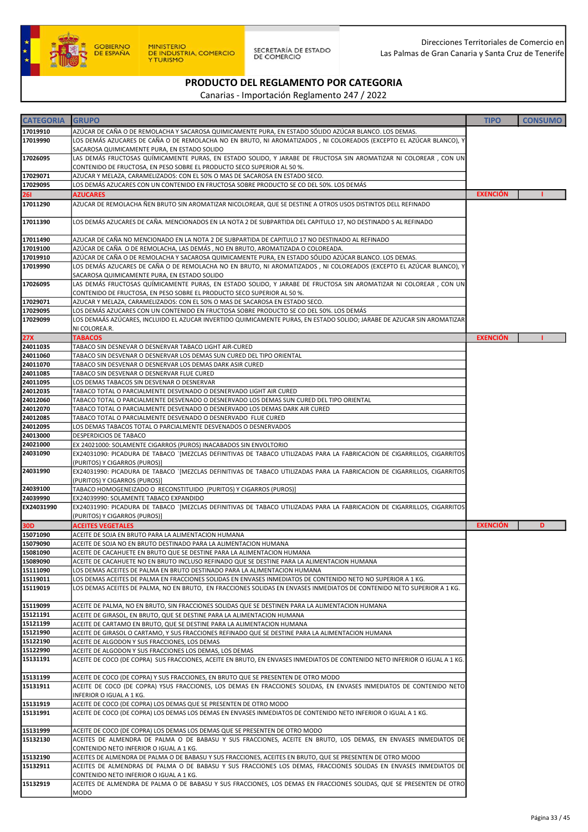

| <b>CATEGORIA</b>     | <b>GRUPO</b>                                                                                                                                                                                   | <b>TIPO</b>     | <b>CONSUMO</b> |
|----------------------|------------------------------------------------------------------------------------------------------------------------------------------------------------------------------------------------|-----------------|----------------|
| 17019910             | AZÚCAR DE CAÑA O DE REMOLACHA Y SACAROSA QUIMICAMENTE PURA, EN ESTADO SÓLIDO AZÚCAR BLANCO. LOS DEMAS.                                                                                         |                 |                |
| 17019990             | LOS DEMÁS AZUCARES DE CAÑA O DE REMOLACHA NO EN BRUTO, NI AROMATIZADOS , NI COLOREADOS (EXCEPTO EL AZÚCAR BLANCO), Y                                                                           |                 |                |
|                      | SACAROSA QUIMICAMENTE PURA, EN ESTADO SOLIDO                                                                                                                                                   |                 |                |
| 17026095             | LAS DEMÁS FRUCTOSAS QUÍMICAMENTE PURAS, EN ESTADO SOLIDO, Y JARABE DE FRUCTOSA SIN AROMATIZAR NI COLOREAR , CON UN                                                                             |                 |                |
|                      | CONTENIDO DE FRUCTOSA, EN PESO SOBRE EL PRODUCTO SECO SUPERIOR AL 50 %.                                                                                                                        |                 |                |
| 17029071             | AZUCAR Y MELAZA, CARAMELIZADOS: CON EL 50% O MAS DE SACAROSA EN ESTADO SECO.                                                                                                                   |                 |                |
| 17029095             | LOS DEMÁS AZUCARES CON UN CONTENIDO EN FRUCTOSA SOBRE PRODUCTO SE CO DEL 50%. LOS DEMÁS                                                                                                        |                 |                |
| <b>261</b>           | AZUCARES                                                                                                                                                                                       | <b>EXENCIÓN</b> |                |
| 17011290             | AZUCAR DE REMOLACHA ÑEN BRUTO SIN AROMATIZAR NICOLOREAR, QUE SE DESTINE A OTROS USOS DISTINTOS DELL REFINADO                                                                                   |                 |                |
| 17011390             | LOS DEMÁS AZUCARES DE CAÑA. MENCIONADOS EN LA NOTA 2 DE SUBPARTIDA DEL CAPITULO 17, NO DESTINADO S AL REFINADO                                                                                 |                 |                |
|                      |                                                                                                                                                                                                |                 |                |
| 17011490             | AZUCAR DE CAÑA NO MENCIONADO EN LA NOTA 2 DE SUBPARTIDA DE CAPITULO 17 NO DESTINADO AL REFINADO                                                                                                |                 |                |
| 17019100             | AZÚCAR DE CAÑA  O DE REMOLACHA, LAS DEMÁS , NO EN BRUTO, AROMATIZADA O COLOREADA                                                                                                               |                 |                |
| 17019910             | AZÚCAR DE CAÑA O DE REMOLACHA Y SACAROSA QUIMICAMENTE PURA, EN ESTADO SÓLIDO AZÚCAR BLANCO. LOS DEMAS.                                                                                         |                 |                |
| 17019990             | LOS DEMÁS AZUCARES DE CAÑA O DE REMOLACHA NO EN BRUTO, NI AROMATIZADOS , NI COLOREADOS (EXCEPTO EL AZÚCAR BLANCO), Y                                                                           |                 |                |
| 17026095             | SACAROSA QUIMICAMENTE PURA, EN ESTADO SOLIDO<br>LAS DEMÁS FRUCTOSAS QUÍMICAMENTE PURAS, EN ESTADO SOLIDO, Y JARABE DE FRUCTOSA SIN AROMATIZAR NI COLOREAR , CON UN                             |                 |                |
|                      | CONTENIDO DE FRUCTOSA, EN PESO SOBRE EL PRODUCTO SECO SUPERIOR AL 50 %.                                                                                                                        |                 |                |
| 17029071             | AZUCAR Y MELAZA, CARAMELIZADOS: CON EL 50% O MAS DE SACAROSA EN ESTADO SECO.                                                                                                                   |                 |                |
| 17029095             | LOS DEMÁS AZUCARES CON UN CONTENIDO EN FRUCTOSA SOBRE PRODUCTO SE CO DEL 50%. LOS DEMÁS                                                                                                        |                 |                |
| 17029099             | LOS DEMAÁS AZÚCARES, INCLUIDO EL AZUCAR INVERTIDO QUIMICAMENTE PURAS, EN ESTADO SOLIDO; JARABE DE AZUCAR SIN AROMATIZAR                                                                        |                 |                |
|                      | NI COLOREA.R.                                                                                                                                                                                  |                 |                |
| 27X                  | <b>TABACOS</b>                                                                                                                                                                                 | <b>EXENCIÓN</b> |                |
| 24011035             | TABACO SIN DESNEVAR O DESNERVAR TABACO LIGHT AIR-CURED                                                                                                                                         |                 |                |
| 24011060<br>24011070 | TABACO SIN DESVENAR O DESNERVAR LOS DEMAS SUN CURED DEL TIPO ORIENTAL                                                                                                                          |                 |                |
| 24011085             | TABACO SIN DESVENAR O DESNERVAR LOS DEMAS DARK ASIR CURED<br>TABACO SIN DESVENAR O DESNERVAR FLUE CURED                                                                                        |                 |                |
| 24011095             | LOS DEMAS TABACOS SIN DESVENAR O DESNERVAR                                                                                                                                                     |                 |                |
| 24012035             | TABACO TOTAL O PARCIALMENTE DESVENADO O DESNERVADO LIGHT AIR CURED                                                                                                                             |                 |                |
| 24012060             | TABACO TOTAL O PARCIALMENTE DESVENADO O DESNERVADO LOS DEMAS SUN CURED DEL TIPO ORIENTAL                                                                                                       |                 |                |
| 24012070             | TABACO TOTAL O PARCIALMENTE DESVENADO O DESNERVADO LOS DEMAS DARK AIR CURED                                                                                                                    |                 |                |
| 24012085             | TABACO TOTAL O PARCIALMENTE DESVENADO O DESNERVADO FLUE CURED                                                                                                                                  |                 |                |
| 24012095             | LOS DEMAS TABACOS TOTAL O PARCIALMENTE DESVENADOS O DESNERVADOS                                                                                                                                |                 |                |
| 24013000             | DESPERDICIOS DE TABACO                                                                                                                                                                         |                 |                |
| 24021000<br>24031090 | EX 24021000: SOLAMENTE CIGARROS (PUROS) INACABADOS SIN ENVOLTORIO<br>EX24031090: PICADURA DE TABACO `[MEZCLAS DEFINITIVAS DE TABACO UTILIZADAS PARA LA FABRICACION DE CIGARRILLOS, CIGARRITOS  |                 |                |
|                      | (PURITOS) Y CIGARROS (PUROS)]                                                                                                                                                                  |                 |                |
| 24031990             | EX24031990: PICADURA DE TABACO `[MEZCLAS DEFINITIVAS DE TABACO UTILIZADAS PARA LA FABRICACION DE CIGARRILLOS, CIGARRITOS                                                                       |                 |                |
|                      | (PURITOS) Y CIGARROS (PUROS)]                                                                                                                                                                  |                 |                |
| 24039100             | TABACO HOMOGENEIZADO O RECONSTITUIDO (PURITOS) Y CIGARROS (PUROS)]                                                                                                                             |                 |                |
| 24039990             | EX24039990: SOLAMENTE TABACO EXPANDIDO                                                                                                                                                         |                 |                |
| EX24031990           | EX24031990: PICADURA DE TABACO `[MEZCLAS DEFINITIVAS DE TABACO UTILIZADAS PARA LA FABRICACION DE CIGARRILLOS, CIGARRITOS<br>(PURITOS) Y CIGARROS (PUROS)]                                      |                 |                |
| 30D                  | <b>ACEITES VEGETALES</b>                                                                                                                                                                       | <b>EXENCIÓN</b> | D              |
| 15071090             | ACEITE DE SOJA EN BRUTO PARA LA ALIMENTACION HUMANA                                                                                                                                            |                 |                |
| 15079090             | ACEITE DE SOJA NO EN BRUTO DESTINADO PARA LA ALIMENTACION HUMANA                                                                                                                               |                 |                |
| 15081090             | ACEITE DE CACAHUETE EN BRUTO QUE SE DESTINE PARA LA ALIMENTACION HUMANA                                                                                                                        |                 |                |
| 15089090             | ACEITE DE CACAHUETE NO EN BRUTO INCLUSO REFINADO QUE SE DESTINE PARA LA ALIMENTACION HUMANA                                                                                                    |                 |                |
| 15111090             | LOS DEMAS ACEITES DE PALMA EN BRUTO DESTINADO PARA LA ALIMENTACION HUMANA                                                                                                                      |                 |                |
| 15119011             | LOS DEMAS ACEITES DE PALMA EN FRACCIONES SOLIDAS EN ENVASES INMEDIATOS DE CONTENIDO NETO NO SUPERIOR A 1 KG.                                                                                   |                 |                |
| 15119019             | LOS DEMAS ACEITES DE PALMA, NO EN BRUTO, EN FRACCIONES SOLIDAS EN ENVASES INMEDIATOS DE CONTENIDO NETO SUPERIOR A 1 KG.                                                                        |                 |                |
| 15119099             | ACEITE DE PALMA, NO EN BRUTO, SIN FRACCIONES SOLIDAS QUE SE DESTINEN PARA LA ALIMENTACION HUMANA                                                                                               |                 |                |
| 15121191             | ACEITE DE GIRASOL, EN BRUTO, QUE SE DESTINE PARA LA ALIMENTACION HUMANA                                                                                                                        |                 |                |
| 15121199             | ACEITE DE CARTAMO EN BRUTO, QUE SE DESTINE PARA LA ALIMENTACION HUMANA                                                                                                                         |                 |                |
| 15121990             | ACEITE DE GIRASOL O CARTAMO, Y SUS FRACCIONES REFINADO QUE SE DESTINE PARA LA ALIMENTACION HUMANA                                                                                              |                 |                |
| 15122190             | ACEITE DE ALGODON Y SUS FRACCIONES, LOS DEMAS                                                                                                                                                  |                 |                |
| 15122990<br>15131191 | ACEITE DE ALGODON Y SUS FRACCIONES LOS DEMAS, LOS DEMAS                                                                                                                                        |                 |                |
|                      | ACEITE DE COCO (DE COPRA) SUS FRACCIONES, ACEITE EN BRUTO, EN ENVASES INMEDIATOS DE CONTENIDO NETO INFERIOR O IGUAL A 1 KG.                                                                    |                 |                |
| 15131199             | ACEITE DE COCO (DE COPRA) Y SUS FRACCIONES, EN BRUTO QUE SE PRESENTEN DE OTRO MODO                                                                                                             |                 |                |
| 15131911             | ACEITE DE COCO (DE COPRA) YSUS FRACCIONES, LOS DEMAS EN FRACCIONES SOLIDAS, EN ENVASES INMEDIATOS DE CONTENIDO NETO                                                                            |                 |                |
|                      | INFERIOR O IGUAL A 1 KG.                                                                                                                                                                       |                 |                |
| 15131919             | ACEITE DE COCO (DE COPRA) LOS DEMAS QUE SE PRESENTEN DE OTRO MODO                                                                                                                              |                 |                |
| 15131991             | ACEITE DE COCO (DE COPRA) LOS DEMAS LOS DEMAS EN ENVASES INMEDIATOS DE CONTENIDO NETO INFERIOR O IGUAL A 1 KG.                                                                                 |                 |                |
|                      |                                                                                                                                                                                                |                 |                |
| 15131999<br>15132130 | ACEITE DE COCO (DE COPRA) LOS DEMAS LOS DEMAS QUE SE PRESENTEN DE OTRO MODO<br>ACEITES DE ALMENDRA DE PALMA O DE BABASU Y SUS FRACCIONES, ACEITE EN BRUTO, LOS DEMAS, EN ENVASES INMEDIATOS DE |                 |                |
|                      | CONTENIDO NETO INFERIOR O IGUAL A 1 KG.                                                                                                                                                        |                 |                |
| 15132190             | ACEITES DE ALMENDRA DE PALMA O DE BABASU Y SUS FRACCIONES, ACEITES EN BRUTO, QUE SE PRESENTEN DE OTRO MODO                                                                                     |                 |                |
| 15132911             | ACEITES DE ALMENDRAS DE PALMA O DE BABASU Y SUS FRACCIONES LOS DEMAS, FRACCIONES SOLIDAS EN ENVASES INMEDIATOS DE                                                                              |                 |                |
|                      | CONTENIDO NETO INFERIOR O IGUAL A 1 KG.                                                                                                                                                        |                 |                |
| 15132919             | ACEITES DE ALMENDRA DE PALMA O DE BABASU Y SUS FRACCIONES, LOS DEMAS EN FRACCIONES SOLIDAS, QUE SE PRESENTEN DE OTRO                                                                           |                 |                |
|                      | <b>MODO</b>                                                                                                                                                                                    |                 |                |
|                      |                                                                                                                                                                                                |                 |                |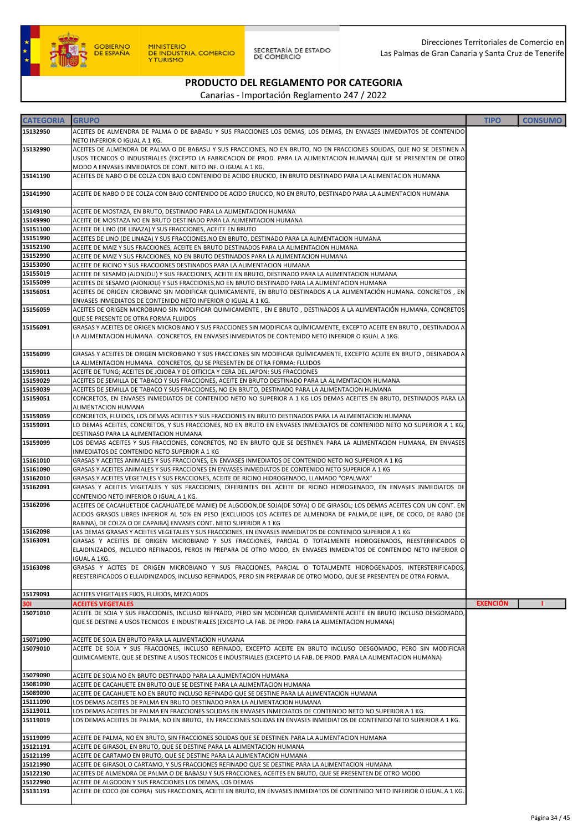

| <b>CATEGORIA</b> | <b>GRUPO</b>                                                                                                                | <b>TIPO</b>     | <b>CONSUMO</b> |
|------------------|-----------------------------------------------------------------------------------------------------------------------------|-----------------|----------------|
|                  |                                                                                                                             |                 |                |
| 15132950         | ACEITES DE ALMENDRA DE PALMA O DE BABASU Y SUS FRACCIONES LOS DEMAS, LOS DEMAS, EN ENVASES INMEDIATOS DE CONTENIDO          |                 |                |
|                  | NETO INFERIOR O IGUAL A 1 KG.                                                                                               |                 |                |
| 15132990         | ACEITES DE ALMENDRA DE PALMA O DE BABASU Y SUS FRACCIONES, NO EN BRUTO, NO EN FRACCIONES SOLIDAS, QUE NO SE DESTINEN A      |                 |                |
|                  | USOS TECNICOS O INDUSTRIALES (EXCEPTO LA FABRICACION DE PROD. PARA LA ALIMENTACION HUMANA) QUE SE PRESENTEN DE OTRO         |                 |                |
|                  | MODO A ENVASES INMEDIATOS DE CONT. NETO INF. O IGUAL A 1 KG.                                                                |                 |                |
| 15141190         | ACEITES DE NABO O DE COLZA CON BAJO CONTENIDO DE ACIDO ERUCICO, EN BRUTO DESTINADO PARA LA ALIMENTACION HUMANA              |                 |                |
|                  |                                                                                                                             |                 |                |
| 15141990         | ACEITE DE NABO O DE COLZA CON BAJO CONTENIDO DE ACIDO ERUCICO, NO EN BRUTO, DESTINADO PARA LA ALIMENTACION HUMANA           |                 |                |
|                  |                                                                                                                             |                 |                |
| 15149190         | ACEITE DE MOSTAZA, EN BRUTO, DESTINADO PARA LA ALIMENTACION HUMANA                                                          |                 |                |
| 15149990         | ACEITE DE MOSTAZA NO EN BRUTO DESTINADO PARA LA ALIMENTACION HUMANA                                                         |                 |                |
| 15151100         | ACEITE DE LINO (DE LINAZA) Y SUS FRACCIONES, ACEITE EN BRUTO                                                                |                 |                |
| 15151990         | ACEITES DE LINO (DE LINAZA) Y SUS FRACCIONES, NO EN BRUTO, DESTINADO PARA LA ALIMENTACION HUMANA                            |                 |                |
| 15152190         | ACEITE DE MAIZ Y SUS FRACCIONES, ACEITE EN BRUTO DESTINADOS PARA LA ALIMENTACION HUMANA                                     |                 |                |
| 15152990         | ACEITE DE MAIZ Y SUS FRACCIONES, NO EN BRUTO DESTINADOS PARA LA ALIMENTACION HUMANA                                         |                 |                |
| 15153090         | ACEITE DE RICINO Y SUS FRACCIONES DESTINADOS PARA LA ALIMENTACION HUMANA                                                    |                 |                |
| 15155019         | ACEITE DE SESAMO (AJONJOLI) Y SUS FRACCIONES, ACEITE EN BRUTO, DESTINADO PARA LA ALIMENTACION HUMANA                        |                 |                |
| 15155099         | ACEITES DE SESAMO (AJONJOLI) Y SUS FRACCIONES, NO EN BRUTO DESTINADO PARA LA ALIMENTACION HUMANA                            |                 |                |
| 15156051         | ACEITES DE ORIGEN ICROBIANO SIN MODIFICAR QUIMICAMENTE, EN BRUTO DESTINADOS A LA ALIMENTACIÓN HUMANA. CONCRETOS , EN        |                 |                |
|                  | ENVASES INMEDIATOS DE CONTENIDO NETO INFERIOR O IGUAL A 1 KG.                                                               |                 |                |
| 15156059         | ACEITES DE ORIGEN MICROBIANO SIN MODIFICAR QUIMICAMENTE, EN E BRUTO, DESTINADOS A LA ALIMENTACIÓN HUMANA, CONCRETOS         |                 |                |
|                  | QUE SE PRESENTE DE OTRA FORMA FLUIDOS                                                                                       |                 |                |
| 15156091         | GRASAS Y ACEITES DE ORIGEN MICROBIANO Y SUS FRACCIONES SIN MODIFICAR QUÍMICAMENTE, EXCEPTO ACEITE EN BRUTO, DESTINADOA A    |                 |                |
|                  | LA ALIMENTACION HUMANA . CONCRETOS, EN ENVASES INMEDIATOS DE CONTENIDO NETO INFERIOR O IGUAL A 1KG.                         |                 |                |
|                  |                                                                                                                             |                 |                |
|                  |                                                                                                                             |                 |                |
| 15156099         | GRASAS Y ACEITES DE ORIGEN MICROBIANO Y SUS FRACCIONES SIN MODIFICAR QUÍMICAMENTE, EXCEPTO ACEITE EN BRUTO, DESINADOA A     |                 |                |
|                  | LA ALIMENTACION HUMANA . CONCRETOS, QU SE PRESENTEN DE OTRA FORMA: FLUIDOS                                                  |                 |                |
| 15159011         | ACEITE DE TUNG; ACEITES DE JOJOBA Y DE OITICICA Y CERA DEL JAPON: SUS FRACCIONES                                            |                 |                |
| 15159029         | ACEITES DE SEMILLA DE TABACO Y SUS FRACCIONES, ACEITE EN BRUTO DESTINADO PARA LA ALIMENTACION HUMANA                        |                 |                |
| 15159039         | ACEITES DE SEMILLA DE TABACO Y SUS FRACCIONES, NO EN BRUTO, DESTINADO PARA LA ALIMENTACION HUMANA                           |                 |                |
| 15159051         | CONCRETOS, EN ENVASES INMEDIATOS DE CONTENIDO NETO NO SUPERIOR A 1 KG LOS DEMAS ACEITES EN BRUTO, DESTINADOS PARA LA        |                 |                |
|                  | ALIMENTACION HUMANA                                                                                                         |                 |                |
| 15159059         | CONCRETOS, FLUIDOS, LOS DEMAS ACEITES Y SUS FRACCIONES EN BRUTO DESTINADOS PARA LA ALIMENTACION HUMANA                      |                 |                |
| 15159091         | LO DEMAS ACEITES, CONCRETOS, Y SUS FRACCIONES, NO EN BRUTO EN ENVASES INMEDIATOS DE CONTENIDO NETO NO SUPERIOR A 1 KG,      |                 |                |
|                  | DESTINASO PARA LA ALIMENTACION HUMANA                                                                                       |                 |                |
| 15159099         | LOS DEMAS ACEITES Y SUS FRACCIONES, CONCRETOS, NO EN BRUTO QUE SE DESTINEN PARA LA ALIMENTACION HUMANA, EN ENVASES          |                 |                |
|                  | INMEDIATOS DE CONTENIDO NETO SUPERIOR A 1 KG                                                                                |                 |                |
| 15161010         | GRASAS Y ACEITES ANIMALES Y SUS FRACCIONES, EN ENVASES INMEDIATOS DE CONTENIDO NETO NO SUPERIOR A 1 KG                      |                 |                |
| 15161090         | GRASAS Y ACEITES ANIMALES Y SUS FRACCIONES EN ENVASES INMEDIATOS DE CONTENIDO NETO SUPERIOR A 1 KG                          |                 |                |
| 15162010         | GRASAS Y ACEITES VEGETALES Y SUS FRACCIONES, ACEITE DE RICINO HIDROGENADO, LLAMADO "OPALWAX"                                |                 |                |
| 15162091         | GRASAS Y ACEITES VEGETALES Y SUS FRACCIONES, DIFERENTES DEL ACEITE DE RICINO HIDROGENADO, EN ENVASES INMEDIATOS DE          |                 |                |
|                  | CONTENIDO NETO INFERIOR O IGUAL A 1 KG.                                                                                     |                 |                |
| 15162096         | ACEITES DE CACAHUETE(DE CACAHUATE,DE MANIE) DE ALGODON,DE SOJA(DE SOYA) O DE GIRASOL; LOS DEMAS ACEITES CON UN CONT. EN     |                 |                |
|                  | ACIDOS GRASOS LIBRES INFERIOR AL 50% EN PESO [EXCLUIDOS LOS ACEITES DE ALMENDRA DE PALMA,DE ILIPE, DE COCO, DE RABO (DE     |                 |                |
|                  | RABINA), DE COLZA O DE CAPAIBA] ENVASES CONT. NETO SUPERIOR A 1 KG                                                          |                 |                |
| 15162098         | LAS DEMAS GRASAS Y ACEITES VEGETALES Y SUS FRACCIONES, EN ENVASES INMEDIATOS DE CONTENIDO SUPERIOR A 1 KG                   |                 |                |
| 15163091         | GRASAS Y ACEITES DE ORIGEN MICROBIANO Y SUS FRACCIONES, PARCIAL O TOTALMENTE HIDROGENADOS, REESTERIFICADOS O                |                 |                |
|                  | ELAIDINIZADOS, INCLUIDO REFINADOS, PEROS IN PREPARA DE OTRO MODO, EN ENVASES INMEDIATOS DE CONTENIDO NETO INFERIOR O        |                 |                |
|                  | IGUAL A 1KG.                                                                                                                |                 |                |
| 15163098         | GRASAS Y ACITES DE ORIGEN MICROBIANO Y SUS FRACCIONES, PARCIAL O TOTALMENTE HIDROGENADOS, INTERSTERIFICADOS,                |                 |                |
|                  | REESTERIFICADOS O ELLAIDINIZADOS, INCLUSO REFINADOS, PERO SIN PREPARAR DE OTRO MODO, QUE SE PRESENTEN DE OTRA FORMA.        |                 |                |
|                  |                                                                                                                             |                 |                |
| 15179091         | ACEITES VEGETALES FIJOS, FLUIDOS, MEZCLADOS                                                                                 |                 |                |
| 30I              | <b>ACEITES VEGETALES</b>                                                                                                    | <b>EXENCIÓN</b> |                |
| 15071010         | ACEITE DE SOJA Y SUS FRACCIONES, INCLUSO REFINADO, PERO SIN MODIFICAR QUIMICAMENTE.ACEITE EN BRUTO INCLUSO DESGOMADO,       |                 |                |
|                  | QUE SE DESTINE A USOS TECNICOS E INDUSTRIALES (EXCEPTO LA FAB. DE PROD. PARA LA ALIMENTACION HUMANA)                        |                 |                |
|                  |                                                                                                                             |                 |                |
| 15071090         |                                                                                                                             |                 |                |
|                  | ACEITE DE SOJA EN BRUTO PARA LA ALIMENTACION HUMANA                                                                         |                 |                |
| 15079010         | ACEITE DE SOJA Y SUS FRACCIONES, INCLUSO REFINADO, EXCEPTO ACEITE EN BRUTO INCLUSO DESGOMADO, PERO SIN MODIFICAR            |                 |                |
|                  | QUIMICAMENTE. QUE SE DESTINE A USOS TECNICOS E INDUSTRIALES (EXCEPTO LA FAB. DE PROD. PARA LA ALIMENTACION HUMANA)          |                 |                |
|                  |                                                                                                                             |                 |                |
| 15079090         | ACEITE DE SOJA NO EN BRUTO DESTINADO PARA LA ALIMENTACION HUMANA                                                            |                 |                |
| 15081090         | ACEITE DE CACAHUETE EN BRUTO QUE SE DESTINE PARA LA ALIMENTACION HUMANA                                                     |                 |                |
| 15089090         | ACEITE DE CACAHUETE NO EN BRUTO INCLUSO REFINADO QUE SE DESTINE PARA LA ALIMENTACION HUMANA                                 |                 |                |
| 15111090         | LOS DEMAS ACEITES DE PALMA EN BRUTO DESTINADO PARA LA ALIMENTACION HUMANA                                                   |                 |                |
| 15119011         | LOS DEMAS ACEITES DE PALMA EN FRACCIONES SOLIDAS EN ENVASES INMEDIATOS DE CONTENIDO NETO NO SUPERIOR A 1 KG.                |                 |                |
| 15119019         | LOS DEMAS ACEITES DE PALMA, NO EN BRUTO, EN FRACCIONES SOLIDAS EN ENVASES INMEDIATOS DE CONTENIDO NETO SUPERIOR A 1 KG.     |                 |                |
|                  |                                                                                                                             |                 |                |
| 15119099         | ACEITE DE PALMA, NO EN BRUTO, SIN FRACCIONES SOLIDAS QUE SE DESTINEN PARA LA ALIMENTACION HUMANA                            |                 |                |
| 15121191         | ACEITE DE GIRASOL, EN BRUTO, QUE SE DESTINE PARA LA ALIMENTACION HUMANA                                                     |                 |                |
| 15121199         | ACEITE DE CARTAMO EN BRUTO, QUE SE DESTINE PARA LA ALIMENTACION HUMANA                                                      |                 |                |
| 15121990         | ACEITE DE GIRASOL O CARTAMO, Y SUS FRACCIONES REFINADO QUE SE DESTINE PARA LA ALIMENTACION HUMANA                           |                 |                |
| 15122190         | ACEITES DE ALMENDRA DE PALMA O DE BABASU Y SUS FRACCIONES, ACEITES EN BRUTO, QUE SE PRESENTEN DE OTRO MODO                  |                 |                |
| 15122990         | ACEITE DE ALGODON Y SUS FRACCIONES LOS DEMAS, LOS DEMAS                                                                     |                 |                |
| 15131191         | ACEITE DE COCO (DE COPRA) SUS FRACCIONES, ACEITE EN BRUTO, EN ENVASES INMEDIATOS DE CONTENIDO NETO INFERIOR O IGUAL A 1 KG. |                 |                |
|                  |                                                                                                                             |                 |                |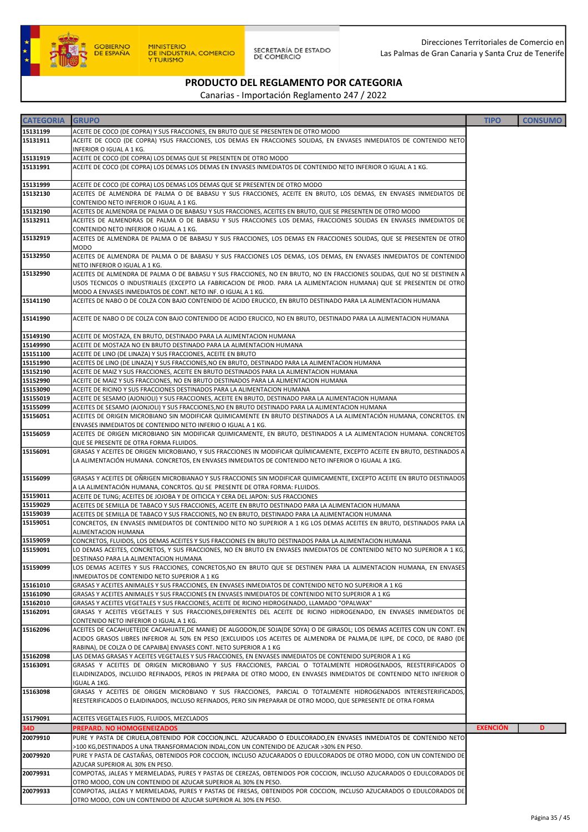

| <b>CATEGORIA</b> | <b>GRUPO</b>                                                                                                                                                                           | <b>TIPO</b>     | <b>CONSUMO</b> |
|------------------|----------------------------------------------------------------------------------------------------------------------------------------------------------------------------------------|-----------------|----------------|
| 15131199         | ACEITE DE COCO (DE COPRA) Y SUS FRACCIONES, EN BRUTO QUE SE PRESENTEN DE OTRO MODO                                                                                                     |                 |                |
| 15131911         | ACEITE DE COCO (DE COPRA) YSUS FRACCIONES, LOS DEMAS EN FRACCIONES SOLIDAS, EN ENVASES INMEDIATOS DE CONTENIDO NETO                                                                    |                 |                |
|                  | INFERIOR O IGUAL A 1 KG.                                                                                                                                                               |                 |                |
| 15131919         | ACEITE DE COCO (DE COPRA) LOS DEMAS QUE SE PRESENTEN DE OTRO MODO                                                                                                                      |                 |                |
| 15131991         | ACEITE DE COCO (DE COPRA) LOS DEMAS LOS DEMAS EN ENVASES INMEDIATOS DE CONTENIDO NETO INFERIOR O IGUAL A 1 KG.                                                                         |                 |                |
|                  |                                                                                                                                                                                        |                 |                |
| 15131999         | ACEITE DE COCO (DE COPRA) LOS DEMAS LOS DEMAS QUE SE PRESENTEN DE OTRO MODO                                                                                                            |                 |                |
| 15132130         | ACEITES DE ALMENDRA DE PALMA O DE BABASU Y SUS FRACCIONES, ACEITE EN BRUTO, LOS DEMAS, EN ENVASES INMEDIATOS DE                                                                        |                 |                |
|                  | CONTENIDO NETO INFERIOR O IGUAL A 1 KG.                                                                                                                                                |                 |                |
| 15132190         | ACEITES DE ALMENDRA DE PALMA O DE BABASU Y SUS FRACCIONES, ACEITES EN BRUTO, QUE SE PRESENTEN DE OTRO MODO                                                                             |                 |                |
| 15132911         | ACEITES DE ALMENDRAS DE PALMA O DE BABASU Y SUS FRACCIONES LOS DEMAS, FRACCIONES SOLIDAS EN ENVASES INMEDIATOS DE                                                                      |                 |                |
|                  | CONTENIDO NETO INFERIOR O IGUAL A 1 KG.                                                                                                                                                |                 |                |
| 15132919         | ACEITES DE ALMENDRA DE PALMA O DE BABASU Y SUS FRACCIONES, LOS DEMAS EN FRACCIONES SOLIDAS, QUE SE PRESENTEN DE OTRO                                                                   |                 |                |
|                  | <b>MODO</b>                                                                                                                                                                            |                 |                |
| 15132950         | ACEITES DE ALMENDRA DE PALMA O DE BABASU Y SUS FRACCIONES LOS DEMAS, LOS DEMAS, EN ENVASES INMEDIATOS DE CONTENIDO                                                                     |                 |                |
|                  | NETO INFERIOR O IGUAL A 1 KG.                                                                                                                                                          |                 |                |
| 15132990         | ACEITES DE ALMENDRA DE PALMA O DE BABASU Y SUS FRACCIONES, NO EN BRUTO, NO EN FRACCIONES SOLIDAS, QUE NO SE DESTINEN A                                                                 |                 |                |
|                  | USOS TECNICOS O INDUSTRIALES (EXCEPTO LA FABRICACION DE PROD. PARA LA ALIMENTACION HUMANA) QUE SE PRESENTEN DE OTRO                                                                    |                 |                |
| 15141190         | MODO A ENVASES INMEDIATOS DE CONT. NETO INF. O IGUAL A 1 KG.<br>ACEITES DE NABO O DE COLZA CON BAJO CONTENIDO DE ACIDO ERUCICO, EN BRUTO DESTINADO PARA LA ALIMENTACION HUMANA         |                 |                |
|                  |                                                                                                                                                                                        |                 |                |
| 15141990         | ACEITE DE NABO O DE COLZA CON BAJO CONTENIDO DE ACIDO ERUCICO, NO EN BRUTO, DESTINADO PARA LA ALIMENTACION HUMANA                                                                      |                 |                |
|                  |                                                                                                                                                                                        |                 |                |
| 15149190         | ACEITE DE MOSTAZA, EN BRUTO, DESTINADO PARA LA ALIMENTACION HUMANA                                                                                                                     |                 |                |
| 15149990         | ACEITE DE MOSTAZA NO EN BRUTO DESTINADO PARA LA ALIMENTACION HUMANA                                                                                                                    |                 |                |
| 15151100         | ACEITE DE LINO (DE LINAZA) Y SUS FRACCIONES, ACEITE EN BRUTO                                                                                                                           |                 |                |
| 15151990         | ACEITES DE LINO (DE LINAZA) Y SUS FRACCIONES,NO EN BRUTO, DESTINADO PARA LA ALIMENTACION HUMANA                                                                                        |                 |                |
| 15152190         | ACEITE DE MAIZ Y SUS FRACCIONES, ACEITE EN BRUTO DESTINADOS PARA LA ALIMENTACION HUMANA                                                                                                |                 |                |
| 15152990         | ACEITE DE MAIZ Y SUS FRACCIONES, NO EN BRUTO DESTINADOS PARA LA ALIMENTACION HUMANA                                                                                                    |                 |                |
| 15153090         | ACEITE DE RICINO Y SUS FRACCIONES DESTINADOS PARA LA ALIMENTACION HUMANA                                                                                                               |                 |                |
| 15155019         | ACEITE DE SESAMO (AJONJOLI) Y SUS FRACCIONES, ACEITE EN BRUTO, DESTINADO PARA LA ALIMENTACION HUMANA                                                                                   |                 |                |
| 15155099         | ACEITES DE SESAMO (AJONJOLI) Y SUS FRACCIONES,NO EN BRUTO DESTINADO PARA LA ALIMENTACION HUMANA                                                                                        |                 |                |
| 15156051         | ACEITES DE ORIGEN MICROBIANO SIN MODIFICAR QUIMICAMENTE EN BRUTO DESTINADOS A LA ALIMENTACIÓN HUMANA, CONCRETOS. EN                                                                    |                 |                |
|                  | ENVASES INMEDIATOS DE CONTENIDO NETO INFERIO O IGUAL A 1 KG.                                                                                                                           |                 |                |
| 15156059         | ACEITES DE ORIGEN MICROBIANO SIN MODIFICAR QUIMICAMENTE, EN BRUTO, DESTINADOS A LA ALIMENTACION HUMANA. CONCRETOS                                                                      |                 |                |
|                  | QUE SE PRESENTE DE OTRA FORMA FLUIDOS.                                                                                                                                                 |                 |                |
| 15156091         | GRASAS Y ACEITES DE ORIGEN MICROBIANO, Y SUS FRACCIONES IN MODIFICAR QUÍMICAMENTE, EXCEPTO ACEITE EN BRUTO, DESTINADOS A                                                               |                 |                |
|                  | LA ALIMENTACIÓN HUMANA. CONCRETOS, EN ENVASES INMEDIATOS DE CONTENIDO NETO INFERIOR O IGUAAL A 1KG.                                                                                    |                 |                |
| 15156099         | GRASAS Y ACEITES DE OÑRIGEN MICROBIANAO Y SUS FRACCIONES SIN MODIFICAR QUIMICAMENTE, EXCEPTO ACEITE EN BRUTO DESTINADOS                                                                |                 |                |
|                  | A LA ALIMENTACIÓN HUMANA, CONCRTOS. QU SE PRESENTE DE OTRA FORMA: FLUIDOS.                                                                                                             |                 |                |
| 15159011         | ACEITE DE TUNG; ACEITES DE JOJOBA Y DE OITICICA Y CERA DEL JAPON: SUS FRACCIONES                                                                                                       |                 |                |
| 15159029         | ACEITES DE SEMILLA DE TABACO Y SUS FRACCIONES, ACEITE EN BRUTO DESTINADO PARA LA ALIMENTACION HUMANA                                                                                   |                 |                |
| 15159039         | ACEITES DE SEMILLA DE TABACO Y SUS FRACCIONES, NO EN BRUTO, DESTINADO PARA LA ALIMENTACION HUMANA                                                                                      |                 |                |
| 15159051         | CONCRETOS, EN ENVASES INMEDIATOS DE CONTENIDO NETO NO SUPERIOR A 1 KG LOS DEMAS ACEITES EN BRUTO, DESTINADOS PARA LA                                                                   |                 |                |
|                  | ALIMENTACION HUMANA                                                                                                                                                                    |                 |                |
| 15159059         | CONCRETOS, FLUIDOS, LOS DEMAS ACEITES Y SUS FRACCIONES EN BRUTO DESTINADOS PARA LA ALIMENTACION HUMANA                                                                                 |                 |                |
| 15159091         | LO DEMAS ACEITES, CONCRETOS, Y SUS FRACCIONES, NO EN BRUTO EN ENVASES INMEDIATOS DE CONTENIDO NETO NO SUPERIOR A 1 KG.                                                                 |                 |                |
|                  | DESTINASO PARA LA ALIMENTACION HUMANA                                                                                                                                                  |                 |                |
| 15159099         | LOS DEMAS ACEITES Y SUS FRACCIONES, CONCRETOS,NO EN BRUTO QUE SE DESTINEN PARA LA ALIMENTACION HUMANA, EN ENVASES                                                                      |                 |                |
|                  | INMEDIATOS DE CONTENIDO NETO SUPERIOR A 1 KG                                                                                                                                           |                 |                |
| 15161010         | GRASAS Y ACEITES ANIMALES Y SUS FRACCIONES, EN ENVASES INMEDIATOS DE CONTENIDO NETO NO SUPERIOR A 1 KG                                                                                 |                 |                |
| 15161090         | GRASAS Y ACEITES ANIMALES Y SUS FRACCIONES EN ENVASES INMEDIATOS DE CONTENIDO NETO SUPERIOR A 1 KG                                                                                     |                 |                |
| 15162010         | GRASAS Y ACEITES VEGETALES Y SUS FRACCIONES, ACEITE DE RICINO HIDROGENADO, LLAMADO "OPALWAX"                                                                                           |                 |                |
| 15162091         | GRASAS Y ACEITES VEGETALES Y SUS FRACCIONES, DIFERENTES DEL ACEITE DE RICINO HIDROGENADO, EN ENVASES INMEDIATOS DE                                                                     |                 |                |
| 15162096         | CONTENIDO NETO INFERIOR O IGUAL A 1 KG.<br>ACEITES DE CACAHUETE(DE CACAHUATE,DE MANIE) DE ALGODON,DE SOJA(DE SOYA) O DE GIRASOL; LOS DEMAS ACEITES CON UN CONT. EN                     |                 |                |
|                  | ACIDOS GRASOS LIBRES INFERIOR AL 50% EN PESO [EXCLUIDOS LOS ACEITES DE ALMENDRA DE PALMA,DE ILIPE, DE COCO, DE RABO (DE                                                                |                 |                |
|                  | RABINA), DE COLZA O DE CAPAIBA] ENVASES CONT. NETO SUPERIOR A 1 KG                                                                                                                     |                 |                |
| 15162098         | LAS DEMAS GRASAS Y ACEITES VEGETALES Y SUS FRACCIONES, EN ENVASES INMEDIATOS DE CONTENIDO SUPERIOR A 1 KG                                                                              |                 |                |
| 15163091         | GRASAS Y ACEITES DE ORIGEN MICROBIANO Y SUS FRACCIONES, PARCIAL O TOTALMENTE HIDROGENADOS, REESTERIFICADOS O                                                                           |                 |                |
|                  | ELAIDINIZADOS, INCLUIDO REFINADOS, PEROS IN PREPARA DE OTRO MODO, EN ENVASES INMEDIATOS DE CONTENIDO NETO INFERIOR O                                                                   |                 |                |
|                  | IGUAL A 1KG.                                                                                                                                                                           |                 |                |
| 15163098         | GRASAS Y ACEITES DE ORIGEN MICROBIANO Y SUS FRACCIONES, PARCIAL O TOTALMENTE HIDROGENADOS INTERESTERIFICADOS,                                                                          |                 |                |
|                  | REESTERIFICADOS O ELAIDINADOS, INCLUSO REFINADOS, PERO SIN PREPARAR DE OTRO MODO, QUE SEPRESENTE DE OTRA FORMA                                                                         |                 |                |
|                  |                                                                                                                                                                                        |                 |                |
| 15179091         | ACEITES VEGETALES FIJOS, FLUIDOS, MEZCLADOS                                                                                                                                            |                 |                |
| 34D              | PREPARD. NO HOMOGENEIZADOS                                                                                                                                                             | <b>EXENCIÓN</b> | D              |
| 20079910         | PURE Y PASTA DE CIRUELA,OBTENIDO POR COCCION,INCL. AZUCARADO O EDULCORADO,EN ENVASES INMEDIATOS DE CONTENIDO NETO                                                                      |                 |                |
|                  | >100 KG,DESTINADOS A UNA TRANSFORMACION INDAL,CON UN CONTENIDO DE AZUCAR >30% EN PESO.                                                                                                 |                 |                |
| 20079920         | PURE Y PASTA DE CASTAÑAS, OBTENIDOS POR COCCION, INCLUSO AZUCARADOS O EDULCORADOS DE OTRO MODO, CON UN CONTENIDO DE                                                                    |                 |                |
|                  | AZUCAR SUPERIOR AL 30% EN PESO.                                                                                                                                                        |                 |                |
| 20079931         | COMPOTAS, JALEAS Y MERMELADAS, PURES Y PASTAS DE CEREZAS, OBTENIDOS POR COCCION, INCLUSO AZUCARADOS O EDULCORADOS DE<br>OTRO MODO, CON UN CONTENIDO DE AZUCAR SUPERIOR AL 30% EN PESO. |                 |                |
| 20079933         | COMPOTAS, JALEAS Y MERMELADAS, PURES Y PASTAS DE FRESAS, OBTENIDOS POR COCCION, INCLUSO AZUCARADOS O EDULCORADOS DE                                                                    |                 |                |
|                  | OTRO MODO, CON UN CONTENIDO DE AZUCAR SUPERIOR AL 30% EN PESO.                                                                                                                         |                 |                |
|                  |                                                                                                                                                                                        |                 |                |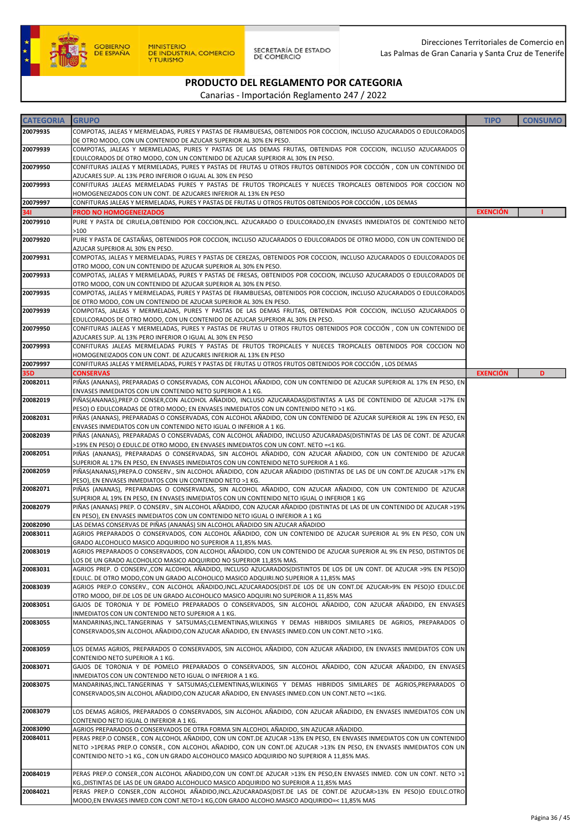

SECRETARÍA DE ESTADO<br>DE COMERCIO

Direcciones Territoriales de Comercio en Las Palmas de Gran Canaria y Santa Cruz de Tenerife

### PRODUCTO DEL REGLAMENTO POR CATEGORIA

| <b>CATEGORIA</b> | <b>GRUPO</b>                                                                                                                                                                                                            | <b>TIPO</b>     | <b>CONSUMO</b> |
|------------------|-------------------------------------------------------------------------------------------------------------------------------------------------------------------------------------------------------------------------|-----------------|----------------|
| 20079935         | COMPOTAS, JALEAS Y MERMELADAS, PURES Y PASTAS DE FRAMBUESAS, OBTENIDOS POR COCCION, INCLUSO AZUCARADOS O EDULCORADOS                                                                                                    |                 |                |
|                  | DE OTRO MODO, CON UN CONTENIDO DE AZUCAR SUPERIOR AL 30% EN PESO.                                                                                                                                                       |                 |                |
| 20079939         | COMPOTAS, JALEAS Y MERMELADAS, PURES Y PASTAS DE LAS DEMAS FRUTAS, OBTENIDAS POR COCCION, INCLUSO AZUCARADOS O                                                                                                          |                 |                |
| 20079950         | EDULCORADOS DE OTRO MODO, CON UN CONTENIDO DE AZUCAR SUPERIOR AL 30% EN PESO.<br>CONFITURAS JALEAS Y MERMELADAS, PURES Y PASTAS DE FRUTAS U OTROS FRUTOS OBTENIDOS POR COCCIÓN, CON UN CONTENIDO DE                     |                 |                |
|                  | AZUCARES SUP. AL 13% PERO INFERIOR O IGUAL AL 30% EN PESO                                                                                                                                                               |                 |                |
| 20079993         | CONFITURAS JALEAS MERMELADAS PURES Y PASTAS DE FRUTOS TROPICALES Y NUECES TROPICALES OBTENIDOS POR COCCION NO                                                                                                           |                 |                |
|                  | HOMOGENEIZADOS CON UN CONT. DE AZUCARES INFERIOR AL 13% EN PESO                                                                                                                                                         |                 |                |
| 20079997<br>341  | CONFITURAS JALEAS Y MERMELADAS, PURES Y PASTAS DE FRUTAS U OTROS FRUTOS OBTENIDOS POR COCCIÓN, LOS DEMAS<br>PROD NO HOMOGENEIZADOS                                                                                      | <b>EXENCIÓN</b> |                |
| 20079910         | PURE Y PASTA DE CIRUELA, OBTENIDO POR COCCION, INCL. AZUCARADO O EDULCORADO, EN ENVASES INMEDIATOS DE CONTENIDO NETO                                                                                                    |                 |                |
|                  | >100                                                                                                                                                                                                                    |                 |                |
| 20079920         | PURE Y PASTA DE CASTAÑAS, OBTENIDOS POR COCCION, INCLUSO AZUCARADOS O EDULCORADOS DE OTRO MODO, CON UN CONTENIDO DE                                                                                                     |                 |                |
|                  | AZUCAR SUPERIOR AL 30% EN PESO.                                                                                                                                                                                         |                 |                |
| 20079931         | COMPOTAS, JALEAS Y MERMELADAS, PURES Y PASTAS DE CEREZAS, OBTENIDOS POR COCCION, INCLUSO AZUCARADOS O EDULCORADOS DE<br>OTRO MODO, CON UN CONTENIDO DE AZUCAR SUPERIOR AL 30% EN PESO.                                  |                 |                |
| 20079933         | COMPOTAS, JALEAS Y MERMELADAS, PURES Y PASTAS DE FRESAS, OBTENIDOS POR COCCION, INCLUSO AZUCARADOS O EDULCORADOS DE                                                                                                     |                 |                |
|                  | OTRO MODO, CON UN CONTENIDO DE AZUCAR SUPERIOR AL 30% EN PESO.                                                                                                                                                          |                 |                |
| 20079935         | COMPOTAS, JALEAS Y MERMELADAS, PURES Y PASTAS DE FRAMBUESAS, OBTENIDOS POR COCCION, INCLUSO AZUCARADOS O EDULCORADOS                                                                                                    |                 |                |
|                  | DE OTRO MODO, CON UN CONTENIDO DE AZUCAR SUPERIOR AL 30% EN PESO.                                                                                                                                                       |                 |                |
| 20079939         | COMPOTAS, JALEAS Y MERMELADAS, PURES Y PASTAS DE LAS DEMAS FRUTAS, OBTENIDAS POR COCCION, INCLUSO AZUCARADOS O<br>EDULCORADOS DE OTRO MODO, CON UN CONTENIDO DE AZUCAR SUPERIOR AL 30% EN PESO.                         |                 |                |
| 20079950         | CONFITURAS JALEAS Y MERMELADAS, PURES Y PASTAS DE FRUTAS U OTROS FRUTOS OBTENIDOS POR COCCIÓN, CON UN CONTENIDO DE                                                                                                      |                 |                |
|                  | AZUCARES SUP. AL 13% PERO INFERIOR O IGUAL AL 30% EN PESO                                                                                                                                                               |                 |                |
| 20079993         | CONFITURAS JALEAS MERMELADAS PURES Y PASTAS DE FRUTOS TROPICALES Y NUECES TROPICALES OBTENIDOS POR COCCION NO                                                                                                           |                 |                |
| 20079997         | HOMOGENEIZADOS CON UN CONT. DE AZUCARES INFERIOR AL 13% EN PESO                                                                                                                                                         |                 |                |
| 35D              | CONFITURAS JALEAS Y MERMELADAS, PURES Y PASTAS DE FRUTAS U OTROS FRUTOS OBTENIDOS POR COCCIÓN, LOS DEMAS<br><b>CONSERVAS</b>                                                                                            | <b>EXENCIÓN</b> | D              |
| 20082011         | PIÑAS (ANANAS), PREPARADAS O CONSERVADAS, CON ALCOHOL AÑADIDO, CON UN CONTENIDO DE AZUCAR SUPERIOR AL 17% EN PESO, EN                                                                                                   |                 |                |
|                  | ENVASES INMEDIATOS CON UN CONTENIDO NETO SUPERIOR A 1 KG.                                                                                                                                                               |                 |                |
| 20082019         | PIÑAS(ANANAS), PREP.O CONSER, CON ALCOHOL AÑADIDO, INCLUSO AZUCARADAS(DISTINTAS A LAS DE CONTENIDO DE AZUCAR >17% EN                                                                                                    |                 |                |
| 20082031         | PESO) O EDULCORADAS DE OTRO MODO; EN ENVASES INMEDIATOS CON UN CONTENIDO NETO >1 KG.<br>PIÑAS (ANANAS), PREPARADAS O CONSERVADAS, CON ALCOHOL AÑADIDO, CON UN CONTENIDO DE AZUCAR SUPERIOR AL 19% EN PESO, EN           |                 |                |
|                  | ENVASES INMEDIATOS CON UN CONTENIDO NETO IGUAL O INFERIOR A 1 KG.                                                                                                                                                       |                 |                |
| 20082039         | PIÑAS (ANANAS), PREPARADAS O CONSERVADAS, CON ALCOHOL AÑADIDO, INCLUSO AZUCARADAS(DISTINTAS DE LAS DE CONT. DE AZUCAR                                                                                                   |                 |                |
|                  | >19% EN PESO) O EDULC.DE OTRO MODO, EN ENVASES INMEDIATOS CON UN CONT. NETO =<1 KG.                                                                                                                                     |                 |                |
| 20082051         | PIÑAS (ANANAS), PREPARADAS O CONSERVADAS, SIN ALCOHOL AÑADIDO, CON AZUCAR AÑADIDO, CON UN CONTENIDO DE AZUCAR<br>SUPERIOR AL 17% EN PESO, EN ENVASES INMEDIATOS CON UN CONTENIDO NETO SUPERIOR A 1 KG.                  |                 |                |
| 20082059         | PIÑAS(ANANAS),PREPA.O CONSERV., SIN ALCOHOL AÑADIDO, CON AZUCAR AÑADIDO (DISTINTAS DE LAS DE UN CONT.DE AZUCAR >17% EN                                                                                                  |                 |                |
|                  | PESO), EN ENVASES INMEDIATOS CON UN CONTENIDO NETO >1 KG.                                                                                                                                                               |                 |                |
| 20082071         | PIÑAS (ANANAS), PREPARADAS O CONSERVADAS, SIN ALCOHOL AÑADIDO, CON AZUCAR AÑADIDO, CON UN CONTENIDO DE AZUCAR                                                                                                           |                 |                |
| 20082079         | SUPERIOR AL 19% EN PESO, EN ENVASES INMEDIATOS CON UN CONTENIDO NETO IGUAL O INFERIOR 1 KG<br>PIÑAS (ANANAS) PREP. O CONSERV., SIN ALCOHOL AÑADIDO, CON AZUCAR AÑADIDO (DISTINTAS DE LAS DE UN CONTENIDO DE AZUCAR >19% |                 |                |
|                  | EN PESO), EN ENVASES INMEDIATOS CON UN CONTENIDO NETO IGUAL O INFERIOR A 1 KG                                                                                                                                           |                 |                |
| 20082090         | LAS DEMAS CONSERVAS DE PIÑAS (ANANÁS) SIN ALCOHOL AÑADIDO SIN AZUCAR AÑADIDO                                                                                                                                            |                 |                |
| 20083011         | AGRIOS PREPARADOS O CONSERVADOS, CON ALCOHOL AÑADIDO, CON UN CONTENIDO DE AZUCAR SUPERIOR AL 9% EN PESO, CON UN                                                                                                         |                 |                |
| 20083019         | GRADO ALCOHOLICO MASICO ADQUIRIDO NO SUPERIOR A 11,85% MAS.<br>AGRIOS PREPARADOS O CONSERVADOS, CON ALCOHOL AÑADIDO, CON UN CONTENIDO DE AZUCAR SUPERIOR AL 9% EN PESO, DISTINTOS DE                                    |                 |                |
|                  | LOS DE UN GRADO ALCOHOLICO MASICO ADQUIRIDO NO SUPERIOR 11,85% MAS.                                                                                                                                                     |                 |                |
| 20083031         | AGRIOS PREP. O CONSERV., CON ALCOHOL AÑADIDO, INCLUSO AZUCARADOS(DISTINTOS DE LOS DE UN CONT. DE AZUCAR >9% EN PESO)O                                                                                                   |                 |                |
|                  | EDULC. DE OTRO MODO, CON UN GRADO ALCOHOLICO MASICO ADQUIRI. NO SUPERIOR A 11,85% MAS                                                                                                                                   |                 |                |
| 20083039         | AGRIOS PREP.O CONSERV., CON ALCOHOL AÑADIDO,INCL.AZUCARADOS(DIST.DE LOS DE UN CONT.DE AZUCAR>9% EN PESO)O EDULC.DE<br>OTRO MODO, DIF.DE LOS DE UN GRADO ALCOHOLICO MASICO ADQUIRI.NO SUPERIOR A 11,85% MAS              |                 |                |
| 20083051         | GAJOS DE TORONJA Y DE POMELO PREPARADOS O CONSERVADOS, SIN ALCOHOL AÑADIDO, CON AZUCAR AÑADIDO, EN ENVASES                                                                                                              |                 |                |
|                  | INMEDIATOS CON UN CONTENIDO NETO SUPERIOR A 1 KG.                                                                                                                                                                       |                 |                |
| 20083055         | MANDARINAS, INCL.TANGERINAS Y SATSUMAS; CLEMENTINAS, WILKINGS Y DEMAS HIBRIDOS SIMILARES DE AGRIOS, PREPARADOS O                                                                                                        |                 |                |
|                  | CONSERVADOS, SIN ALCOHOL AÑADIDO, CON AZUCAR AÑADIDO, EN ENVASES INMED. CON UN CONT. NETO >1KG.                                                                                                                         |                 |                |
| 20083059         | LOS DEMAS AGRIOS, PREPARADOS O CONSERVADOS, SIN ALCOHOL AÑADIDO, CON AZUCAR AÑADIDO, EN ENVASES INMEDIATOS CON UN                                                                                                       |                 |                |
|                  | CONTENIDO NETO SUPERIOR A 1 KG.                                                                                                                                                                                         |                 |                |
| 20083071         | GAJOS DE TORONJA Y DE POMELO PREPARADOS O CONSERVADOS, SIN ALCOHOL AÑADIDO, CON AZUCAR AÑADIDO, EN ENVASES<br>INMEDIATOS CON UN CONTENIDO NETO IGUAL O INFERIOR A 1 KG.                                                 |                 |                |
| 20083075         | MANDARINAS, INCL.TANGERINAS Y SATSUMAS; CLEMENTINAS, WILKINGS Y DEMAS HIBRIDOS SIMILARES DE AGRIOS, PREPARADOS O                                                                                                        |                 |                |
|                  | CONSERVADOS, SIN ALCOHOL AÑADIDO, CON AZUCAR AÑADIDO, EN ENVASES INMED. CON UN CONT. NETO =<1KG.                                                                                                                        |                 |                |
|                  |                                                                                                                                                                                                                         |                 |                |
| 20083079         | LOS DEMAS AGRIOS, PREPARADOS O CONSERVADOS, SIN ALCOHOL AÑADIDO, CON AZUCAR AÑADIDO, EN ENVASES INMEDIATOS CON UN                                                                                                       |                 |                |
| 20083090         | CONTENIDO NETO IGUAL O INFERIOR A 1 KG.<br>AGRIOS PREPARADOS O CONSERVADOS DE OTRA FORMA SIN ALCOHOL AÑADIDO, SIN AZUCAR AÑADIDO.                                                                                       |                 |                |
| 20084011         | PERAS PREP.O CONSER., CON ALCOHOL AÑADIDO, CON UN CONT.DE AZUCAR >13% EN PESO, EN ENVASES INMEDIATOS CON UN CONTENIDO                                                                                                   |                 |                |
|                  | NETO >1PERAS PREP.O CONSER., CON ALCOHOL AÑADIDO, CON UN CONT.DE AZUCAR >13% EN PESO, EN ENVASES INMEDIATOS CON UN                                                                                                      |                 |                |
|                  | CONTENIDO NETO >1 KG., CON UN GRADO ALCOHOLICO MASICO ADQUIRIDO NO SUPERIOR A 11,85% MAS.                                                                                                                               |                 |                |
| 20084019         | PERAS PREP.O CONSER.,CON ALCOHOL AÑADIDO,CON UN CONT.DE AZUCAR >13% EN PESO,EN ENVASES INMED. CON UN CONT. NETO >1                                                                                                      |                 |                |
|                  | KG., DISTINTAS DE LAS DE UN GRADO ALCOHOLICO MASICO ADQUIRIDO NO SUPERIOR A 11,85% MAS                                                                                                                                  |                 |                |
| 20084021         | PERAS PREP.O CONSER.,CON ALCOHOL AÑADIDO,INCL.AZUCARADAS(DIST.DE LAS DE CONT.DE AZUCAR>13% EN PESO)O EDULC.OTRO                                                                                                         |                 |                |
|                  | MODO,EN ENVASES INMED.CON CONT.NETO>1 KG,CON GRADO ALCOHO.MASICO ADQUIRIDO=< 11,85% MAS                                                                                                                                 |                 |                |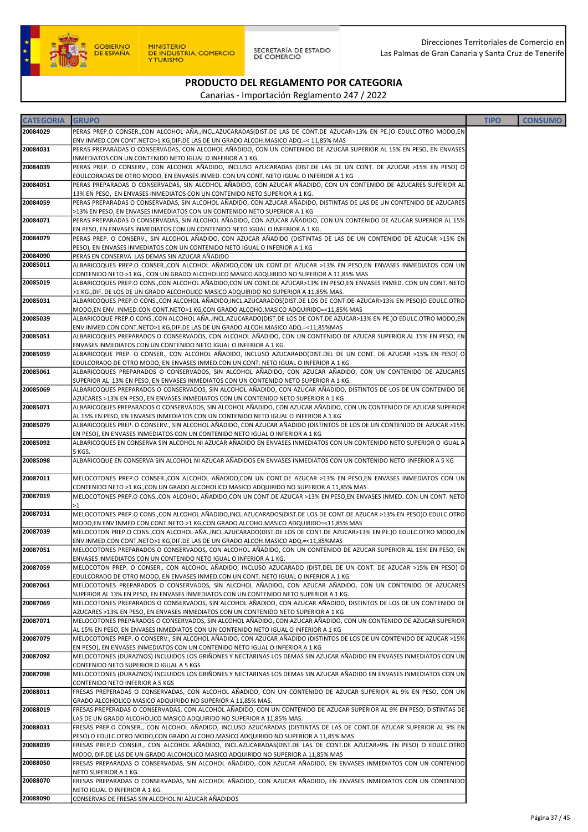

| <b>CATEGORIA</b>     | <b>GRUPO</b>                                                                                                                                                                                                   | <b>TIPO</b> | <b>CONSUMO</b> |
|----------------------|----------------------------------------------------------------------------------------------------------------------------------------------------------------------------------------------------------------|-------------|----------------|
| 20084029             | PERAS PREP.O CONSER.,CON ALCOHOL AÑA.,INCL.AZUCARADAS(DIST.DE LAS DE CONT.DE AZUCAR>13% EN PE.)O EDULC.OTRO MODO,EN                                                                                            |             |                |
|                      | ENV.INMED.CON CONT.NETO>1 KG,DIF.DE LAS DE UN GRADO ALCOH.MASICO ADQ.=< 11,85% MAS                                                                                                                             |             |                |
| 20084031             | PERAS PREPARADAS O CONSERVADAS, CON ALCOHOL AÑADIDO, CON UN CONTENIDO DE AZUCAR SUPERIOR AL 15% EN PESO, EN ENVASES                                                                                            |             |                |
|                      | INMEDIATOS CON UN CONTENIDO NETO IGUAL O INFERIOR A 1 KG.                                                                                                                                                      |             |                |
| 20084039             | PERAS PREP. O CONSERV., CON ALCOHOL AÑADIDO, INCLUSO AZUCARADAS (DIST.DE LAS DE UN CONT. DE AZUCAR >15% EN PESO) O                                                                                             |             |                |
| 20084051             | EDULCORADAS DE OTRO MODO, EN ENVASES INMED. CON UN CONT. NETO IGUAL O INFERIOR A 1 KG<br>PERAS PREPARADAS O CONSERVADAS, SIN ALCOHOL AÑADIDO, CON AZUCAR AÑADIDO, CON UN CONTENIDO DE AZUCARES SUPERIOR AL     |             |                |
|                      | 13% EN PESO, EN ENVASES INMEDIATOS CON UN CONTENIDO NETO SUPERIOR A 1 KG.                                                                                                                                      |             |                |
| 20084059             | PERAS PREPARADAS O CONSERVADAS, SIN ALCOHOL AÑADIDO, CON AZUCAR AÑADIDO, DISTINTAS DE LAS DE UN CONTENIDO DE AZUCARES                                                                                          |             |                |
|                      | >13% EN PESO, EN ENVASES INMEDIATOS CON UN CONTENIDO NETO SUPERIOR A 1 KG                                                                                                                                      |             |                |
| 20084071             | PERAS PREPARADAS O CONSERVADAS, SIN ALCOHOL AÑADIDO, CON AZUCAR AÑADIDO, CON UN CONTENIDO DE AZUCAR SUPERIOR AL 15%                                                                                            |             |                |
|                      | EN PESO, EN ENVASES INMEDIATOS CON UN CONTENIDO NETO IGUAL O INFERIOR A 1 KG.                                                                                                                                  |             |                |
| 20084079             | PERAS PREP. O CONSERV., SIN ALCOHOL AÑADIDO, CON AZUCAR AÑADIDO (DISTINTAS DE LAS DE UN CONTENIDO DE AZUCAR >15% EN                                                                                            |             |                |
|                      | PESO), EN ENVASES INMEDIATOS CON UN CONTENIDO NETO IGUAL O INFERIOR A 1 KG                                                                                                                                     |             |                |
| 20084090<br>20085011 | PERAS EN CONSERVA LAS DEMAS SIN AZUCAR AÑADIDO<br>ALBARICOQUES PREP.O CONSER.,CON ALCOHOL AÑADIDO,CON UN CONT.DE AZUCAR >13% EN PESO,EN ENVASES INMEDIATOS CON UN                                              |             |                |
|                      | CONTENIDO NETO >1 KG., CON UN GRADO ALCOHOLICO MASICO ADQUIRIDO NO SUPERIOR A 11,85% MAS                                                                                                                       |             |                |
| 20085019             | ALBARICOQUES PREP.O CONS.,CON ALCOHOL AÑADIDO,CON UN CONT.DE AZUCAR>13% EN PESO,EN ENVASES INMED. CON UN CONT. NETO                                                                                            |             |                |
|                      | >1 KG., DIF. DE LOS DE UN GRADO ALCOHOLICO MASICO ADQUIRIDO NO SUPERIOR A 11,85% MAS.                                                                                                                          |             |                |
| 20085031             | ALBARICOQUES PREP.O CONS.,CON ALCOHOL AÑADIDO,INCL.AZUCARADOS(DIST.DE LOS DE CONT.DE AZUCAR>13% EN PESO)O EDULC.OTRO                                                                                           |             |                |
|                      | MODO,EN ENV. INMED.CON CONT.NETO>1 KG,CON GRADO ALCOHO.MASICO ADQUIRIDO=<11,85% MAS                                                                                                                            |             |                |
| 20085039             | ALBARICOQUE PREP.O CONS.,CON ALCOHOL AÑA.,INCL.AZUCARADO(DIST.DE LOS DE CONT.DE AZUCAR>13% EN PE.)O EDULC.OTRO MODO,EN                                                                                         |             |                |
|                      | ENV.INMED.CON CONT.NETO>1 KG,DIF.DE LAS DE UN GRADO ALCOH.MASICO ADQ.=<11,85%MAS                                                                                                                               |             |                |
| 20085051             | ALBARICOQUES PREPARADOS O CONSERVADOS, CON ALCOHOL AÑADIDO, CON UN CONTENIDO DE AZUCAR SUPERIOR AL 15% EN PESO, EN<br>ENVASES INMEDIATOS CON UN CONTENIDO NETO IGUAL O INFERIOR A 1 KG.                        |             |                |
| 20085059             | ALBARICOQUE PREP. O CONSER., CON ALCOHOL AÑADIDO, INCLUSO AZUCARADO(DIST.DEL DE UN CONT. DE AZUCAR >15% EN PESO) O                                                                                             |             |                |
|                      | EDULCORADO DE OTRO MODO, EN ENVASES INMED.CON UN CONT. NETO IGUAL O INFERIOR A 1 KG                                                                                                                            |             |                |
| 20085061             | ALBARICOQUES PREPARADOS O CONSERVADOS, SIN ALCOHOL AÑADIDO, CON AZUCAR AÑADIDO, CON UN CONTENIDO DE AZUCARES                                                                                                   |             |                |
|                      | SUPERIOR AL 13% EN PESO, EN ENVASES INMEDIATOS CON UN CONTENIDO NETO SUPERIOR A 1 KG.                                                                                                                          |             |                |
| 20085069             | ALBARICOQUES PREPARADOS O CONSERVADOS, SIN ALCOHOL AÑADIDO, CON AZUCAR AÑADIDO, DISTINTOS DE LOS DE UN CONTENIDO DE                                                                                            |             |                |
|                      | AZUCARES >13% EN PESO, EN ENVASES INMEDIATOS CON UN CONTENIDO NETO SUPERIOR A 1 KG                                                                                                                             |             |                |
| 20085071             | ALBARICOQUES PREPARADOS O CONSERVADOS, SIN ALCOHOL AÑADIDO, CON AZUCAR AÑADIDO, CON UN CONTENIDO DE AZUCAR SUPERIOR                                                                                            |             |                |
| 20085079             | AL 15% EN PESO, EN ENVASES INMEDIATOS CON UN CONTENIDO NETO IGUAL O INFERIOR A 1 KG<br>ALBARICOQUES PREP. O CONSERV., SIN ALCOHOL AÑADIDO, CON AZUCAR AÑADIDO (DISTINTOS DE LOS DE UN CONTENIDO DE AZUCAR >15% |             |                |
|                      | EN PESO), EN ENVASES INMEDIATOS CON UN CONTENIDO NETO IGUAL O INFERIOR A 1 KG                                                                                                                                  |             |                |
| 20085092             | ALBARICOQUES EN CONSERVA SIN ALCOHOL NI AZUCAR AÑADIDO EN ENVASES INMEDIATOS CON UN CONTENIDO NETO SUPERIOR O IGUAL A                                                                                          |             |                |
|                      | 5 KGS.                                                                                                                                                                                                         |             |                |
| 20085098             | ALBARICOQUE EN CONSERVA SIN ALCOHOL NI AZUCAR AÑADIDOS EN ENVASES INMEDIATOS CON UN CONTENIDO NETO INFERIOR A 5 KG                                                                                             |             |                |
| 20087011             | MELOCOTONES PREP.O CONSER., CON ALCOHOL AÑADIDO, CON UN CONT. DE AZUCAR >13% EN PESO, EN VASES INMEDIATOS CON UN                                                                                               |             |                |
|                      | CONTENIDO NETO >1 KG., CON UN GRADO ALCOHOLICO MASICO ADQUIRIDO NO SUPERIOR A 11,85% MAS                                                                                                                       |             |                |
| 20087019             | MELOCOTONES PREP.O CONS.,CON ALCOHOL AÑADIDO,CON UN CONT.DE AZUCAR >13% EN PESO,EN ENVASES INMED. CON UN CONT. NETO                                                                                            |             |                |
|                      | >1                                                                                                                                                                                                             |             |                |
| 20087031             | MELOCOTONES PREP.O CONS.,CON ALCOHOL AÑADIDO,INCL.AZUCARADOS(DIST.DE LOS DE CONT.DE AZUCAR >13% EN PESO)O EDULC.OTRO                                                                                           |             |                |
| 20087039             | MODO,EN ENV.INMED.CON CONT.NETO >1 KG,CON GRADO ALCOHO.MASICO ADQUIRIDO=<11,85% MAS<br>MELOCOTON PREP.O CONS.,CON ALCOHOL AÑA.,INCL.AZUCARADO(DIST.DE LOS DE CONT.DE AZUCAR>13% EN PE.)O EDULC.OTRO MODO,EN    |             |                |
|                      | ENV.INMED.CON CONT.NETO>1 KG,DIF.DE LAS DE UN GRADO ALCOH.MASICO ADQ.=<11,85%MAS                                                                                                                               |             |                |
| 20087051             | MELOCOTONES PREPARADOS O CONSERVADOS, CON ALCOHOL AÑADIDO, CON UN CONTENIDO DE AZUCAR SUPERIOR AL 15% EN PESO, EN                                                                                              |             |                |
|                      | ENVASES INMEDIATOS CON UN CONTENIDO NETO IGUAL O INFERIOR A 1 KG.                                                                                                                                              |             |                |
| 20087059             | MELOCOTON PREP. O CONSER., CON ALCOHOL AÑADIDO, INCLUSO AZUCARADO (DIST.DEL DE UN CONT. DE AZUCAR >15% EN PESO) O                                                                                              |             |                |
|                      | EDULCORADO DE OTRO MODO, EN ENVASES INMED.CON UN CONT. NETO IGUAL O INFERIOR A 1 KG                                                                                                                            |             |                |
| 20087061             | MELOCOTONES PREPARADOS O CONSERVADOS, SIN ALCOHOL AÑADIDO, CON AZUCAR AÑADIDO, CON UN CONTENIDO DE AZUCARES<br>SUPERIOR AL 13% EN PESO, EN ENVASES INMEDIATOS CON UN CONTENIDO NETO SUPERIOR A 1 KG.           |             |                |
| 20087069             | MELOCOTONES PREPARADOS O CONSERVADOS, SIN ALCOHOL AÑADIDO, CON AZUCAR AÑADIDO, DISTINTOS DE LOS DE UN CONTENIDO DE                                                                                             |             |                |
|                      | AZUCARES >13% EN PESO, EN ENVASES INMEDIATOS CON UN CONTENIDO NETO SUPERIOR A 1 KG                                                                                                                             |             |                |
| 20087071             | MELOCOTONES PREPARADOS O CONSERVADOS, SIN ALCOHOL AÑADIDO, CON AZUCAR AÑADIDO, CON UN CONTENIDO DE AZUCAR SUPERIOR                                                                                             |             |                |
|                      | AL 15% EN PESO, EN ENVASES INMEDIATOS CON UN CONTENIDO NETO IGUAL O INFERIOR A 1 KG                                                                                                                            |             |                |
| 20087079             | MELOCOTONES PREP. O CONSERV., SIN ALCOHOL AÑADIDO, CON AZUCAR AÑADIDO (DISTINTOS DE LOS DE UN CONTENIDO DE AZUCAR >15%                                                                                         |             |                |
|                      | EN PESO), EN ENVASES INMEDIATOS CON UN CONTENIDO NETO IGUAL O INFERIOR A 1 KG<br>MELOCOTONES (DURAZNOS) INCLUIDOS LOS GRIÑONES Y NECTARINAS LOS DEMAS SIN AZUCAR AÑADIDO EN ENVASES INMEDIATOS CON UN          |             |                |
| 20087092             | CONTENIDO NETO SUPERIOR O IGUAL A 5 KGS                                                                                                                                                                        |             |                |
| 20087098             | MELOCOTONES (DURAZNOS) INCLUIDOS LOS GRIÑONES Y NECTARINAS LOS DEMAS SIN AZUCAR AÑADIDO EN ENVASES INMEDIATOS CON UN                                                                                           |             |                |
|                      | CONTENIDO NETO INFERIOR A 5 KGS                                                                                                                                                                                |             |                |
| 20088011             | FRESAS PREPERADAS O CONSERVADAS, CON ALCOHOL AÑADIDO, CON UN CONTENIDO DE AZUCAR SUPERIOR AL 9% EN PESO, CON UN                                                                                                |             |                |
|                      | GRADO ALCOHOLICO MASICO ADQUIRIDO NO SUPERIOR A 11,85% MAS.                                                                                                                                                    |             |                |
| 20088019             | FRESAS PREPERADAS O CONSERVADAS, CON ALCOHOL AÑADIDO, CON UN CONTENIDO DE AZUCAR SUPERIOR AL 9% EN PESO, DISTINTAS DE                                                                                          |             |                |
| 20088031             | LAS DE UN GRADO ALCOHOLICO MASICO ADQUIRIDO NO SUPERIOR A 11,85% MAS.<br>FRESAS PREP.O CONSER., CON ALCOHOL AÑADIDO, INCLUSO AZUCARADAS (DISTINTAS DE LAS DE CONT.DE AZUCAR SUPERIOR AL 9% EN                  |             |                |
|                      | PESO) O EDULC.OTRO MODO, CON GRADO ALCOHO.MASICO ADQUIRIDO NO SUPERIOR A 11,85% MAS                                                                                                                            |             |                |
| 20088039             | FRESAS PREP.O CONSER., CON ALCOHOL AÑADIDO, INCL.AZUCARADAS(DIST.DE LAS DE CONT.DE AZUCAR>9% EN PESO) O EDULC.OTRO                                                                                             |             |                |
|                      | MODO, DIF.DE LAS DE UN GRADO ALCOHOLICO MASICO ADQUIRIDO NO SUPERIOR A 11,85% MAS                                                                                                                              |             |                |
| 20088050             | FRESAS PREPARADAS O CONSERVADAS, SIN ALCOHOL AÑADIDO, CON AZUCAR AÑADIDO, EN ENVASES INMEDIATOS CON UN CONTENIDO                                                                                               |             |                |
|                      | NETO SUPERIOR A 1 KG.                                                                                                                                                                                          |             |                |
| 20088070             | FRESAS PREPARADAS O CONSERVADAS, SIN ALCOHOL AÑADIDO, CON AZUCAR AÑADIDO, EN ENVASES INMEDIATOS CON UN CONTENIDO                                                                                               |             |                |
| 20088090             | NETO IGUAL O INFERIOR A 1 KG.<br>CONSERVAS DE FRESAS SIN ALCOHOL NI AZUCAR AÑADIDOS                                                                                                                            |             |                |
|                      |                                                                                                                                                                                                                |             |                |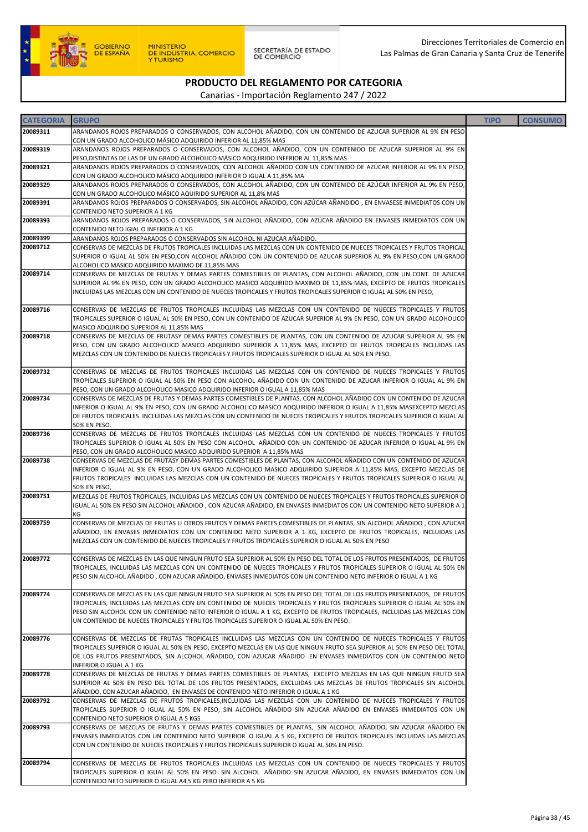

| <b>CATEGORIA</b> | <b>GRUPO</b>                                                                                                                                                                                                                                                                                                                                                                                                                                                           | <b>TIPO</b> | <b>CONSUMO</b> |
|------------------|------------------------------------------------------------------------------------------------------------------------------------------------------------------------------------------------------------------------------------------------------------------------------------------------------------------------------------------------------------------------------------------------------------------------------------------------------------------------|-------------|----------------|
| 20089311         | ARANDANOS ROJOS PREPARADOS O CONSERVADOS, CON ALCOHOL AÑADIDO, CON UN CONTENIDO DE AZUCAR SUPERIOR AL 9% EN PESO                                                                                                                                                                                                                                                                                                                                                       |             |                |
|                  | CON UN GRADO ALCOHOLICO MÁSICO ADQUIRIDO INFERIOR AL 11,85% MAS                                                                                                                                                                                                                                                                                                                                                                                                        |             |                |
| 20089319         | ARANDANOS ROJOS PREPARADOS O CONSERVADOS, CON ALCOHOL AÑADIDO, CON UN CONTENIDO DE AZUCAR SUPERIOR AL 9% EN<br>PESO, DISTINTAS DE LAS DE UN GRADO ALCOHOLICO MÁSICO ADQUIRIDO INFERIOR AL 11,85% MAS                                                                                                                                                                                                                                                                   |             |                |
| 20089321         | ARANDANOS ROJOS PREPARADOS O CONSERVADOS, CON ALCOHOL AÑADIDO CON UN CONTENIDO DE AZÚCAR INFERIOR AL 9% EN PESO,<br>CON UN GRADO ALCOHOLICO MÁSICO ADQUIRIDO INFERIOR O IGUAL A 11,85% MA                                                                                                                                                                                                                                                                              |             |                |
| 20089329         | ARANDANOS ROJOS PREPARADOS O CONSERVADOS, CON ALCOHOL AÑADIDO, CON UN CONTENIDO DE AZÚCAR INFERIOR AL 9% EN PESO,<br>CON UN GRADO ALCOHOLICO MÁSICO AQUIRIDO SUPERIOR AL 11,8% MAS                                                                                                                                                                                                                                                                                     |             |                |
| 20089391         | ARANDANOS ROJOS PREPARADOS O CONSERVADOS, SIN ALCOHOL AÑADIDO, CON AZÚCAR AÑANDIDO , EN ENVASESE INMEDIATOS CON UN<br>CONTENIDO NETO SUPERIOR A 1 KG                                                                                                                                                                                                                                                                                                                   |             |                |
| 20089393         | ARANDANOS ROJOS PREPARADOS O CONSERVADOS, SIN ALCOHOL AÑADIDO, CON AZÚCAR AÑADIDO EN ENVASES INMEDIATOS CON UN<br>CONTENIDO NETO IGIAL O INFERIOR A 1 KG                                                                                                                                                                                                                                                                                                               |             |                |
| 20089399         | ARANDANOS ROJOS PREPARADOS O CONSERVADOS SIN ALCOHOL NI AZUCAR AÑADIDO.                                                                                                                                                                                                                                                                                                                                                                                                |             |                |
| 20089712         | CONSERVAS DE MEZCLAS DE FRUTOS TROPICALES INCLUIDAS LAS MEZCLAS CON UN CONTENIDO DE NUECES TROPICALES Y FRUTOS TROPICAL<br>SUPERIOR O IGUAL AL 50% EN PESO,CON ALCOHOL AÑADIDO CON UN CONTENIDO DE AZUCAR SUPERIOR AL 9% EN PESO,CON UN GRADO<br>ALCOHOLICO MASICO ADQUIRIDO MAXIMO DE 11,85% MAS                                                                                                                                                                      |             |                |
| 20089714         | CONSERVAS DE MEZCLAS DE FRUTAS Y DEMAS PARTES COMESTIBLES DE PLANTAS, CON ALCOHOL AÑADIDO, CON UN CONT. DE AZUCAR<br>SUPERIOR AL 9% EN PESO, CON UN GRADO ALCOHOLICO MASICO ADQUIRIDO MAXIMO DE 11,85% MAS, EXCEPTO DE FRUTOS TROPICALES<br>INCLUIDAS LAS MEZCLAS CON UN CONTENIDO DE NUECES TROPICALES Y FRUTOS TROPICALES SUPERIOR O IGUAL AL 50% EN PESO,                                                                                                           |             |                |
| 20089716         | CONSERVAS DE MEZCLAS DE FRUTOS TROPICALES INCLUIDAS LAS MEZCLAS CON UN CONTENIDO DE NUECES TROPICALES Y FRUTOS<br>TROPICALES SUPERIOR O IGUAL AL 50% EN PESO, CON UN CONTENIDO DE AZUCAR SUPERIOR AL 9% EN PESO, CON UN GRADO ALCOHOLICO<br>MASICO ADQUIRIDO SUPERIOR AL 11,85% MAS                                                                                                                                                                                    |             |                |
| 20089718         | CONSERVAS DE MEZCLAS DE FRUTASY DEMAS PARTES COMESTIBLES DE PLANTAS, CON UN CONTENIDO DE AZUCAR SUPERIOR AL 9% EN<br>PESO, CON UN GRADO ALCOHOLICO MASICO ADQUIRIDO SUPERIOR A 11,85% MAS, EXCEPTO DE FRUTOS TROPICALES INCLUIDAS LAS<br>MEZCLAS CON UN CONTENIDO DE NUECES TROPICALES Y FRUTOS TROPICALES SUPERIOR O IGUAL AL 50% EN PESO.                                                                                                                            |             |                |
| 20089732         | CONSERVAS DE MEZCLAS DE FRUTOS TROPICALES INCLUIDAS LAS MEZCLAS CON UN CONTENIDO DE NUECES TROPICALES Y FRUTOS<br>TROPICALES SUPERIOR O IGUAL AL 50% EN PESO CON ALCOHOL AÑADIDO CON UN CONTENIDO DE AZUCAR INFERIOR O IGUAL AL 9% EN<br>PESO, CON UN GRADO ALCOHOLICO MASICO ADQUIRIDO INFERIOR O IGUAL A 11,85% MAS                                                                                                                                                  |             |                |
| 20089734         | CONSERVAS DE MEZCLAS DE FRUTAS Y DEMAS PARTES COMESTIBLES DE PLANTAS, CON ALCOHOL AÑADIDO CON UN CONTENIDO DE AZUCAR<br>INFERIOR O IGUAL AL 9% EN PESO, CON UN GRADO ALCOHOLICO MASICO ADQUIRIDO INFERIOR O IGUAL A 11,85% MASEXCEPTO MEZCLAS<br>DE FRUTOS TROPICALES INCLUIDAS LAS MEZCLAS CON UN CONTENIDO DE NUECES TROPICALES Y FRUTOS TROPICALES SUPERIOR O IGUAL AL<br>50% EN PESO.                                                                              |             |                |
| 20089736         | CONSERVAS DE MEZCLAS DE FRUTOS TROPICALES INCLUIDAS LAS MEZCLAS CON UN CONTENIDO DE NUECES TROPICALES Y FRUTOS<br>TROPICALES SUPERIOR O IGUAL AL 50% EN PESO CON ALCOHOL  AÑADIDO CON UN CONTENIDO DE AZUCAR INFERIOR O IGUAL AL 9% EN<br>PESO, CON UN GRADO ALCOHOLICO MASICO ADQUIRIDO SUPERIOR A 11,85% MAS                                                                                                                                                         |             |                |
| 20089738         | CONSERVAS DE MEZCLAS DE FRUTASY DEMAS PARTES COMESTIBLES DE PLANTAS, CON ALCOHOL AÑADIDO CON UN CONTENIDO DE AZUCAR<br>INFERIOR O IGUAL AL 9% EN PESO, CON UN GRADO ALCOHOLICO MASICO ADQUIRIDO SUPERIOR A 11,85% MAS, EXCEPTO MEZCLAS DE<br>FRUTOS TROPICALES INCLUIDAS LAS MEZCLAS CON UN CONTENIDO DE NUECES TROPICALES Y FRUTOS TROPICALES SUPERIOR O IGUAL AL<br>50% EN PESO,                                                                                     |             |                |
| 20089751         | MEZCLAS DE FRUTOS TROPICALES, INCLUIDAS LAS MEZCLAS CON UN CONTENIDO DE NUECES TROPICALES Y FRUTOS TROPICALES SUPERIOR O<br>IGUAL AL 50% EN PESO SIN ALCOHOL AÑADIDO , CON AZUCAR AÑADIDO, EN ENVASES INMEDIATOS CON UN CONTENIDO NETO SUPERIOR A 1<br>КG                                                                                                                                                                                                              |             |                |
| 20089759         | CONSERVAS DE MEZCLAS DE FRUTAS U OTROS FRUTOS Y DEMAS PARTES COMESTIBLES DE PLANTAS, SIN ALCOHOL AÑADIDO , CON AZUCAR<br>AÑADIDO, EN ENVASES INMEDIATOS CON UN CONTENIDO NETO SUPERIOR A 1 KG, EXCEPTO DE FRUTOS TROPICALES, INCLUIDAS LAS<br>MEZCLAS CON UN CONTENIDO DE NUECES TROPICALES Y FRUTOS TROPICALES SUPERIOR O IGUAL AL 50% EN PESO                                                                                                                        |             |                |
| 20089772         | CONSERVAS DE MEZCLAS EN LAS QUE NINGUN FRUTO SEA SUPERIOR AL 50% EN PESO DEL TOTAL DE LOS FRUTOS PRESENTADOS, DE FRUTOS<br>TROPICALES, INCLUIDAS LAS MEZCLAS CON UN CONTENIDO DE NUECES TROPICALES Y FRUTOS TROPICALES SUPERIOR O IGUAL AL 50% EN<br>PESO SIN ALCOHOL AÑADIDO , CON AZUCAR AÑADIDO, ENVASES INMEDIATOS CON UN CONTENIDO NETO INFERIOR O IGUAL A 1 KG                                                                                                   |             |                |
| 20089774         | CONSERVAS DE MEZCLAS EN LAS QUE NINGUN FRUTO SEA SUPERIOR AL 50% EN PESO DEL TOTAL DE LOS FRUTOS PRESENTADOS, DE FRUTOS<br>TROPICALES, INCLUIDAS LAS MEZCLAS CON UN CONTENIDO DE NUECES TROPICALES Y FRUTOS TROPICALES SUPERIOR O IGUAL AL 50% EN<br>PESO SIN ALCOHOL CON UN CONTENIDO NETO INFERIOR O IGUAL A 1 KG, EXCEPTO DE FRUTOS TROPICALES, INCLUIDAS LAS MEZCLAS CON<br>UN CONTENIDO DE NUECES TROPICALES Y FRUTOS TROPICALES SUPERIOR O IGUAL AL 50% EN PESO. |             |                |
| 20089776         | CONSERVAS DE MEZCLAS DE FRUTAS TROPICALES INCLUIDAS LAS MEZCLAS CON UN CONTENIDO DE NUECES TROPICALES Y FRUTOS<br>TROPICALES SUPERIOR O IGUAL AL 50% EN PESO, EXCEPTO MEZCLAS EN LAS QUE NINGUN FRUTO SEA SUPERIOR AL 50% EN PESO DEL TOTAL<br>DE LOS FRUTOS PRESENTADOS, SIN ALCOHOL AÑADIDO, CON AZUCAR AÑADIDO EN ENVASES INMEDIATOS CON UN CONTENIDO NETO<br>INFERIOR O IGUAL A 1 KG                                                                               |             |                |
| 20089778         | CONSERVAS DE MEZCLAS DE FRUTAS Y DEMAS PARTES COMESTIBLES DE PLANTAS, EXCEPTO MEZCLAS EN LAS QUE NINGUN FRUTO SEA<br>SUPERIOR AL 50% EN PESO DEL TOTAL DE LOS FRUTOS PRESENTADOS, EXCLUIDAS LAS MEZCLAS DE FRUTOS TROPICALES SIN ALCOHOL<br>AÑADIDO, CON AZUCAR AÑADIDO, EN ENVASES DE CONTENIDO NETO INFERIOR O IGUAL A 1 KG                                                                                                                                          |             |                |
| 20089792         | CONSERVAS DE MEZCLAS DE FRUTOS TROPICALES, INCLUIDAS LAS MEZCLAS CON UN CONTENIDO DE NUECES TROPICALES Y FRUTOS<br>TROPICALES SUPERIOR O IGUAL AL 50% EN PESO, SIN ALCOHOL AÑADIDO SIN AZUCAR AÑADIDO EN ENVASES INMEDIATOS CON UN<br>CONTENIDO NETO SUPERIOR O IGUAL A 5 KGS                                                                                                                                                                                          |             |                |
| 20089793         | CONSERVAS DE MEZCLAS DE FRUTAS Y DEMAS PARTES COMESTIBLES DE PLANTAS, SIN ALCOHOL AÑADIDO, SIN AZUCAR AÑADIDO EN<br>ENVASES INMEDIATOS CON UN CONTENIDO NETO SUPERIOR O IGUAL A 5 KG, EXCEPTO DE FRUTOS TROPICALES INCLUIDAS LAS MEZCLAS<br>CON UN CONTENIDO DE NUECES TROPICALES Y FRUTOS TROPICALES SUPERIOR O IGUAL AL 50% EN PESO.                                                                                                                                 |             |                |
| 20089794         | CONSERVAS DE MEZCLAS DE FRUTOS TROPICALES INCLUIDAS LAS MEZCLAS CON UN CONTENIDO DE NUECES TROPICALES Y FRUTOS<br>TROPICALES SUPERIOR O IGUAL AL 50% EN PESO SIN ALCOHOL AÑADIDO SIN AZUCAR AÑADIDO, EN ENVASES INMEDIATOS CON UN<br>CONTENIDO NETO SUPERIOR O IGUAL A4,5 KG PERO INFERIOR A 5 KG                                                                                                                                                                      |             |                |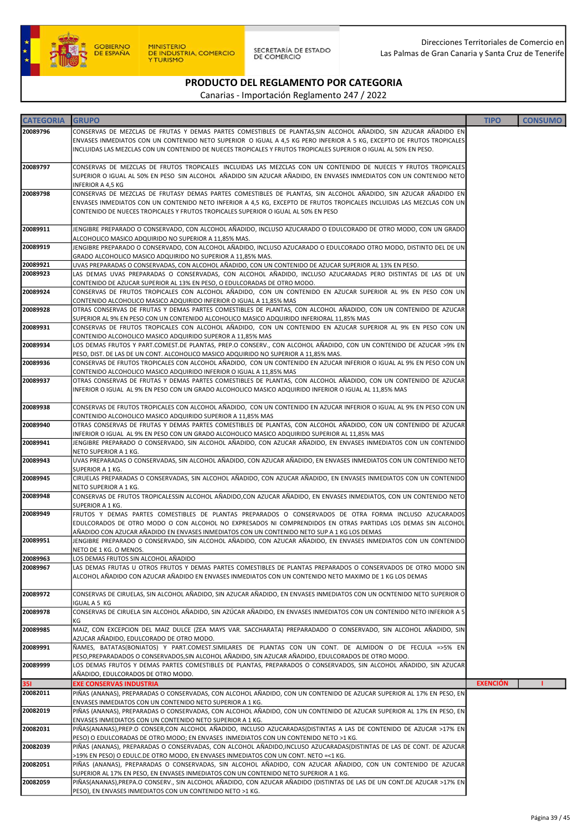

SECRETARÍA DE ESTADO<br>DE COMERCIO

# PRODUCTO DEL REGLAMENTO POR CATEGORIA

| <b>CATEGORIA</b> | <b>GRUPO</b>                                                                                                                                                                                                  | <b>TIPO</b>     | <b>CONSUMO</b> |
|------------------|---------------------------------------------------------------------------------------------------------------------------------------------------------------------------------------------------------------|-----------------|----------------|
| 20089796         | CONSERVAS DE MEZCLAS DE FRUTAS Y DEMAS PARTES COMESTIBLES DE PLANTAS,SIN ALCOHOL AÑADIDO, SIN AZUCAR AÑADIDO EN                                                                                               |                 |                |
|                  | ENVASES INMEDIATOS CON UN CONTENIDO NETO SUPERIOR O IGUAL A 4,5 KG PERO INFERIOR A 5 KG, EXCEPTO DE FRUTOS TROPICALES                                                                                         |                 |                |
|                  | INCLUIDAS LAS MEZCLAS CON UN CONTENIDO DE NUECES TROPICALES Y FRUTOS TROPICALES SUPERIOR O IGUAL AL 50% EN PESO.                                                                                              |                 |                |
| 20089797         | CONSERVAS DE MEZCLAS DE FRUTOS TROPICALES INCLUIDAS LAS MEZCLAS CON UN CONTENIDO DE NUECES Y FRUTOS TROPICALES                                                                                                |                 |                |
|                  | SUPERIOR O IGUAL AL 50% EN PESO SIN ALCOHOL AÑADIDO SIN AZUCAR AÑADIDO, EN ENVASES INMEDIATOS CON UN CONTENIDO NETO                                                                                           |                 |                |
|                  | INFERIOR A 4,5 KG                                                                                                                                                                                             |                 |                |
| 20089798         | CONSERVAS DE MEZCLAS DE FRUTASY DEMAS PARTES COMESTIBLES DE PLANTAS, SIN ALCOHOL AÑADIDO, SIN AZUCAR AÑADIDO EN                                                                                               |                 |                |
|                  | ENVASES INMEDIATOS CON UN CONTENIDO NETO INFERIOR A 4,5 KG, EXCEPTO DE FRUTOS TROPICALES INCLUIDAS LAS MEZCLAS CON UN                                                                                         |                 |                |
|                  | CONTENIDO DE NUECES TROPICALES Y FRUTOS TROPICALES SUPERIOR O IGUAL AL 50% EN PESO                                                                                                                            |                 |                |
| 20089911         | JENGIBRE PREPARADO O CONSERVADO, CON ALCOHOL AÑADIDO, INCLUSO AZUCARADO O EDULCORADO DE OTRO MODO, CON UN GRADO                                                                                               |                 |                |
|                  | ALCOHOLICO MASICO ADQUIRIDO NO SUPERIOR A 11,85% MAS.                                                                                                                                                         |                 |                |
| 20089919         | JENGIBRE PREPARADO O CONSERVADO, CON ALCOHOL AÑADIDO, INCLUSO AZUCARADO O EDULCORADO OTRO MODO, DISTINTO DEL DE UN                                                                                            |                 |                |
| 20089921         | GRADO ALCOHOLICO MASICO ADQUIRIDO NO SUPERIOR A 11,85% MAS.<br>UVAS PREPARADAS O CONSERVADAS, CON ALCOHOL AÑADIDO, CON UN CONTENIDO DE AZUCAR SUPERIOR AL 13% EN PESO.                                        |                 |                |
| 20089923         | LAS DEMAS UVAS PREPARADAS O CONSERVADAS, CON ALCOHOL AÑADIDO, INCLUSO AZUCARADAS PERO DISTINTAS DE LAS DE UN                                                                                                  |                 |                |
|                  | CONTENIDO DE AZUCAR SUPERIOR AL 13% EN PESO, O EDULCORADAS DE OTRO MODO.                                                                                                                                      |                 |                |
| 20089924         | CONSERVAS DE FRUTOS TROPICALES CON ALCOHOL AÑADIDO, CON UN CONTENIDO EN AZUCAR SUPERIOR AL 9% EN PESO CON UN                                                                                                  |                 |                |
|                  | CONTENIDO ALCOHOLICO MASICO ADQUIRIDO INFERIOR O IGUAL A 11,85% MAS                                                                                                                                           |                 |                |
| 20089928         | OTRAS CONSERVAS DE FRUTAS Y DEMAS PARTES COMESTIBLES DE PLANTAS, CON ALCOHOL AÑADIDO, CON UN CONTENIDO DE AZUCAR<br>SUPERIOR AL 9% EN PESO CON UN CONTENIDO ALCOHOLICO MASICO ADQUIRIDO INFERIORAL 11,85% MAS |                 |                |
| 20089931         | CONSERVAS DE FRUTOS TROPICALES CON ALCOHOL AÑADIDO, CON UN CONTENIDO EN AZUCAR SUPERIOR AL 9% EN PESO CON UN                                                                                                  |                 |                |
|                  | CONTENIDO ALCOHOLICO MASICO ADQUIRIDO SUPEROR A 11,85% MAS                                                                                                                                                    |                 |                |
| 20089934         | LOS DEMAS FRUTOS Y PART.COMEST.DE PLANTAS, PREP.O CONSERV., CON ALCOHOL AÑADIDO, CON UN CONTENIDO DE AZUCAR >9% EN                                                                                            |                 |                |
| 20089936         | PESO, DIST. DE LAS DE UN CONT. ALCOHOLICO MASICO ADQUIRIDO NO SUPERIOR A 11,85% MAS.<br>CONSERVAS DE FRUTOS TROPICALES CON ALCOHOL AÑADIDO, CON UN CONTENIDO EN AZUCAR INFERIOR O IGUAL AL 9% EN PESO CON UN  |                 |                |
|                  | CONTENIDO ALCOHOLICO MASICO ADQUIRIDO INFERIOR O IGUAL A 11,85% MAS                                                                                                                                           |                 |                |
| 20089937         | OTRAS CONSERVAS DE FRUTAS Y DEMAS PARTES COMESTIBLES DE PLANTAS, CON ALCOHOL AÑADIDO, CON UN CONTENIDO DE AZUCAR                                                                                              |                 |                |
|                  | INFERIOR O IGUAL AL 9% EN PESO CON UN GRADO ALCOHOLICO MASICO ADQUIRIDO INFERIOR O IGUAL AL 11,85% MAS                                                                                                        |                 |                |
| 20089938         | CONSERVAS DE FRUTOS TROPICALES CON ALCOHOL AÑADIDO, CON UN CONTENIDO EN AZUCAR INFERIOR O IGUAL AL 9% EN PESO CON UN                                                                                          |                 |                |
|                  | CONTENIDO ALCOHOLICO MASICO ADQUIRIDO SUPERIOR A 11,85% MAS                                                                                                                                                   |                 |                |
| 20089940         | OTRAS CONSERVAS DE FRUTAS Y DEMAS PARTES COMESTIBLES DE PLANTAS, CON ALCOHOL AÑADIDO, CON UN CONTENIDO DE AZUCAR                                                                                              |                 |                |
|                  | INFERIOR O IGUAL AL 9% EN PESO CON UN GRADO ALCOHOLICO MASICO ADQUIRIDO SUPERIOR AL 11,85% MAS                                                                                                                |                 |                |
| 20089941         | JENGIBRE PREPARADO O CONSERVADO, SIN ALCOHOL AÑADIDO, CON AZUCAR AÑADIDO, EN ENVASES INMEDIATOS CON UN CONTENIDO                                                                                              |                 |                |
| 20089943         | NETO SUPERIOR A 1 KG.<br>UVAS PREPARADAS O CONSERVADAS, SIN ALCOHOL AÑADIDO, CON AZUCAR AÑADIDO, EN ENVASES INMEDIATOS CON UN CONTENIDO NETO                                                                  |                 |                |
|                  | SUPERIOR A 1 KG.                                                                                                                                                                                              |                 |                |
| 20089945         | CIRUELAS PREPARADAS O CONSERVADAS, SIN ALCOHOL AÑADIDO, CON AZUCAR AÑADIDO, EN ENVASES INMEDIATOS CON UN CONTENIDO                                                                                            |                 |                |
|                  | NETO SUPERIOR A 1 KG.                                                                                                                                                                                         |                 |                |
| 20089948         | CONSERVAS DE FRUTOS TROPICALESSIN ALCOHOL AÑADIDO,CON AZUCAR AÑADIDO, EN ENVASES INMEDIATOS, CON UN CONTENIDO NETO<br>SUPERIOR A 1 KG.                                                                        |                 |                |
| 20089949         | FRUTOS Y DEMAS PARTES COMESTIBLES DE PLANTAS PREPARADOS O CONSERVADOS DE OTRA FORMA INCLUSO AZUCARADOS                                                                                                        |                 |                |
|                  | EDULCORADOS DE OTRO MODO O CON ALCOHOL NO EXPRESADOS NI COMPRENDIDOS EN OTRAS PARTIDAS LOS DEMAS SIN ALCOHOL                                                                                                  |                 |                |
|                  | AÑADIDO CON AZUCAR AÑADIDO EN ENVASES INMEDIATOS CON UN CONTENIDO NETO SUP A 1 KG LOS DEMAS                                                                                                                   |                 |                |
| 20089951         | JENGIBRE PREPARADO O CONSERVADO, SIN ALCOHOL AÑADIDO, CON AZUCAR AÑADIDO, EN ENVASES INMEDIATOS CON UN CONTENIDO<br>NETO DE 1 KG. O MENOS.                                                                    |                 |                |
| 20089963         | LOS DEMAS FRUTOS SIN ALCOHOL AÑADIDO                                                                                                                                                                          |                 |                |
| 20089967         | LAS DEMAS FRUTAS U OTROS FRUTOS Y DEMAS PARTES COMESTIBLES DE PLANTAS PREPARADOS O CONSERVADOS DE OTRO MODO SIN                                                                                               |                 |                |
|                  | ALCOHOL AÑADIDO CON AZUCAR AÑADIDO EN ENVASES INMEDIATOS CON UN CONTENIDO NETO MAXIMO DE 1 KG LOS DEMAS                                                                                                       |                 |                |
| 20089972         | CONSERVAS DE CIRUELAS, SIN ALCOHOL AÑADIDO, SIN AZUCAR AÑADIDO, EN ENVASES INMEDIATOS CON UN OCNTENIDO NETO SUPERIOR O                                                                                        |                 |                |
|                  | IGUAL A 5 KG                                                                                                                                                                                                  |                 |                |
| 20089978         | CONSERVAS DE CIRUELA SIN ALCOHOL AÑADIDO, SIN AZÚCAR AÑADIDO, EN ENVASES INMEDIATOS CON UN CONTENIDO NETO INFERIOR A 5                                                                                        |                 |                |
|                  | ΚG                                                                                                                                                                                                            |                 |                |
| 20089985         | MAIZ, CON EXCEPCION DEL MAIZ DULCE (ZEA MAYS VAR. SACCHARATA) PREPARADADO O CONSERVADO, SIN ALCOHOL AÑADIDO, SIN<br>AZUCAR AÑADIDO, EDULCORADO DE OTRO MODO.                                                  |                 |                |
| 20089991         | NAMES, BATATAS(BONIATOS) Y PART.COMEST.SIMILARES DE PLANTAS CON UN CONT. DE ALMIDON O DE FECULA =>5% EN                                                                                                       |                 |                |
|                  | PESO,PREPARADADOS O CONSERVADOS,SIN ALCOHOL AÑADIDO, SIN AZUCAR AÑADIDO, EDULCORADOS DE OTRO MODO.                                                                                                            |                 |                |
| 20089999         | LOS DEMAS FRUTOS Y DEMAS PARTES COMESTIBLES DE PLANTAS, PREPARADOS O CONSERVADOS, SIN ALCOHOL AÑADIDO, SIN AZUCAR                                                                                             |                 |                |
| <b>351</b>       | AÑADIDO, EDULCORADOS DE OTRO MODO.<br><b>EXE CONSERVAS INDUSTRIA</b>                                                                                                                                          | <b>EXENCIÓN</b> |                |
| 20082011         | PIÑAS (ANANAS), PREPARADAS O CONSERVADAS, CON ALCOHOL AÑADIDO, CON UN CONTENIDO DE AZUCAR SUPERIOR AL 17% EN PESO, EN                                                                                         |                 |                |
|                  | ENVASES INMEDIATOS CON UN CONTENIDO NETO SUPERIOR A 1 KG.                                                                                                                                                     |                 |                |
| 20082019         | PIÑAS (ANANAS), PREPARADAS O CONSERVADAS, CON ALCOHOL AÑADIDO, CON UN CONTENIDO DE AZUCAR SUPERIOR AL 17% EN PESO, EN                                                                                         |                 |                |
|                  | ENVASES INMEDIATOS CON UN CONTENIDO NETO SUPERIOR A 1 KG.                                                                                                                                                     |                 |                |
| 20082031         | PIÑAS(ANANAS),PREP.O CONSER,CON ALCOHOL AÑADIDO, INCLUSO AZUCARADAS(DISTINTAS A LAS DE CONTENIDO DE AZUCAR >17% EN<br>PESO) O EDULCORADAS DE OTRO MODO; EN ENVASES INMEDIATOS CON UN CONTENIDO NETO >1 KG.    |                 |                |
| 20082039         | PIÑAS (ANANAS), PREPARADAS O CONSERVADAS, CON ALCOHOL AÑADIDO, INCLUSO AZUCARADAS (DISTINTAS DE LAS DE CONT. DE AZUCAR                                                                                        |                 |                |
|                  | >19% EN PESO) O EDULC.DE OTRO MODO, EN ENVASES INMEDIATOS CON UN CONT. NETO =<1 KG.                                                                                                                           |                 |                |
| 20082051         | PIÑAS (ANANAS), PREPARADAS O CONSERVADAS, SIN ALCOHOL AÑADIDO, CON AZUCAR AÑADIDO, CON UN CONTENIDO DE AZUCAR                                                                                                 |                 |                |
|                  | SUPERIOR AL 17% EN PESO, EN ENVASES INMEDIATOS CON UN CONTENIDO NETO SUPERIOR A 1 KG.                                                                                                                         |                 |                |
| 20082059         | PIÑAS(ANANAS),PREPA.O CONSERV., SIN ALCOHOL AÑADIDO, CON AZUCAR AÑADIDO (DISTINTAS DE LAS DE UN CONT.DE AZUCAR >17% EN<br>PESO), EN ENVASES INMEDIATOS CON UN CONTENIDO NETO >1 KG.                           |                 |                |
|                  |                                                                                                                                                                                                               |                 |                |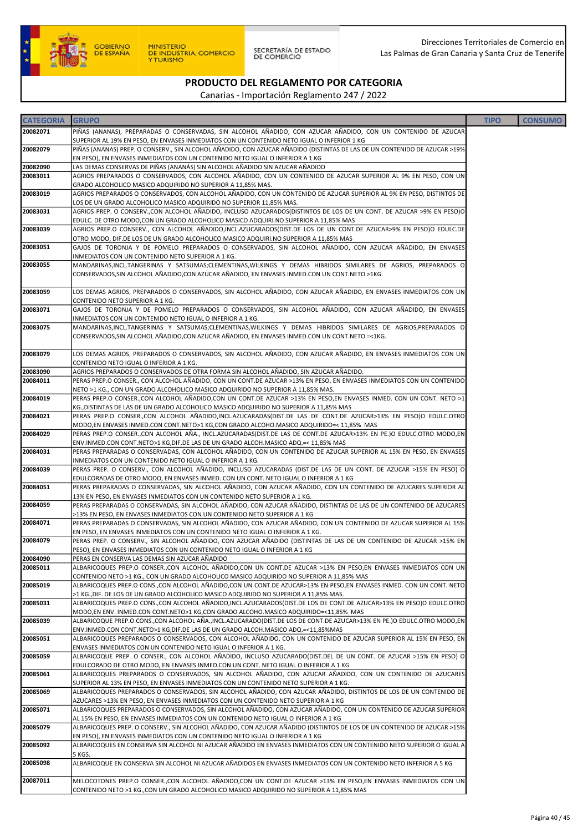

| <b>CATEGORIA</b>     | <b>GRUPO</b>                                                                                                                                                                                                          | <b>TIPO</b> | <b>CONSUMO</b> |
|----------------------|-----------------------------------------------------------------------------------------------------------------------------------------------------------------------------------------------------------------------|-------------|----------------|
| 20082071             | PIÑAS (ANANAS), PREPARADAS O CONSERVADAS, SIN ALCOHOL AÑADIDO, CON AZUCAR AÑADIDO, CON UN CONTENIDO DE AZUCAR                                                                                                         |             |                |
| 20082079             | SUPERIOR AL 19% EN PESO, EN ENVASES INMEDIATOS CON UN CONTENIDO NETO IGUAL O INFERIOR 1 KG                                                                                                                            |             |                |
|                      | PIÑAS (ANANAS) PREP. O CONSERV., SIN ALCOHOL AÑADIDO, CON AZUCAR AÑADIDO (DISTINTAS DE LAS DE UN CONTENIDO DE AZUCAR >19%<br>EN PESO), EN ENVASES INMEDIATOS CON UN CONTENIDO NETO IGUAL O INFERIOR A 1 KG            |             |                |
| 20082090             | LAS DEMAS CONSERVAS DE PIÑAS (ANANÁS) SIN ALCOHOL AÑADIDO SIN AZUCAR AÑADIDO                                                                                                                                          |             |                |
| 20083011             | AGRIOS PREPARADOS O CONSERVADOS, CON ALCOHOL AÑADIDO, CON UN CONTENIDO DE AZUCAR SUPERIOR AL 9% EN PESO, CON UN                                                                                                       |             |                |
| 20083019             | GRADO ALCOHOLICO MASICO ADQUIRIDO NO SUPERIOR A 11,85% MAS.                                                                                                                                                           |             |                |
|                      | AGRIOS PREPARADOS O CONSERVADOS, CON ALCOHOL AÑADIDO, CON UN CONTENIDO DE AZUCAR SUPERIOR AL 9% EN PESO, DISTINTOS DE<br>LOS DE UN GRADO ALCOHOLICO MASICO ADQUIRIDO NO SUPERIOR 11,85% MAS.                          |             |                |
| 20083031             | AGRIOS PREP. O CONSERV.,CON ALCOHOL AÑADIDO, INCLUSO AZUCARADOS(DISTINTOS DE LOS DE UN CONT. DE AZUCAR >9% EN PESO)O                                                                                                  |             |                |
|                      | EDULC. DE OTRO MODO,CON UN GRADO ALCOHOLICO MASICO ADQUIRI.NO SUPERIOR A 11,85% MAS                                                                                                                                   |             |                |
| 20083039             | AGRIOS PREP.O CONSERV., CON ALCOHOL AÑADIDO,INCL.AZUCARADOS(DIST.DE LOS DE UN CONT.DE AZUCAR>9% EN PESO)O EDULC.DE<br>OTRO MODO, DIF.DE LOS DE UN GRADO ALCOHOLICO MASICO ADQUIRI.NO SUPERIOR A 11,85% MAS            |             |                |
| 20083051             | GAJOS DE TORONJA Y DE POMELO PREPARADOS O CONSERVADOS, SIN ALCOHOL AÑADIDO, CON AZUCAR AÑADIDO, EN ENVASES                                                                                                            |             |                |
|                      | INMEDIATOS CON UN CONTENIDO NETO SUPERIOR A 1 KG.                                                                                                                                                                     |             |                |
| 20083055             | MANDARINAS, INCL.TANGERINAS Y SATSUMAS; CLEMENTINAS, WILKINGS Y DEMAS HIBRIDOS SIMILARES DE AGRIOS, PREPARADOS O<br>CONSERVADOS, SIN ALCOHOL AÑADIDO, CON AZUCAR AÑADIDO, EN ENVASES INMED. CON UN CONT. NETO >1KG.   |             |                |
| 20083059             | LOS DEMAS AGRIOS, PREPARADOS O CONSERVADOS, SIN ALCOHOL AÑADIDO, CON AZUCAR AÑADIDO, EN ENVASES INMEDIATOS CON UN                                                                                                     |             |                |
|                      | CONTENIDO NETO SUPERIOR A 1 KG.                                                                                                                                                                                       |             |                |
| 20083071             | GAJOS DE TORONJA Y DE POMELO PREPARADOS O CONSERVADOS, SIN ALCOHOL AÑADIDO, CON AZUCAR AÑADIDO, EN ENVASES<br>INMEDIATOS CON UN CONTENIDO NETO IGUAL O INFERIOR A 1 KG.                                               |             |                |
| 20083075             | MANDARINAS, INCL.TANGERINAS Y SATSUMAS; CLEMENTINAS, WILKINGS Y DEMAS HIBRIDOS SIMILARES DE AGRIOS, PREPARADOS O<br>CONSERVADOS, SIN ALCOHOL AÑADIDO, CON AZUCAR AÑADIDO, EN ENVASES INMED. CON UN CONT. NETO =< 1KG. |             |                |
| 20083079             | LOS DEMAS AGRIOS, PREPARADOS O CONSERVADOS, SIN ALCOHOL AÑADIDO, CON AZUCAR AÑADIDO, EN ENVASES INMEDIATOS CON UN                                                                                                     |             |                |
| 20083090             | CONTENIDO NETO IGUAL O INFERIOR A 1 KG.<br>AGRIOS PREPARADOS O CONSERVADOS DE OTRA FORMA SIN ALCOHOL AÑADIDO, SIN AZUCAR AÑADIDO.                                                                                     |             |                |
| 20084011             | PERAS PREP.O CONSER., CON ALCOHOL AÑADIDO, CON UN CONT.DE AZUCAR >13% EN PESO, EN ENVASES INMEDIATOS CON UN CONTENIDO                                                                                                 |             |                |
|                      | NETO >1 KG., CON UN GRADO ALCOHOLICO MASICO ADQUIRIDO NO SUPERIOR A 11,85% MAS.                                                                                                                                       |             |                |
| 20084019             | PERAS PREP.O CONSER.,CON ALCOHOL AÑADIDO,CON UN CONT.DE AZUCAR >13% EN PESO,EN ENVASES INMED. CON UN CONT. NETO >1<br>KG., DISTINTAS DE LAS DE UN GRADO ALCOHOLICO MASICO ADQUIRIDO NO SUPERIOR A 11,85% MAS          |             |                |
| 20084021             | PERAS PREP.O CONSER., CON ALCOHOL AÑADIDO, INCL. AZUCARADAS (DIST. DE LAS DE CONT. DE AZUCAR>13% EN PESO)O EDULC. OTRO<br>MODO,EN ENVASES INMED.CON CONT.NETO>1 KG,CON GRADO ALCOHO.MASICO ADQUIRIDO=< 11,85% MAS     |             |                |
| 20084029             | PERAS PREP.O CONSER.,CON ALCOHOL AÑA., INCL.AZUCARADAS(DIST.DE LAS DE CONT.DE AZUCAR>13% EN PE.)O EDULC.OTRO MODO,EN                                                                                                  |             |                |
| 20084031             | ENV.INMED.CON CONT.NETO>1 KG,DIF.DE LAS DE UN GRADO ALCOH.MASICO ADQ.=< 11,85% MAS<br>PERAS PREPARADAS O CONSERVADAS, CON ALCOHOL AÑADIDO, CON UN CONTENIDO DE AZUCAR SUPERIOR AL 15% EN PESO, EN ENVASES             |             |                |
|                      | INMEDIATOS CON UN CONTENIDO NETO IGUAL O INFERIOR A 1 KG.                                                                                                                                                             |             |                |
| 20084039             | PERAS PREP. O CONSERV., CON ALCOHOL AÑADIDO, INCLUSO AZUCARADAS (DIST.DE LAS DE UN CONT. DE AZUCAR >15% EN PESO) O                                                                                                    |             |                |
| 20084051             | EDULCORADAS DE OTRO MODO, EN ENVASES INMED. CON UN CONT. NETO IGUAL O INFERIOR A 1 KG<br>PERAS PREPARADAS O CONSERVADAS, SIN ALCOHOL AÑADIDO, CON AZUCAR AÑADIDO, CON UN CONTENIDO DE AZUCARES SUPERIOR AL            |             |                |
|                      | 13% EN PESO, EN ENVASES INMEDIATOS CON UN CONTENIDO NETO SUPERIOR A 1 KG.                                                                                                                                             |             |                |
| 20084059             | PERAS PREPARADAS O CONSERVADAS, SIN ALCOHOL AÑADIDO, CON AZUCAR AÑADIDO, DISTINTAS DE LAS DE UN CONTENIDO DE AZUCARES                                                                                                 |             |                |
| 20084071             | >13% EN PESO, EN ENVASES INMEDIATOS CON UN CONTENIDO NETO SUPERIOR A 1 KG<br>PERAS PREPARADAS O CONSERVADAS, SIN ALCOHOL AÑADIDO, CON AZUCAR AÑADIDO, CON UN CONTENIDO DE AZUCAR SUPERIOR AL 15%                      |             |                |
|                      | EN PESO, EN ENVASES INMEDIATOS CON UN CONTENIDO NETO IGUAL O INFERIOR A 1 KG.                                                                                                                                         |             |                |
| 20084079             | PERAS PREP. O CONSERV., SIN ALCOHOL AÑADIDO, CON AZUCAR AÑADIDO (DISTINTAS DE LAS DE UN CONTENIDO DE AZUCAR >15% EN                                                                                                   |             |                |
|                      | PESO), EN ENVASES INMEDIATOS CON UN CONTENIDO NETO IGUAL O INFERIOR A 1 KG                                                                                                                                            |             |                |
| 20084090<br>20085011 | PERAS EN CONSERVA LAS DEMAS SIN AZUCAR AÑADIDO<br>ALBARICOQUES PREP.O CONSER.,CON ALCOHOL AÑADIDO,CON UN CONT.DE AZUCAR >13% EN PESO,EN ENVASES INMEDIATOS CON UN                                                     |             |                |
|                      | CONTENIDO NETO >1 KG., CON UN GRADO ALCOHOLICO MASICO ADQUIRIDO NO SUPERIOR A 11,85% MAS                                                                                                                              |             |                |
| 20085019             | ALBARICOQUES PREP.O CONS.,CON ALCOHOL AÑADIDO,CON UN CONT.DE AZUCAR>13% EN PESO,EN ENVASES INMED. CON UN CONT. NETO                                                                                                   |             |                |
| 20085031             | >1 KG., DIF. DE LOS DE UN GRADO ALCOHOLICO MASICO ADQUIRIDO NO SUPERIOR A 11,85% MAS.<br>ALBARICOQUES PREP.O CONS.,CON ALCOHOL AÑADIDO,INCL.AZUCARADOS(DIST.DE LOS DE CONT.DE AZUCAR>13% EN PESO)O EDULC.OTRO         |             |                |
|                      | MODO,EN ENV. INMED.CON CONT.NETO>1 KG,CON GRADO ALCOHO.MASICO ADQUIRIDO=<11,85% MAS                                                                                                                                   |             |                |
| 20085039             | ALBARICOQUE PREP.O CONS.,CON ALCOHOL AÑA.,INCL.AZUCARADO(DIST.DE LOS DE CONT.DE AZUCAR>13% EN PE.)O EDULC.OTRO MODO,EN                                                                                                |             |                |
| 20085051             | ENV.INMED.CON CONT.NETO>1 KG,DIF.DE LAS DE UN GRADO ALCOH.MASICO ADQ.=<11,85%MAS<br>ALBARICOQUES PREPARADOS O CONSERVADOS, CON ALCOHOL AÑADIDO, CON UN CONTENIDO DE AZUCAR SUPERIOR AL 15% EN PESO, EN                |             |                |
|                      | ENVASES INMEDIATOS CON UN CONTENIDO NETO IGUAL O INFERIOR A 1 KG.                                                                                                                                                     |             |                |
| 20085059             | ALBARICOQUE PREP. O CONSER., CON ALCOHOL AÑADIDO, INCLUSO AZUCARADO(DIST.DEL DE UN CONT. DE AZUCAR >15% EN PESO) O                                                                                                    |             |                |
|                      | EDULCORADO DE OTRO MODO, EN ENVASES INMED.CON UN CONT. NETO IGUAL O INFERIOR A 1 KG                                                                                                                                   |             |                |
| 20085061             | ALBARICOQUES PREPARADOS O CONSERVADOS, SIN ALCOHOL AÑADIDO, CON AZUCAR AÑADIDO, CON UN CONTENIDO DE AZUCARES<br>SUPERIOR AL 13% EN PESO, EN ENVASES INMEDIATOS CON UN CONTENIDO NETO SUPERIOR A 1 KG.                 |             |                |
| 20085069             | ALBARICOQUES PREPARADOS O CONSERVADOS, SIN ALCOHOL AÑADIDO, CON AZUCAR AÑADIDO, DISTINTOS DE LOS DE UN CONTENIDO DE                                                                                                   |             |                |
|                      | AZUCARES >13% EN PESO, EN ENVASES INMEDIATOS CON UN CONTENIDO NETO SUPERIOR A 1 KG                                                                                                                                    |             |                |
| 20085071             | ALBARICOQUES PREPARADOS O CONSERVADOS, SIN ALCOHOL AÑADIDO, CON AZUCAR AÑADIDO, CON UN CONTENIDO DE AZUCAR SUPERIOR                                                                                                   |             |                |
| 20085079             | AL 15% EN PESO, EN ENVASES INMEDIATOS CON UN CONTENIDO NETO IGUAL O INFERIOR A 1 KG<br>ALBARICOQUES PREP. O CONSERV., SIN ALCOHOL AÑADIDO, CON AZUCAR AÑADIDO (DISTINTOS DE LOS DE UN CONTENIDO DE AZUCAR >15%        |             |                |
|                      | EN PESO), EN ENVASES INMEDIATOS CON UN CONTENIDO NETO IGUAL O INFERIOR A 1 KG                                                                                                                                         |             |                |
| 20085092             | ALBARICOQUES EN CONSERVA SIN ALCOHOL NI AZUCAR AÑADIDO EN ENVASES INMEDIATOS CON UN CONTENIDO NETO SUPERIOR O IGUAL A                                                                                                 |             |                |
| 20085098             | 5 KGS.<br>ALBARICOQUE EN CONSERVA SIN ALCOHOL NI AZUCAR AÑADIDOS EN ENVASES INMEDIATOS CON UN CONTENIDO NETO INFERIOR A 5 KG                                                                                          |             |                |
|                      |                                                                                                                                                                                                                       |             |                |
| 20087011             | MELOCOTONES PREP.O CONSER., CON ALCOHOL AÑADIDO, CON UN CONT. DE AZUCAR >13% EN PESO, EN VASES INMEDIATOS CON UN                                                                                                      |             |                |
|                      | CONTENIDO NETO >1 KG.,CON UN GRADO ALCOHOLICO MASICO ADQUIRIDO NO SUPERIOR A 11,85% MAS                                                                                                                               |             |                |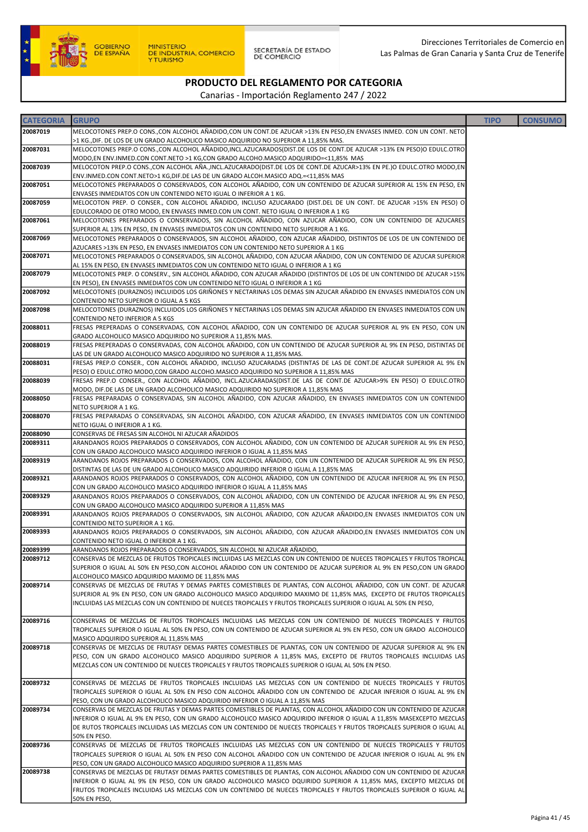

SECRETARÍA DE ESTADO<br>DE COMERCIO

# PRODUCTO DEL REGLAMENTO POR CATEGORIA

| <b>CATEGORIA</b> | <b>GRUPO</b>                                                                                                                                                                                                                                  | <b>TIPO</b> | <b>CONSUMO</b> |
|------------------|-----------------------------------------------------------------------------------------------------------------------------------------------------------------------------------------------------------------------------------------------|-------------|----------------|
| 20087019         | MELOCOTONES PREP.O CONS., CON ALCOHOL AÑADIDO, CON UN CONT. DE AZUCAR >13% EN PESO, EN ENVASES INMED. CON UN CONT. NETO                                                                                                                       |             |                |
|                  | >1 KG., DIF. DE LOS DE UN GRADO ALCOHOLICO MASICO ADQUIRIDO NO SUPERIOR A 11,85% MAS.                                                                                                                                                         |             |                |
| 20087031         | MELOCOTONES PREP.O CONS.,CON ALCOHOL AÑADIDO,INCL.AZUCARADOS(DIST.DE LOS DE CONT.DE AZUCAR >13% EN PESO)O EDULC.OTRO                                                                                                                          |             |                |
|                  | MODO,EN ENV.INMED.CON CONT.NETO >1 KG,CON GRADO ALCOHO.MASICO ADQUIRIDO=<11,85% MAS                                                                                                                                                           |             |                |
| 20087039         | MELOCOTON PREP.O CONS.,CON ALCOHOL AÑA.,INCL.AZUCARADO(DIST.DE LOS DE CONT.DE AZUCAR>13% EN PE.)O EDULC.OTRO MODO,EN                                                                                                                          |             |                |
| 20087051         | ENV.INMED.CON CONT.NETO>1 KG,DIF.DE LAS DE UN GRADO ALCOH.MASICO ADQ.=<11,85% MAS<br>MELOCOTONES PREPARADOS O CONSERVADOS, CON ALCOHOL AÑADIDO, CON UN CONTENIDO DE AZUCAR SUPERIOR AL 15% EN PESO, EN                                        |             |                |
|                  | ENVASES INMEDIATOS CON UN CONTENIDO NETO IGUAL O INFERIOR A 1 KG.                                                                                                                                                                             |             |                |
| 20087059         | MELOCOTON PREP. O CONSER., CON ALCOHOL AÑADIDO, INCLUSO AZUCARADO (DIST.DEL DE UN CONT. DE AZUCAR >15% EN PESO) O                                                                                                                             |             |                |
|                  | EDULCORADO DE OTRO MODO, EN ENVASES INMED.CON UN CONT. NETO IGUAL O INFERIOR A 1 KG                                                                                                                                                           |             |                |
| 20087061         | MELOCOTONES PREPARADOS O CONSERVADOS, SIN ALCOHOL AÑADIDO, CON AZUCAR AÑADIDO, CON UN CONTENIDO DE AZUCARES                                                                                                                                   |             |                |
|                  | SUPERIOR AL 13% EN PESO, EN ENVASES INMEDIATOS CON UN CONTENIDO NETO SUPERIOR A 1 KG.                                                                                                                                                         |             |                |
| 20087069         | MELOCOTONES PREPARADOS O CONSERVADOS, SIN ALCOHOL AÑADIDO, CON AZUCAR AÑADIDO, DISTINTOS DE LOS DE UN CONTENIDO DE                                                                                                                            |             |                |
|                  | AZUCARES >13% EN PESO, EN ENVASES INMEDIATOS CON UN CONTENIDO NETO SUPERIOR A 1 KG                                                                                                                                                            |             |                |
| 20087071         | MELOCOTONES PREPARADOS O CONSERVADOS, SIN ALCOHOL AÑADIDO, CON AZUCAR AÑADIDO, CON UN CONTENIDO DE AZUCAR SUPERIOR<br>AL 15% EN PESO, EN ENVASES INMEDIATOS CON UN CONTENIDO NETO IGUAL O INFERIOR A 1 KG                                     |             |                |
| 20087079         | MELOCOTONES PREP. O CONSERV., SIN ALCOHOL AÑADIDO, CON AZUCAR AÑADIDO (DISTINTOS DE LOS DE UN CONTENIDO DE AZUCAR >15%                                                                                                                        |             |                |
|                  | EN PESO), EN ENVASES INMEDIATOS CON UN CONTENIDO NETO IGUAL O INFERIOR A 1 KG                                                                                                                                                                 |             |                |
| 20087092         | MELOCOTONES (DURAZNOS) INCLUIDOS LOS GRIÑONES Y NECTARINAS LOS DEMAS SIN AZUCAR AÑADIDO EN ENVASES INMEDIATOS CON UN                                                                                                                          |             |                |
|                  | CONTENIDO NETO SUPERIOR O IGUAL A 5 KGS                                                                                                                                                                                                       |             |                |
| 20087098         | MELOCOTONES (DURAZNOS) INCLUIDOS LOS GRIÑONES Y NECTARINAS LOS DEMAS SIN AZUCAR AÑADIDO EN ENVASES INMEDIATOS CON UN                                                                                                                          |             |                |
|                  | CONTENIDO NETO INFERIOR A 5 KGS                                                                                                                                                                                                               |             |                |
| 20088011         | FRESAS PREPERADAS O CONSERVADAS, CON ALCOHOL AÑADIDO, CON UN CONTENIDO DE AZUCAR SUPERIOR AL 9% EN PESO, CON UN                                                                                                                               |             |                |
| 20088019         | GRADO ALCOHOLICO MASICO ADQUIRIDO NO SUPERIOR A 11,85% MAS.<br>FRESAS PREPERADAS O CONSERVADAS, CON ALCOHOL AÑADIDO, CON UN CONTENIDO DE AZUCAR SUPERIOR AL 9% EN PESO, DISTINTAS DE                                                          |             |                |
|                  | LAS DE UN GRADO ALCOHOLICO MASICO ADQUIRIDO NO SUPERIOR A 11,85% MAS.                                                                                                                                                                         |             |                |
| 20088031         | FRESAS PREP.O CONSER., CON ALCOHOL AÑADIDO, INCLUSO AZUCARADAS (DISTINTAS DE LAS DE CONT.DE AZUCAR SUPERIOR AL 9% EN                                                                                                                          |             |                |
|                  | PESO) O EDULC.OTRO MODO, CON GRADO ALCOHO.MASICO ADQUIRIDO NO SUPERIOR A 11,85% MAS                                                                                                                                                           |             |                |
| 20088039         | FRESAS PREP.O CONSER., CON ALCOHOL AÑADIDO, INCL.AZUCARADAS(DIST.DE LAS DE CONT.DE AZUCAR>9% EN PESO) O EDULC.OTRO                                                                                                                            |             |                |
|                  | MODO, DIF.DE LAS DE UN GRADO ALCOHOLICO MASICO ADQUIRIDO NO SUPERIOR A 11,85% MAS                                                                                                                                                             |             |                |
| 20088050         | FRESAS PREPARADAS O CONSERVADAS, SIN ALCOHOL AÑADIDO, CON AZUCAR AÑADIDO, EN ENVASES INMEDIATOS CON UN CONTENIDO<br>NETO SUPERIOR A 1 KG.                                                                                                     |             |                |
| 20088070         | FRESAS PREPARADAS O CONSERVADAS, SIN ALCOHOL AÑADIDO, CON AZUCAR AÑADIDO, EN ENVASES INMEDIATOS CON UN CONTENIDO                                                                                                                              |             |                |
|                  | NETO IGUAL O INFERIOR A 1 KG.                                                                                                                                                                                                                 |             |                |
| 20088090         | CONSERVAS DE FRESAS SIN ALCOHOL NI AZUCAR AÑADIDOS                                                                                                                                                                                            |             |                |
| 20089311         | ARANDANOS ROJOS PREPARADOS O CONSERVADOS, CON ALCOHOL AÑADIDO, CON UN CONTENIDO DE AZUCAR SUPERIOR AL 9% EN PESO,                                                                                                                             |             |                |
| 20089319         | CON UN GRADO ALCOHOLICO MASICO ADQUIRIDO INFERIOR O IGUAL A 11,85% MAS<br>ARANDANOS ROJOS PREPARADOS O CONSERVADOS, CON ALCOHOL AÑADIDO, CON UN CONTENIDO DE AZUCAR SUPERIOR AL 9% EN PESO,                                                   |             |                |
|                  | DISTINTAS DE LAS DE UN GRADO ALCOHOLICO MASICO ADQUIRIDO INFERIOR O IGUAL A 11,85% MAS                                                                                                                                                        |             |                |
| 20089321         | ARANDANOS ROJOS PREPARADOS O CONSERVADOS, CON ALCOHOL AÑADIDO, CON UN CONTENIDO DE AZUCAR INFERIOR AL 9% EN PESO,                                                                                                                             |             |                |
|                  | CON UN GRADO ALCOHOLICO MASICO ADQUIRIDO INFERIOR O IGUAL A 11,85% MAS                                                                                                                                                                        |             |                |
| 20089329         | ARANDANOS ROJOS PREPARADOS O CONSERVADOS, CON ALCOHOL AÑADIDO, CON UN CONTENIDO DE AZUCAR INFERIOR AL 9% EN PESO,                                                                                                                             |             |                |
| 20089391         | CON UN GRADO ALCOHOLICO MASICO ADQUIRIDO SUPERIOR A 11,85% MAS<br>ARANDANOS ROJOS PREPARADOS O CONSERVADOS, SIN ALCOHOL AÑADIDO, CON AZUCAR AÑADIDO,EN ENVASES INMEDIATOS CON UN                                                              |             |                |
|                  | CONTENIDO NETO SUPERIOR A 1 KG.                                                                                                                                                                                                               |             |                |
| 20089393         | ARANDANOS ROJOS PREPARADOS O CONSERVADOS, SIN ALCOHOL AÑADIDO, CON AZUCAR AÑADIDO,EN ENVASES INMEDIATOS CON UN                                                                                                                                |             |                |
|                  | CONTENIDO NETO IGUAL O INFERIOR A 1 KG.                                                                                                                                                                                                       |             |                |
| 20089399         | ARANDANOS ROJOS PREPARADOS O CONSERVADOS, SIN ALCOHOL NI AZUCAR AÑADIDO,                                                                                                                                                                      |             |                |
| 20089712         | CONSERVAS DE MEZCLAS DE FRUTOS TROPICALES INCLUIDAS LAS MEZCLAS CON UN CONTENIDO DE NUECES TROPICALES Y FRUTOS TROPICAL<br>SUPERIOR O IGUAL AL 50% EN PESO,CON ALCOHOL AÑADIDO CON UN CONTENIDO DE AZUCAR SUPERIOR AL 9% EN PESO,CON UN GRADO |             |                |
|                  | ALCOHOLICO MASICO ADQUIRIDO MAXIMO DE 11,85% MAS                                                                                                                                                                                              |             |                |
| 20089714         | CONSERVAS DE MEZCLAS DE FRUTAS Y DEMAS PARTES COMESTIBLES DE PLANTAS, CON ALCOHOL AÑADIDO, CON UN CONT. DE AZUCAR                                                                                                                             |             |                |
|                  | SUPERIOR AL 9% EN PESO, CON UN GRADO ALCOHOLICO MASICO ADQUIRIDO MAXIMO DE 11,85% MAS, EXCEPTO DE FRUTOS TROPICALES                                                                                                                           |             |                |
|                  | INCLUIDAS LAS MEZCLAS CON UN CONTENIDO DE NUECES TROPICALES Y FRUTOS TROPICALES SUPERIOR O IGUAL AL 50% EN PESO,                                                                                                                              |             |                |
| 20089716         | CONSERVAS DE MEZCLAS DE FRUTOS TROPICALES INCLUIDAS LAS MEZCLAS CON UN CONTENIDO DE NUECES TROPICALES Y FRUTOS                                                                                                                                |             |                |
|                  | TROPICALES SUPERIOR O IGUAL AL 50% EN PESO, CON UN CONTENIDO DE AZUCAR SUPERIOR AL 9% EN PESO, CON UN GRADO ALCOHOLICO                                                                                                                        |             |                |
|                  | MASICO ADQUIRIDO SUPERIOR AL 11,85% MAS                                                                                                                                                                                                       |             |                |
| 20089718         | CONSERVAS DE MEZCLAS DE FRUTASY DEMAS PARTES COMESTIBLES DE PLANTAS, CON UN CONTENIDO DE AZUCAR SUPERIOR AL 9% EN                                                                                                                             |             |                |
|                  | PESO, CON UN GRADO ALCOHOLICO MASICO ADQUIRIDO SUPERIOR A 11,85% MAS, EXCEPTO DE FRUTOS TROPICALES INCLUIDAS LAS                                                                                                                              |             |                |
|                  | MEZCLAS CON UN CONTENIDO DE NUECES TROPICALES Y FRUTOS TROPICALES SUPERIOR O IGUAL AL 50% EN PESO.                                                                                                                                            |             |                |
| 20089732         | CONSERVAS DE MEZCLAS DE FRUTOS TROPICALES INCLUIDAS LAS MEZCLAS CON UN CONTENIDO DE NUECES TROPICALES Y FRUTOS                                                                                                                                |             |                |
|                  | TROPICALES SUPERIOR O IGUAL AL 50% EN PESO CON ALCOHOL AÑADIDO CON UN CONTENIDO DE AZUCAR INFERIOR O IGUAL AL 9% EN                                                                                                                           |             |                |
|                  | PESO, CON UN GRADO ALCOHOLICO MASICO ADQUIRIDO INFERIOR O IGUAL A 11,85% MAS                                                                                                                                                                  |             |                |
| 20089734         | CONSERVAS DE MEZCLAS DE FRUTAS Y DEMAS PARTES COMESTIBLES DE PLANTAS, CON ALCOHOL AÑADIDO CON UN CONTENIDO DE AZUCAR                                                                                                                          |             |                |
|                  | INFERIOR O IGUAL AL 9% EN PESO, CON UN GRADO ALCOHOLICO MASICO ADQUIRIDO INFERIOR O IGUAL A 11,85% MASEXCEPTO MEZCLAS                                                                                                                         |             |                |
|                  | DE RUTOS TROPICALES INCLUIDAS LAS MEZCLAS CON UN CONTENIDO DE NUECES TROPICALES Y FRUTOS TROPICALES SUPERIOR O IGUAL AL                                                                                                                       |             |                |
| 20089736         | 50% EN PESO.<br>CONSERVAS DE MEZCLAS DE FRUTOS TROPICALES INCLUIDAS LAS MEZCLAS CON UN CONTENIDO DE NUECES TROPICALES Y FRUTOS                                                                                                                |             |                |
|                  | TROPICALES SUPERIOR O IGUAL AL 50% EN PESO CON ALCOHOL AÑADIDO CON UN CONTENIDO DE AZUCAR INFERIOR O IGUAL AL 9% EN                                                                                                                           |             |                |
|                  | PESO, CON UN GRADO ALCOHOLICO MASICO ADQUIRIDO SUPERIOR A 11,85% MAS                                                                                                                                                                          |             |                |
| 20089738         | CONSERVAS DE MEZCLAS DE FRUTASY DEMAS PARTES COMESTIBLES DE PLANTAS, CON ALCOHOL AÑADIDO CON UN CONTENIDO DE AZUCAR                                                                                                                           |             |                |
|                  | INFERIOR O IGUAL AL 9% EN PESO, CON UN GRADO ALCOHOLICO MASICO DQUIRIDO SUPERIOR A 11,85% MAS, EXCEPTO MEZCLAS DE                                                                                                                             |             |                |
|                  | FRUTOS TROPICALES INCLUIDAS LAS MEZCLAS CON UN CONTENIDO DE NUECES TROPICALES Y FRUTOS TROPICALES SUPERIOR O IGUAL AL                                                                                                                         |             |                |
|                  | 50% EN PESO,                                                                                                                                                                                                                                  |             |                |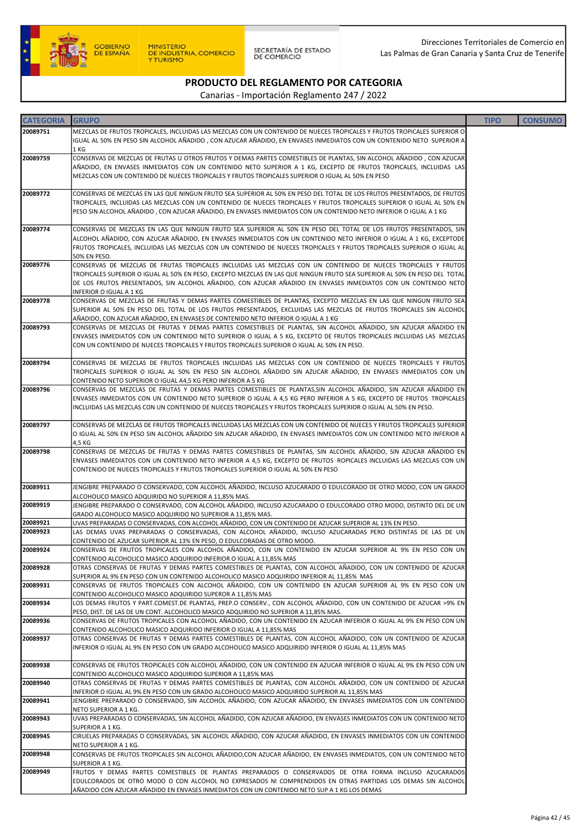

| <b>CATEGORIA</b> | <b>GRUPO</b>                                                                                                              | <b>TIPO</b> | <b>CONSUMO</b> |
|------------------|---------------------------------------------------------------------------------------------------------------------------|-------------|----------------|
|                  |                                                                                                                           |             |                |
| 20089751         | MEZCLAS DE FRUTOS TROPICALES, INCLUIDAS LAS MEZCLAS CON UN CONTENIDO DE NUECES TROPICALES Y FRUTOS TROPICALES SUPERIOR O  |             |                |
|                  | IGUAL AL 50% EN PESO SIN ALCOHOL AÑADIDO , CON AZUCAR AÑADIDO, EN ENVASES INMEDIATOS CON UN CONTENIDO NETO SUPERIOR A     |             |                |
|                  | 1 KG                                                                                                                      |             |                |
| 20089759         | CONSERVAS DE MEZCLAS DE FRUTAS U OTROS FRUTOS Y DEMAS PARTES COMESTIBLES DE PLANTAS, SIN ALCOHOL AÑADIDO, CON AZUCAR      |             |                |
|                  | AÑADIDO, EN ENVASES INMEDIATOS CON UN CONTENIDO NETO SUPERIOR A 1 KG, EXCEPTO DE FRUTOS TROPICALES, INCLUIDAS LAS         |             |                |
|                  | MEZCLAS CON UN CONTENIDO DE NUECES TROPICALES Y FRUTOS TROPICALES SUPERIOR O IGUAL AL 50% EN PESO                         |             |                |
|                  |                                                                                                                           |             |                |
| 20089772         | CONSERVAS DE MEZCLAS EN LAS QUE NINGUN FRUTO SEA SUPERIOR AL 50% EN PESO DEL TOTAL DE LOS FRUTOS PRESENTADOS, DE FRUTOS   |             |                |
|                  | TROPICALES, INCLUIDAS LAS MEZCLAS CON UN CONTENIDO DE NUECES TROPICALES Y FRUTOS TROPICALES SUPERIOR O IGUAL AL 50% EN    |             |                |
|                  | PESO SIN ALCOHOL AÑADIDO, CON AZUCAR AÑADIDO, EN ENVASES INMEDIATOS CON UN CONTENIDO NETO INFERIOR O IGUAL A 1 KG         |             |                |
|                  |                                                                                                                           |             |                |
| 20089774         | CONSERVAS DE MEZCLAS EN LAS QUE NINGUN FRUTO SEA SUPERIOR AL 50% EN PESO DEL TOTAL DE LOS FRUTOS PRESENTADOS, SIN         |             |                |
|                  | ALCOHOL AÑADIDO, CON AZUCAR AÑADIDO, EN ENVASES INMEDIATOS CON UN CONTENIDO NETO INFERIOR O IGUAL A 1 KG, EXCEPTODE       |             |                |
|                  | FRUTOS TROPICALES, INCLUIDAS LAS MEZCLAS CON UN CONTENIDO DE NUECES TROPICALES Y FRUTOS TROPICALES SUPERIOR O IGUAL AL    |             |                |
|                  | 50% EN PESO.                                                                                                              |             |                |
| 20089776         | CONSERVAS DE MEZCLAS DE FRUTAS TROPICALES INCLUIDAS LAS MEZCLAS CON UN CONTENIDO DE NUECES TROPICALES Y FRUTOS            |             |                |
|                  | TROPICALES SUPERIOR O IGUAL AL 50% EN PESO, EXCEPTO MEZCLAS EN LAS QUE NINGUN FRUTO SEA SUPERIOR AL 50% EN PESO DEL TOTAL |             |                |
|                  | DE LOS FRUTOS PRESENTADOS, SIN ALCOHOL AÑADIDO, CON AZUCAR AÑADIDO EN ENVASES INMEDIATOS CON UN CONTENIDO NETO            |             |                |
|                  | INFERIOR O IGUAL A 1 KG                                                                                                   |             |                |
| 20089778         | CONSERVAS DE MEZCLAS DE FRUTAS Y DEMAS PARTES COMESTIBLES DE PLANTAS, EXCEPTO MEZCLAS EN LAS QUE NINGUN FRUTO SEA         |             |                |
|                  | SUPERIOR AL 50% EN PESO DEL TOTAL DE LOS FRUTOS PRESENTADOS, EXCLUIDAS LAS MEZCLAS DE FRUTOS TROPICALES SIN ALCOHOL       |             |                |
|                  | AÑADIDO, CON AZUCAR AÑADIDO, EN ENVASES DE CONTENIDO NETO INFERIOR O IGUAL A 1 KG                                         |             |                |
| 20089793         | CONSERVAS DE MEZCLAS DE FRUTAS Y DEMAS PARTES COMESTIBLES DE PLANTAS, SIN ALCOHOL AÑADIDO, SIN AZUCAR AÑADIDO EN          |             |                |
|                  | ENVASES INMEDIATOS CON UN CONTENIDO NETO SUPERIOR O IGUAL A 5 KG, EXCEPTO DE FRUTOS TROPICALES INCLUIDAS LAS MEZCLAS      |             |                |
|                  | CON UN CONTENIDO DE NUECES TROPICALES Y FRUTOS TROPICALES SUPERIOR O IGUAL AL 50% EN PESO.                                |             |                |
|                  |                                                                                                                           |             |                |
| 20089794         | CONSERVAS DE MEZCLAS DE FRUTOS TROPICALES INCLUIDAS LAS MEZCLAS CON UN CONTENIDO DE NUECES TROPICALES Y FRUTOS            |             |                |
|                  | TROPICALES SUPERIOR O IGUAL AL 50% EN PESO SIN ALCOHOL AÑADIDO SIN AZUCAR AÑADIDO, EN ENVASES INMEDIATOS CON UN           |             |                |
|                  | CONTENIDO NETO SUPERIOR O IGUAL A4,5 KG PERO INFERIOR A 5 KG                                                              |             |                |
| 20089796         | CONSERVAS DE MEZCLAS DE FRUTAS Y DEMAS PARTES COMESTIBLES DE PLANTAS, SIN ALCOHOL AÑADIDO, SIN AZUCAR AÑADIDO EN          |             |                |
|                  | ENVASES INMEDIATOS CON UN CONTENIDO NETO SUPERIOR O IGUAL A 4,5 KG PERO INFERIOR A 5 KG, EXCEPTO DE FRUTOS TROPICALES     |             |                |
|                  | INCLUIDAS LAS MEZCLAS CON UN CONTENIDO DE NUECES TROPICALES Y FRUTOS TROPICALES SUPERIOR O IGUAL AL 50% EN PESO.          |             |                |
|                  |                                                                                                                           |             |                |
| 20089797         | CONSERVAS DE MEZCLAS DE FRUTOS TROPICALES INCLUIDAS LAS MEZCLAS CON UN CONTENIDO DE NUECES Y FRUTOS TROPICALES SUPERIOR   |             |                |
|                  | O IGUAL AL 50% EN PESO SIN ALCOHOL AÑADIDO SIN AZUCAR AÑADIDO, EN ENVASES INMEDIATOS CON UN CONTENIDO NETO INFERIOR A     |             |                |
|                  | 4,5 KG                                                                                                                    |             |                |
| 20089798         | CONSERVAS DE MEZCLAS DE FRUTAS Y DEMAS PARTES COMESTIBLES DE PLANTAS, SIN ALCOHOL AÑADIDO, SIN AZUCAR AÑADIDO EN          |             |                |
|                  | ENVASES INMEDIATOS CON UN CONTENIDO NETO INFERIOR A 4,5 KG, EXCEPTO DE FRUTOS ROPICALES INCLUIDAS LAS MEZCLAS CON UN      |             |                |
|                  | CONTENIDO DE NUECES TROPICALES Y FRUTOS TROPICALES SUPERIOR O IGUAL AL 50% EN PESO                                        |             |                |
|                  |                                                                                                                           |             |                |
| 20089911         | JENGIBRE PREPARADO O CONSERVADO, CON ALCOHOL AÑADIDO, INCLUSO AZUCARADO O EDULCORADO DE OTRO MODO, CON UN GRADO           |             |                |
|                  | ALCOHOLICO MASICO ADQUIRIDO NO SUPERIOR A 11,85% MAS.                                                                     |             |                |
| 20089919         | JENGIBRE PREPARADO O CONSERVADO, CON ALCOHOL AÑADIDO, INCLUSO AZUCARADO O EDULCORADO OTRO MODO, DISTINTO DEL DE UN        |             |                |
|                  | GRADO ALCOHOLICO MASICO ADQUIRIDO NO SUPERIOR A 11,85% MAS.                                                               |             |                |
| 20089921         | UVAS PREPARADAS O CONSERVADAS, CON ALCOHOL AÑADIDO, CON UN CONTENIDO DE AZUCAR SUPERIOR AL 13% EN PESO.                   |             |                |
| 20089923         | LAS DEMAS UVAS PREPARADAS O CONSERVADAS, CON ALCOHOL AÑADIDO, INCLUSO AZUCARADAS PERO DISTINTAS DE LAS DE UN              |             |                |
|                  | CONTENIDO DE AZUCAR SUPERIOR AL 13% EN PESO, O EDULCORADAS DE OTRO MODO.                                                  |             |                |
| 20089924         | CONSERVAS DE FRUTOS TROPICALES CON ALCOHOL AÑADIDO, CON UN CONTENIDO EN AZUCAR SUPERIOR AL 9% EN PESO CON UN              |             |                |
|                  | CONTENIDO ALCOHOLICO MASICO ADQUIRIDO INFERIOR O IGUAL A 11,85% MAS                                                       |             |                |
| 20089928         | OTRAS CONSERVAS DE FRUTAS Y DEMAS PARTES COMESTIBLES DE PLANTAS, CON ALCOHOL AÑADIDO, CON UN CONTENIDO DE AZUCAR          |             |                |
|                  | SUPERIOR AL 9% EN PESO CON UN CONTENIDO ALCOHOLICO MASICO ADQUIRIDO INFERIOR AL 11,85% MAS                                |             |                |
| 20089931         | CONSERVAS DE FRUTOS TROPICALES CON ALCOHOL AÑADIDO. CON UN CONTENIDO EN AZUCAR SUPERIOR AL 9% EN PESO CON UN              |             |                |
|                  | CONTENIDO ALCOHOLICO MASICO ADQUIRIDO SUPEROR A 11,85% MAS                                                                |             |                |
| 20089934         | LOS DEMAS FRUTOS Y PART.COMEST.DE PLANTAS, PREP.O CONSERV., CON ALCOHOL AÑADIDO, CON UN CONTENIDO DE AZUCAR >9% EN        |             |                |
|                  | PESO, DIST. DE LAS DE UN CONT. ALCOHOLICO MASICO ADQUIRIDO NO SUPERIOR A 11,85% MAS.                                      |             |                |
| 20089936         | CONSERVAS DE FRUTOS TROPICALES CON ALCOHOL AÑADIDO, CON UN CONTENIDO EN AZUCAR INFERIOR O IGUAL AL 9% EN PESO CON UN      |             |                |
|                  | CONTENIDO ALCOHOLICO MASICO ADQUIRIDO INFERIOR O IGUAL A 11,85% MAS                                                       |             |                |
| 20089937         | OTRAS CONSERVAS DE FRUTAS Y DEMAS PARTES COMESTIBLES DE PLANTAS, CON ALCOHOL AÑADIDO, CON UN CONTENIDO DE AZUCAR          |             |                |
|                  | INFERIOR O IGUAL AL 9% EN PESO CON UN GRADO ALCOHOLICO MASICO ADQUIRIDO INFERIOR O IGUAL AL 11,85% MAS                    |             |                |
|                  |                                                                                                                           |             |                |
| 20089938         | CONSERVAS DE FRUTOS TROPICALES CON ALCOHOL AÑADIDO, CON UN CONTENIDO EN AZUCAR INFERIOR O IGUAL AL 9% EN PESO CON UN      |             |                |
|                  | CONTENIDO ALCOHOLICO MASICO ADQUIRIDO SUPERIOR A 11,85% MAS                                                               |             |                |
| 20089940         | OTRAS CONSERVAS DE FRUTAS Y DEMAS PARTES COMESTIBLES DE PLANTAS, CON ALCOHOL AÑADIDO, CON UN CONTENIDO DE AZUCAR          |             |                |
|                  | INFERIOR O IGUAL AL 9% EN PESO CON UN GRADO ALCOHOLICO MASICO ADQUIRIDO SUPERIOR AL 11,85% MAS                            |             |                |
| 20089941         | JENGIBRE PREPARADO O CONSERVADO, SIN ALCOHOL AÑADIDO, CON AZUCAR AÑADIDO, EN ENVASES INMEDIATOS CON UN CONTENIDO          |             |                |
|                  | NETO SUPERIOR A 1 KG.                                                                                                     |             |                |
| 20089943         | UVAS PREPARADAS O CONSERVADAS, SIN ALCOHOL AÑADIDO, CON AZUCAR AÑADIDO, EN ENVASES INMEDIATOS CON UN CONTENIDO NETO       |             |                |
|                  | SUPERIOR A 1 KG.                                                                                                          |             |                |
| 20089945         | CIRUELAS PREPARADAS O CONSERVADAS, SIN ALCOHOL AÑADIDO, CON AZUCAR AÑADIDO, EN ENVASES INMEDIATOS CON UN CONTENIDO        |             |                |
|                  | NETO SUPERIOR A 1 KG.                                                                                                     |             |                |
| 20089948         | CONSERVAS DE FRUTOS TROPICALES SIN ALCOHOL AÑADIDO,CON AZUCAR AÑADIDO, EN ENVASES INMEDIATOS, CON UN CONTENIDO NETO       |             |                |
|                  | SUPERIOR A 1 KG.                                                                                                          |             |                |
| 20089949         | FRUTOS Y DEMAS PARTES COMESTIBLES DE PLANTAS PREPARADOS O CONSERVADOS DE OTRA FORMA INCLUSO AZUCARADOS                    |             |                |
|                  | EDULCORADOS DE OTRO MODO O CON ALCOHOL NO EXPRESADOS NI COMPRENDIDOS EN OTRAS PARTIDAS LOS DEMAS SIN ALCOHOL              |             |                |
|                  | AÑADIDO CON AZUCAR AÑADIDO EN ENVASES INMEDIATOS CON UN CONTENIDO NETO SUP A 1 KG LOS DEMAS                               |             |                |
|                  |                                                                                                                           |             |                |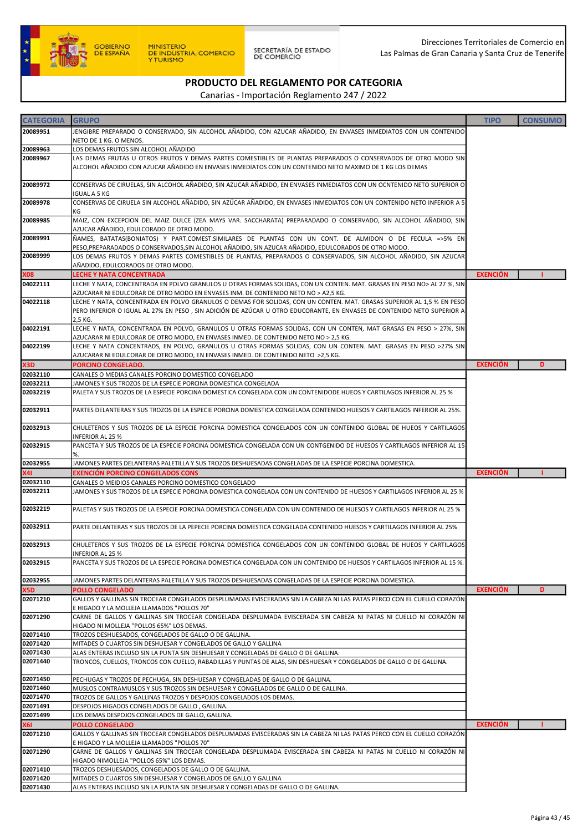

| <b>CATEGORIA</b> | <b>GRUPO</b>                                                                                                             | <b>TIPO</b>     | <b>CONSUMO</b> |
|------------------|--------------------------------------------------------------------------------------------------------------------------|-----------------|----------------|
|                  |                                                                                                                          |                 |                |
| 20089951         | JENGIBRE PREPARADO O CONSERVADO, SIN ALCOHOL AÑADIDO, CON AZUCAR AÑADIDO, EN ENVASES INMEDIATOS CON UN CONTENIDO         |                 |                |
|                  | NETO DE 1 KG. O MENOS.                                                                                                   |                 |                |
| 20089963         | LOS DEMAS FRUTOS SIN ALCOHOL AÑADIDO                                                                                     |                 |                |
| 20089967         | LAS DEMAS FRUTAS U OTROS FRUTOS Y DEMAS PARTES COMESTIBLES DE PLANTAS PREPARADOS O CONSERVADOS DE OTRO MODO SIN          |                 |                |
|                  |                                                                                                                          |                 |                |
|                  | ALCOHOL AÑADIDO CON AZUCAR AÑADIDO EN ENVASES INMEDIATOS CON UN CONTENIDO NETO MAXIMO DE 1 KG LOS DEMAS                  |                 |                |
|                  |                                                                                                                          |                 |                |
| 20089972         | CONSERVAS DE CIRUELAS, SIN ALCOHOL AÑADIDO, SIN AZUCAR AÑADIDO, EN ENVASES INMEDIATOS CON UN OCNTENIDO NETO SUPERIOR O   |                 |                |
|                  | IGUAL A 5 KG                                                                                                             |                 |                |
| 20089978         | CONSERVAS DE CIRUELA SIN ALCOHOL AÑADIDO, SIN AZÚCAR AÑADIDO, EN ENVASES INMEDIATOS CON UN CONTENIDO NETO INFERIOR A 5   |                 |                |
|                  | KG                                                                                                                       |                 |                |
| 20089985         | MAIZ, CON EXCEPCION DEL MAIZ DULCE (ZEA MAYS VAR. SACCHARATA) PREPARADADO O CONSERVADO, SIN ALCOHOL AÑADIDO, SIN         |                 |                |
|                  | AZUCAR AÑADIDO. EDULCORADO DE OTRO MODO.                                                                                 |                 |                |
|                  |                                                                                                                          |                 |                |
| 20089991         | ÑAMES, BATATAS(BONIATOS) Y PART.COMEST.SIMILARES DE PLANTAS CON UN CONT. DE ALMIDON O DE FECULA =>5% EN                  |                 |                |
|                  | PESO, PREPARADADOS O CONSERVADOS, SIN ALCOHOL AÑADIDO, SIN AZUCAR AÑADIDO, EDULCORADOS DE OTRO MODO.                     |                 |                |
| 20089999         | LOS DEMAS FRUTOS Y DEMAS PARTES COMESTIBLES DE PLANTAS, PREPARADOS O CONSERVADOS, SIN ALCOHOL AÑADIDO, SIN AZUCAR        |                 |                |
|                  | AÑADIDO, EDULCORADOS DE OTRO MODO.                                                                                       |                 |                |
| X08              | <b>LECHE Y NATA CONCENTRADA</b>                                                                                          | <b>EXENCIÓN</b> |                |
|                  |                                                                                                                          |                 |                |
| 04022111         | LECHE Y NATA, CONCENTRADA EN POLVO GRANULOS U OTRAS FORMAS SOLIDAS, CON UN CONTEN. MAT. GRASAS EN PESO NO> AL 27 %, SIN  |                 |                |
|                  | AZUCARAR NI EDULCORAR DE OTRO MODO EN ENVASES INM. DE CONTENIDO NETO NO > A2,5 KG.                                       |                 |                |
| 04022118         | LECHE Y NATA, CONCENTRADA EN POLVO GRANULOS O DEMAS FOR SOLIDAS, CON UN CONTEN. MAT. GRASAS SUPERIOR AL 1,5 % EN PESO    |                 |                |
|                  | PERO INFERIOR O IGUAL AL 27% EN PESO, SIN ADICIÓN DE AZÚCAR U OTRO EDUCORANTE, EN ENVASES DE CONTENIDO NETO SUPERIOR A   |                 |                |
|                  | 2,5 KG.                                                                                                                  |                 |                |
| 04022191         | LECHE Y NATA, CONCENTRADA EN POLVO, GRANULOS U OTRAS FORMAS SOLIDAS, CON UN CONTEN, MAT GRASAS EN PESO > 27%, SIN        |                 |                |
|                  |                                                                                                                          |                 |                |
|                  | AZUCARAR NI EDULCORAR DE OTRO MODO, EN ENVASES INMED. DE CONTENIDO NETO NO > 2,5 KG.                                     |                 |                |
| 04022199         | LECHE Y NATA CONCENTRADS, EN POLVO, GRANULOS U OTRAS FORMAS SOLIDAS, CON UN CONTEN. MAT. GRASAS EN PESO >27% SIN         |                 |                |
|                  | AZUCARAR NI EDULCORAR DE OTRO MODO, EN ENVASES INMED. DE CONTENIDO NETO >2,5 KG.                                         |                 |                |
| X3D              | PORCINO CONGELADO.                                                                                                       | <b>EXENCIÓN</b> | D              |
| 02032110         | CANALES O MEDIAS CANALES PORCINO DOMESTICO CONGELADO                                                                     |                 |                |
| 02032211         | JAMONES Y SUS TROZOS DE LA ESPECIE PORCINA DOMESTICA CONGELADA                                                           |                 |                |
|                  |                                                                                                                          |                 |                |
| 02032219         | PALETA Y SUS TROZOS DE LA ESPECIE PORCINA DOMESTICA CONGELADA CON UN CONTENIDODE HUEOS Y CARTILAGOS INFERIOR AL 25 %     |                 |                |
|                  |                                                                                                                          |                 |                |
| 02032911         | PARTES DELANTERAS Y SUS TROZOS DE LA ESPECIE PORCINA DOMESTICA CONGELADA CONTENIDO HUESOS Y CARTILAGOS INFERIOR AL 25%.  |                 |                |
|                  |                                                                                                                          |                 |                |
| 02032913         | CHULETEROS Y SUS TROZOS DE LA ESPECIE PORCINA DOMESTICA CONGELADOS CON UN CONTENIDO GLOBAL DE HUEOS Y CARTILAGOS         |                 |                |
|                  | INFERIOR AL 25 %                                                                                                         |                 |                |
|                  |                                                                                                                          |                 |                |
| 02032915         | PANCETA Y SUS TROZOS DE LA ESPECIE PORCINA DOMESTICA CONGELADA CON UN CONTGENIDO DE HUESOS Y CARTILAGOS INFERIOR AL 15   |                 |                |
|                  | %.                                                                                                                       |                 |                |
| 02032955         | JAMONES PARTES DELANTERAS PALETILLA Y SUS TROZOS DESHUESADAS CONGELADAS DE LA ESPECIE PORCINA DOMESTICA.                 |                 |                |
| X41              | EXENCIÓN PORCINO CONGELADOS CONS                                                                                         | <b>EXENCIÓN</b> |                |
| 02032110         | CANALES O MEIDIOS CANALES PORCINO DOMESTICO CONGELADO                                                                    |                 |                |
| 02032211         | JAMONES Y SUS TROZOS DE LA ESPECIE PORCINA DOMESTICA CONGELADA CON UN CONTENIDO DE HUESOS Y CARTILAGOS INFERIOR AL 25 %  |                 |                |
|                  |                                                                                                                          |                 |                |
|                  |                                                                                                                          |                 |                |
| 02032219         | PALETAS Y SUS TROZOS DE LA ESPECIE PORCINA DOMESTICA CONGELADA CON UN CONTENIDO DE HUESOS Y CARTILAGOS INFERIOR AL 25 %  |                 |                |
|                  |                                                                                                                          |                 |                |
| 02032911         | PARTE DELANTERAS Y SUS TROZOS DE LA PEPECIE PORCINA DOMESTICA CONGELADA CONTENIDO HUESOS Y CARTILAGOS INFERIOR AL 25%    |                 |                |
|                  |                                                                                                                          |                 |                |
| 02032913         | CHULETEROS Y SUS TROZOS DE LA ESPECIE PORCINA DOMESTICA CONGELADOS CON UN CONTENIDO GLOBAL DE HUEOS Y CARTILAGOS         |                 |                |
|                  | INFERIOR AL 25 %                                                                                                         |                 |                |
| 02032915         | PANCETA Y SUS TROZOS DE LA ESPECIE PORCINA DOMESTICA CONGELADA CON UN CONTENIDO DE HUESOS Y CARTILAGOS INFERIOR AL 15 %. |                 |                |
|                  |                                                                                                                          |                 |                |
| 02032955         | JAMONES PARTES DELANTERAS PALETILLA Y SUS TROZOS DESHUESADAS CONGELADAS DE LA ESPECIE PORCINA DOMESTICA.                 |                 |                |
|                  |                                                                                                                          |                 |                |
| X5D              | <b>POLLO CONGELADO</b>                                                                                                   | <b>EXENCIÓN</b> | D              |
| 02071210         | GALLOS Y GALLINAS SIN TROCEAR CONGELADOS DESPLUMADAS EVISCERADAS SIN LA CABEZA NI LAS PATAS PERCO CON EL CUELLO CORAZÓN  |                 |                |
|                  | E HIGADO Y LA MOLLEJA LLAMADOS "POLLOS 70"                                                                               |                 |                |
| 02071290         | CARNE DE GALLOS Y GALLINAS SIN TROCEAR CONGELADA DESPLUMADA EVISCERADA SIN CABEZA NI PATAS NI CUELLO NI CORAZÓN NI       |                 |                |
|                  | HIGADO NI MOLLEJA "POLLOS 65%" LOS DEMAS.                                                                                |                 |                |
| 02071410         | TROZOS DESHUESADOS, CONGELADOS DE GALLO O DE GALLINA.                                                                    |                 |                |
| 02071420         | MITADES O CUARTOS SIN DESHUESAR Y CONGELADOS DE GALLO Y GALLINA                                                          |                 |                |
|                  |                                                                                                                          |                 |                |
| 02071430         | ALAS ENTERAS INCLUSO SIN LA PUNTA SIN DESHUESAR Y CONGELADAS DE GALLO O DE GALLINA.                                      |                 |                |
| 02071440         | TRONCOS, CUELLOS, TRONCOS CON CUELLO, RABADILLAS Y PUNTAS DE ALAS, SIN DESHUESAR Y CONGELADOS DE GALLO O DE GALLINA.     |                 |                |
|                  |                                                                                                                          |                 |                |
| 02071450         | PECHUGAS Y TROZOS DE PECHUGA, SIN DESHUESAR Y CONGELADAS DE GALLO O DE GALLINA.                                          |                 |                |
| 02071460         | MUSLOS CONTRAMUSLOS Y SUS TROZOS SIN DESHUESAR Y CONGELADOS DE GALLO O DE GALLINA.                                       |                 |                |
| 02071470         | TROZOS DE GALLOS Y GALLINAS TROZOS Y DESPOJOS CONGELADOS LOS DEMAS.                                                      |                 |                |
| 02071491         | DESPOJOS HIGADOS CONGELADOS DE GALLO, GALLINA.                                                                           |                 |                |
| 02071499         | LOS DEMAS DESPOJOS CONGELADOS DE GALLO, GALLINA.                                                                         |                 |                |
|                  |                                                                                                                          |                 |                |
| <b>X61</b>       | <b>POLLO CONGELADO</b>                                                                                                   | <b>EXENCIÓN</b> |                |
| 02071210         | GALLOS Y GALLINAS SIN TROCEAR CONGELADOS DESPLUMADAS EVISCERADAS SIN LA CABEZA NI LAS PATAS PERCO CON EL CUELLO CORAZÓN  |                 |                |
|                  | E HIGADO Y LA MOLLEJA LLAMADOS "POLLOS 70"                                                                               |                 |                |
| 02071290         | CARNE DE GALLOS Y GALLINAS SIN TROCEAR CONGELADA DESPLUMADA EVISCERADA SIN CABEZA NI PATAS NI CUELLO NI CORAZÓN NI       |                 |                |
|                  | HIGADO NIMOLLEJA "POLLOS 65%" LOS DEMAS.                                                                                 |                 |                |
| 02071410         | TROZOS DESHUESADOS, CONGELADOS DE GALLO O DE GALLINA.                                                                    |                 |                |
|                  |                                                                                                                          |                 |                |
| 02071420         | MITADES O CUARTOS SIN DESHUESAR Y CONGELADOS DE GALLO Y GALLINA                                                          |                 |                |
| 02071430         | ALAS ENTERAS INCLUSO SIN LA PUNTA SIN DESHUESAR Y CONGELADAS DE GALLO O DE GALLINA.                                      |                 |                |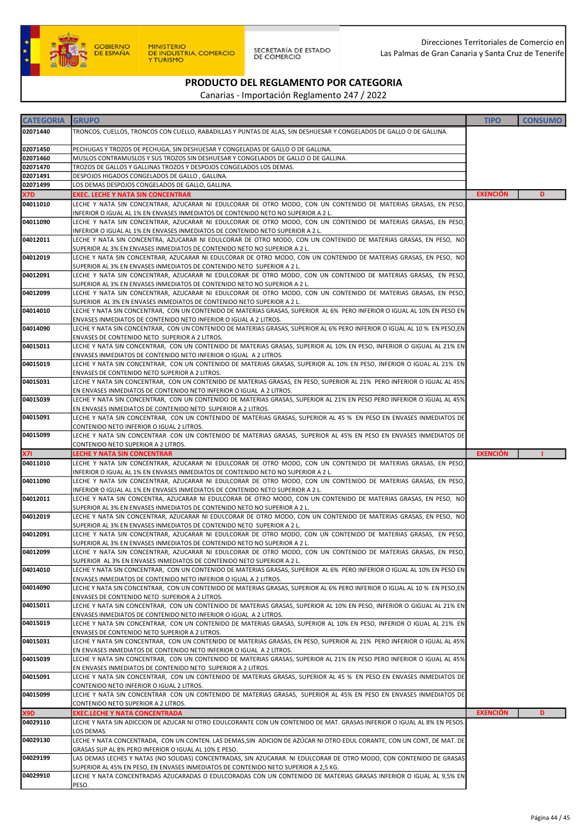

| <b>CATEGORIA</b>       | <b>GRUPO</b>                                                                                                                                                                                        | <b>TIPO</b>     | <b>CONSUMO</b> |
|------------------------|-----------------------------------------------------------------------------------------------------------------------------------------------------------------------------------------------------|-----------------|----------------|
| 02071440               | TRONCOS, CUELLOS, TRONCOS CON CUELLO, RABADILLAS Y PUNTAS DE ALAS, SIN DESHUESAR Y CONGELADOS DE GALLO O DE GALLINA.                                                                                |                 |                |
|                        |                                                                                                                                                                                                     |                 |                |
| 02071450               | PECHUGAS Y TROZOS DE PECHUGA, SIN DESHUESAR Y CONGELADAS DE GALLO O DE GALLINA.                                                                                                                     |                 |                |
| 02071460               | MUSLOS CONTRAMUSLOS Y SUS TROZOS SIN DESHUESAR Y CONGELADOS DE GALLO O DE GALLINA.                                                                                                                  |                 |                |
| 02071470               | TROZOS DE GALLOS Y GALLINAS TROZOS Y DESPOJOS CONGELADOS LOS DEMAS.                                                                                                                                 |                 |                |
| 02071491               | DESPOJOS HIGADOS CONGELADOS DE GALLO, GALLINA.                                                                                                                                                      |                 |                |
| 02071499               | LOS DEMAS DESPOJOS CONGELADOS DE GALLO, GALLINA.                                                                                                                                                    |                 |                |
| X7D.                   | EXEC. LECHE Y NATA SIN CONCENTRAR                                                                                                                                                                   | <b>EXENCIÓN</b> | D              |
| 04011010               | LECHE Y NATA SIN CONCENTRAR, AZUCARAR NI EDULCORAR DE OTRO MODO, CON UN CONTENIDO DE MATERIAS GRASAS, EN PESO,                                                                                      |                 |                |
| 04011090               | INFERIOR O IGUAL AL 1% EN ENVASES INMEDIATOS DE CONTENIDO NETO NO SUPERIOR A 2 L.<br>LECHE Y NATA SIN CONCENTRAR, AZUCARAR NI EDULCORAR DE OTRO MODO, CON UN CONTENIDO DE MATERIAS GRASAS, EN PESO, |                 |                |
|                        | INFERIOR O IGUAL AL 1% EN ENVASES INMEDIATOS DE CONTENIDO NETO SUPERIOR A 2 L.                                                                                                                      |                 |                |
| 04012011               | LECHE Y NATA SIN CONCENTRA, AZUCARAR NI EDULCORAR DE OTRO MODO, CON UN CONTENIDO DE MATERIAS GRASAS, EN PESO, NO                                                                                    |                 |                |
|                        | SUPERIOR AL 3% EN ENVASES INMEDIATOS DE CONTENIDO NETO NO SUPERIOR A 2 L.                                                                                                                           |                 |                |
| 04012019               | LECHE Y NATA SIN CONCENTRAR, AZUCARAR NI EDULCORAR DE OTRO MODO, CON UN CONTENIDO DE MATERIAS GRASAS, EN PESO, NO                                                                                   |                 |                |
|                        | SUPERIOR AL 3% EN ENVASES INMEDIATOS DE CONTENIDO NETO SUPERIOR A 2 L.                                                                                                                              |                 |                |
| 04012091               | LECHE Y NATA SIN CONCENTRAR, AZUCARAR NI EDULCORAR DE OTRO MODO, CON UN CONTENIDO DE MATERIAS GRASAS, EN PESO,                                                                                      |                 |                |
|                        | SUPERIOR AL 3% EN ENVASES INMEDIATOS DE CONTENIDO NETO NO SUPERIOR A 2 L.                                                                                                                           |                 |                |
| 04012099               | LECHE Y NATA SIN CONCENTRAR, AZUCARAR NI EDULCORAR DE OTRO MODO, CON UN CONTENIDO DE MATERIAS GRASAS, EN PESO,<br>SUPERIOR AL 3% EN ENVASES INMEDIATOS DE CONTENIDO NETO SUPERIOR A 2 L.            |                 |                |
| 04014010               | LECHE Y NATA SIN CONCENTRAR, CON UN CONTENIDO DE MATERIAS GRASAS, SUPERIOR AL 6% PERO INFERIOR O IGUAL AL 10% EN PESO EN                                                                            |                 |                |
|                        | ENVASES INMEDIATOS DE CONTENIDO NETO INFERIOR O IGUAL A 2 LITROS.                                                                                                                                   |                 |                |
| 04014090               | LECHE Y NATA SIN CONCENTRAR, CON UN CONTENIDO DE MATERIAS GRASAS, SUPERIOR AL 6% PERO INFERIOR O IGUAL AL 10 % EN PESO,EN                                                                           |                 |                |
|                        | ENVASES DE CONTENIDO NETO SUPERIOR A 2 LITROS.                                                                                                                                                      |                 |                |
| 04015011               | LECHE Y NATA SIN CONCENTRAR, CON UN CONTENIDO DE MATERIAS GRASAS, SUPERIOR AL 10% EN PESO, INFERIOR O GIGUAL AL 21% EN                                                                              |                 |                |
|                        | ENVASES INMEDIATOS DE CONTENIDO NETO INFERIOR O IGUAL A 2 LITROS.                                                                                                                                   |                 |                |
| 04015019               | LECHE Y NATA SIN CONCENTRAR, CON UN CONTENIDO DE MATERIAS GRASAS, SUPERIOR AL 10% EN PESO, INFERIOR O IGUAL AL 21% EN                                                                               |                 |                |
| 04015031               | ENVASES DE CONTENIDO NETO SUPERIOR A 2 LITROS.<br>LECHE Y NATA SIN CONCENTRAR, CON UN CONTENIDO DE MATERIAS GRASAS, EN PESO, SUPERIOR AL 21% PERO INFERIOR O IGUAL AL 45%                           |                 |                |
|                        | EN ENVASES INMEDIATOS DE CONTENIDO NETO INFERIOR O IGUAL A 2 LITROS.                                                                                                                                |                 |                |
| 04015039               | LECHE Y NATA SIN CONCENTRAR, CON UN CONTENIDO DE MATERIAS GRASAS, SUPERIOR AL 21% EN PESO PERO INFERIOR O IGUAL AL 45%                                                                              |                 |                |
|                        | EN ENVASES INMEDIATOS DE CONTENIDO NETO SUPERIOR A 2 LITROS.                                                                                                                                        |                 |                |
| 04015091               | LECHE Y NATA SIN CONCENTRAR, CON UN CONTENIDO DE MATERIAS GRASAS, SUPERIOR AL 45 % EN PESO EN ENVASES INMEDIATOS DE                                                                                 |                 |                |
|                        | CONTENIDO NETO INFERIOR O IGUAL 2 LITROS.                                                                                                                                                           |                 |                |
| 04015099               | LECHE Y NATA SIN CONCENTRAR CON UN CONTENIDO DE MATERIAS GRASAS, SUPERIOR AL 45% EN PESO EN ENVASES INMEDIATOS DE                                                                                   |                 |                |
|                        | CONTENIDO NETO SUPERIOR A 2 LITROS.                                                                                                                                                                 |                 |                |
| <b>X71</b><br>04011010 | <b>LECHE Y NATA SIN CONCENTRAR</b><br>LECHE Y NATA SIN CONCENTRAR, AZUCARAR NI EDULCORAR DE OTRO MODO, CON UN CONTENIDO DE MATERIAS GRASAS, EN PESO,                                                | <b>EXENCIÓN</b> | T.             |
|                        | INFERIOR O IGUAL AL 1% EN ENVASES INMEDIATOS DE CONTENIDO NETO NO SUPERIOR A 2 L.                                                                                                                   |                 |                |
| 04011090               | LECHE Y NATA SIN CONCENTRAR, AZUCARAR NI EDULCORAR DE OTRO MODO, CON UN CONTENIDO DE MATERIAS GRASAS, EN PESO,                                                                                      |                 |                |
|                        | INFERIOR O IGUAL AL 1% EN ENVASES INMEDIATOS DE CONTENIDO NETO SUPERIOR A 2 L.                                                                                                                      |                 |                |
| 04012011               | LECHE Y NATA SIN CONCENTRA, AZUCARAR NI EDULCORAR DE OTRO MODO, CON UN CONTENIDO DE MATERIAS GRASAS, EN PESO, NO                                                                                    |                 |                |
|                        | SUPERIOR AL 3% EN ENVASES INMEDIATOS DE CONTENIDO NETO NO SUPERIOR A 2 L.                                                                                                                           |                 |                |
| 04012019               | LECHE Y NATA SIN CONCENTRAR, AZUCARAR NI EDULCORAR DE OTRO MODO, CON UN CONTENIDO DE MATERIAS GRASAS, EN PESO, NO                                                                                   |                 |                |
|                        | SUPERIOR AL 3% EN ENVASES INMEDIATOS DE CONTENIDO NETO SUPERIOR A 2 L.                                                                                                                              |                 |                |
| 04012091               | LECHE Y NATA SIN CONCENTRAR, AZUCARAR NI EDULCORAR DE OTRO MODO, CON UN CONTENIDO DE MATERIAS GRASAS, EN PESO,                                                                                      |                 |                |
| 04012099               | SUPERIOR AL 3% EN ENVASES INMEDIATOS DE CONTENIDO NETO NO SUPERIOR A 2 L.<br>LECHE Y NATA SIN CONCENTRAR, AZUCARAR NI EDULCORAR DE OTRO MODO, CON UN CONTENIDO DE MATERIAS GRASAS, EN PESO,         |                 |                |
|                        | SUPERIOR AL 3% EN ENVASES INMEDIATOS DE CONTENIDO NETO SUPERIOR A 2 L.                                                                                                                              |                 |                |
| 04014010               | LECHE Y NATA SIN CONCENTRAR, CON UN CONTENIDO DE MATERIAS GRASAS, SUPERIOR AL 6% PERO INFERIOR O IGUAL AL 10% EN PESO EN                                                                            |                 |                |
|                        | ENVASES INMEDIATOS DE CONTENIDO NETO INFERIOR O IGUAL A 2 LITROS.                                                                                                                                   |                 |                |
| 04014090               | LECHE Y NATA SIN CONCENTRAR, CON UN CONTENIDO DE MATERIAS GRASAS, SUPERIOR AL 6% PERO INFERIOR O IGUAL AL 10 % EN PESO,EN                                                                           |                 |                |
|                        | ENVASES DE CONTENIDO NETO SUPERIOR A 2 LITROS.                                                                                                                                                      |                 |                |
| 04015011               | LECHE Y NATA SIN CONCENTRAR, CON UN CONTENIDO DE MATERIAS GRASAS, SUPERIOR AL 10% EN PESO, INFERIOR O GIGUAL AL 21% EN<br>ENVASES INMEDIATOS DE CONTENIDO NETO INFERIOR O IGUAL A 2 LITROS.         |                 |                |
| 04015019               | LECHE Y NATA SIN CONCENTRAR, CON UN CONTENIDO DE MATERIAS GRASAS, SUPERIOR AL 10% EN PESO, INFERIOR O IGUAL AL 21% EN                                                                               |                 |                |
|                        | ENVASES DE CONTENIDO NETO SUPERIOR A 2 LITROS.                                                                                                                                                      |                 |                |
| 04015031               | LECHE Y NATA SIN CONCENTRAR, CON UN CONTENIDO DE MATERIAS GRASAS, EN PESO, SUPERIOR AL 21% PERO INFERIOR O IGUAL AL 45%                                                                             |                 |                |
|                        | EN ENVASES INMEDIATOS DE CONTENIDO NETO INFERIOR O IGUAL A 2 LITROS.                                                                                                                                |                 |                |
| 04015039               | LECHE Y NATA SIN CONCENTRAR, CON UN CONTENIDO DE MATERIAS GRASAS, SUPERIOR AL 21% EN PESO PERO INFERIOR O IGUAL AL 45%                                                                              |                 |                |
|                        | EN ENVASES INMEDIATOS DE CONTENIDO NETO SUPERIOR A 2 LITROS.                                                                                                                                        |                 |                |
| 04015091               | LECHE Y NATA SIN CONCENTRAR, CON UN CONTENIDO DE MATERIAS GRASAS, SUPERIOR AL 45 % EN PESO EN ENVASES INMEDIATOS DE                                                                                 |                 |                |
| 04015099               | CONTENIDO NETO INFERIOR O IGUAL 2 LITROS.<br>LECHE Y NATA SIN CONCENTRAR  CON UN CONTENIDO DE MATERIAS GRASAS, SUPERIOR AL 45% EN PESO EN ENVASES INMEDIATOS DE                                     |                 |                |
|                        | CONTENIDO NETO SUPERIOR A 2 LITROS.                                                                                                                                                                 |                 |                |
| X9D                    | <b>EXEC.LECHE Y NATA CONCENTRADA</b>                                                                                                                                                                | <b>EXENCIÓN</b> | D              |
| 04029110               | LECHE Y NATA SIN ADICCION DE AZUCAR NI OTRO EDULCORANTE CON UN CONTENIDO DE MAT. GRASAS INFERIOR O IGUAL AL 8% EN PESOS.                                                                            |                 |                |
|                        | LOS DEMAS.                                                                                                                                                                                          |                 |                |
| 04029130               | LECHE Y NATA CONCENTRADA, CON UN CONTEN. LAS DEMAS,SIN ADICION DE AZÚCAR NI OTRO EDUL CORANTE, CON UN CONT, DE MAT. DE                                                                              |                 |                |
|                        | GRASAS SUP AL 8% PERO INFERIOR O IGUAL AL 10% E PESO.                                                                                                                                               |                 |                |
| 04029199               | LAS DEMAS LECHES Y NATAS (NO SOLIDAS) CONCENTRADAS, SIN AZUCARAR. NI EDULCORAR DE OTRO MODO, CON CONTENIDO DE GRASAS                                                                                |                 |                |
|                        | SUPERIOR AL 45% EN PESO, EN ENVASES INMEDIATOS DE CONTENIDO NETO SUPERIOR A 2,5 KG.                                                                                                                 |                 |                |
|                        |                                                                                                                                                                                                     |                 |                |
| 04029910               | LECHE Y NATA CONCENTRADAS AZUCARADAS O EDULCORADAS CON UN CONTENIDO DE MATERIAS GRASAS INFERIOR O IGUAL AL 9,5% EN<br>PESO.                                                                         |                 |                |